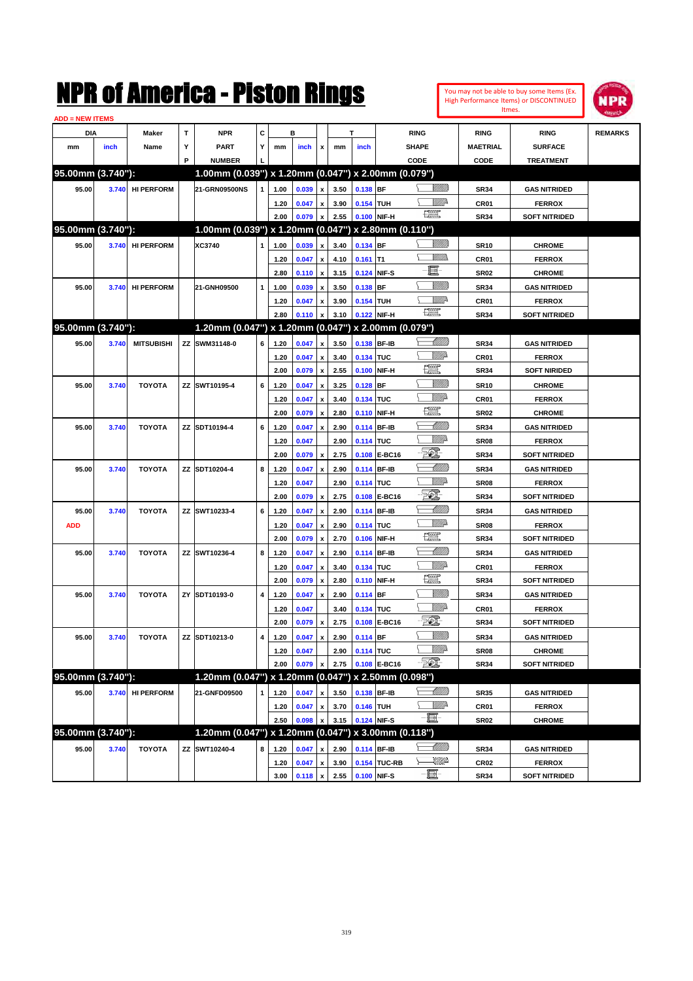| <b>ADD = NEW ITEMS</b> |       |                   |   |                                                     |              |      |                     |                    |      |             |              |                                                                                                                                                                                                                                                                                                                                                     |                  |                      |                |
|------------------------|-------|-------------------|---|-----------------------------------------------------|--------------|------|---------------------|--------------------|------|-------------|--------------|-----------------------------------------------------------------------------------------------------------------------------------------------------------------------------------------------------------------------------------------------------------------------------------------------------------------------------------------------------|------------------|----------------------|----------------|
| DIA                    |       | Maker             | T | <b>NPR</b>                                          | c            |      | в                   |                    |      | т           |              | <b>RING</b>                                                                                                                                                                                                                                                                                                                                         | <b>RING</b>      | <b>RING</b>          | <b>REMARKS</b> |
| mm                     | inch  | Name              | Y | <b>PART</b>                                         | Υ            | mm   | inch                | $\mathbf{x}$       | mm   | inch        |              | <b>SHAPE</b>                                                                                                                                                                                                                                                                                                                                        | <b>MAETRIAL</b>  | <b>SURFACE</b>       |                |
|                        |       |                   | P | <b>NUMBER</b>                                       |              |      |                     |                    |      |             |              | CODE                                                                                                                                                                                                                                                                                                                                                | CODE             | <b>TREATMENT</b>     |                |
| 95.00mm (3.740"):      |       |                   |   | 1.00mm (0.039") x 1.20mm (0.047") x 2.00mm (0.079") |              |      |                     |                    |      |             |              |                                                                                                                                                                                                                                                                                                                                                     |                  |                      |                |
| 95.00                  | 3.740 | <b>HI PERFORM</b> |   | 21-GRN09500NS                                       | $\mathbf{1}$ | 1.00 | $0.039 \mid x \mid$ |                    | 3.50 | 0.138 BF    |              | <u>MM</u> B                                                                                                                                                                                                                                                                                                                                         | <b>SR34</b>      | <b>GAS NITRIDED</b>  |                |
|                        |       |                   |   |                                                     |              | 1.20 | 0.047               | $\mathbf x$        | 3.90 | 0.154 TUH   |              | WMP-                                                                                                                                                                                                                                                                                                                                                | CR <sub>01</sub> | <b>FERROX</b>        |                |
|                        |       |                   |   |                                                     |              | 2.00 | 0.079               | $\mathbf{x}$       | 2.55 |             | 0.100 NIF-H  | $\begin{picture}(20,20) \put(0,0){\line(1,0){10}} \put(15,0){\line(1,0){10}} \put(15,0){\line(1,0){10}} \put(15,0){\line(1,0){10}} \put(15,0){\line(1,0){10}} \put(15,0){\line(1,0){10}} \put(15,0){\line(1,0){10}} \put(15,0){\line(1,0){10}} \put(15,0){\line(1,0){10}} \put(15,0){\line(1,0){10}} \put(15,0){\line(1,0){10}} \put(15,0){\line(1$ | <b>SR34</b>      | <b>SOFT NITRIDED</b> |                |
| 95.00mm (3.740"):      |       |                   |   | 1.00mm (0.039") x 1.20mm (0.047") x 2.80mm (0.110") |              |      |                     |                    |      |             |              |                                                                                                                                                                                                                                                                                                                                                     |                  |                      |                |
|                        |       |                   |   |                                                     |              |      |                     |                    |      |             |              | <u>UMB</u>                                                                                                                                                                                                                                                                                                                                          |                  |                      |                |
| 95.00                  |       | 3.740 HI PERFORM  |   | XC3740                                              |              | 1.00 | 0.039               | $\mathbf{x}$       | 3.40 | 0.134 BF    |              | 777)).                                                                                                                                                                                                                                                                                                                                              | <b>SR10</b>      | <b>CHROME</b>        |                |
|                        |       |                   |   |                                                     |              | 1.20 | 0.047               | $\pmb{\mathsf{x}}$ | 4.10 | $0.161$ T1  |              | e                                                                                                                                                                                                                                                                                                                                                   | CR <sub>01</sub> | <b>FERROX</b>        |                |
|                        |       |                   |   |                                                     |              | 2.80 | $0.110 \times$      |                    | 3.15 | 0.124 NIF-S |              |                                                                                                                                                                                                                                                                                                                                                     | SR <sub>02</sub> | <b>CHROME</b>        |                |
| 95.00                  | 3.740 | <b>HI PERFORM</b> |   | 21-GNH09500                                         | $\mathbf{1}$ | 1.00 | 0.039               | $\pmb{\chi}$       | 3.50 | 0.138 BF    |              | <u>Villida</u>                                                                                                                                                                                                                                                                                                                                      | <b>SR34</b>      | <b>GAS NITRIDED</b>  |                |
|                        |       |                   |   |                                                     |              | 1.20 | 0.047               | $\mathbf{x}$       | 3.90 | 0.154 TUH   |              | ₩₩<br><b>The Control</b>                                                                                                                                                                                                                                                                                                                            | <b>CR01</b>      | <b>FERROX</b>        |                |
|                        |       |                   |   |                                                     |              | 2.80 | 0.110               | $\mathbf x$        | 3.10 |             | 0.122 NIF-H  |                                                                                                                                                                                                                                                                                                                                                     | <b>SR34</b>      | <b>SOFT NITRIDED</b> |                |
| 95.00mm (3.740"):      |       |                   |   | 1.20mm (0.047") x 1.20mm (0.047") x 2.00mm (0.079") |              |      |                     |                    |      |             |              |                                                                                                                                                                                                                                                                                                                                                     |                  |                      |                |
| 95.00                  | 3.740 | <b>MITSUBISHI</b> |   | ZZ SWM31148-0                                       | 6            | 1.20 | 0.047               | $\pmb{\mathsf{x}}$ | 3.50 | 0.138 BF-IB |              |                                                                                                                                                                                                                                                                                                                                                     | <b>SR34</b>      | <b>GAS NITRIDED</b>  |                |
|                        |       |                   |   |                                                     |              | 1.20 | 0.047               | $\pmb{\mathsf{x}}$ | 3.40 | 0.134 TUC   |              | <u>WW</u> A                                                                                                                                                                                                                                                                                                                                         | <b>CR01</b>      | <b>FERROX</b>        |                |
|                        |       |                   |   |                                                     |              | 2.00 | 0.079               | $\pmb{\mathsf{x}}$ | 2.55 |             | 0.100 NIF-H  | 矘                                                                                                                                                                                                                                                                                                                                                   | <b>SR34</b>      | <b>SOFT NIRIDED</b>  |                |
| 95.00                  | 3.740 | <b>TOYOTA</b>     |   | ZZ SWT10195-4                                       | 6            | 1.20 | 0.047               | $\pmb{\mathsf{x}}$ | 3.25 | 0.128 BF    |              | <u>VIII M</u>                                                                                                                                                                                                                                                                                                                                       | <b>SR10</b>      | <b>CHROME</b>        |                |
|                        |       |                   |   |                                                     |              | 1.20 | 0.047               | $\pmb{\mathsf{x}}$ | 3.40 | 0.134 TUC   |              | <u>WW</u> A                                                                                                                                                                                                                                                                                                                                         | CR <sub>01</sub> | <b>FERROX</b>        |                |
|                        |       |                   |   |                                                     |              | 2.00 | 0.079               | $\pmb{\mathsf{x}}$ | 2.80 | 0.110 NIF-H |              | $\frac{1}{2}$                                                                                                                                                                                                                                                                                                                                       | SR <sub>02</sub> | <b>CHROME</b>        |                |
| 95.00                  | 3.740 | <b>TOYOTA</b>     |   | ZZ SDT10194-4                                       | 6            | 1.20 | 0.047               | $\pmb{\mathsf{x}}$ | 2.90 | 0.114 BF-IB |              | <u> UMB</u>                                                                                                                                                                                                                                                                                                                                         | <b>SR34</b>      | <b>GAS NITRIDED</b>  |                |
|                        |       |                   |   |                                                     |              | 1.20 | 0.047               |                    | 2.90 | 0.114 TUC   |              | MMD                                                                                                                                                                                                                                                                                                                                                 | SR <sub>08</sub> | <b>FERROX</b>        |                |
|                        |       |                   |   |                                                     |              | 2.00 | 0.079               | $\pmb{\mathsf{x}}$ | 2.75 |             | 0.108 E-BC16 | FO)                                                                                                                                                                                                                                                                                                                                                 | <b>SR34</b>      | <b>SOFT NITRIDED</b> |                |
| 95.00                  | 3.740 | <b>TOYOTA</b>     |   | ZZ SDT10204-4                                       | 8            | 1.20 | 0.047               | $\pmb{\mathsf{x}}$ | 2.90 | 0.114 BF-IB |              | <u> MMM</u>                                                                                                                                                                                                                                                                                                                                         | <b>SR34</b>      | <b>GAS NITRIDED</b>  |                |
|                        |       |                   |   |                                                     |              | 1.20 | 0.047               |                    | 2.90 | 0.114 TUC   |              | <i><u>Villito</u></i>                                                                                                                                                                                                                                                                                                                               | <b>SR08</b>      | <b>FERROX</b>        |                |
|                        |       |                   |   |                                                     |              | 2.00 | 0.079               | $\pmb{\mathsf{x}}$ | 2.75 |             | 0.108 E-BC16 | -500                                                                                                                                                                                                                                                                                                                                                | <b>SR34</b>      | <b>SOFT NITRIDED</b> |                |
| 95.00                  | 3.740 | <b>TOYOTA</b>     |   | ZZ SWT10233-4                                       | 6            | 1.20 | 0.047               | $\pmb{\mathsf{x}}$ | 2.90 | 0.114 BF-IB |              | <u> UMB</u>                                                                                                                                                                                                                                                                                                                                         | <b>SR34</b>      | <b>GAS NITRIDED</b>  |                |
| <b>ADD</b>             |       |                   |   |                                                     |              | 1.20 | 0.047               | $\pmb{\mathsf{x}}$ | 2.90 | 0.114 TUC   |              | MMD                                                                                                                                                                                                                                                                                                                                                 | SR <sub>08</sub> | <b>FERROX</b>        |                |
|                        |       |                   |   |                                                     |              | 2.00 | 0.079               | $\pmb{\mathsf{x}}$ | 2.70 | 0.106 NIF-H |              | $\frac{1}{2}$                                                                                                                                                                                                                                                                                                                                       | <b>SR34</b>      | <b>SOFT NITRIDED</b> |                |
| 95.00                  | 3.740 | <b>TOYOTA</b>     |   | ZZ SWT10236-4                                       | 8            | 1.20 | 0.047               | $\pmb{\mathsf{x}}$ | 2.90 | 0.114 BF-IB |              | <u> UMM</u>                                                                                                                                                                                                                                                                                                                                         | <b>SR34</b>      | <b>GAS NITRIDED</b>  |                |
|                        |       |                   |   |                                                     |              | 1.20 | 0.047               | $\pmb{\mathsf{x}}$ | 3.40 | 0.134 TUC   |              | <u>WW</u> A                                                                                                                                                                                                                                                                                                                                         | <b>CR01</b>      | <b>FERROX</b>        |                |
|                        |       |                   |   |                                                     |              | 2.00 | 0.079               | $\pmb{\mathsf{x}}$ | 2.80 |             | 0.110 NIF-H  | æ                                                                                                                                                                                                                                                                                                                                                   | <b>SR34</b>      | <b>SOFT NITRIDED</b> |                |
| 95.00                  | 3.740 | <b>TOYOTA</b>     |   | ZY SDT10193-0                                       | 4            | 1.20 | 0.047               | $\pmb{\mathsf{x}}$ | 2.90 | 0.114 BF    |              | VIII))                                                                                                                                                                                                                                                                                                                                              | <b>SR34</b>      | <b>GAS NITRIDED</b>  |                |
|                        |       |                   |   |                                                     |              | 1.20 | 0.047               |                    | 3.40 | 0.134 TUC   |              | MMD                                                                                                                                                                                                                                                                                                                                                 | CR <sub>01</sub> | <b>FERROX</b>        |                |
|                        |       |                   |   |                                                     |              | 2.00 | 0.079 x             |                    | 2.75 |             | 0.108 E-BC16 | - 50)                                                                                                                                                                                                                                                                                                                                               | <b>SR34</b>      | <b>SOFT NITRIDED</b> |                |
|                        |       |                   |   | ZZ SDT10213-0                                       |              |      | 0.047               | $\mathbf{x}$       | 2.90 | 0.114 BF    |              | VIIII))                                                                                                                                                                                                                                                                                                                                             |                  |                      |                |
| 95.00                  |       | 3.740 TOYOTA      |   |                                                     |              | 1.20 |                     |                    |      |             |              | <u>Mille</u> d                                                                                                                                                                                                                                                                                                                                      | SR34             | <b>GAS NITRIDED</b>  |                |
|                        |       |                   |   |                                                     |              | 1.20 | 0.047               |                    | 2.90 | 0.114 TUC   |              | - 50).                                                                                                                                                                                                                                                                                                                                              | SR <sub>08</sub> | <b>CHROME</b>        |                |
|                        |       |                   |   |                                                     |              | 2.00 | 0.079               | $\mathbf{x}$       | 2.75 |             | 0.108 E-BC16 |                                                                                                                                                                                                                                                                                                                                                     | <b>SR34</b>      | <b>SOFT NITRIDED</b> |                |
| 95.00mm (3.740"):      |       |                   |   | 1.20mm (0.047") x 1.20mm (0.047") x 2.50mm (0.098") |              |      |                     |                    |      |             |              |                                                                                                                                                                                                                                                                                                                                                     |                  |                      |                |
| 95.00                  |       | 3.740 HI PERFORM  |   | 21-GNFD09500                                        | $\mathbf{1}$ | 1.20 | 0.047               | $\pmb{\mathsf{x}}$ | 3.50 | 0.138 BF-IB |              |                                                                                                                                                                                                                                                                                                                                                     | <b>SR35</b>      | <b>GAS NITRIDED</b>  |                |
|                        |       |                   |   |                                                     |              | 1.20 | 0.047               | $\mathbf{x}$       | 3.70 | 0.146 TUH   |              |                                                                                                                                                                                                                                                                                                                                                     | CR01             | <b>FERROX</b>        |                |
|                        |       |                   |   |                                                     |              | 2.50 | 0.098               | $\mathbf x$        | 3.15 | 0.124 NIF-S |              | -夏-                                                                                                                                                                                                                                                                                                                                                 | <b>SR02</b>      | <b>CHROME</b>        |                |
| 95.00mm (3.740"):      |       |                   |   | 1.20mm (0.047") x 1.20mm (0.047") x 3.00mm (0.118") |              |      |                     |                    |      |             |              |                                                                                                                                                                                                                                                                                                                                                     |                  |                      |                |
| 95.00                  | 3.740 | <b>TOYOTA</b>     |   | ZZ SWT10240-4                                       | 8            | 1.20 | 0.047               | $\pmb{\mathsf{x}}$ | 2.90 |             | 0.114 BF-IB  | $\diagdown$ (MM) $\diagdown$                                                                                                                                                                                                                                                                                                                        | <b>SR34</b>      | <b>GAS NITRIDED</b>  |                |
|                        |       |                   |   |                                                     |              | 1.20 | 0.047               | $\boldsymbol{x}$   | 3.90 |             | 0.154 TUC-RB | \__ <i>````</i>                                                                                                                                                                                                                                                                                                                                     | <b>CR02</b>      | <b>FERROX</b>        |                |
|                        |       |                   |   |                                                     |              | 3.00 | $0.118 \times$      |                    | 2.55 | 0.100 NIF-S |              | $-\Xi$ -                                                                                                                                                                                                                                                                                                                                            | <b>SR34</b>      | <b>SOFT NITRIDED</b> |                |

You may not be able to buy some Items (Ex. High Performance Items) or DISCONTINUED Itmes.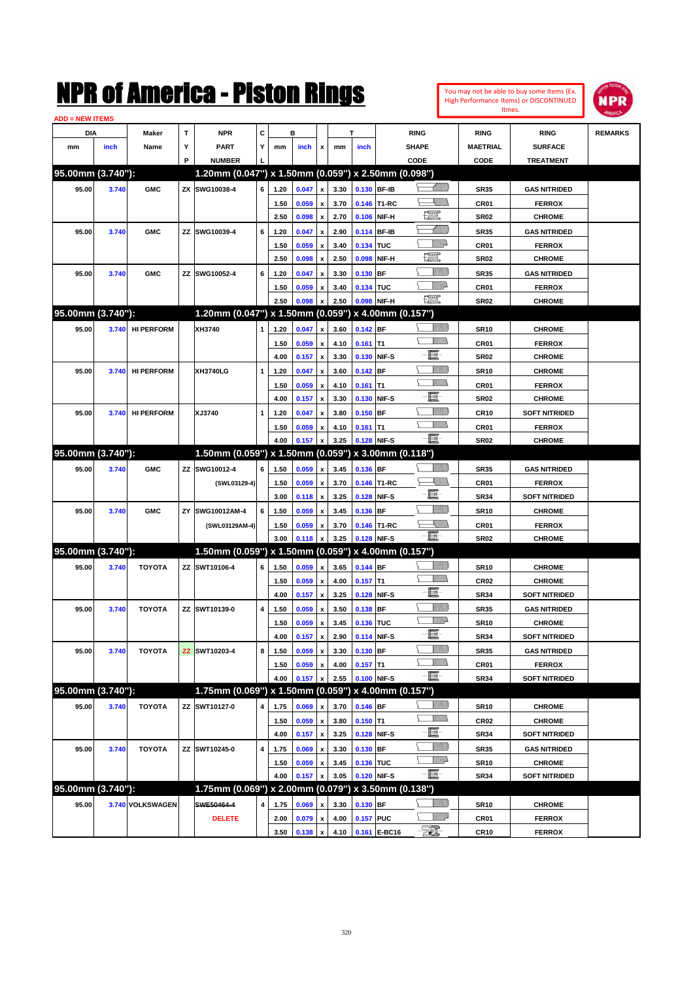| You may not be able to buy some Items (Ex. |
|--------------------------------------------|
| High Performance Items) or DISCONTINUED    |
| Itmes.                                     |



| <b>ADD = NEW ITEMS</b> |       |                   |    |                                                     |   |      |       |                    |      |             |              |                |                  |                      |                |
|------------------------|-------|-------------------|----|-----------------------------------------------------|---|------|-------|--------------------|------|-------------|--------------|----------------|------------------|----------------------|----------------|
| <b>DIA</b>             |       | <b>Maker</b>      | T  | <b>NPR</b>                                          | С |      | в     |                    |      | т           |              | <b>RING</b>    | <b>RING</b>      | <b>RING</b>          | <b>REMARKS</b> |
| mm                     | inch  | Name              | Υ  | <b>PART</b>                                         | Y | mm   | inch  | x                  | mm   | inch        |              | <b>SHAPE</b>   | <b>MAETRIAL</b>  | <b>SURFACE</b>       |                |
|                        |       |                   | P  | <b>NUMBER</b>                                       |   |      |       |                    |      |             |              | CODE           | <b>CODE</b>      | <b>TREATMENT</b>     |                |
| 95.00mm (3.740"):      |       |                   |    | 1.20mm (0.047") x 1.50mm (0.059") x 2.50mm (0.098") |   |      |       |                    |      |             |              |                |                  |                      |                |
| 95.00                  | 3.740 | <b>GMC</b>        |    | ZX SWG10038-4                                       | 6 | 1.20 | 0.047 | x                  | 3.30 |             | 0.130 BF-IB  |                | <b>SR35</b>      | <b>GAS NITRIDED</b>  |                |
|                        |       |                   |    |                                                     |   | 1.50 | 0.059 |                    | 3.70 |             | 0.146 T1-RC  | <u>IMB</u>     | CR01             | <b>FERROX</b>        |                |
|                        |       |                   |    |                                                     |   | 2.50 | 0.098 | x                  | 2.70 |             | 0.106 NIF-H  | <u>ter</u>     | <b>SR02</b>      | <b>CHROME</b>        |                |
| 95.00                  | 3.740 | <b>GMC</b>        |    | ZZ SWG10039-4                                       | 6 | 1.20 | 0.047 | x                  | 2.90 |             | 0.114 BF-IB  |                | <b>SR35</b>      | <b>GAS NITRIDED</b>  |                |
|                        |       |                   |    |                                                     |   | 1.50 | 0.059 | x                  | 3.40 | 0.134 TUC   |              | MMP            | CR <sub>01</sub> | <b>FERROX</b>        |                |
|                        |       |                   |    |                                                     |   | 2.50 | 0.098 | x                  | 2.50 | 0.098       | NIF-H        | <u>tet</u>     | <b>SR02</b>      | <b>CHROME</b>        |                |
| 95.00                  | 3.740 | <b>GMC</b>        |    | ZZ SWG10052-4                                       | 6 | 1.20 | 0.047 |                    | 3.30 | $0.130$ BF  |              | <u> UMB</u>    | <b>SR35</b>      | <b>GAS NITRIDED</b>  |                |
|                        |       |                   |    |                                                     |   | 1.50 | 0.059 |                    | 3.40 | 0.134 TUC   |              | MMD            | CR <sub>01</sub> | <b>FERROX</b>        |                |
|                        |       |                   |    |                                                     |   | 2.50 | 0.098 |                    | 2.50 |             | 0.098 NIF-H  | <b>1997</b>    | <b>SR02</b>      | <b>CHROME</b>        |                |
| 95.00mm (3.740"):      |       |                   |    | 1.20mm (0.047") x 1.50mm (0.059") x 4.00mm (0.157") |   |      |       |                    |      |             |              |                |                  |                      |                |
| 95.00                  | 3.740 | <b>HI PERFORM</b> |    | XH3740                                              | 1 | 1.20 | 0.047 | x                  | 3.60 | 0.142 BF    |              | <u>Villida</u> | <b>SR10</b>      | <b>CHROME</b>        |                |
|                        |       |                   |    |                                                     |   | 1.50 | 0.059 | x                  | 4.10 | $0.161$ T1  |              |                | CR01             | <b>FERROX</b>        |                |
|                        |       |                   |    |                                                     |   | 4.00 | 0.157 | x                  | 3.30 |             | 0.130 NIF-S  | e.             | <b>SR02</b>      | <b>CHROME</b>        |                |
| 95.00                  | 3.740 | <b>HI PERFORM</b> |    | <b>XH3740LG</b>                                     | 1 | 1.20 | 0.047 | x                  | 3.60 | $0.142$ BF  |              |                | <b>SR10</b>      | <b>CHROME</b>        |                |
|                        |       |                   |    |                                                     |   | 1.50 | 0.059 | x                  | 4.10 | $0.161$ T1  |              |                | CR01             | <b>FERROX</b>        |                |
|                        |       |                   |    |                                                     |   | 4.00 | 0.157 | x                  | 3.30 |             | 0.130 NIF-S  | e.             | <b>SR02</b>      | <b>CHROME</b>        |                |
| 95.00                  | 3.740 | <b>HI PERFORM</b> |    | XJ3740                                              | 1 | 1.20 | 0.047 | x                  | 3.80 | $0.150$ BF  |              | VIIII)         | <b>CR10</b>      | <b>SOFT NITRIDED</b> |                |
|                        |       |                   |    |                                                     |   | 1.50 | 0.059 | x                  | 4.10 | $0.161$ T1  |              |                | CR <sub>01</sub> | <b>FERROX</b>        |                |
|                        |       |                   |    |                                                     |   | 4.00 | 0.157 | X                  | 3.25 |             | 0.128 NIF-S  | $-\Xi$ -       | <b>SR02</b>      | <b>CHROME</b>        |                |
| 95.00mm (3.740"):      |       |                   |    | 1.50mm (0.059") x 1.50mm (0.059") x 3.00mm (0.118") |   |      |       |                    |      |             |              |                |                  |                      |                |
| 95.00                  | 3.740 | <b>GMC</b>        |    | ZZ SWG10012-4                                       | 6 | 1.50 | 0.059 | x                  | 3.45 | 0.136 BF    |              |                | <b>SR35</b>      | <b>GAS NITRIDED</b>  |                |
|                        |       |                   |    | (SWL03129-4)                                        |   | 1.50 | 0.059 | x                  | 3.70 |             | 0.146 T1-RC  | <u>XMWs</u>    | CR <sub>01</sub> | <b>FERROX</b>        |                |
|                        |       |                   |    |                                                     |   | 3.00 | 0.118 | x                  | 3.25 |             | 0.128 NIF-S  | - III.         | <b>SR34</b>      | <b>SOFT NITRIDED</b> |                |
| 95.00                  | 3.740 | <b>GMC</b>        | ZY | SWG10012AM-4                                        | 6 | 1.50 | 0.059 |                    | 3.45 | 0.136 BF    |              |                | <b>SR10</b>      | <b>CHROME</b>        |                |
|                        |       |                   |    | (SWL03129AM-4)                                      |   | 1.50 | 0.059 | x                  | 3.70 |             | 0.146 T1-RC  | ╰╴╴╝╝          | CR <sub>01</sub> | <b>FERROX</b>        |                |
|                        |       |                   |    |                                                     |   | 3.00 | 0.118 |                    | 3.25 |             | 0.128 NIF-S  | $-\Xi$         | SR02             | <b>CHROME</b>        |                |
| 95.00mm (3.740"):      |       |                   |    | 1.50mm (0.059") x 1.50mm (0.059") x 4.00mm (0.157") |   |      |       |                    |      |             |              |                |                  |                      |                |
| 95.00                  | 3.740 | <b>TOYOTA</b>     |    | ZZ SWT10106-4                                       | 6 | 1.50 | 0.059 | x                  | 3.65 | $0.144$ BF  |              |                | <b>SR10</b>      | <b>CHROME</b>        |                |
|                        |       |                   |    |                                                     |   | 1.50 | 0.059 | x                  | 4.00 | $0.157$ T1  |              | .<br>MM        | CR <sub>02</sub> | <b>CHROME</b>        |                |
|                        |       |                   |    |                                                     |   | 4.00 | 0.157 | x                  | 3.25 |             | 0.128 NIF-S  | E              | <b>SR34</b>      | <b>SOFT NITRIDED</b> |                |
| 95.00                  | 3.740 | <b>TOYOTA</b>     |    | ZZ SWT10139-0                                       | 4 | 1.50 | 0.059 |                    | 3.50 | $0.138$ BF  |              | <u>Milli</u> k | <b>SR35</b>      | <b>GAS NITRIDED</b>  |                |
|                        |       |                   |    |                                                     |   | 1.50 | 0.059 | x                  | 3.45 | 0.136 TUC   |              | <u>WW</u>      | <b>SR10</b>      | <b>CHROME</b>        |                |
|                        |       |                   |    |                                                     |   | 4.00 | 0.157 | $\pmb{\mathsf{x}}$ | 2.90 | 0.114 NIF-S |              | E              | SR34             | <b>SOFT NITRIDED</b> |                |
| 95.00                  | 3.740 | <b>TOYOTA</b>     | ΖZ | SWT10203-4                                          | 8 | 1.50 | 0.059 | $\pmb{\mathsf{x}}$ | 3.30 | 0.130 BF    |              | <u>VIIII)</u>  | <b>SR35</b>      | <b>GAS NITRIDED</b>  |                |
|                        |       |                   |    |                                                     |   | 1.50 | 0.059 | x                  | 4.00 | $0.157$ T1  |              | <u>MM)</u>     | <b>CR01</b>      | <b>FERROX</b>        |                |
|                        |       |                   |    |                                                     |   | 4.00 | 0.157 |                    | 2.55 |             | 0.100 NIF-S  | e              | SR34             | <b>SOFT NITRIDED</b> |                |
| 95.00mm (3.740"):      |       |                   |    | 1.75mm (0.069") x 1.50mm (0.059") x 4.00mm (0.157") |   |      |       |                    |      |             |              |                |                  |                      |                |
| 95.00                  | 3.740 | <b>TOYOTA</b>     |    | ZZ SWT10127-0                                       | 4 | 1.75 | 0.069 | x                  | 3.70 | $0.146$ BF  |              | <u>VIIII</u> ) | <b>SR10</b>      | <b>CHROME</b>        |                |
|                        |       |                   |    |                                                     |   | 1.50 | 0.059 | x                  | 3.80 | $0.150$ T1  |              | <u>MM)</u>     | <b>CR02</b>      | <b>CHROME</b>        |                |
|                        |       |                   |    |                                                     |   | 4.00 | 0.157 | $\pmb{\mathsf{x}}$ | 3.25 |             | 0.128 NIF-S  | E.             | SR34             | <b>SOFT NITRIDED</b> |                |
| 95.00                  | 3.740 | <b>TOYOTA</b>     |    | ZZ SWT10245-0                                       | 4 | 1.75 | 0.069 | x                  | 3.30 | $0.130$ BF  |              | <u>VIIII)</u>  | <b>SR35</b>      | <b>GAS NITRIDED</b>  |                |
|                        |       |                   |    |                                                     |   | 1.50 | 0.059 | x                  | 3.45 | 0.136 TUC   |              | <u>WW</u> A    | <b>SR10</b>      | <b>CHROME</b>        |                |
|                        |       |                   |    |                                                     |   | 4.00 | 0.157 | x                  | 3.05 |             | 0.120 NIF-S  | -8             | SR34             | <b>SOFT NITRIDED</b> |                |
| 95.00mm (3.740"):      |       |                   |    | 1.75mm (0.069") x 2.00mm (0.079") x 3.50mm (0.138") |   |      |       |                    |      |             |              |                |                  |                      |                |
| 95.00                  |       | 3.740 VOLKSWAGEN  |    | SWE50464-4                                          | 4 | 1.75 | 0.069 |                    | 3.30 | $0.130$ BF  |              | <u>MMM</u>     | <b>SR10</b>      | <b>CHROME</b>        |                |
|                        |       |                   |    | <b>DELETE</b>                                       |   | 2.00 | 0.079 | x                  | 4.00 | 0.157 PUC   |              | <u>VIII</u> D  | CR01             | <b>FERROX</b>        |                |
|                        |       |                   |    |                                                     |   | 3.50 | 0.138 | x                  | 4.10 |             | 0.161 E-BC16 | $\mathbb{Z}$   | <b>CR10</b>      | <b>FERROX</b>        |                |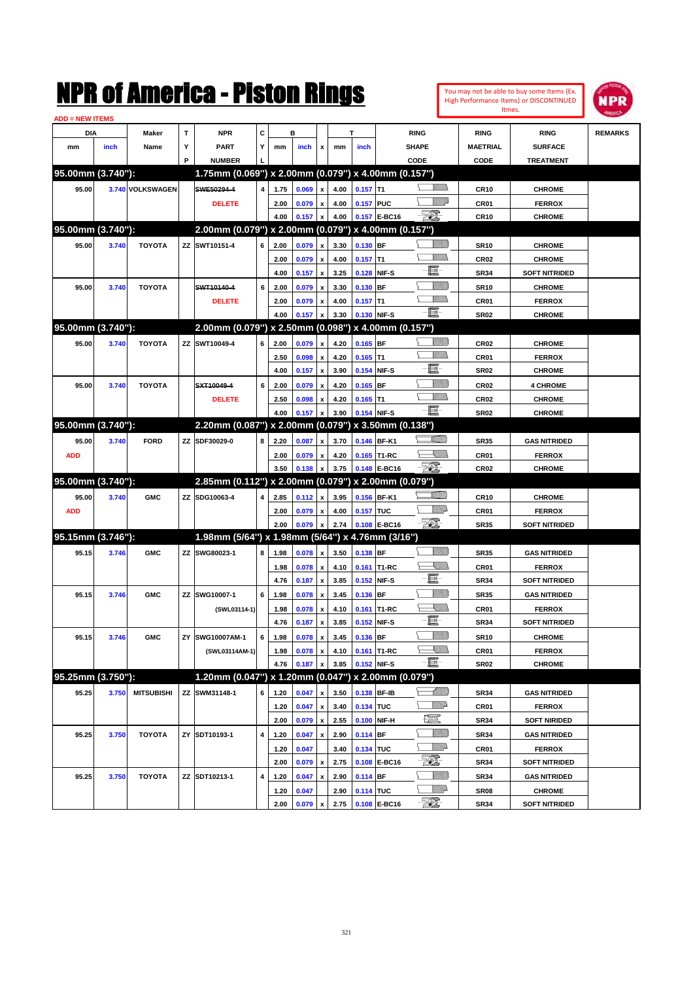|                        |       |                   |             | NMK OI AINCrica - Miston Kings                      |   |      |         |                           |      |             |              |             |                 |                  | You may not be able to buy some Items (Ex.<br>High Performance Items) or DISCONTINUED | NPR            |
|------------------------|-------|-------------------|-------------|-----------------------------------------------------|---|------|---------|---------------------------|------|-------------|--------------|-------------|-----------------|------------------|---------------------------------------------------------------------------------------|----------------|
| <b>ADD = NEW ITEMS</b> |       |                   |             |                                                     |   |      |         |                           |      |             |              |             |                 | Itmes.           |                                                                                       |                |
| DIA                    |       | Maker             | $\mathbf T$ | <b>NPR</b>                                          | C |      | в       |                           |      | T           |              | <b>RING</b> |                 | <b>RING</b>      | <b>RING</b>                                                                           | <b>REMARKS</b> |
| mm                     | inch  | Name              | Υ           | <b>PART</b>                                         | Υ | mm   | inch    | x                         | mm   | inch        |              | SHAPE       |                 | <b>MAETRIAL</b>  | <b>SURFACE</b>                                                                        |                |
|                        |       |                   | P           | <b>NUMBER</b>                                       |   |      |         |                           |      |             |              | CODE        |                 | CODE             | <b>TREATMENT</b>                                                                      |                |
| 95.00mm (3.740"):      |       |                   |             | 1.75mm (0.069") x 2.00mm (0.079") x 4.00mm (0.157") |   |      |         |                           |      |             |              |             |                 |                  |                                                                                       |                |
| 95.00                  |       | 3.740 VOLKSWAGEN  |             | SWE50294-4                                          | 4 | 1.75 | 0.069   | $\pmb{\mathsf{x}}$        | 4.00 | $0.157$ T1  |              |             | UM)             | <b>CR10</b>      | <b>CHROME</b>                                                                         |                |
|                        |       |                   |             | <b>DELETE</b>                                       |   | 2.00 | 0.079   | $\pmb{\mathsf{x}}$        | 4.00 | 0.157 PUC   |              |             | <u>MM</u> P     | CR01             | <b>FERROX</b>                                                                         |                |
|                        |       |                   |             |                                                     |   | 4.00 | 0.157   | x                         | 4.00 |             | 0.157 E-BC16 | <b>Feb.</b> |                 | <b>CR10</b>      | <b>CHROME</b>                                                                         |                |
| 95.00mm (3.740"):      |       |                   |             | 2.00mm (0.079") x 2.00mm (0.079") x 4.00mm (0.157") |   |      |         |                           |      |             |              |             |                 |                  |                                                                                       |                |
| 95.00                  | 3.740 | <b>TOYOTA</b>     |             | ZZ SWT10151-4                                       | 6 | 2.00 | 0.079   | $\pmb{\mathsf{x}}$        | 3.30 | $0.130$ BF  |              |             |                 | <b>SR10</b>      | <b>CHROME</b>                                                                         |                |
|                        |       |                   |             |                                                     |   | 2.00 | 0.079   | $\pmb{\mathsf{x}}$        | 4.00 | $0.157$ T1  |              |             | <br>Mad         | <b>CR02</b>      | <b>CHROME</b>                                                                         |                |
|                        |       |                   |             |                                                     |   | 4.00 | 0.157   | $\pmb{\mathsf{x}}$        | 3.25 |             | 0.128 NIF-S  | E           |                 | <b>SR34</b>      | <b>SOFT NITRIDED</b>                                                                  |                |
| 95.00                  | 3.740 | <b>TOYOTA</b>     |             | SWT10140-4                                          | 6 | 2.00 | 0.079   | $\pmb{\mathsf{x}}$        | 3.30 | 0.130 BF    |              |             | <u>MMW</u>      | <b>SR10</b>      | <b>CHROME</b>                                                                         |                |
|                        |       |                   |             | <b>DELETE</b>                                       |   | 2.00 | 0.079   | $\pmb{\mathsf{x}}$        | 4.00 | $0.157$ T1  |              |             | <br>Mad         | CR01             | <b>FERROX</b>                                                                         |                |
|                        |       |                   |             |                                                     |   | 4.00 | 0.157   | $\boldsymbol{\mathsf{x}}$ | 3.30 | 0.130 NIF-S |              | -6          |                 | <b>SR02</b>      | <b>CHROME</b>                                                                         |                |
| 95.00mm (3.740"):      |       |                   |             | 2.00mm (0.079") x 2.50mm (0.098") x 4.00mm (0.157") |   |      |         |                           |      |             |              |             |                 |                  |                                                                                       |                |
| 95.00                  | 3.740 | <b>TOYOTA</b>     |             | ZZ SWT10049-4                                       | 6 | 2.00 | 0.079   | $\pmb{\mathsf{x}}$        | 4.20 | $0.165$ BF  |              |             | VIII))          | <b>CR02</b>      | <b>CHROME</b>                                                                         |                |
|                        |       |                   |             |                                                     |   | 2.50 | 0.098   | $\pmb{\mathsf{x}}$        | 4.20 | $0.165$ T1  |              |             | <br>Milita      | CR01             | <b>FERROX</b>                                                                         |                |
|                        |       |                   |             |                                                     |   | 4.00 | 0.157   | $\pmb{\mathsf{x}}$        | 3.90 |             | 0.154 NIF-S  | E           |                 | <b>SR02</b>      | <b>CHROME</b>                                                                         |                |
| 95.00                  | 3.740 | <b>TOYOTA</b>     |             | SXT10049-4                                          | 6 | 2.00 | 0.079   | $\pmb{\mathsf{x}}$        | 4.20 | $0.165$ BF  |              |             | <u>MMW</u>      | CR <sub>02</sub> | <b>4 CHROME</b>                                                                       |                |
|                        |       |                   |             | <b>DELETE</b>                                       |   | 2.50 | 0.098   | $\pmb{\mathsf{x}}$        | 4.20 | $0.165$ T1  |              |             | <br>Mad         | CR <sub>02</sub> | <b>CHROME</b>                                                                         |                |
|                        |       |                   |             |                                                     |   | 4.00 | 0.157   | $\pmb{\mathsf{x}}$        | 3.90 | 0.154 NIF-S |              | -8          |                 | <b>SR02</b>      | <b>CHROME</b>                                                                         |                |
| 95.00mm (3.740"):      |       |                   |             | 2.20mm (0.087") x 2.00mm (0.079") x 3.50mm (0.138") |   |      |         |                           |      |             |              |             |                 |                  |                                                                                       |                |
| 95.00                  | 3.740 | <b>FORD</b>       |             | ZZ SDF30029-0                                       | 8 | 2.20 | 0.087   | $\pmb{\mathsf{x}}$        | 3.70 |             | 0.146 BF-K1  |             | <u>SAMM</u>     | <b>SR35</b>      | <b>GAS NITRIDED</b>                                                                   |                |
| <b>ADD</b>             |       |                   |             |                                                     |   | 2.00 | 0.079   | $\pmb{\mathsf{x}}$        | 4.20 |             | 0.165 T1-RC  |             | <u>Sillin</u>   | CR01             | <b>FERROX</b>                                                                         |                |
|                        |       |                   |             |                                                     |   | 3.50 | 0.138   | $\pmb{\mathsf{x}}$        | 3.75 |             | 0.148 E-BC16 | <b>521</b>  |                 | <b>CR02</b>      | <b>CHROME</b>                                                                         |                |
| 95.00mm (3.740"):      |       |                   |             | 2.85mm (0.112") x 2.00mm (0.079") x 2.00mm (0.079") |   |      |         |                           |      |             |              |             |                 |                  |                                                                                       |                |
| 95.00                  | 3.740 | <b>GMC</b>        |             | ZZ SDG10063-4                                       | 4 | 2.85 | 0.112   | $\pmb{\mathsf{x}}$        | 3.95 |             | 0.156 BF-K1  |             | <u>Villin</u>   | <b>CR10</b>      | <b>CHROME</b>                                                                         |                |
| <b>ADD</b>             |       |                   |             |                                                     |   | 2.00 | 0.079   | $\pmb{\mathsf{x}}$        | 4.00 | 0.157 TUC   |              |             | <u>MM</u>       | CR01             | <b>FERROX</b>                                                                         |                |
|                        |       |                   |             |                                                     |   | 2.00 | 0.079   | $\pmb{\mathsf{x}}$        | 2.74 |             | 0.108 E-BC16 | EO)         |                 | <b>SR35</b>      | <b>SOFT NITRIDED</b>                                                                  |                |
| 95.15mm (3.746"):      |       |                   |             | 1.98mm (5/64") x 1.98mm (5/64") x 4.76mm (3/16")    |   |      |         |                           |      |             |              |             |                 |                  |                                                                                       |                |
| 95.15                  | 3.746 | <b>GMC</b>        |             | ZZ SWG80023-1                                       | 8 | 1.98 | 0.078   | $\pmb{\mathsf{x}}$        | 3.50 | 0.138 BF    |              |             | WMM)            | <b>SR35</b>      | <b>GAS NITRIDED</b>                                                                   |                |
|                        |       |                   |             |                                                     |   | 1.98 | 0.078   | $\pmb{\mathsf{x}}$        | 4.10 |             | 0.161 T1-RC  |             | <u>Sillin</u>   | CR01             | <b>FERROX</b>                                                                         |                |
|                        |       |                   |             |                                                     |   | 4.76 | 0.187   | $\pmb{\mathsf{x}}$        | 3.85 |             | 0.152 NIF-S  | E.          |                 | <b>SR34</b>      | <b>SOFT NITRIDED</b>                                                                  |                |
| 95.15                  | 3.746 | <b>GMC</b>        | ZZ          | SWG10007-1                                          | 6 | 1.98 | 0.078   | $\pmb{\mathsf{x}}$        | 3.45 | 0.136 BF    |              |             | <u>MMW</u>      | <b>SR35</b>      | <b>GAS NITRIDED</b>                                                                   |                |
|                        |       |                   |             | (SWL03114-1)                                        |   | 1.98 | 0.078   | $\pmb{\mathsf{x}}$        | 4.10 |             | 0.161 T1-RC  |             | <u>Sillin</u>   | CR01             | <b>FERROX</b>                                                                         |                |
|                        |       |                   |             |                                                     |   | 4.76 | 0.187 x |                           | 3.85 |             | 0.152 NIF-S  | E           |                 | <b>SR34</b>      | <b>SOFT NITRIDED</b>                                                                  |                |
| 95.15                  | 3.746 | <b>GMC</b>        | ΖY          | SWG10007AM-1                                        | 6 | 1.98 | 0.078   | $\pmb{\mathsf{x}}$        | 3.45 | 0.136 BF    |              |             | <u>MMM</u>      | <b>SR10</b>      | <b>CHROME</b>                                                                         |                |
|                        |       |                   |             | (SWL03114AM-1)                                      |   | 1.98 | 0.078   | $\pmb{\mathsf{x}}$        | 4.10 |             | 0.161 T1-RC  |             | <u>Sillin</u>   | CR01             | <b>FERROX</b>                                                                         |                |
|                        |       |                   |             |                                                     |   | 4.76 | 0.187   | x                         | 3.85 |             | 0.152 NIF-S  | E           |                 | <b>SR02</b>      | <b>CHROME</b>                                                                         |                |
| 95.25mm (3.750"):      |       |                   |             | 1.20mm (0.047") x 1.20mm (0.047") x 2.00mm (0.079") |   |      |         |                           |      |             |              |             |                 |                  |                                                                                       |                |
| 95.25                  | 3.750 | <b>MITSUBISHI</b> |             | ZZ SWM31148-1                                       | 6 | 1.20 | 0.047   | $\pmb{\mathsf{x}}$        | 3.50 |             | 0.138 BF-IB  |             | <u> Millito</u> | <b>SR34</b>      | <b>GAS NITRIDED</b>                                                                   |                |
|                        |       |                   |             |                                                     |   | 1.20 | 0.047   | $\pmb{\mathsf{x}}$        | 3.40 | 0.134 TUC   |              |             | <u>Willi</u> b  | CR01             | <b>FERROX</b>                                                                         |                |
|                        |       |                   |             |                                                     |   | 2.00 | 0.079   | $\pmb{\mathsf{x}}$        | 2.55 |             | 0.100 NIF-H  | <u>rett</u> |                 | SR34             | SOFT NIRIDED                                                                          |                |
| 95.25                  | 3.750 | <b>TOYOTA</b>     |             | ZY SDT10193-1                                       | 4 | 1.20 | 0.047   | $\pmb{\mathsf{x}}$        | 2.90 | 0.114 BF    |              |             | <u>MMS</u>      | <b>SR34</b>      | <b>GAS NITRIDED</b>                                                                   |                |
|                        |       |                   |             |                                                     |   | 1.20 | 0.047   |                           | 3.40 | 0.134 TUC   |              |             | WWA             | CR01             | <b>FERROX</b>                                                                         |                |
|                        |       |                   |             |                                                     |   | 2.00 | 0.079   | $\pmb{\mathsf{x}}$        | 2.75 |             | 0.108 E-BC16 | EL.         |                 | <b>SR34</b>      | <b>SOFT NITRIDED</b>                                                                  |                |
| 95.25                  | 3.750 | <b>TOYOTA</b>     |             | ZZ SDT10213-1                                       | 4 | 1.20 | 0.047   | $\pmb{\mathsf{x}}$        | 2.90 | $0.114$ BF  |              |             | <u>VIIII)</u>   | <b>SR34</b>      | <b>GAS NITRIDED</b>                                                                   |                |
|                        |       |                   |             |                                                     |   | 1.20 | 0.047   |                           | 2.90 | 0.114 TUC   |              |             | Willia          | SR08             | CHROME                                                                                |                |
|                        |       |                   |             |                                                     |   | 2.00 | 0.079 x |                           | 2.75 |             | 0.108 E-BC16 | EL.         |                 | <b>SR34</b>      | <b>SOFT NITRIDED</b>                                                                  |                |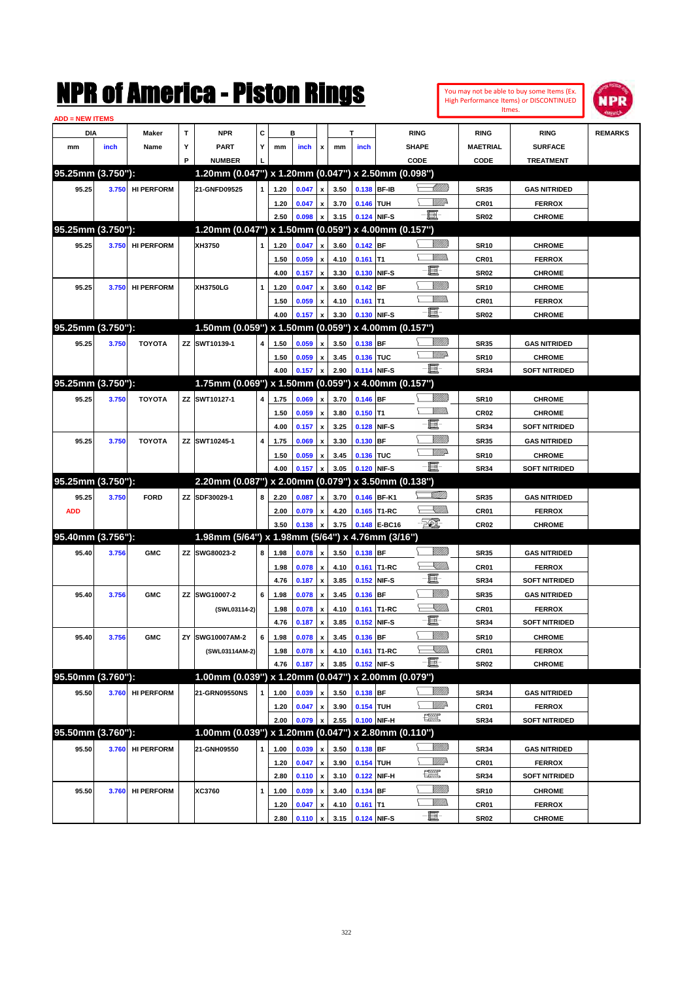|                               |       |                   |    | NMK OI AINCrica - Miston Kings                      |             |              |                |                                                        |              |             |                            |               |                |                     | You may not be able to buy some Items (Ex.<br>High Performance Items) or DISCONTINUED<br>Itmes. | IPR            |
|-------------------------------|-------|-------------------|----|-----------------------------------------------------|-------------|--------------|----------------|--------------------------------------------------------|--------------|-------------|----------------------------|---------------|----------------|---------------------|-------------------------------------------------------------------------------------------------|----------------|
| <b>ADD = NEW ITEMS</b><br>DIA |       | Maker             | T  | <b>NPR</b>                                          | C           |              | в              |                                                        |              | т           |                            | <b>RING</b>   |                | <b>RING</b>         | <b>RING</b>                                                                                     | <b>REMARKS</b> |
| mm                            | inch  | Name              | Υ  | <b>PART</b>                                         | Y           | mm           | inch           | x                                                      | mm           | inch        |                            | <b>SHAPE</b>  |                | <b>MAETRIAL</b>     | <b>SURFACE</b>                                                                                  |                |
|                               |       |                   | P  | <b>NUMBER</b>                                       |             |              |                |                                                        |              |             |                            | CODE          |                | CODE                | <b>TREATMENT</b>                                                                                |                |
| 95.25mm (3.750"):             |       |                   |    | 1.20mm (0.047") x 1.20mm (0.047") x 2.50mm (0.098") |             |              |                |                                                        |              |             |                            |               |                |                     |                                                                                                 |                |
| 95.25                         | 3.750 | <b>HI PERFORM</b> |    | 21-GNFD09525                                        | 1           | 1.20         | 0.047          | x                                                      | 3.50         |             | 0.138 BF-IB                |               | <u> UMB</u>    | <b>SR35</b>         | <b>GAS NITRIDED</b>                                                                             |                |
|                               |       |                   |    |                                                     |             | 1.20         | 0.047          | x                                                      | 3.70         | 0.146 TUH   |                            |               | ₩₩             | CR01                | <b>FERROX</b>                                                                                   |                |
|                               |       |                   |    |                                                     |             | 2.50         | 0.098          | x                                                      | 3.15         |             | 0.124 NIF-S                | $-\Xi$ -      |                | <b>SR02</b>         | <b>CHROME</b>                                                                                   |                |
| 95.25mm (3.750"):             |       |                   |    | 1.20mm (0.047") x 1.50mm (0.059") x 4.00mm (0.157") |             |              |                |                                                        |              |             |                            |               |                |                     |                                                                                                 |                |
| 95.25                         | 3.750 | <b>HI PERFORM</b> |    | XH3750                                              | 1           | 1.20         | 0.047          | $\mathbf{x}$                                           | 3.60         | $0.142$ BF  |                            |               | <u>Millitt</u> | <b>SR10</b>         | <b>CHROME</b>                                                                                   |                |
|                               |       |                   |    |                                                     |             | 1.50         | 0.059          | $\boldsymbol{\mathsf{x}}$                              | 4.10         | $0.161$ T1  |                            |               | <br>Mar        | CR <sub>01</sub>    | <b>FERROX</b>                                                                                   |                |
|                               |       |                   |    |                                                     |             | 4.00         | 0.157          | $\boldsymbol{\mathsf{x}}$                              | 3.30         |             | 0.130 NIF-S                | E             |                | <b>SR02</b>         | <b>CHROME</b>                                                                                   |                |
| 95.25                         | 3.750 | <b>HI PERFORM</b> |    | XH3750LG                                            | 1           | 1.20         | 0.047          | x                                                      | 3.60         | $0.142$ BF  |                            |               | <u>Millil</u>  | <b>SR10</b>         | <b>CHROME</b>                                                                                   |                |
|                               |       |                   |    |                                                     |             | 1.50         | 0.059          | x                                                      | 4.10         | $0.161$ T1  |                            |               | .<br>WWW       | CR01                | <b>FERROX</b>                                                                                   |                |
|                               |       |                   |    |                                                     |             | 4.00         | 0.157          | x                                                      | 3.30         |             | 0.130 NIF-S                | $-\mathbf{E}$ |                | <b>SR02</b>         | <b>CHROME</b>                                                                                   |                |
| 95.25mm (3.750"):             |       |                   |    | 1.50mm (0.059") x 1.50mm (0.059") x 4.00mm (0.157") |             |              |                |                                                        |              |             |                            |               |                |                     |                                                                                                 |                |
| 95.25                         | 3.750 | <b>TOYOTA</b>     |    | ZZ SWT10139-1                                       | 4           | 1.50         | 0.059          | $\boldsymbol{x}$                                       | 3.50         | 0.138 BF    |                            |               | <u>MMM</u>     | <b>SR35</b>         | <b>GAS NITRIDED</b>                                                                             |                |
|                               |       |                   |    |                                                     |             | 1.50         | 0.059          | x                                                      | 3.45         | 0.136 TUC   |                            |               | <u>VMD</u>     | <b>SR10</b>         | <b>CHROME</b>                                                                                   |                |
|                               |       |                   |    |                                                     |             | 4.00         | 0.157          | x                                                      | 2.90         |             | 0.114 NIF-S                | -8            |                | <b>SR34</b>         | <b>SOFT NITRIDED</b>                                                                            |                |
| 95.25mm (3.750"):             |       |                   |    | 1.75mm (0.069") x 1.50mm (0.059") x 4.00mm (0.157") |             |              |                |                                                        |              |             |                            |               |                |                     |                                                                                                 |                |
| 95.25                         | 3.750 | <b>TOYOTA</b>     |    | ZZ SWT10127-1                                       | 4           | 1.75         | 0.069          | X                                                      | 3.70         | $0.146$ BF  |                            |               |                | <b>SR10</b>         | <b>CHROME</b>                                                                                   |                |
|                               |       |                   |    |                                                     |             | 1.50         | 0.059          | $\boldsymbol{\mathsf{x}}$                              | 3.80         | $0.150$ T1  |                            |               | <br>Mar        | CR <sub>02</sub>    | <b>CHROME</b>                                                                                   |                |
|                               |       |                   |    |                                                     |             | 4.00         | 0.157          | $\boldsymbol{\mathsf{x}}$                              | 3.25         |             | 0.128 NIF-S                | E             |                | <b>SR34</b>         | <b>SOFT NITRIDED</b>                                                                            |                |
| 95.25                         | 3.750 | <b>TOYOTA</b>     |    | ZZ SWT10245-1                                       | 4           | 1.75         | 0.069          | x                                                      | 3.30         | $0.130$ BF  |                            |               | <u>MM</u>      | <b>SR35</b>         | <b>GAS NITRIDED</b>                                                                             |                |
|                               |       |                   |    |                                                     |             | 1.50         | 0.059          | x                                                      | 3.45         | 0.136 TUC   |                            | -8            | <u>VMD</u>     | <b>SR10</b>         | <b>CHROME</b>                                                                                   |                |
|                               |       |                   |    |                                                     |             | 4.00         | 0.157          | X                                                      | 3.05         |             | 0.120 NIF-S                |               |                | <b>SR34</b>         | <b>SOFT NITRIDED</b>                                                                            |                |
| 95.25mm (3.750"):             |       |                   |    | 2.20mm (0.087") x 2.00mm (0.079") x 3.50mm (0.138") |             |              |                |                                                        |              |             |                            |               |                |                     |                                                                                                 |                |
| 95.25                         | 3.750 | <b>FORD</b>       |    | ZZ SDF30029-1                                       | 8           | 2.20         | 0.087          | $\mathbf{x}$                                           | 3.70         |             | 0.146 BF-K1                |               | <u>Villin</u>  | <b>SR35</b>         | <b>GAS NITRIDED</b>                                                                             |                |
| <b>ADD</b>                    |       |                   |    |                                                     |             | 2.00         | 0.079          | x                                                      | 4.20         |             | 0.165 T1-RC                | $\mathbb{Z}$  | <u>IMM</u>     | CR01                | <b>FERROX</b>                                                                                   |                |
| 95.40mm (3.756"):             |       |                   |    | 1.98mm (5/64") x 1.98mm (5/64") x 4.76mm (3/16")    |             | 3.50         | 0.138          | $\boldsymbol{\mathsf{x}}$                              | 3.75         |             | 0.148 E-BC16               |               |                | <b>CR02</b>         | <b>CHROME</b>                                                                                   |                |
|                               |       |                   |    |                                                     |             |              |                |                                                        |              |             |                            |               | VIII))         |                     |                                                                                                 |                |
| 95.40                         | 3.756 | <b>GMC</b>        |    | ZZ SWG80023-2                                       | 8           | 1.98         | 0.078          | $\boldsymbol{\mathsf{x}}$                              | 3.50         | $0.138$ BF  |                            |               | <u>Sillin</u>  | <b>SR35</b>         | <b>GAS NITRIDED</b>                                                                             |                |
|                               |       |                   |    |                                                     |             | 1.98<br>4.76 | 0.078          | $\boldsymbol{\mathsf{x}}$<br>$\boldsymbol{\mathsf{x}}$ | 4.10<br>3.85 |             | 0.161 T1-RC<br>0.152 NIF-S | E             |                | CR01                | <b>FERROX</b><br><b>SOFT NITRIDED</b>                                                           |                |
|                               |       | <b>GMC</b>        | ΖZ | SWG10007-2                                          | 6           |              | 0.187          |                                                        |              |             |                            |               | <u>MMM</u>     | <b>SR34</b>         |                                                                                                 |                |
| 95.40                         | 3.756 |                   |    |                                                     |             | 1.98<br>1.98 | 0.078<br>0.078 | $\boldsymbol{\mathsf{x}}$                              | 3.45<br>4.10 | 0.136 BF    | 0.161 T1-RC                |               | <u>Sillin</u>  | <b>SR35</b><br>CR01 | <b>GAS NITRIDED</b>                                                                             |                |
|                               |       |                   |    | (SWL03114-2)                                        |             | 4.76         | 0.187          | $\pmb{\mathsf{x}}$<br>$\boldsymbol{\mathsf{x}}$        | 3.85         |             | 0.152 NIF-S                | E             |                | <b>SR34</b>         | <b>FERROX</b><br><b>SOFT NITRIDED</b>                                                           |                |
| 95.40                         | 3.756 | <b>GMC</b>        | ΖY | SWG10007AM-2                                        | 6           | 1.98         | 0.078          | $\pmb{\mathsf{x}}$                                     | 3.45         | 0.136 BF    |                            |               | <u>Milli</u> h | <b>SR10</b>         | <b>CHROME</b>                                                                                   |                |
|                               |       |                   |    | (SWL03114AM-2)                                      |             | 1.98         | 0.078          | $\pmb{\mathsf{x}}$                                     | 4.10         |             | 0.161 T1-RC                |               | <u>Sillin</u>  | CR01                | <b>FERROX</b>                                                                                   |                |
|                               |       |                   |    |                                                     |             | 4.76         | 0.187          | x                                                      | 3.85         |             | 0.152 NIF-S                | -8            |                | <b>SR02</b>         | <b>CHROME</b>                                                                                   |                |
| 95.50mm (3.760"):             |       |                   |    | 1.00mm (0.039") x 1.20mm (0.047") x 2.00mm (0.079") |             |              |                |                                                        |              |             |                            |               |                |                     |                                                                                                 |                |
| 95.50                         | 3.760 | <b>HI PERFORM</b> |    | 21-GRN09550NS                                       | 1           | 1.00         | 0.039          | X                                                      | 3.50         | $0.138$ BF  |                            |               | <u>Milli</u> b | <b>SR34</b>         | <b>GAS NITRIDED</b>                                                                             |                |
|                               |       |                   |    |                                                     |             | 1.20         | 0.047          | $\pmb{\mathsf{x}}$                                     | 3.90         | 0.154 TUH   |                            |               |                | CR01                | <b>FERROX</b>                                                                                   |                |
|                               |       |                   |    |                                                     |             | 2.00         | 0.079          | x                                                      | 2.55         |             | 0.100 NIF-H                | $\frac{1}{2}$ |                | <b>SR34</b>         | <b>SOFT NITRIDED</b>                                                                            |                |
| 95.50mm (3.760"):             |       |                   |    | 1.00mm (0.039") x 1.20mm (0.047") x 2.80mm (0.110") |             |              |                |                                                        |              |             |                            |               |                |                     |                                                                                                 |                |
| 95.50                         | 3.760 | <b>HI PERFORM</b> |    | 21-GNH09550                                         | $\mathbf 1$ | 1.00         | 0.039          | x                                                      | 3.50         | $0.138$ BF  |                            |               | <u>VIIII)</u>  | <b>SR34</b>         | <b>GAS NITRIDED</b>                                                                             |                |
|                               |       |                   |    |                                                     |             | 1.20         | 0.047          | $\pmb{\mathsf{x}}$                                     | 3.90         | 0.154 TUH   |                            |               | Willi          | CR01                | <b>FERROX</b>                                                                                   |                |
|                               |       |                   |    |                                                     |             | 2.80         | 0.110          | $\boldsymbol{\mathsf{x}}$                              | 3.10         |             | 0.122 NIF-H                | $\frac{1}{2}$ |                | <b>SR34</b>         | <b>SOFT NITRIDED</b>                                                                            |                |
| 95.50                         | 3.760 | <b>HI PERFORM</b> |    | XC3760                                              | 1           | 1.00         | 0.039          | x                                                      | 3.40         | 0.134 BF    |                            |               | <u>VIIII)</u>  | <b>SR10</b>         | <b>CHROME</b>                                                                                   |                |
|                               |       |                   |    |                                                     |             | 1.20         | 0.047          | x                                                      | 4.10         | $0.161$ T1  |                            |               | <u>MM)</u>     | CR01                | <b>FERROX</b>                                                                                   |                |
|                               |       |                   |    |                                                     |             | 2.80         | 0.110          | $\mathbf{x}$                                           | 3.15         | 0.124 NIF-S |                            | e             |                | <b>SR02</b>         | <b>CHROME</b>                                                                                   |                |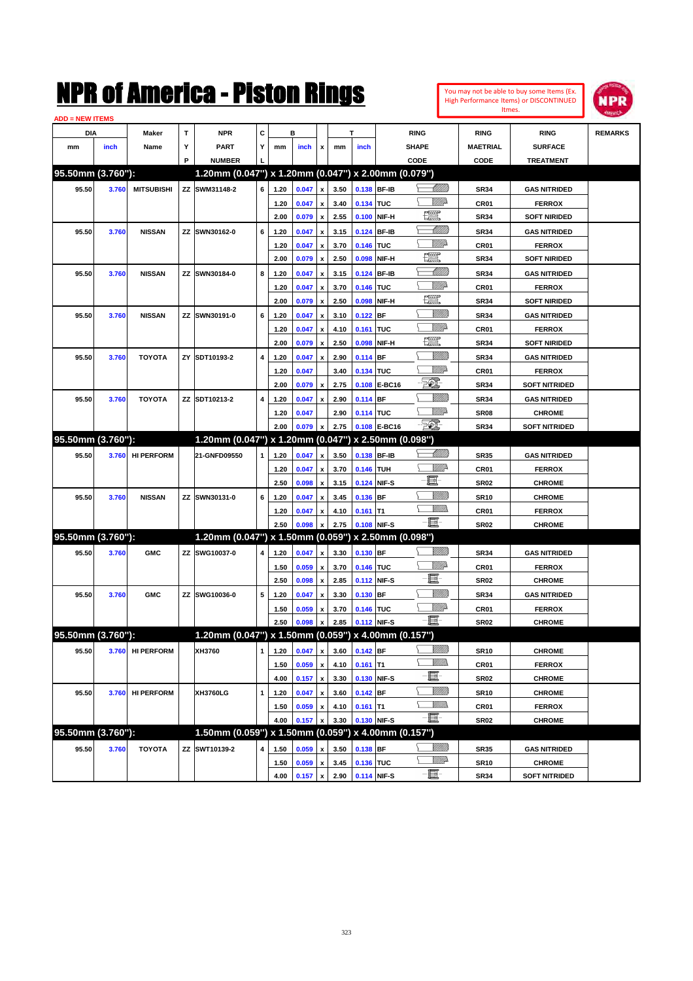| You may not be able to buy some Items (Ex. |
|--------------------------------------------|
| High Performance Items) or DISCONTINUED    |
| Itmes.                                     |



| <b>ADD = NEW ITEMS</b> |       |                   |   |                                                     |             |      |       |                           |      |             |              |                   |                  |                                       |                |
|------------------------|-------|-------------------|---|-----------------------------------------------------|-------------|------|-------|---------------------------|------|-------------|--------------|-------------------|------------------|---------------------------------------|----------------|
| DIA                    |       | Maker             | т | <b>NPR</b>                                          | С           |      | в     |                           |      | T           |              | <b>RING</b>       | <b>RING</b>      | <b>RING</b>                           | <b>REMARKS</b> |
| mm                     | inch  | Name              | Υ | PART                                                | Y           | mm   | inch  | x                         | mm   | inch        |              | <b>SHAPE</b>      | <b>MAETRIAL</b>  | <b>SURFACE</b>                        |                |
|                        |       |                   | P | <b>NUMBER</b>                                       |             |      |       |                           |      |             |              | CODE              | CODE             | <b>TREATMENT</b>                      |                |
| 95.50mm (3.760"):      |       |                   |   | 1.20mm (0.047") x 1.20mm (0.047") x 2.00mm (0.079") |             |      |       |                           |      |             |              |                   |                  |                                       |                |
| 95.50                  | 3.760 | <b>MITSUBISHI</b> |   | ZZ SWM31148-2                                       | 6           | 1.20 | 0.047 | $\pmb{\mathsf{x}}$        | 3.50 | 0.138 BF-IB |              | <u> UMB</u>       | <b>SR34</b>      | <b>GAS NITRIDED</b>                   |                |
|                        |       |                   |   |                                                     |             | 1.20 | 0.047 | x                         | 3.40 | 0.134 TUC   |              | MMD               | CR <sub>01</sub> | <b>FERROX</b>                         |                |
|                        |       |                   |   |                                                     |             | 2.00 | 0.079 | $\pmb{\mathsf{x}}$        | 2.55 | 0.100       | NIF-H        | $\frac{1}{2}$     | <b>SR34</b>      | <b>SOFT NIRIDED</b>                   |                |
| 95.50                  | 3.760 | <b>NISSAN</b>     |   | ZZ SWN30162-0                                       | 6           | 1.20 | 0.047 | x                         | 3.15 | 0.124       | <b>BF-IB</b> | <u>UMB</u>        | <b>SR34</b>      | <b>GAS NITRIDED</b>                   |                |
|                        |       |                   |   |                                                     |             | 1.20 | 0.047 | х                         | 3.70 | 0.146 TUC   |              | MMD               | CR <sub>01</sub> | <b>FERROX</b>                         |                |
|                        |       |                   |   |                                                     |             | 2.00 | 0.079 | x                         | 2.50 | 0.098       | NIF-H        | <u>row</u>        | <b>SR34</b>      | <b>SOFT NIRIDED</b>                   |                |
| 95.50                  | 3.760 | <b>NISSAN</b>     |   | ZZ SWN30184-0                                       | 8           | 1.20 | 0.047 | x                         | 3.15 | 0.124       | <b>BF-IB</b> | <u>UMB</u>        | <b>SR34</b>      | <b>GAS NITRIDED</b>                   |                |
|                        |       |                   |   |                                                     |             | 1.20 | 0.047 | x                         | 3.70 | 0.146       | <b>TUC</b>   | MMD               | CR <sub>01</sub> | <b>FERROX</b>                         |                |
|                        |       |                   |   |                                                     |             | 2.00 | 0.079 | x                         | 2.50 | 0.098       | NIF-H        | <u>tion</u>       | <b>SR34</b>      | <b>SOFT NIRIDED</b>                   |                |
| 95.50                  | 3.760 | <b>NISSAN</b>     |   | ZZ SWN30191-0                                       | 6           | 1.20 | 0.047 | x                         | 3.10 | 0.122       | BF           | <u> UMB</u>       | <b>SR34</b>      | <b>GAS NITRIDED</b>                   |                |
|                        |       |                   |   |                                                     |             | 1.20 | 0.047 |                           | 4.10 | 0.161       | <b>TUC</b>   | MMD               | CR <sub>01</sub> | <b>FERROX</b>                         |                |
|                        |       |                   |   |                                                     |             | 2.00 | 0.079 | x<br>x                    | 2.50 | 0.098       | NIF-H        | tx.               | <b>SR34</b>      | <b>SOFT NIRIDED</b>                   |                |
| 95.50                  |       | <b>TOYOTA</b>     |   | ZY SDT10193-2                                       | 4           | 1.20 | 0.047 |                           | 2.90 |             | <b>BF</b>    |                   | <b>SR34</b>      | <b>GAS NITRIDED</b>                   |                |
|                        | 3.760 |                   |   |                                                     |             |      |       | x                         |      | 0.114       |              | <u>MMP</u>        |                  |                                       |                |
|                        |       |                   |   |                                                     |             | 1.20 | 0.047 |                           | 3.40 | 0.134 TUC   | E-BC16       | E.                | CR <sub>01</sub> | <b>FERROX</b><br><b>SOFT NITRIDED</b> |                |
|                        |       |                   |   |                                                     |             | 2.00 | 0.079 | x                         | 2.75 | 0.108       |              | <u>Milli</u>      | <b>SR34</b>      |                                       |                |
| 95.50                  | 3.760 | <b>TOYOTA</b>     |   | ZZ SDT10213-2                                       | 4           | 1.20 | 0.047 | x                         | 2.90 | 0.114       | <b>BF</b>    |                   | <b>SR34</b>      | <b>GAS NITRIDED</b>                   |                |
|                        |       |                   |   |                                                     |             | 1.20 | 0.047 |                           | 2.90 | 0.114 TUC   |              | <u>MMP</u><br>EO) | <b>SR08</b>      | <b>CHROME</b>                         |                |
|                        |       |                   |   |                                                     |             | 2.00 | 0.079 | $\pmb{\mathsf{x}}$        | 2.75 |             | 0.108 E-BC16 |                   | <b>SR34</b>      | <b>SOFT NITRIDED</b>                  |                |
| 95.50mm (3.760"):      |       |                   |   | 1.20mm (0.047") x 1.20mm (0.047") x 2.50mm (0.098") |             |      |       |                           |      |             |              |                   |                  |                                       |                |
| 95.50                  | 3.760 | <b>HI PERFORM</b> |   | 21-GNFD09550                                        | 1           | 1.20 | 0.047 | $\pmb{\mathsf{x}}$        | 3.50 | 0.138 BF-IB |              | <u> MM)</u>       | <b>SR35</b>      | <b>GAS NITRIDED</b>                   |                |
|                        |       |                   |   |                                                     |             | 1.20 | 0.047 | x                         | 3.70 | 0.146 TUH   |              | <u>Mille</u>      | CR <sub>01</sub> | <b>FERROX</b>                         |                |
|                        |       |                   |   |                                                     |             | 2.50 | 0.098 | x                         | 3.15 | 0.124       | NIF-S        | e.                | <b>SR02</b>      | <b>CHROME</b>                         |                |
| 95.50                  | 3.760 | <b>NISSAN</b>     |   | ZZ SWN30131-0                                       | 6           | 1.20 | 0.047 | x                         | 3.45 | 0.136       | <b>BF</b>    |                   | <b>SR10</b>      | <b>CHROME</b>                         |                |
|                        |       |                   |   |                                                     |             | 1.20 | 0.047 | x                         | 4.10 | 0.161       | T1           | .<br>WWW          | CR <sub>01</sub> | <b>FERROX</b>                         |                |
|                        |       |                   |   |                                                     |             | 2.50 | 0.098 | x                         | 2.75 | 0.108       | NIF-S        | -8                | SR <sub>02</sub> | <b>CHROME</b>                         |                |
| 95.50mm (3.760"):      |       |                   |   | 1.20mm (0.047") x 1.50mm (0.059") x 2.50mm (0.098") |             |      |       |                           |      |             |              |                   |                  |                                       |                |
| 95.50                  | 3.760 | <b>GMC</b>        |   | ZZ SWG10037-0                                       | 4           | 1.20 | 0.047 | $\pmb{\mathsf{x}}$        | 3.30 | $0.130$ BF  |              | VIII))            | <b>SR34</b>      | <b>GAS NITRIDED</b>                   |                |
|                        |       |                   |   |                                                     |             | 1.50 | 0.059 | х                         | 3.70 | 0.146 TUC   |              | <u>MMP</u>        | CR <sub>01</sub> | <b>FERROX</b>                         |                |
|                        |       |                   |   |                                                     |             | 2.50 | 0.098 | $\pmb{\mathsf{x}}$        | 2.85 | 0.112       | NIF-S        | E                 | <b>SR02</b>      | <b>CHROME</b>                         |                |
| 95.50                  | 3.760 | <b>GMC</b>        |   | ZZ SWG10036-0                                       | 5           | 1.20 | 0.047 | $\boldsymbol{\mathsf{x}}$ | 3.30 | 0.130       | <b>BF</b>    | VIII))            | <b>SR34</b>      | <b>GAS NITRIDED</b>                   |                |
|                        |       |                   |   |                                                     |             | 1.50 | 0.059 | x                         | 3.70 | 0.146 TUC   |              | <u>MMP</u>        | CR <sub>01</sub> | <b>FERROX</b>                         |                |
|                        |       |                   |   |                                                     |             | 2.50 | 0.098 | $\pmb{\mathsf{x}}$        | 2.85 | 0.112 NIF-S |              | - III             | SR <sub>02</sub> | <b>CHROME</b>                         |                |
| 95.50mm (3.760"):      |       |                   |   | 1.20mm (0.047") x 1.50mm (0.059") x 4.00mm (0.157") |             |      |       |                           |      |             |              |                   |                  |                                       |                |
| 95.50                  | 3.760 | <b>HI PERFORM</b> |   | XH3760                                              | 1           | 1.20 | 0.047 | $\pmb{\mathsf{x}}$        | 3.60 | 0.142 BF    |              | <u>VIIII)</u>     | <b>SR10</b>      | <b>CHROME</b>                         |                |
|                        |       |                   |   |                                                     |             | 1.50 | 0.059 | $\pmb{\mathsf{x}}$        | 4.10 | $0.161$ T1  |              | <u>MMs</u>        | CR01             | <b>FERROX</b>                         |                |
|                        |       |                   |   |                                                     |             | 4.00 | 0.157 | $\pmb{\mathsf{x}}$        | 3.30 | 0.130       | NIF-S        | e,                | SR <sub>02</sub> | <b>CHROME</b>                         |                |
| 95.50                  |       | <b>HI PERFORM</b> |   | XH3760LG                                            | $\mathbf 1$ |      |       |                           | 3.60 | 0.142       | BF           | <u>VIIII</u> )    |                  | <b>CHROME</b>                         |                |
|                        | 3.760 |                   |   |                                                     |             | 1.20 | 0.047 | $\pmb{\mathsf{x}}$        |      |             |              | <u>MM)</u>        | <b>SR10</b>      |                                       |                |
|                        |       |                   |   |                                                     |             | 1.50 | 0.059 | x                         | 4.10 | $0.161$ T1  |              | $-\blacksquare$   | CR01             | <b>FERROX</b>                         |                |
| 95.50mm (3.760"):      |       |                   |   |                                                     |             | 4.00 | 0.157 | x                         | 3.30 | 0.130 NIF-S |              |                   | SR <sub>02</sub> | <b>CHROME</b>                         |                |
|                        |       |                   |   | 1.50mm (0.059") x 1.50mm (0.059") x 4.00mm (0.157") |             |      |       |                           |      |             |              |                   |                  |                                       |                |
| 95.50                  | 3.760 | <b>TOYOTA</b>     |   | ZZ SWT10139-2                                       | 4           | 1.50 | 0.059 | x                         | 3.50 | 0.138       | BF           | <u>VIII)</u>      | <b>SR35</b>      | <b>GAS NITRIDED</b>                   |                |
|                        |       |                   |   |                                                     |             | 1.50 | 0.059 | $\pmb{\mathsf{x}}$        | 3.45 | 0.136 TUC   |              | <u>VMD</u>        | <b>SR10</b>      | <b>CHROME</b>                         |                |
|                        |       |                   |   |                                                     |             | 4.00 | 0.157 | $\pmb{\mathsf{x}}$        | 2.90 | 0.114 NIF-S |              | E                 | <b>SR34</b>      | <b>SOFT NITRIDED</b>                  |                |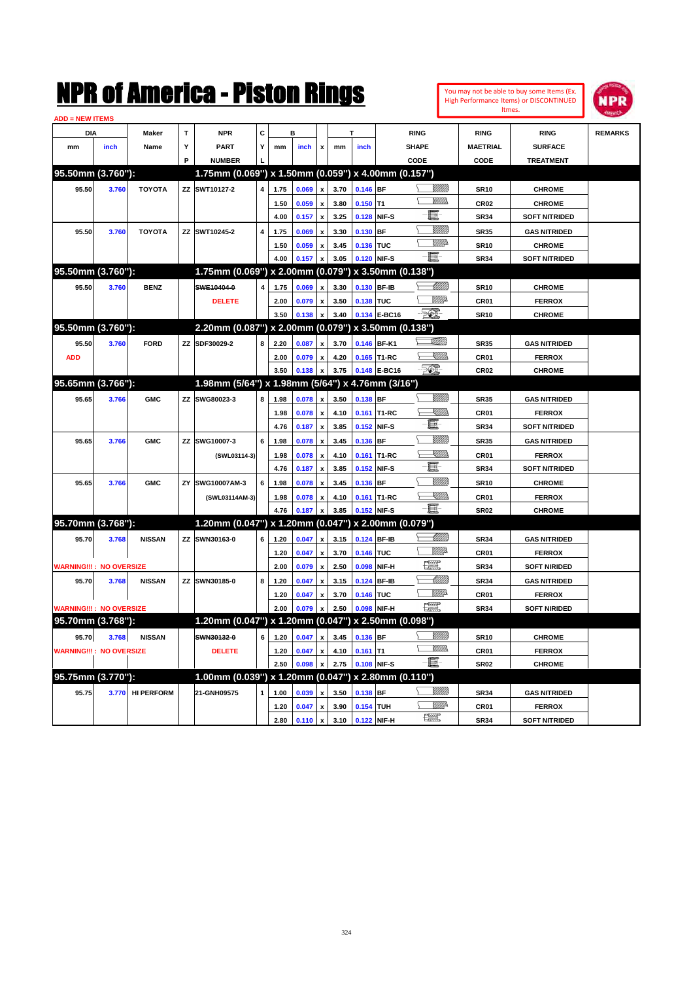

| <b>ADD = NEW ITEMS</b>         |       |                  |   |                                                     |   |      |         |                           |      |             |              |                      |                 |                      |                |
|--------------------------------|-------|------------------|---|-----------------------------------------------------|---|------|---------|---------------------------|------|-------------|--------------|----------------------|-----------------|----------------------|----------------|
| DIA                            |       | Maker            | T | <b>NPR</b>                                          | C |      | в       |                           |      |             |              | <b>RING</b>          | <b>RING</b>     | <b>RING</b>          | <b>REMARKS</b> |
| mm                             | inch  | Name             | Y | <b>PART</b>                                         | Y | mm   | inch    | $\pmb{\mathsf{x}}$        | mm   | inch        |              | <b>SHAPE</b>         | <b>MAETRIAL</b> | <b>SURFACE</b>       |                |
|                                |       |                  | P | <b>NUMBER</b>                                       |   |      |         |                           |      |             |              | CODE                 | CODE            | <b>TREATMENT</b>     |                |
| 95.50mm (3.760"):              |       |                  |   | 1.75mm (0.069") x 1.50mm (0.059") x 4.00mm (0.157") |   |      |         |                           |      |             |              |                      |                 |                      |                |
| 95.50                          | 3.760 | <b>TOYOTA</b>    |   | ZZ SWT10127-2                                       | 4 | 1.75 | 0.069   | $\mathbf{x}$              | 3.70 | $0.146$ BF  |              | <u>Villida</u>       | <b>SR10</b>     | <b>CHROME</b>        |                |
|                                |       |                  |   |                                                     |   | 1.50 | 0.059   | $\boldsymbol{\mathsf{x}}$ | 3.80 | $0.150$ T1  |              | .<br>VMD<br>Σ        | <b>CR02</b>     | <b>CHROME</b>        |                |
|                                |       |                  |   |                                                     |   | 4.00 | 0.157   | $\boldsymbol{\mathsf{x}}$ | 3.25 | 0.128 NIF-S |              | 僵                    | <b>SR34</b>     | <b>SOFT NITRIDED</b> |                |
| 95.50                          | 3.760 | <b>TOYOTA</b>    |   | ZZ SWT10245-2                                       | 4 | 1.75 | 0.069   | $\pmb{\mathsf{x}}$        | 3.30 | 0.130 BF    |              |                      | <b>SR35</b>     | <b>GAS NITRIDED</b>  |                |
|                                |       |                  |   |                                                     |   | 1.50 | 0.059   |                           | 3.45 | 0.136 TUC   |              | <u>WW</u> A          | <b>SR10</b>     | <b>CHROME</b>        |                |
|                                |       |                  |   |                                                     |   | 4.00 | 0.157   |                           | 3.05 |             | 0.120 NIF-S  | -日                   | <b>SR34</b>     | <b>SOFT NITRIDED</b> |                |
| 95.50mm (3.760"):              |       |                  |   | 1.75mm (0.069") x 2.00mm (0.079") x 3.50mm (0.138") |   |      |         |                           |      |             |              |                      |                 |                      |                |
| 95.50                          | 3.760 | <b>BENZ</b>      |   | SWE10404-0                                          |   | 1.75 | 0.069   | $\mathbf{x}$              | 3.30 |             | 0.130 BF-IB  | <u>UMB</u>           | <b>SR10</b>     | <b>CHROME</b>        |                |
|                                |       |                  |   | <b>DELETE</b>                                       |   | 2.00 | 0.079   |                           | 3.50 | 0.138 TUC   |              | <b>W///2</b>         | CR01            | <b>FERROX</b>        |                |
|                                |       |                  |   |                                                     |   | 3.50 | 0.138   | $\boldsymbol{\mathsf{x}}$ | 3.40 |             | 0.134 E-BC16 | - 20).               | <b>SR10</b>     | <b>CHROME</b>        |                |
| 95.50mm (3.760"):              |       |                  |   | 2.20mm (0.087") x 2.00mm (0.079") x 3.50mm (0.138") |   |      |         |                           |      |             |              |                      |                 |                      |                |
| 95.50                          | 3.760 | <b>FORD</b>      |   | ZZ SDF30029-2                                       | 8 | 2.20 | 0.087   | x                         | 3.70 |             | 0.146 BF-K1  | <u>Villin</u>        | <b>SR35</b>     | <b>GAS NITRIDED</b>  |                |
| <b>ADD</b>                     |       |                  |   |                                                     |   | 2.00 | 0.079   | $\pmb{\mathsf{x}}$        | 4.20 |             | 0.165 T1-RC  | — <sup>M</sup> illin | CR01            | <b>FERROX</b>        |                |
|                                |       |                  |   |                                                     |   | 3.50 | 0.138   | $\pmb{\mathsf{x}}$        | 3.75 |             | 0.148 E-BC16 | - 201                | <b>CR02</b>     | <b>CHROME</b>        |                |
| 95.65mm (3.766"):              |       |                  |   | 1.98mm (5/64") x 1.98mm (5/64") x 4.76mm (3/16")    |   |      |         |                           |      |             |              |                      |                 |                      |                |
| 95.65                          | 3.766 | <b>GMC</b>       |   | ZZ SWG80023-3                                       | 8 | 1.98 | 0.078   |                           | 3.50 | $0.138$ BF  |              | VM))                 | <b>SR35</b>     | <b>GAS NITRIDED</b>  |                |
|                                |       |                  |   |                                                     |   | 1.98 | 0.078   | $\pmb{\mathsf{x}}$        | 4.10 |             | 0.161 T1-RC  | — UMB                | <b>CR01</b>     | <b>FERROX</b>        |                |
|                                |       |                  |   |                                                     |   | 4.76 | 0.187   | $\boldsymbol{\mathsf{x}}$ | 3.85 | 0.152 NIF-S |              | 圓                    | <b>SR34</b>     | <b>SOFT NITRIDED</b> |                |
| 95.65                          | 3.766 | <b>GMC</b>       |   | ZZ SWG10007-3                                       | 6 | 1.98 | 0.078   | $\pmb{\mathsf{x}}$        | 3.45 | 0.136 BF    |              | <u>VMM</u>           | <b>SR35</b>     | <b>GAS NITRIDED</b>  |                |
|                                |       |                  |   | (SWL03114-3)                                        |   | 1.98 | 0.078   | $\mathbf{x}$              | 4.10 |             | 0.161 T1-RC  | $\searrow$ William   | <b>CR01</b>     | <b>FERROX</b>        |                |
|                                |       |                  |   |                                                     |   | 4.76 | 0.187   | $\boldsymbol{\mathsf{x}}$ | 3.85 |             | 0.152 NIF-S  | 且                    | <b>SR34</b>     | <b>SOFT NITRIDED</b> |                |
| 95.65                          | 3.766 | <b>GMC</b>       |   | ZY SWG10007AM-3                                     | 6 | 1.98 | 0.078   | $\boldsymbol{\mathsf{x}}$ | 3.45 | 0.136 BF    |              |                      | <b>SR10</b>     | <b>CHROME</b>        |                |
|                                |       |                  |   | (SWL03114AM-3)                                      |   | 1.98 | 0.078   | x                         | 4.10 |             | 0.161 T1-RC  | <u>Sillin</u>        | <b>CR01</b>     | <b>FERROX</b>        |                |
|                                |       |                  |   |                                                     |   | 4.76 | 0.187   |                           | 3.85 |             | 0.152 NIF-S  | - 1                  | <b>SR02</b>     | <b>CHROME</b>        |                |
| 95.70mm (3.768"):              |       |                  |   | 1.20mm (0.047") x 1.20mm (0.047") x 2.00mm (0.079") |   |      |         |                           |      |             |              |                      |                 |                      |                |
| 95.70                          | 3.768 | <b>NISSAN</b>    |   | ZZ SWN30163-0                                       | 6 | 1.20 | 0.047   | $\pmb{\chi}$              | 3.15 | 0.124 BF-IB |              | <u>UMB</u>           | <b>SR34</b>     | <b>GAS NITRIDED</b>  |                |
|                                |       |                  |   |                                                     |   | 1.20 | 0.047   | $\mathbf{x}$              | 3.70 | 0.146 TUC   |              | <u>Willi</u> p       | CR01            | <b>FERROX</b>        |                |
| <b>WARNING!!!: NO OVERSIZE</b> |       |                  |   |                                                     |   | 2.00 | 0.079   | $\boldsymbol{\mathsf{x}}$ | 2.50 |             | 0.098 NIF-H  | $\frac{1}{2}$        | <b>SR34</b>     | <b>SOFT NIRIDED</b>  |                |
| 95.70                          | 3.768 | <b>NISSAN</b>    |   | ZZ SWN30185-0                                       | 8 | 1.20 | 0.047   | $\pmb{\chi}$              | 3.15 | 0.124 BF-IB |              |                      | <b>SR34</b>     | <b>GAS NITRIDED</b>  |                |
|                                |       |                  |   |                                                     |   | 1.20 | 0.047   |                           | 3.70 | 0.146 TUC   |              | <b>W///2</b>         | CR01            | <b>FERROX</b>        |                |
| <b>WARNING!!!: NO OVERSIZE</b> |       |                  |   |                                                     |   | 2.00 | 0.079   |                           | 2.50 |             | 0.098 NIF-H  | <u>reev</u>          | <b>SR34</b>     | <b>SOFT NIRIDED</b>  |                |
| 95.70mm (3.768"):              |       |                  |   | 1.20mm (0.047") x 1.20mm (0.047") x 2.50mm (0.098") |   |      |         |                           |      |             |              |                      |                 |                      |                |
| 95.70                          | 3.768 | <b>NISSAN</b>    |   | SWN30132-0                                          | 6 | 1.20 | 0.047   | $\boldsymbol{\mathsf{x}}$ | 3.45 | 0.136 BF    |              | <u>WMW</u>           | <b>SR10</b>     | <b>CHROME</b>        |                |
| <b>WARNING!!!: NO OVERSIZE</b> |       |                  |   | <b>DELETE</b>                                       |   | 1.20 | 0.047   |                           | 4.10 | $0.161$ T1  |              | <u>MMs</u><br>⊆      | <b>CR01</b>     | <b>FERROX</b>        |                |
|                                |       |                  |   |                                                     |   | 2.50 | 0.098   | $\mathbf{x}$              | 2.75 |             | 0.108 NIF-S  | $-\Box$              | <b>SR02</b>     | <b>CHROME</b>        |                |
| 95.75mm (3.770"):              |       |                  |   | 1.00mm (0.039") x 1.20mm (0.047") x 2.80mm (0.110") |   |      |         |                           |      |             |              |                      |                 |                      |                |
| 95.75                          |       | 3.770 HI PERFORM |   | 21-GNH09575                                         |   | 1.00 | 0.039   | $\pmb{\chi}$              | 3.50 | 0.138 BF    |              | 97777.               | <b>SR34</b>     | <b>GAS NITRIDED</b>  |                |
|                                |       |                  |   |                                                     |   | 1.20 | 0.047   | $\pmb{\mathsf{x}}$        | 3.90 | 0.154 TUH   |              | <u>Willi</u> r       | CR01            | <b>FERROX</b>        |                |
|                                |       |                  |   |                                                     |   | 2.80 | 0.110 x |                           | 3.10 | 0.122 NIF-H |              | 「震災」                 | <b>SR34</b>     | <b>SOFT NITRIDED</b> |                |
|                                |       |                  |   |                                                     |   |      |         |                           |      |             |              |                      |                 |                      |                |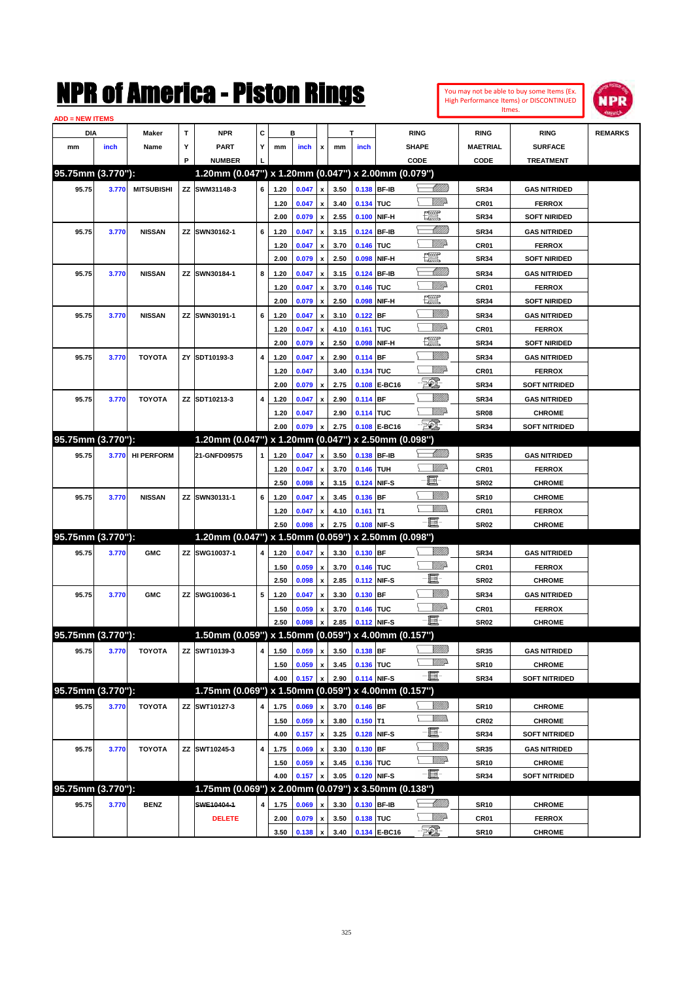| You may not be able to buy some Items (Ex. |
|--------------------------------------------|
| High Performance Items) or DISCONTINUED    |
| Itmes.                                     |



| <b>ADD = NEW ITEMS</b> |       |                   |   |                                                     |   |      |       |                           |      |             |              |                  |                  |                      |                |
|------------------------|-------|-------------------|---|-----------------------------------------------------|---|------|-------|---------------------------|------|-------------|--------------|------------------|------------------|----------------------|----------------|
| DIA                    |       | Maker             | т | <b>NPR</b>                                          | С |      | в     |                           |      | T           |              | <b>RING</b>      | <b>RING</b>      | <b>RING</b>          | <b>REMARKS</b> |
| mm                     | inch  | Name              | Υ | PART                                                | Y | mm   | inch  | x                         | mm   | inch        |              | <b>SHAPE</b>     | <b>MAETRIAL</b>  | <b>SURFACE</b>       |                |
|                        |       |                   | P | <b>NUMBER</b>                                       |   |      |       |                           |      |             |              | CODE             | CODE             | <b>TREATMENT</b>     |                |
| 95.75mm (3.770"):      |       |                   |   | 1.20mm (0.047") x 1.20mm (0.047") x 2.00mm (0.079") |   |      |       |                           |      |             |              |                  |                  |                      |                |
| 95.75                  | 3.770 | <b>MITSUBISHI</b> |   | ZZ SWM31148-3                                       | 6 | 1.20 | 0.047 | $\pmb{\mathsf{x}}$        | 3.50 | 0.138 BF-IB |              | <u> UMB</u>      | <b>SR34</b>      | <b>GAS NITRIDED</b>  |                |
|                        |       |                   |   |                                                     |   | 1.20 | 0.047 | x                         | 3.40 | 0.134 TUC   |              | MMD              | CR <sub>01</sub> | <b>FERROX</b>        |                |
|                        |       |                   |   |                                                     |   | 2.00 | 0.079 | $\pmb{\mathsf{x}}$        | 2.55 | 0.100       | NIF-H        | $\frac{1}{2}$    | <b>SR34</b>      | <b>SOFT NIRIDED</b>  |                |
| 95.75                  | 3.770 | <b>NISSAN</b>     |   | ZZ SWN30162-1                                       | 6 | 1.20 | 0.047 | x                         | 3.15 | 0.124       | <b>BF-IB</b> | <u>UMB</u>       | <b>SR34</b>      | <b>GAS NITRIDED</b>  |                |
|                        |       |                   |   |                                                     |   | 1.20 | 0.047 | х                         | 3.70 | 0.146 TUC   |              | MMD              | CR <sub>01</sub> | <b>FERROX</b>        |                |
|                        |       |                   |   |                                                     |   | 2.00 | 0.079 | x                         | 2.50 | 0.098       | NIF-H        | <u>row</u>       | <b>SR34</b>      | <b>SOFT NIRIDED</b>  |                |
| 95.75                  | 3.770 | <b>NISSAN</b>     |   | ZZ SWN30184-1                                       | 8 | 1.20 | 0.047 | x                         | 3.15 | 0.124       | <b>BF-IB</b> | <u>UMB</u>       | <b>SR34</b>      | <b>GAS NITRIDED</b>  |                |
|                        |       |                   |   |                                                     |   | 1.20 | 0.047 | x                         | 3.70 | 0.146 TUC   |              | MMD              | CR <sub>01</sub> | <b>FERROX</b>        |                |
|                        |       |                   |   |                                                     |   | 2.00 | 0.079 | x                         | 2.50 | 0.098       | NIF-H        | <u>tion</u>      | <b>SR34</b>      | <b>SOFT NIRIDED</b>  |                |
| 95.75                  | 3.770 | <b>NISSAN</b>     |   | ZZ SWN30191-1                                       | 6 | 1.20 | 0.047 | x                         | 3.10 | 0.122       | BF           | <u> UMB</u>      | <b>SR34</b>      | <b>GAS NITRIDED</b>  |                |
|                        |       |                   |   |                                                     |   | 1.20 | 0.047 | x                         | 4.10 | 0.161       | <b>TUC</b>   | MMD              | CR <sub>01</sub> | <b>FERROX</b>        |                |
|                        |       |                   |   |                                                     |   | 2.00 | 0.079 | x                         | 2.50 | 0.098       | NIF-H        | <u>199</u>       | <b>SR34</b>      | <b>SOFT NIRIDED</b>  |                |
| 95.75                  | 3.770 | <b>TOYOTA</b>     |   | ZY SDT10193-3                                       | 4 | 1.20 | 0.047 | x                         | 2.90 | 0.114       | <b>BF</b>    |                  | <b>SR34</b>      | <b>GAS NITRIDED</b>  |                |
|                        |       |                   |   |                                                     |   | 1.20 | 0.047 |                           | 3.40 | 0.134 TUC   |              | <u>MMP</u>       | CR <sub>01</sub> | <b>FERROX</b>        |                |
|                        |       |                   |   |                                                     |   | 2.00 | 0.079 | $\pmb{\mathsf{x}}$        | 2.75 | 0.108       | E-BC16       | E.               | <b>SR34</b>      | <b>SOFT NITRIDED</b> |                |
| 95.75                  | 3.770 | <b>TOYOTA</b>     |   | ZZ SDT10213-3                                       | 4 | 1.20 | 0.047 | x                         | 2.90 | 0.114       | <b>BF</b>    |                  | <b>SR34</b>      | <b>GAS NITRIDED</b>  |                |
|                        |       |                   |   |                                                     |   | 1.20 | 0.047 |                           | 2.90 | 0.114 TUC   |              | <u>MMP</u>       | <b>SR08</b>      | <b>CHROME</b>        |                |
|                        |       |                   |   |                                                     |   | 2.00 | 0.079 | $\pmb{\mathsf{x}}$        | 2.75 |             | 0.108 E-BC16 | EO)              | <b>SR34</b>      | <b>SOFT NITRIDED</b> |                |
| 95.75mm (3.770"):      |       |                   |   | 1.20mm (0.047") x 1.20mm (0.047") x 2.50mm (0.098") |   |      |       |                           |      |             |              |                  |                  |                      |                |
| 95.75                  | 3.770 | <b>HI PERFORM</b> |   | 21-GNFD09575                                        | 1 | 1.20 | 0.047 | $\pmb{\mathsf{x}}$        | 3.50 | 0.138 BF-IB |              | <u> MM)</u>      | <b>SR35</b>      | <b>GAS NITRIDED</b>  |                |
|                        |       |                   |   |                                                     |   | 1.20 | 0.047 | х                         | 3.70 | 0.146 TUH   |              | <u>Mille</u>     | CR <sub>01</sub> | <b>FERROX</b>        |                |
|                        |       |                   |   |                                                     |   | 2.50 | 0.098 | x                         | 3.15 | 0.124       | NIF-S        | e.               | <b>SR02</b>      | <b>CHROME</b>        |                |
| 95.75                  | 3.770 | <b>NISSAN</b>     |   | ZZ SWN30131-1                                       | 6 | 1.20 | 0.047 | x                         | 3.45 | 0.136       | <b>BF</b>    |                  | <b>SR10</b>      | <b>CHROME</b>        |                |
|                        |       |                   |   |                                                     |   | 1.20 | 0.047 | x                         | 4.10 | 0.161       | IT1          | .<br>WWW         | CR <sub>01</sub> | <b>FERROX</b>        |                |
|                        |       |                   |   |                                                     |   | 2.50 | 0.098 | x                         | 2.75 | 0.108       | NIF-S        | -8               | SR <sub>02</sub> | <b>CHROME</b>        |                |
| 95.75mm (3.770"):      |       |                   |   | 1.20mm (0.047") x 1.50mm (0.059") x 2.50mm (0.098") |   |      |       |                           |      |             |              |                  |                  |                      |                |
| 95.75                  | 3.770 | <b>GMC</b>        |   | ZZ SWG10037-1                                       | 4 | 1.20 | 0.047 | $\pmb{\mathsf{x}}$        | 3.30 | $0.130$ BF  |              | VIII))           | <b>SR34</b>      | <b>GAS NITRIDED</b>  |                |
|                        |       |                   |   |                                                     |   | 1.50 | 0.059 | х                         | 3.70 | 0.146 TUC   |              | <u>MMP</u>       | CR <sub>01</sub> | <b>FERROX</b>        |                |
|                        |       |                   |   |                                                     |   | 2.50 | 0.098 | $\pmb{\mathsf{x}}$        | 2.85 | 0.112       | NIF-S        | E                | <b>SR02</b>      | <b>CHROME</b>        |                |
| 95.75                  | 3.770 | <b>GMC</b>        |   | ZZ SWG10036-1                                       | 5 | 1.20 | 0.047 | $\boldsymbol{\mathsf{x}}$ | 3.30 | 0.130       | <b>BF</b>    | VIII))           | <b>SR34</b>      | <b>GAS NITRIDED</b>  |                |
|                        |       |                   |   |                                                     |   | 1.50 | 0.059 | x                         | 3.70 | 0.146 TUC   |              | <u>MMP</u>       | CR <sub>01</sub> | <b>FERROX</b>        |                |
|                        |       |                   |   |                                                     |   | 2.50 | 0.098 | $\pmb{\mathsf{x}}$        | 2.85 | 0.112 NIF-S |              | - III            | SR <sub>02</sub> | <b>CHROME</b>        |                |
| 95.75mm (3.770"):      |       |                   |   | 1.50mm (0.059") x 1.50mm (0.059") x 4.00mm (0.157") |   |      |       |                           |      |             |              |                  |                  |                      |                |
| 95.75                  | 3.770 | <b>TOYOTA</b>     |   | ZZ SWT10139-3                                       | 4 | 1.50 | 0.059 | $\pmb{\mathsf{x}}$        | 3.50 | 0.138 BF    |              | <u>VIIII</u> )   | <b>SR35</b>      | <b>GAS NITRIDED</b>  |                |
|                        |       |                   |   |                                                     |   | 1.50 | 0.059 | $\pmb{\mathsf{x}}$        | 3.45 | 0.136 TUC   |              | <u>MMP</u>       | <b>SR10</b>      | <b>CHROME</b>        |                |
|                        |       |                   |   |                                                     |   | 4.00 | 0.157 | $\pmb{\mathsf{x}}$        | 2.90 | 0.114 NIF-S |              | $-\blacksquare$  | <b>SR34</b>      | <b>SOFT NITRIDED</b> |                |
| 95.75mm (3.770"):      |       |                   |   | 1.75mm (0.069") x 1.50mm (0.059") x 4.00mm (0.157") |   |      |       |                           |      |             |              |                  |                  |                      |                |
| 95.75                  | 3.770 | <b>TOYOTA</b>     |   | ZZ SWT10127-3                                       | 4 | 1.75 | 0.069 | x                         | 3.70 | $0.146$ BF  |              | <u>VIII dh</u>   | <b>SR10</b>      | <b>CHROME</b>        |                |
|                        |       |                   |   |                                                     |   | 1.50 | 0.059 | $\pmb{\mathsf{x}}$        | 3.80 | $0.150$ T1  |              | <u> VMM</u>      | CR <sub>02</sub> | <b>CHROME</b>        |                |
|                        |       |                   |   |                                                     |   | 4.00 | 0.157 | $\pmb{\mathsf{x}}$        | 3.25 | 0.128       | NIF-S        | E                | <b>SR34</b>      | <b>SOFT NITRIDED</b> |                |
| 95.75                  | 3.770 | <b>TOYOTA</b>     |   | ZZ SWT10245-3                                       | 4 | 1.75 | 0.069 | x                         | 3.30 | 0.130       | <b>BF</b>    | <u>VMM</u>       | <b>SR35</b>      | <b>GAS NITRIDED</b>  |                |
|                        |       |                   |   |                                                     |   | 1.50 | 0.059 | x                         | 3.45 | 0.136 TUC   |              | <u>VMP</u>       | <b>SR10</b>      | <b>CHROME</b>        |                |
|                        |       |                   |   |                                                     |   | 4.00 | 0.157 | $\pmb{\mathsf{x}}$        | 3.05 | 0.120 NIF-S |              | $-\blacksquare$  | <b>SR34</b>      | <b>SOFT NITRIDED</b> |                |
| 95.75mm (3.770"):      |       |                   |   | 1.75mm (0.069") x 2.00mm (0.079") x 3.50mm (0.138") |   |      |       |                           |      |             |              |                  |                  |                      |                |
| 95.75                  | 3.770 | <b>BENZ</b>       |   | SWE10404-1                                          | 4 | 1.75 | 0.069 | x                         | 3.30 | 0.130       | <b>BF-IB</b> | <u> Millitti</u> | <b>SR10</b>      | <b>CHROME</b>        |                |
|                        |       |                   |   | <b>DELETE</b>                                       |   | 2.00 | 0.079 | $\pmb{\mathsf{x}}$        | 3.50 | 0.138 TUC   |              | <u>Willia</u>    | CR <sub>01</sub> | <b>FERROX</b>        |                |
|                        |       |                   |   |                                                     |   | 3.50 | 0.138 | x                         | 3.40 |             | 0.134 E-BC16 | ES.              | <b>SR10</b>      | <b>CHROME</b>        |                |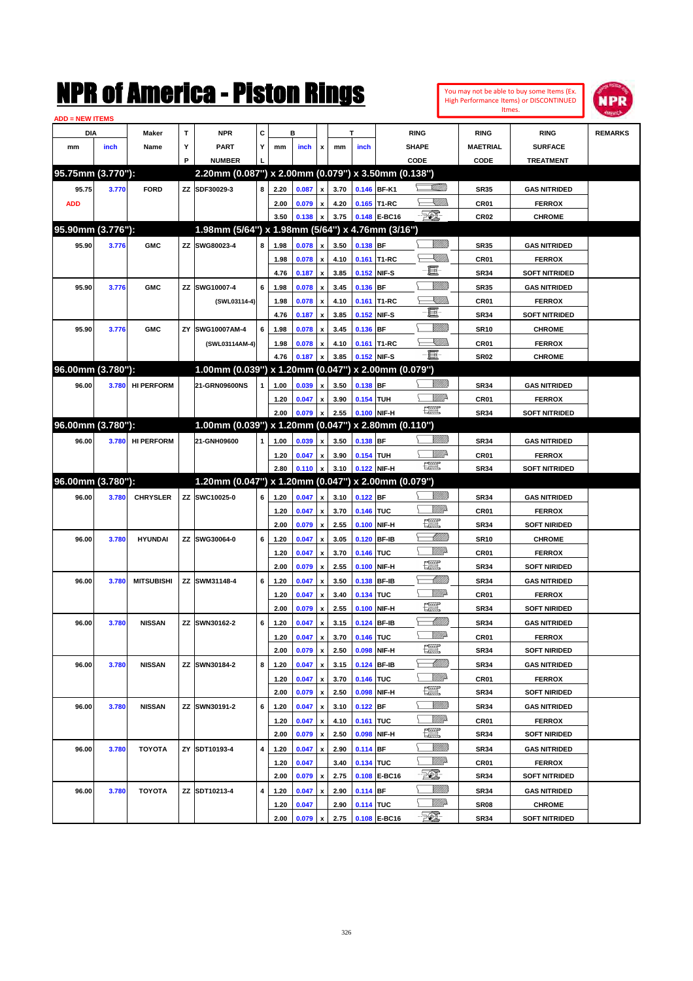| <b>ADD = NEW ITEMS</b> |             |              |   | NMK OI AINCIICA - MISLON KINGS                      |    |      |                |                  |      |             |               |                       |                  | You may not be able to buy some Items (Ex.<br>High Performance Items) or DISCONTINUED<br>Itmes. | IPD            |
|------------------------|-------------|--------------|---|-----------------------------------------------------|----|------|----------------|------------------|------|-------------|---------------|-----------------------|------------------|-------------------------------------------------------------------------------------------------|----------------|
| DIA                    |             | <b>Maker</b> |   | <b>NPR</b>                                          | C. |      | в              |                  |      |             | <b>RING</b>   |                       | <b>RING</b>      | <b>RING</b>                                                                                     | <b>REMARKS</b> |
| mm                     | <i>inch</i> | Name         | v | <b>PART</b>                                         |    | mm   | inch           | $\boldsymbol{x}$ | mm   | <i>inch</i> | <b>SHAPE</b>  |                       | <b>MAETRIAL</b>  | <b>SURFACE</b>                                                                                  |                |
|                        |             |              | Р | <b>NUMBER</b>                                       |    |      |                |                  |      |             | CODE          |                       | CODE             | <b>TREATMENT</b>                                                                                |                |
| 95.75mm (3.770"):      |             |              |   | 2.20mm (0.087") x 2.00mm (0.079") x 3.50mm (0.138") |    |      |                |                  |      |             |               |                       |                  |                                                                                                 |                |
| 95.75                  | 3.770       | <b>FORD</b>  |   | ZZ SDF30029-3                                       | 8  | 2.20 | $0.087 \times$ |                  | 3.70 |             | $0.146$ BF-K1 | <u>stillin</u>        | <b>SR35</b>      | <b>GAS NITRIDED</b>                                                                             |                |
| <b>ADD</b>             |             |              |   |                                                     |    | 2.00 | 0.079 x        |                  | 4.20 |             | 0.165 T1-RC   | <u>XIII)</u>          | CR <sub>01</sub> | <b>FERROX</b>                                                                                   |                |
|                        |             |              |   |                                                     |    | 3.50 | 0.138          | $\mathbf{x}$     | 3.75 |             | 0.148 E-BC16  | $-\sqrt{\frac{2}{2}}$ | CR <sub>02</sub> | <b>CHROME</b>                                                                                   |                |

**ANTISED** 

| <b>ADD</b>        |       |                   |                                                     |   | 2.00 | 0.079 x |                           | 4.20 |            | 0.165 T1-RC       | <u>- Millida</u><br>⊏   | CR01             | <b>FERROX</b>        |  |
|-------------------|-------|-------------------|-----------------------------------------------------|---|------|---------|---------------------------|------|------------|-------------------|-------------------------|------------------|----------------------|--|
|                   |       |                   |                                                     |   | 3.50 | 0.138   |                           | 3.75 |            | 0.148 E-BC16      | E.                      | CR <sub>02</sub> | <b>CHROME</b>        |  |
| 95.90mm (3.776"): |       |                   | 1.98mm (5/64") x 1.98mm (5/64") x 4.76mm (3/16")    |   |      |         |                           |      |            |                   |                         |                  |                      |  |
| 95.90             | 3.776 | <b>GMC</b>        | ZZ SWG80023-4                                       | 8 | 1.98 | 0.078   | $\pmb{\mathsf{x}}$        | 3.50 | 0.138 BF   |                   | <u>Milli</u> k          | <b>SR35</b>      | <b>GAS NITRIDED</b>  |  |
|                   |       |                   |                                                     |   | 1.98 | 0.078   | $\pmb{\mathsf{x}}$        | 4.10 |            | 0.161 T1-RC       | <u>Sillin</u>           | CR01             | <b>FERROX</b>        |  |
|                   |       |                   |                                                     |   | 4.76 | 0.187   | x                         | 3.85 |            | 0.152 NIF-S       | e.                      | <b>SR34</b>      | <b>SOFT NITRIDED</b> |  |
| 95.90             | 3.776 | <b>GMC</b>        | ZZ SWG10007-4                                       | 6 | 1.98 | 0.078   | x                         | 3.45 | 0.136 BF   |                   | <u>Milli</u> k          | <b>SR35</b>      | <b>GAS NITRIDED</b>  |  |
|                   |       |                   | (SWL03114-4)                                        |   | 1.98 | 0.078   | x                         | 4.10 | 0.161      | T1-RC             | <u>UMB</u>              | CR01             | <b>FERROX</b>        |  |
|                   |       |                   |                                                     |   | 4.76 | 0.187   | x                         | 3.85 |            | 0.152 NIF-S       | E                       | <b>SR34</b>      | <b>SOFT NITRIDED</b> |  |
| 95.90             | 3.776 | <b>GMC</b>        | ZY SWG10007AM-4                                     | 6 | 1.98 | 0.078   | x                         | 3.45 | 0.136 BF   |                   | <u>Milli</u> k          | <b>SR10</b>      | <b>CHROME</b>        |  |
|                   |       |                   | (SWL03114AM-4)                                      |   | 1.98 | 0.078   | x                         | 4.10 |            | 0.161 T1-RC       | <u> Millibr</u>         | CR01             | <b>FERROX</b>        |  |
|                   |       |                   |                                                     |   | 4.76 | 0.187   | x                         | 3.85 |            | 0.152 NIF-S       | $-\Xi$ -                | <b>SR02</b>      | <b>CHROME</b>        |  |
| 96.00mm (3.780"): |       |                   | 1.00mm (0.039") x 1.20mm (0.047")                   |   |      |         |                           |      |            | x 2.00mm (0.079") |                         |                  |                      |  |
| 96.00             | 3.780 | <b>HI PERFORM</b> | 21-GRN09600NS                                       | 1 | 1.00 | 0.039   | x                         | 3.50 | 0.138 BF   |                   | <u>VIIII)</u>           | <b>SR34</b>      | <b>GAS NITRIDED</b>  |  |
|                   |       |                   |                                                     |   | 1.20 | 0.047   | x                         | 3.90 | 0.154 TUH  |                   | ₩₩                      | CR01             | <b>FERROX</b>        |  |
|                   |       |                   |                                                     |   | 2.00 | 0.079   | x                         | 2.55 |            | 0.100 NIF-H       | $f_{\rm max}^{\rm exp}$ | <b>SR34</b>      | <b>SOFT NITRIDED</b> |  |
| 96.00mm (3.780"): |       |                   | 1.00mm (0.039") x 1.20mm (0.047")                   |   |      |         |                           |      |            | x 2.80mm (0.110") |                         |                  |                      |  |
| 96.00             | 3.780 | <b>HI PERFORM</b> | 21-GNH09600                                         | 1 | 1.00 | 0.039   | x                         | 3.50 | $0.138$ BF |                   | <u>UMB</u>              | <b>SR34</b>      | <b>GAS NITRIDED</b>  |  |
|                   |       |                   |                                                     |   | 1.20 | 0.047   | x                         | 3.90 | 0.154 TUH  |                   | <u>Mille</u>            | CR01             | <b>FERROX</b>        |  |
|                   |       |                   |                                                     |   | 2.80 | 0.110   | X                         | 3.10 |            | 0.122 NIF-H       | $f_{\rm max}^{\rm exp}$ | <b>SR34</b>      | <b>SOFT NITRIDED</b> |  |
| 96.00mm (3.780"): |       |                   | 1.20mm (0.047") x 1.20mm (0.047") x 2.00mm (0.079") |   |      |         |                           |      |            |                   |                         |                  |                      |  |
| 96.00             | 3.780 | <b>CHRYSLER</b>   | ZZ SWC10025-0                                       | 6 | 1.20 | 0.047   | $\pmb{\mathsf{x}}$        | 3.10 | $0.122$ BF |                   | <u>Sillilli</u>         | <b>SR34</b>      | <b>GAS NITRIDED</b>  |  |
|                   |       |                   |                                                     |   | 1.20 | 0.047   | $\pmb{\mathsf{x}}$        | 3.70 | 0.146      | <b>TUC</b>        | <u>MMA</u>              | CR01             | <b>FERROX</b>        |  |
|                   |       |                   |                                                     |   | 2.00 | 0.079   | x                         | 2.55 | 0.100      | NIF-H             | æ                       | <b>SR34</b>      | <b>SOFT NIRIDED</b>  |  |
| 96.00             | 3.780 | <b>HYUNDAI</b>    | ZZ SWG30064-0                                       | 6 | 1.20 | 0.047   | x                         | 3.05 |            | 0.120 BF-IB       | Millitt                 | <b>SR10</b>      | <b>CHROME</b>        |  |
|                   |       |                   |                                                     |   | 1.20 | 0.047   | x                         | 3.70 | 0.146      | TUC               | <u>MMP</u>              | CR01             | <b>FERROX</b>        |  |
|                   |       |                   |                                                     |   | 2.00 | 0.079   | x                         | 2.55 | 0.100      | NIF-H             | æ                       | <b>SR34</b>      | <b>SOFT NIRIDED</b>  |  |
| 96.00             | 3.780 | <b>MITSUBISHI</b> | ZZ SWM31148-4                                       | 6 | 1.20 | 0.047   | x                         | 3.50 |            | 0.138 BF-IB       | Millitt                 | <b>SR34</b>      | <b>GAS NITRIDED</b>  |  |
|                   |       |                   |                                                     |   | 1.20 | 0.047   | x                         | 3.40 | 0.134      | TUC               | <u>MMP</u>              | CR01             | <b>FERROX</b>        |  |
|                   |       |                   |                                                     |   | 2.00 | 0.079   | x                         | 2.55 | 0.100      | NIF-H             | æ                       | <b>SR34</b>      | <b>SOFT NIRIDED</b>  |  |
| 96.00             | 3.780 | <b>NISSAN</b>     | ZZ SWN30162-2                                       | 6 | 1.20 | 0.047   | x                         | 3.15 | 0.124      | <b>BF-IB</b>      | Millitt                 | <b>SR34</b>      | <b>GAS NITRIDED</b>  |  |
|                   |       |                   |                                                     |   | 1.20 | 0.047   | x                         | 3.70 | 0.146      | TUC               | <u>MMP</u>              | CR01             | <b>FERROX</b>        |  |
|                   |       |                   |                                                     |   | 2.00 | 0.079   | x                         | 2.50 | 0.098      | NIF-H             | æ                       | <b>SR34</b>      | <b>SOFT NIRIDED</b>  |  |
| 96.00             | 3.780 | <b>NISSAN</b>     | ZZ SWN30184-2                                       | 8 | 1.20 | 0.047   | x                         | 3.15 | 0.124      | <b>BF-IB</b>      | <u> UMM</u>             | <b>SR34</b>      | <b>GAS NITRIDED</b>  |  |
|                   |       |                   |                                                     |   | 1.20 | 0.047   | x                         | 3.70 | 0.146      | <b>TUC</b>        | <u>MMP</u>              | CR01             | <b>FERROX</b>        |  |
|                   |       |                   |                                                     |   | 2.00 | 0.079   | x                         | 2.50 | 0.098      | NIF-H             | æ                       | <b>SR34</b>      | <b>SOFT NIRIDED</b>  |  |
| 96.00             | 3.780 | <b>NISSAN</b>     | ZZ SWN30191-2                                       | 6 | 1.20 | 0.047   | x                         | 3.10 | $0.122$ BF |                   | <u>MMM</u>              | <b>SR34</b>      | <b>GAS NITRIDED</b>  |  |
|                   |       |                   |                                                     |   | 1.20 | 0.047   | $\pmb{\mathsf{x}}$        | 4.10 | 0.161 TUC  |                   | WMA                     | CR01             | <b>FERROX</b>        |  |
|                   |       |                   |                                                     |   | 2.00 | 0.079   | $\pmb{\mathsf{x}}$        | 2.50 |            | 0.098 NIF-H       | <u>199</u>              | <b>SR34</b>      | <b>SOFT NIRIDED</b>  |  |
| 96.00             | 3.780 | TOYOTA            | ZY SDT10193-4                                       | 4 | 1.20 | 0.047   | $\pmb{\mathsf{x}}$        | 2.90 | $0.114$ BF |                   | <u>VIIII</u> )          | <b>SR34</b>      | <b>GAS NITRIDED</b>  |  |
|                   |       |                   |                                                     |   | 1.20 | 0.047   |                           | 3.40 | 0.134 TUC  |                   | <u>Willi</u> da         | CR01             | <b>FERROX</b>        |  |
|                   |       |                   |                                                     |   | 2.00 | 0.079   | $\boldsymbol{\mathsf{x}}$ | 2.75 |            | 0.108 E-BC16      | TQ),                    | <b>SR34</b>      | <b>SOFT NITRIDED</b> |  |
| 96.00             | 3.780 | TOYOTA            | ZZ SDT10213-4                                       | 4 | 1.20 | 0.047   | x                         | 2.90 | $0.114$ BF |                   | <u>VIIII</u> )          | <b>SR34</b>      | <b>GAS NITRIDED</b>  |  |
|                   |       |                   |                                                     |   | 1.20 | 0.047   |                           | 2.90 | 0.114 TUC  |                   | <u>Willi</u> p          | SR <sub>08</sub> | <b>CHROME</b>        |  |
|                   |       |                   |                                                     |   | 2.00 | 0.079   | x                         | 2.75 |            | 0.108 E-BC16      | TQ),                    | <b>SR34</b>      | <b>SOFT NITRIDED</b> |  |
|                   |       |                   |                                                     |   |      |         |                           |      |            |                   |                         |                  |                      |  |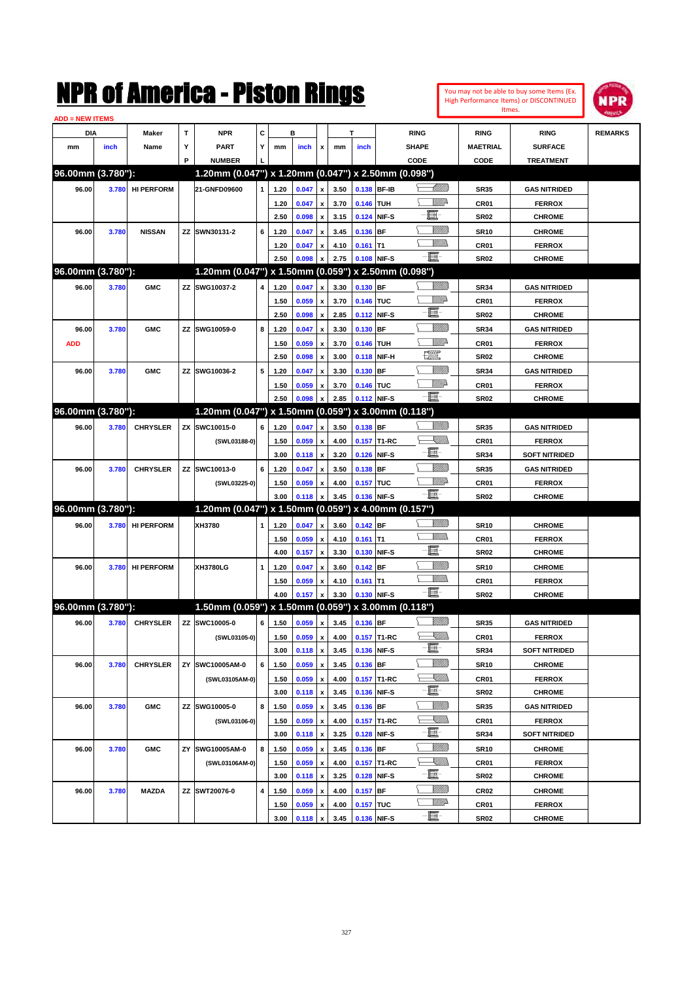| You may not be able to buy some Items (Ex. |
|--------------------------------------------|
| High Performance Items) or DISCONTINUED    |
| Itmes.                                     |



| <b>ADD = NEW ITEMS</b> |       |                   |    |                                                     |   |      |       |                           |      |            |             |                 |                  |                                       |                |
|------------------------|-------|-------------------|----|-----------------------------------------------------|---|------|-------|---------------------------|------|------------|-------------|-----------------|------------------|---------------------------------------|----------------|
| DIA                    |       | <b>Maker</b>      | T  | <b>NPR</b>                                          | С |      | в     |                           |      | т          |             | <b>RING</b>     | <b>RING</b>      | <b>RING</b>                           | <b>REMARKS</b> |
| mm                     | inch  | Name              | Υ  | <b>PART</b>                                         | Y | mm   | inch  | x                         | mm   | inch       |             | <b>SHAPE</b>    | <b>MAETRIAL</b>  | <b>SURFACE</b>                        |                |
|                        |       |                   | P  | <b>NUMBER</b>                                       |   |      |       |                           |      |            |             | CODE            | CODE             | <b>TREATMENT</b>                      |                |
| 96.00mm (3.780"):      |       |                   |    | 1.20mm (0.047") x 1.20mm (0.047") x 2.50mm (0.098") |   |      |       |                           |      |            |             |                 |                  |                                       |                |
| 96.00                  | 3.780 | <b>HI PERFORM</b> |    | 21-GNFD09600                                        | 1 | 1.20 | 0.047 | $\pmb{\mathsf{x}}$        | 3.50 |            | 0.138 BF-IB | <u> UMM</u>     | <b>SR35</b>      | <b>GAS NITRIDED</b>                   |                |
|                        |       |                   |    |                                                     |   | 1.20 | 0.047 | x                         | 3.70 | 0.146 TUH  |             | ₩₩              | CR01             | <b>FERROX</b>                         |                |
|                        |       |                   |    |                                                     |   | 2.50 | 0.098 | x                         | 3.15 |            | 0.124 NIF-S | E               | <b>SR02</b>      | <b>CHROME</b>                         |                |
| 96.00                  | 3.780 | <b>NISSAN</b>     | ΖZ | SWN30131-2                                          | 6 | 1.20 | 0.047 | x                         | 3.45 | 0.136 BF   |             | <u>Milli</u>    | <b>SR10</b>      | <b>CHROME</b>                         |                |
|                        |       |                   |    |                                                     |   | 1.20 | 0.047 | x                         | 4.10 | $0.161$ T1 |             | <u>VMM</u>      | CR01             | <b>FERROX</b>                         |                |
|                        |       |                   |    |                                                     |   | 2.50 | 0.098 | $\boldsymbol{\mathsf{x}}$ | 2.75 |            | 0.108 NIF-S | - 1             | <b>SR02</b>      | <b>CHROME</b>                         |                |
| 96.00mm (3.780"):      |       |                   |    | 1.20mm (0.047") x 1.50mm (0.059") x 2.50mm (0.098") |   |      |       |                           |      |            |             |                 |                  |                                       |                |
| 96.00                  | 3.780 | <b>GMC</b>        | ΖZ | SWG10037-2                                          | 4 | 1.20 | 0.047 | $\pmb{\mathsf{x}}$        | 3.30 | 0.130 BF   |             | <u>Milli</u>    | <b>SR34</b>      | <b>GAS NITRIDED</b>                   |                |
|                        |       |                   |    |                                                     |   | 1.50 | 0.059 | x                         | 3.70 | 0.146 TUC  |             | <u>MMP</u>      | CR01             | <b>FERROX</b>                         |                |
|                        |       |                   |    |                                                     |   | 2.50 | 0.098 | x                         | 2.85 |            | 0.112 NIF-S | E               | <b>SR02</b>      | <b>CHROME</b>                         |                |
| 96.00                  | 3.780 | <b>GMC</b>        | ΖZ | SWG10059-0                                          | 8 | 1.20 | 0.047 | X                         | 3.30 | 0.130 BF   |             | <u>MMM</u>      | <b>SR34</b>      | <b>GAS NITRIDED</b>                   |                |
| <b>ADD</b>             |       |                   |    |                                                     |   | 1.50 | 0.059 |                           | 3.70 | 0.146 TUH  |             | WMP-            | CR01             | <b>FERROX</b>                         |                |
|                        |       |                   |    |                                                     |   | 2.50 |       | x                         | 3.00 |            | 0.118 NIF-H | tx.             |                  | <b>CHROME</b>                         |                |
|                        |       |                   |    |                                                     |   |      | 0.098 | x                         |      |            |             | <u>Milli</u>    | <b>SR02</b>      |                                       |                |
| 96.00                  | 3.780 | <b>GMC</b>        | ΖZ | SWG10036-2                                          | 5 | 1.20 | 0.047 | x                         | 3.30 | 0.130 BF   |             | <u>MMP</u>      | <b>SR34</b>      | <b>GAS NITRIDED</b>                   |                |
|                        |       |                   |    |                                                     |   | 1.50 | 0.059 | x                         | 3.70 | 0.146 TUC  |             | Ð.              | CR01             | <b>FERROX</b>                         |                |
|                        |       |                   |    |                                                     |   | 2.50 | 0.098 | X                         | 2.85 |            | 0.112 NIF-S |                 | <b>SR02</b>      | <b>CHROME</b>                         |                |
| 96.00mm (3.780"):      |       |                   |    | 1.20mm (0.047") x 1.50mm (0.059") x 3.00mm (0.118") |   |      |       |                           |      |            |             |                 |                  |                                       |                |
| 96.00                  | 3.780 | <b>CHRYSLER</b>   | ZΧ | SWC10015-0                                          | 6 | 1.20 | 0.047 | $\pmb{\mathsf{x}}$        | 3.50 | 0.138 BF   |             | <u>Milli</u> k  | <b>SR35</b>      | <b>GAS NITRIDED</b>                   |                |
|                        |       |                   |    | (SWL03188-0)                                        |   | 1.50 | 0.059 | x                         | 4.00 |            | 0.157 T1-RC | <u> Millibr</u> | CR01             | <b>FERROX</b>                         |                |
|                        |       |                   |    |                                                     |   | 3.00 | 0.118 | $\boldsymbol{\mathsf{x}}$ | 3.20 |            | 0.126 NIF-S | e               | <b>SR34</b>      | <b>SOFT NITRIDED</b>                  |                |
| 96.00                  | 3.780 | <b>CHRYSLER</b>   |    | ZZ SWC10013-0                                       | 6 | 1.20 | 0.047 | x                         | 3.50 | 0.138 BF   |             | <u>MMM</u>      | <b>SR35</b>      | <b>GAS NITRIDED</b>                   |                |
|                        |       |                   |    | (SWL03225-0)                                        |   | 1.50 | 0.059 | x                         | 4.00 | 0.157 TUC  |             | <u>MMP</u>      | CR01             | <b>FERROX</b>                         |                |
|                        |       |                   |    |                                                     |   | 3.00 | 0.118 | $\boldsymbol{\mathsf{x}}$ | 3.45 |            | 0.136 NIF-S | - III.          | <b>SR02</b>      | <b>CHROME</b>                         |                |
| 96.00mm (3.780"):      |       |                   |    | 1.20mm (0.047") x 1.50mm (0.059") x 4.00mm (0.157") |   |      |       |                           |      |            |             |                 |                  |                                       |                |
| 96.00                  | 3.780 | <b>HI PERFORM</b> |    | XH3780                                              |   | 1.20 | 0.047 | X                         | 3.60 | $0.142$ BF |             | <u>Sillilli</u> | <b>SR10</b>      | <b>CHROME</b>                         |                |
|                        |       |                   |    |                                                     |   | 1.50 | 0.059 | x                         | 4.10 | $0.161$ T1 |             | UM)             | CR01             | <b>FERROX</b>                         |                |
|                        |       |                   |    |                                                     |   | 4.00 | 0.157 | $\pmb{\mathsf{x}}$        | 3.30 |            | 0.130 NIF-S | E               | <b>SR02</b>      | <b>CHROME</b>                         |                |
| 96.00                  | 3.780 | <b>HI PERFORM</b> |    | XH3780LG                                            | 1 | 1.20 | 0.047 | x                         | 3.60 | $0.142$ BF |             | <u>VIIII)</u>   | <b>SR10</b>      | <b>CHROME</b>                         |                |
|                        |       |                   |    |                                                     |   | 1.50 | 0.059 | x                         | 4.10 | $0.161$ T1 |             | <br>Mad         | CR01             | <b>FERROX</b>                         |                |
|                        |       |                   |    |                                                     |   | 4.00 | 0.157 | $\pmb{\mathsf{x}}$        | 3.30 |            | 0.130 NIF-S | -e              | <b>SR02</b>      | <b>CHROME</b>                         |                |
| 96.00mm (3.780"):      |       |                   |    | 1.50mm (0.059") x 1.50mm (0.059") x 3.00mm (0.118") |   |      |       |                           |      |            |             |                 |                  |                                       |                |
| 96.00                  | 3.780 | <b>CHRYSLER</b>   |    | ZZ SWC10005-0                                       | 6 | 1.50 | 0.059 | $\pmb{\mathsf{x}}$        | 3.45 | 0.136 BF   |             | <u>Milli</u>    | <b>SR35</b>      | <b>GAS NITRIDED</b>                   |                |
|                        |       |                   |    | (SWL03105-0)                                        |   | 1.50 | 0.059 | $\mathbf{x}$              | 4.00 |            | 0.157 T1-RC | <u>Sillin</u>   | CR01             | <b>FERROX</b>                         |                |
|                        |       |                   |    |                                                     |   | 3.00 | 0.118 | $\pmb{\mathsf{x}}$        | 3.45 |            | 0.136 NIF-S | e.              | <b>SR34</b>      | <b>SOFT NITRIDED</b>                  |                |
| 96.00                  | 3.780 | <b>CHRYSLER</b>   |    | ZY SWC10005AM-0                                     | 6 | 1.50 | 0.059 | X                         | 3.45 | 0.136 BF   |             | <u>Milli</u>    | <b>SR10</b>      | <b>CHROME</b>                         |                |
|                        |       |                   |    | (SWL03105AM-0)                                      |   | 1.50 | 0.059 | $\pmb{\mathsf{x}}$        | 4.00 |            | 0.157 T1-RC | <u>XM)).</u>    | CR01             | <b>FERROX</b>                         |                |
|                        |       |                   |    |                                                     |   | 3.00 | 0.118 | $\pmb{\mathsf{x}}$        | 3.45 |            | 0.136 NIF-S | e.              | SR02             | <b>CHROME</b>                         |                |
| 96.00                  | 3.780 | <b>GMC</b>        |    | ZZ SWG10005-0                                       | 8 | 1.50 | 0.059 |                           | 3.45 | 0.136 BF   |             | <u>Milli</u> k  | <b>SR35</b>      | <b>GAS NITRIDED</b>                   |                |
|                        |       |                   |    |                                                     |   |      |       | x                         |      |            |             | <u>Sillin</u>   |                  |                                       |                |
|                        |       |                   |    | (SWL03106-0)                                        |   | 1.50 | 0.059 | $\pmb{\mathsf{x}}$        | 4.00 |            | 0.157 T1-RC | e.              | CR01             | <b>FERROX</b><br><b>SOFT NITRIDED</b> |                |
|                        |       |                   |    |                                                     |   | 3.00 | 0.118 | $\pmb{\mathsf{x}}$        | 3.25 |            | 0.128 NIF-S | <u>Milli</u> k  | <b>SR34</b>      |                                       |                |
| 96.00                  | 3.780 | <b>GMC</b>        |    | ZY SWG10005AM-0                                     | 8 | 1.50 | 0.059 | x                         | 3.45 | 0.136 BF   |             | ZUM)            | <b>SR10</b>      | <b>CHROME</b>                         |                |
|                        |       |                   |    | (SWL03106AM-0)                                      |   | 1.50 | 0.059 | x                         | 4.00 |            | 0.157 T1-RC | e.              | CR01             | <b>FERROX</b>                         |                |
|                        |       |                   |    |                                                     |   | 3.00 | 0.118 | $\pmb{\mathsf{x}}$        | 3.25 |            | 0.128 NIF-S | <u>Milli</u> k  | SR02             | <b>CHROME</b>                         |                |
| 96.00                  | 3.780 | <b>MAZDA</b>      |    | ZZ SWT20076-0                                       | 4 | 1.50 | 0.059 | x                         | 4.00 | $0.157$ BF |             | <u>WW</u> A     | CR <sub>02</sub> | <b>CHROME</b>                         |                |
|                        |       |                   |    |                                                     |   | 1.50 | 0.059 | x                         | 4.00 | 0.157 TUC  |             | e               | CR01             | <b>FERROX</b>                         |                |
|                        |       |                   |    |                                                     |   | 3.00 | 0.118 | $\pmb{\mathsf{x}}$        | 3.45 |            | 0.136 NIF-S |                 | SR02             | <b>CHROME</b>                         |                |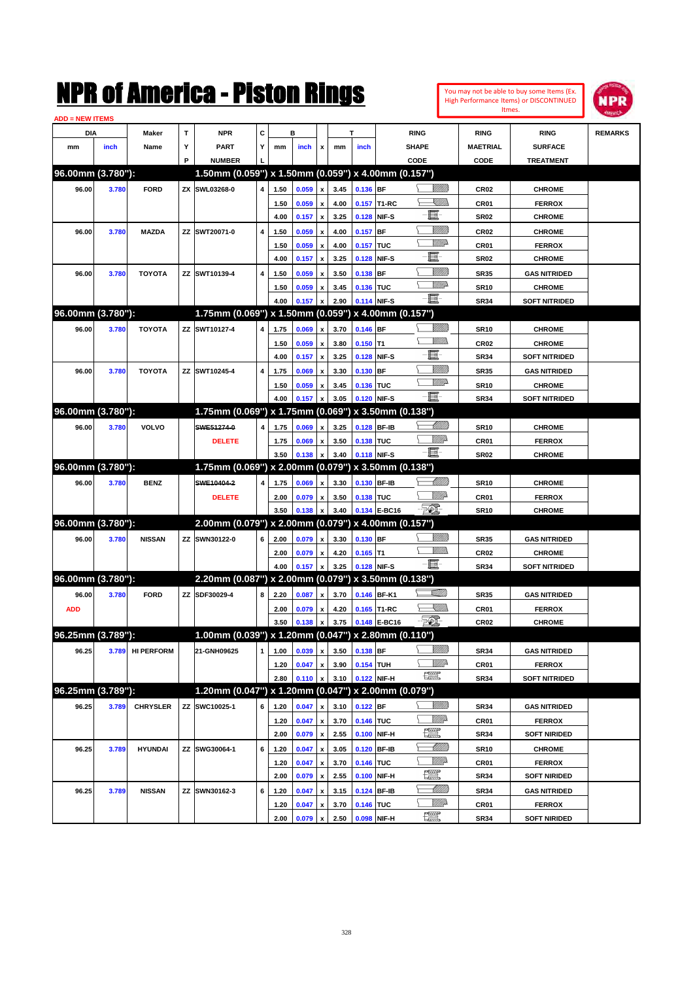

| <b>ADD = NEW ITEMS</b> |       |                   |   |                                                     |   |      |       |                           |      |            |              |                   |                  |                      |                |
|------------------------|-------|-------------------|---|-----------------------------------------------------|---|------|-------|---------------------------|------|------------|--------------|-------------------|------------------|----------------------|----------------|
| DIA                    |       | <b>Maker</b>      | T | <b>NPR</b>                                          | С |      | в     |                           |      | т          |              | <b>RING</b>       | <b>RING</b>      | <b>RING</b>          | <b>REMARKS</b> |
| mm                     | inch  | Name              | Υ | <b>PART</b>                                         | Y | mm   | inch  | x                         | mm   | inch       |              | <b>SHAPE</b>      | <b>MAETRIAL</b>  | <b>SURFACE</b>       |                |
|                        |       |                   | P | <b>NUMBER</b>                                       |   |      |       |                           |      |            |              | CODE              | CODE             | <b>TREATMENT</b>     |                |
| 96.00mm (3.780"):      |       |                   |   | 1.50mm (0.059") x 1.50mm (0.059") x 4.00mm (0.157") |   |      |       |                           |      |            |              |                   |                  |                      |                |
| 96.00                  | 3.780 | <b>FORD</b>       |   | ZX SWL03268-0                                       | 4 | 1.50 | 0.059 | x                         | 3.45 | 0.136 BF   |              | <u>Villitti</u>   | <b>CR02</b>      | <b>CHROME</b>        |                |
|                        |       |                   |   |                                                     |   | 1.50 | 0.059 |                           | 4.00 |            | 0.157 T1-RC  | XIIII)            | CR01             | <b>FERROX</b>        |                |
|                        |       |                   |   |                                                     |   | 4.00 | 0.157 | $\pmb{\mathsf{x}}$        | 3.25 |            | 0.128 NIF-S  | e.                | <b>SR02</b>      | <b>CHROME</b>        |                |
| 96.00                  | 3.780 | <b>MAZDA</b>      |   | ZZ SWT20071-0                                       | 4 | 1.50 | 0.059 |                           | 4.00 | 0.157      | <b>BF</b>    | <u>MMM</u>        | <b>CR02</b>      | <b>CHROME</b>        |                |
|                        |       |                   |   |                                                     |   | 1.50 | 0.059 | x                         | 4.00 | 0.157 TUC  |              | <u>WW</u>         | CR01             | <b>FERROX</b>        |                |
|                        |       |                   |   |                                                     |   | 4.00 | 0.157 | x                         | 3.25 |            | 0.128 NIF-S  | e.                | <b>SR02</b>      | <b>CHROME</b>        |                |
| 96.00                  | 3.780 | <b>TOYOTA</b>     |   | ZZ SWT10139-4                                       | 4 | 1.50 | 0.059 |                           | 3.50 | 0.138 BF   |              | <u>Milli</u> k    | <b>SR35</b>      | <b>GAS NITRIDED</b>  |                |
|                        |       |                   |   |                                                     |   | 1.50 | 0.059 | x                         | 3.45 | 0.136 TUC  |              | <u>WW</u>         | <b>SR10</b>      | <b>CHROME</b>        |                |
|                        |       |                   |   |                                                     |   | 4.00 | 0.157 |                           | 2.90 |            | 0.114 NIF-S  | $-\Xi$            | <b>SR34</b>      | <b>SOFT NITRIDED</b> |                |
| 96.00mm (3.780"):      |       |                   |   | 1.75mm (0.069") x 1.50mm (0.059") x 4.00mm (0.157") |   |      |       |                           |      |            |              |                   |                  |                      |                |
| 96.00                  | 3.780 | <b>TOYOTA</b>     |   | ZZ SWT10127-4                                       | 4 | 1.75 | 0.069 | x                         | 3.70 | $0.146$ BF |              | <u>Milli</u> k    | <b>SR10</b>      | <b>CHROME</b>        |                |
|                        |       |                   |   |                                                     |   | 1.50 | 0.059 |                           | 3.80 | $0.150$ T1 |              | .<br>WWW          | <b>CR02</b>      | <b>CHROME</b>        |                |
|                        |       |                   |   |                                                     |   | 4.00 | 0.157 | $\pmb{\mathsf{x}}$        | 3.25 |            | 0.128 NIF-S  | E                 | <b>SR34</b>      | <b>SOFT NITRIDED</b> |                |
| 96.00                  | 3.780 | <b>TOYOTA</b>     |   | ZZ SWT10245-4                                       | 4 | 1.75 | 0.069 |                           | 3.30 | 0.130 BF   |              | <u>MMM</u>        | <b>SR35</b>      | <b>GAS NITRIDED</b>  |                |
|                        |       |                   |   |                                                     |   | 1.50 | 0.059 | x                         | 3.45 | 0.136 TUC  |              | <u>WW</u>         | <b>SR10</b>      | <b>CHROME</b>        |                |
|                        |       |                   |   |                                                     |   | 4.00 | 0.157 |                           | 3.05 |            | 0.120 NIF-S  | -篇-               | <b>SR34</b>      | <b>SOFT NITRIDED</b> |                |
| 96.00mm (3.780"):      |       |                   |   | 1.75mm (0.069") x 1.75mm (0.069")                   |   |      |       |                           |      |            |              | x 3.50mm (0.138") |                  |                      |                |
| 96.00                  | 3.780 | VOLVO             |   | SWE51274-0                                          | 4 | 1.75 | 0.069 | x                         | 3.25 |            | 0.128 BF-IB  | <u>UMM</u>        | <b>SR10</b>      | <b>CHROME</b>        |                |
|                        |       |                   |   | <b>DELETE</b>                                       |   | 1.75 | 0.069 |                           | 3.50 | 0.138 TUC  |              | <u>MMP</u>        | CR01             | <b>FERROX</b>        |                |
|                        |       |                   |   |                                                     |   | 3.50 | 0.138 |                           | 3.40 |            | 0.118 NIF-S  | -E-               | <b>SR02</b>      | <b>CHROME</b>        |                |
| 96.00mm (3.780"):      |       |                   |   | 1.75mm (0.069") x 2.00mm (0.079") x 3.50mm (0.138") |   |      |       |                           |      |            |              |                   |                  |                      |                |
| 96.00                  | 3.780 | <b>BENZ</b>       |   | SWE10404-2                                          | 4 | 1.75 | 0.069 |                           | 3.30 |            | 0.130 BF-IB  | <u> UMM</u>       | <b>SR10</b>      | <b>CHROME</b>        |                |
|                        |       |                   |   | <b>DELETE</b>                                       |   | 2.00 | 0.079 | x                         | 3.50 | 0.138 TUC  |              | <u>MMP</u>        | CR01             | <b>FERROX</b>        |                |
|                        |       |                   |   |                                                     |   | 3.50 | 0.138 |                           | 3.40 |            | 0.134 E-BC16 | $\mathbb{Z}$      | <b>SR10</b>      | <b>CHROME</b>        |                |
| 96.00mm (3.780"):      |       |                   |   | 2.00mm (0.079") x 2.00mm (0.079") x 4.00mm (0.157") |   |      |       |                           |      |            |              |                   |                  |                      |                |
| 96.00                  | 3.780 | <b>NISSAN</b>     |   | ZZ SWN30122-0                                       | 6 | 2.00 | 0.079 | x                         | 3.30 | $0.130$ BF |              | <u>Milli</u> k    | <b>SR35</b>      | <b>GAS NITRIDED</b>  |                |
|                        |       |                   |   |                                                     |   | 2.00 | 0.079 | x                         | 4.20 | $0.165$ T1 |              | <u>MMa</u>        | <b>CR02</b>      | <b>CHROME</b>        |                |
|                        |       |                   |   |                                                     |   | 4.00 | 0.157 | $\boldsymbol{\mathsf{x}}$ | 3.25 |            | 0.128 NIF-S  | -夏-               | <b>SR34</b>      | <b>SOFT NITRIDED</b> |                |
| 96.00mm (3.780"):      |       |                   |   | 2.20mm (0.087") x 2.00mm (0.079") x 3.50mm (0.138") |   |      |       |                           |      |            |              |                   |                  |                      |                |
|                        |       |                   |   |                                                     |   |      |       |                           |      |            |              | <u>VIIII)</u>     |                  |                      |                |
| 96.00                  | 3.780 | <b>FORD</b>       |   | ZZ SDF30029-4                                       | 8 | 2.20 | 0.087 | x                         | 3.70 |            | 0.146 BF-K1  | <u>Sillin</u>     | <b>SR35</b>      | <b>GAS NITRIDED</b>  |                |
| <b>ADD</b>             |       |                   |   |                                                     |   | 2.00 | 0.079 | x                         | 4.20 |            | 0.165 T1-RC  | EQ,               | CR01             | <b>FERROX</b>        |                |
|                        |       |                   |   |                                                     |   | 3.50 | 0.138 | $\pmb{\mathsf{x}}$        | 3.75 |            | 0.148 E-BC16 |                   | CR <sub>02</sub> | <b>CHROME</b>        |                |
| 96.25mm (3.789"):      |       |                   |   | 1.00mm (0.039") x 1.20mm (0.047") x 2.80mm (0.110") |   |      |       |                           |      |            |              |                   |                  |                      |                |
| 96.25                  | 3.789 | <b>HI PERFORM</b> |   | 21-GNH09625                                         | 1 | 1.00 | 0.039 | $\pmb{\mathsf{x}}$        | 3.50 | 0.138 BF   |              | <u>Sillilli</u>   | SR34             | <b>GAS NITRIDED</b>  |                |
|                        |       |                   |   |                                                     |   | 1.20 | 0.047 | x                         | 3.90 | 0.154 TUH  |              | ₩₩                | CR01             | <b>FERROX</b>        |                |
|                        |       |                   |   |                                                     |   | 2.80 | 0.110 |                           | 3.10 |            | 0.122 NIF-H  | R                 | <b>SR34</b>      | <b>SOFT NITRIDED</b> |                |
| 96.25mm (3.789"):      |       |                   |   | 1.20mm (0.047") x 1.20mm (0.047") x 2.00mm (0.079") |   |      |       |                           |      |            |              |                   |                  |                      |                |
| 96.25                  | 3.789 | <b>CHRYSLER</b>   |   | ZZ SWC10025-1                                       | 6 | 1.20 | 0.047 | x                         | 3.10 | $0.122$ BF |              | <u> UMB</u>       | SR34             | <b>GAS NITRIDED</b>  |                |
|                        |       |                   |   |                                                     |   | 1.20 | 0.047 | x                         | 3.70 | 0.146 TUC  |              | <u>Willia</u>     | CR01             | <b>FERROX</b>        |                |
|                        |       |                   |   |                                                     |   | 2.00 | 0.079 | $\pmb{\mathsf{x}}$        | 2.55 |            | 0.100 NIF-H  | <u>199</u>        | SR34             | <b>SOFT NIRIDED</b>  |                |
| 96.25                  | 3.789 | <b>HYUNDAI</b>    |   | ZZ SWG30064-1                                       | 6 | 1.20 | 0.047 | x                         | 3.05 |            | 0.120 BF-IB  | <u> Millitti</u>  | <b>SR10</b>      | <b>CHROME</b>        |                |
|                        |       |                   |   |                                                     |   | 1.20 | 0.047 | x                         | 3.70 | 0.146 TUC  |              | <u>Willia</u>     | CR01             | <b>FERROX</b>        |                |
|                        |       |                   |   |                                                     |   | 2.00 | 0.079 | $\pmb{\mathsf{x}}$        | 2.55 |            | 0.100 NIF-H  | <u>tin</u>        | SR34             | <b>SOFT NIRIDED</b>  |                |
| 96.25                  | 3.789 | <b>NISSAN</b>     |   | ZZ SWN30162-3                                       | 6 | 1.20 | 0.047 | x                         | 3.15 |            | 0.124 BF-IB  | <u> Millitti</u>  | SR34             | <b>GAS NITRIDED</b>  |                |
|                        |       |                   |   |                                                     |   | 1.20 | 0.047 |                           | 3.70 | 0.146 TUC  |              | <u>Mille</u> d    | CR01             | <b>FERROX</b>        |                |
|                        |       |                   |   |                                                     |   | 2.00 | 0.079 | X                         | 2.50 |            | 0.098 NIF-H  | <u>tin</u>        | SR34             | <b>SOFT NIRIDED</b>  |                |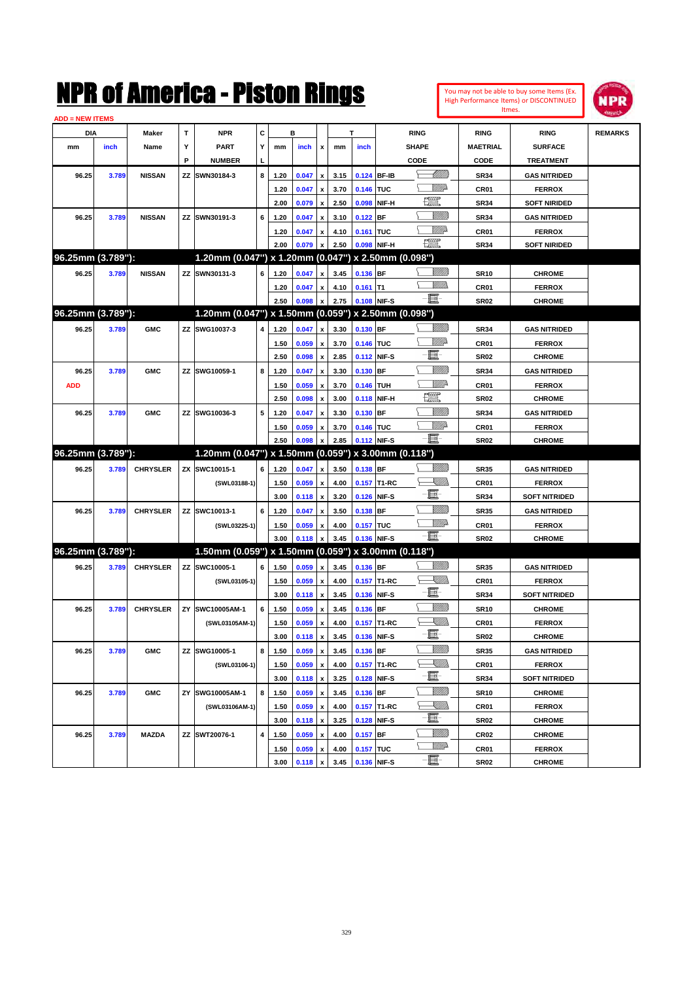| You may not be able to buy some Items (Ex.     |
|------------------------------------------------|
| <b>High Performance Items) or DISCONTINUED</b> |
| Itmes.                                         |



| С<br>DIA<br>Maker<br>т<br><b>NPR</b><br>в<br>т<br><b>RING</b><br><b>RING</b><br>Υ<br><b>PART</b><br><b>SHAPE</b><br>inch<br>Name<br>Y<br>inch<br>inch<br><b>MAETRIAL</b><br>mm<br>mm<br>x<br>mm<br>P<br><b>NUMBER</b><br>CODE<br>CODE<br>L | <b>RING</b>                           |                |
|--------------------------------------------------------------------------------------------------------------------------------------------------------------------------------------------------------------------------------------------|---------------------------------------|----------------|
|                                                                                                                                                                                                                                            |                                       | <b>REMARKS</b> |
|                                                                                                                                                                                                                                            | <b>SURFACE</b>                        |                |
|                                                                                                                                                                                                                                            | <b>TREATMENT</b>                      |                |
| <u> MMB</u><br><b>NISSAN</b><br>ZZ SWN30184-3<br>8<br>0.124 BF-IB<br><b>SR34</b><br>96.25<br>3.789<br>1.20<br>0.047<br>3.15<br>x                                                                                                           | <b>GAS NITRIDED</b>                   |                |
| <u>MMA</u><br>3.70<br>0.146 TUC<br>1.20<br>0.047<br>CR01<br>x                                                                                                                                                                              | <b>FERROX</b>                         |                |
| 矘<br>2.00<br>2.50<br>NIF-H<br>0.079<br>0.098<br><b>SR34</b><br>x                                                                                                                                                                           | <b>SOFT NIRIDED</b>                   |                |
| <u>Sillilli</u><br><b>NISSAN</b><br>ZZ SWN30191-3<br>6<br>3.10<br><b>BF</b><br>96.25<br>3.789<br>1.20<br>0.047<br>0.122<br><b>SR34</b><br>x                                                                                                | <b>GAS NITRIDED</b>                   |                |
| <u>MMP</u><br>0.161 TUC<br>1.20<br>0.047<br>4.10<br>CR01<br>x                                                                                                                                                                              | <b>FERROX</b>                         |                |
| $\mathbb{R}$<br>2.00<br>2.50<br>0.098 NIF-H<br>0.079<br><b>SR34</b><br>x                                                                                                                                                                   | <b>SOFT NIRIDED</b>                   |                |
| 96.25mm (3.789"):<br>1.20mm (0.047") x 1.20mm (0.047") x 2.50mm (0.098")                                                                                                                                                                   |                                       |                |
| <u>UMM</u><br>96.25<br>3.789<br><b>NISSAN</b><br>ZZ SWN30131-3<br>6<br>1.20<br>0.047<br>3.45<br>0.136 BF<br><b>SR10</b><br>x                                                                                                               | <b>CHROME</b>                         |                |
| .<br>WWW<br>4.10<br>1.20<br>0.047<br>$0.161$ T1<br>CR01<br>x                                                                                                                                                                               | <b>FERROX</b>                         |                |
| $-\Xi$ -<br>2.50<br>0.098<br>2.75<br>0.108 NIF-S<br>SR <sub>02</sub><br>x                                                                                                                                                                  | <b>CHROME</b>                         |                |
| 96.25mm (3.789"):<br>1.20mm (0.047") x 1.50mm (0.059") x 2.50mm (0.098")                                                                                                                                                                   |                                       |                |
| 96.25<br>3.789<br><b>GMC</b><br>ZZ SWG10037-3<br>4<br>1.20<br>0.047<br>3.30<br>0.130 BF<br><b>SR34</b><br>x                                                                                                                                | <b>GAS NITRIDED</b>                   |                |
| <u>Willia</u><br>0.059<br>3.70<br>0.146 TUC<br>1.50<br>CR01<br>x                                                                                                                                                                           | <b>FERROX</b>                         |                |
| E<br>2.50<br>2.85<br>0.112 NIF-S<br>0.098<br><b>SR02</b><br>x                                                                                                                                                                              | <b>CHROME</b>                         |                |
| WMM)<br><b>GMC</b><br>ZZ SWG10059-1<br>8<br>0.047<br>3.30<br>$0.130$ BF<br><b>SR34</b><br>96.25<br>3.789<br>1.20<br>x                                                                                                                      | <b>GAS NITRIDED</b>                   |                |
| WMP-<br>0.059<br>0.146 TUH<br><b>ADD</b><br>1.50<br>3.70<br>CR01<br>x                                                                                                                                                                      | <b>FERROX</b>                         |                |
| <u>199</u><br>2.50<br>3.00<br>0.118 NIF-H<br>0.098<br><b>SR02</b><br>x                                                                                                                                                                     | <b>CHROME</b>                         |                |
| <b>GMC</b><br>ZZ SWG10036-3<br>5<br>0.047<br>3.30<br>$0.130$ BF<br><b>SR34</b><br>96.25<br>3.789<br>1.20<br>x                                                                                                                              | <b>GAS NITRIDED</b>                   |                |
|                                                                                                                                                                                                                                            |                                       |                |
|                                                                                                                                                                                                                                            |                                       |                |
| <u>Willi</u> a<br>0.146 TUC<br>1.50<br>0.059<br>3.70<br>CR01<br>x                                                                                                                                                                          | <b>FERROX</b>                         |                |
| - 8<br>2.50<br>2.85<br>0.112 NIF-S<br>0.098<br><b>SR02</b>                                                                                                                                                                                 | <b>CHROME</b>                         |                |
| 96.25mm (3.789"):<br>1.20mm (0.047") x 1.50mm (0.059") x 3.00mm (0.118")                                                                                                                                                                   |                                       |                |
| 96.25<br><b>CHRYSLER</b><br>ZX SWC10015-1<br>6<br>1.20<br>0.047<br>3.50<br>0.138 BF<br><b>SR35</b><br>3.789<br>x                                                                                                                           | <b>GAS NITRIDED</b>                   |                |
| <u> Killida</u><br>0.059<br>4.00<br>0.157 T1-RC<br>(SWL03188-1)<br>1.50<br>CR01<br>x<br>e.<br>3.00<br>x                                                                                                                                    | <b>FERROX</b><br><b>SOFT NITRIDED</b> |                |
| 3.20<br>0.126 NIF-S<br>0.118<br><b>SR34</b><br>VIII))                                                                                                                                                                                      |                                       |                |
| <b>CHRYSLER</b><br>ZZ SWC10013-1<br>6<br>1.20<br>0.047<br>3.50<br>$0.138$ BF<br><b>SR35</b><br>96.25<br>3.789<br>x<br><u>MM</u> D                                                                                                          | <b>GAS NITRIDED</b>                   |                |
| 4.00<br>0.157 TUC<br>(SWL03225-1)<br>1.50<br>0.059<br>CR01<br>x<br>-E.<br>x                                                                                                                                                                | <b>FERROX</b>                         |                |
| 3.00<br>3.45<br>0.136 NIF-S<br>0.118<br><b>SR02</b><br>96.25mm (3.789"):                                                                                                                                                                   | <b>CHROME</b>                         |                |
| 1.50mm (0.059") x 1.50mm (0.059") x 3.00mm (0.118")<br><u>UMM</u>                                                                                                                                                                          |                                       |                |
| 96.25<br><b>CHRYSLER</b><br>ZZ SWC10005-1<br>6<br>0.059<br>3.45<br>0.136 BF<br>3.789<br>1.50<br><b>SR35</b><br>x<br>ZM)),                                                                                                                  | <b>GAS NITRIDED</b>                   |                |
| 0.059<br>4.00<br>0.157 T1-RC<br>(SWL03105-1)<br>1.50<br>CR01<br>x                                                                                                                                                                          | <b>FERROX</b>                         |                |
| -8<br>3.00<br>3.45<br>0.136 NIF-S<br>0.118<br><b>SR34</b><br>$\pmb{\mathsf{x}}$                                                                                                                                                            | <b>SOFT NITRIDED</b>                  |                |
| WMM)<br><b>CHRYSLER</b><br>SWC10005AM-1<br>6<br>0.059<br>3.45<br>0.136 BF<br>96.25<br>3.789<br>ZY<br>1.50<br><b>SR10</b><br>x                                                                                                              | <b>CHROME</b>                         |                |
| <u>Sillin</u><br>0.059<br>4.00<br>0.157 T1-RC<br>(SWL03105AM-1)<br>1.50<br>CR01<br>x<br>- 1                                                                                                                                                | <b>FERROX</b>                         |                |
| 0.136 NIF-S<br>3.00<br>0.118<br>3.45<br>$\pmb{\mathsf{x}}$<br>SR02                                                                                                                                                                         | <b>CHROME</b>                         |                |
| WMM)<br><b>GMC</b><br>ZZ SWG10005-1<br>8<br>0.059<br>$0.136$ BF<br><b>SR35</b><br>96.25<br>3.789<br>1.50<br>3.45<br>$\pmb{\mathsf{x}}$                                                                                                     | <b>GAS NITRIDED</b>                   |                |
| <u>XMMs</u><br>0.059<br>4.00<br>CR01<br>(SWL03106-1)<br>1.50<br>0.157 T1-RC<br>x                                                                                                                                                           | <b>FERROX</b>                         |                |
| e<br>3.25<br>0.128 NIF-S<br>3.00<br>0.118<br>$\pmb{\mathsf{x}}$<br><b>SR34</b>                                                                                                                                                             | <b>SOFT NITRIDED</b>                  |                |
| <u>VIIII</u> )<br>8<br>3.789<br><b>GMC</b><br>ZY SWG10005AM-1<br>0.059<br>3.45<br>0.136 BF<br><b>SR10</b><br>96.25<br>1.50<br>x                                                                                                            | <b>CHROME</b>                         |                |
| <u>SMMs</u><br>0.059<br>4.00<br>0.157 T1-RC<br>CR01<br>(SWL03106AM-1)<br>1.50<br>x                                                                                                                                                         | <b>FERROX</b>                         |                |
| e<br>0.128 NIF-S<br>3.00<br>0.118<br>$\pmb{\mathsf{x}}$<br>3.25<br><b>SR02</b><br>VIII))                                                                                                                                                   | <b>CHROME</b>                         |                |
| 4<br>3.789<br><b>MAZDA</b><br>ZZ SWT20076-1<br>1.50<br>0.059<br>4.00<br>0.157 BF<br>CR02<br>96.25<br>x<br><u>WW</u> A<br>4.00<br>0.157 TUC<br>CR01<br>1.50<br>0.059<br>x                                                                   | <b>CHROME</b><br><b>FERROX</b>        |                |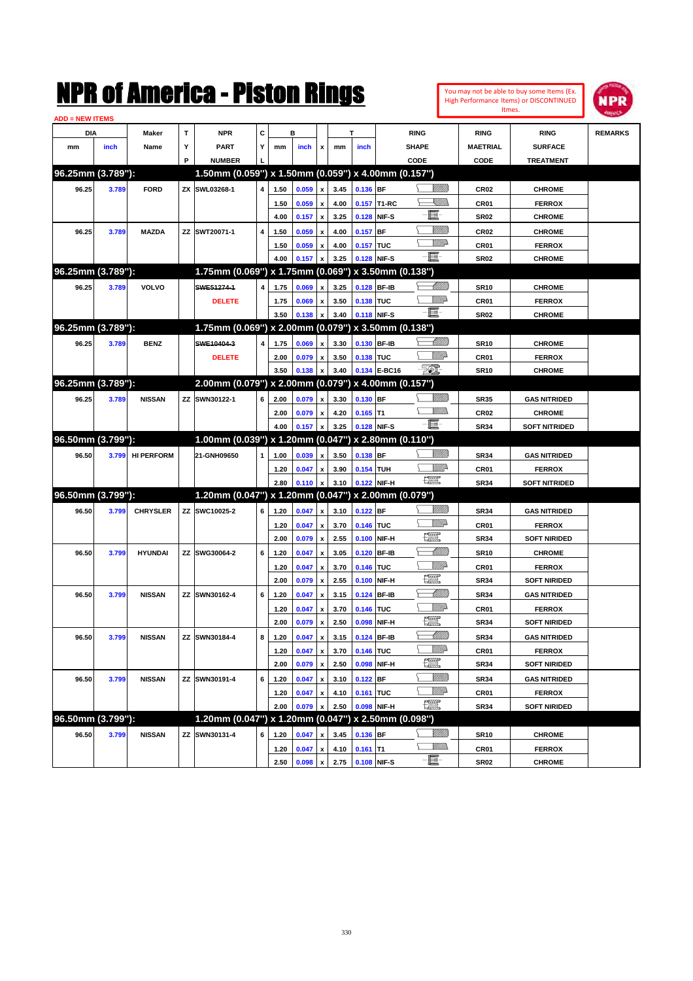

| <b>ADD = NEW ITEMS</b> |       |                   |   |                                                     |                |      |       |                           |      |            |              |                    |                  |                      |                |
|------------------------|-------|-------------------|---|-----------------------------------------------------|----------------|------|-------|---------------------------|------|------------|--------------|--------------------|------------------|----------------------|----------------|
| DIA                    |       | Maker             | T | <b>NPR</b>                                          | C              |      | в     |                           |      | T          |              | <b>RING</b>        | <b>RING</b>      | <b>RING</b>          | <b>REMARKS</b> |
| mm                     | inch  | Name              | Υ | <b>PART</b>                                         | Y              | mm   | inch  | x                         | mm   | inch       |              | <b>SHAPE</b>       | <b>MAETRIAL</b>  | <b>SURFACE</b>       |                |
|                        |       |                   | P | <b>NUMBER</b>                                       |                |      |       |                           |      |            |              | CODE               | CODE             | <b>TREATMENT</b>     |                |
| 96.25mm (3.789"):      |       |                   |   | 1.50mm (0.059") x 1.50mm (0.059") x 4.00mm (0.157") |                |      |       |                           |      |            |              |                    |                  |                      |                |
| 96.25                  | 3.789 | <b>FORD</b>       |   | ZX SWL03268-1                                       | 4              | 1.50 | 0.059 | x                         | 3.45 | 0.136 BF   |              | <u>Sillilli</u>    | <b>CR02</b>      | <b>CHROME</b>        |                |
|                        |       |                   |   |                                                     |                | 1.50 | 0.059 | $\boldsymbol{\mathsf{x}}$ | 4.00 |            | 0.157 T1-RC  | <u>Sillin</u>      | CR01             | <b>FERROX</b>        |                |
|                        |       |                   |   |                                                     |                | 4.00 | 0.157 | $\boldsymbol{\mathsf{x}}$ | 3.25 | 0.128      | NIF-S        | e                  | <b>SR02</b>      | <b>CHROME</b>        |                |
| 96.25                  | 3.789 | <b>MAZDA</b>      |   | ZZ SWT20071-1                                       | 4              | 1.50 | 0.059 | x                         | 4.00 | 0.157      | <b>BF</b>    | <u>Milli</u> k     | <b>CR02</b>      | <b>CHROME</b>        |                |
|                        |       |                   |   |                                                     |                | 1.50 | 0.059 | x                         | 4.00 | 0.157 TUC  |              | <u>VM</u> D        | CR01             | <b>FERROX</b>        |                |
|                        |       |                   |   |                                                     |                | 4.00 | 0.157 | x                         | 3.25 |            | 0.128 NIF-S  | -夏-                | <b>SR02</b>      | <b>CHROME</b>        |                |
| 96.25mm (3.789"):      |       |                   |   | 1.75mm (0.069") x 1.75mm (0.069") x 3.50mm (0.138") |                |      |       |                           |      |            |              |                    |                  |                      |                |
| 96.25                  | 3.789 | VOLVO             |   | SWE51274-1                                          | $\overline{4}$ | 1.75 | 0.069 | x                         | 3.25 |            | 0.128 BF-IB  | Millitt            | <b>SR10</b>      | <b>CHROME</b>        |                |
|                        |       |                   |   | <b>DELETE</b>                                       |                | 1.75 | 0.069 | x                         | 3.50 | 0.138 TUC  |              | <u>Willi</u> a     | CR01             | <b>FERROX</b>        |                |
|                        |       |                   |   |                                                     |                | 3.50 | 0.138 | x                         | 3.40 |            | 0.118 NIF-S  | -8                 | <b>SR02</b>      | <b>CHROME</b>        |                |
| 96.25mm (3.789"):      |       |                   |   | 1.75mm (0.069") x 2.00mm (0.079") x 3.50mm (0.138") |                |      |       |                           |      |            |              |                    |                  |                      |                |
| 96.25                  | 3.789 | <b>BENZ</b>       |   | SWE10404-3                                          | $\overline{4}$ | 1.75 | 0.069 | x                         | 3.30 |            | 0.130 BF-IB  | Millitt            | <b>SR10</b>      | <b>CHROME</b>        |                |
|                        |       |                   |   | <b>DELETE</b>                                       |                | 2.00 | 0.079 | x                         | 3.50 | 0.138 TUC  |              | MMD                | CR01             | <b>FERROX</b>        |                |
|                        |       |                   |   |                                                     |                | 3.50 | 0.138 | x                         | 3.40 |            | 0.134 E-BC16 | -501               | <b>SR10</b>      | <b>CHROME</b>        |                |
| 96.25mm (3.789"):      |       |                   |   | 2.00mm (0.079") x 2.00mm (0.079") x 4.00mm (0.157") |                |      |       |                           |      |            |              |                    |                  |                      |                |
| 96.25                  | 3.789 | <b>NISSAN</b>     |   | ZZ SWN30122-1                                       | 6              | 2.00 | 0.079 | x                         | 3.30 | 0.130 BF   |              | WMW 18             | <b>SR35</b>      | <b>GAS NITRIDED</b>  |                |
|                        |       |                   |   |                                                     |                | 2.00 | 0.079 | x                         | 4.20 | $0.165$ T1 |              | <br>Mar            | <b>CR02</b>      | <b>CHROME</b>        |                |
|                        |       |                   |   |                                                     |                | 4.00 | 0.157 | $\mathbf{x}$              | 3.25 |            | 0.128 NIF-S  | -夏-                | <b>SR34</b>      | <b>SOFT NITRIDED</b> |                |
| 96.50mm (3.799"):      |       |                   |   | 1.00mm (0.039") x 1.20mm (0.047") x 2.80mm (0.110") |                |      |       |                           |      |            |              |                    |                  |                      |                |
| 96.50                  | 3.799 | <b>HI PERFORM</b> |   | 21-GNH09650                                         | $\mathbf{1}$   | 1.00 | 0.039 | x                         | 3.50 | 0.138 BF   |              | <u>Sillilli</u>    | <b>SR34</b>      | <b>GAS NITRIDED</b>  |                |
|                        |       |                   |   |                                                     |                | 1.20 | 0.047 | x                         | 3.90 | 0.154 TUH  |              | ₩₩                 | CR01             | <b>FERROX</b>        |                |
|                        |       |                   |   |                                                     |                | 2.80 | 0.110 | x                         | 3.10 |            | 0.122 NIF-H  | <b>The Control</b> | <b>SR34</b>      | <b>SOFT NITRIDED</b> |                |
| 96.50mm (3.799"):      |       |                   |   | 1.20mm (0.047") x 1.20mm (0.047") x 2.00mm (0.079") |                |      |       |                           |      |            |              |                    |                  |                      |                |
| 96.50                  | 3.799 | <b>CHRYSLER</b>   |   | ZZ SWC10025-2                                       | 6              | 1.20 | 0.047 | x                         | 3.10 | 0.122 BF   |              | <u>Sillilli</u>    | <b>SR34</b>      | <b>GAS NITRIDED</b>  |                |
|                        |       |                   |   |                                                     |                | 1.20 | 0.047 | x                         | 3.70 | 0.146 TUC  |              | MMD                | <b>CR01</b>      | <b>FERROX</b>        |                |
|                        |       |                   |   |                                                     |                | 2.00 | 0.079 | x                         | 2.55 | 0.100      | NIF-H        | $\frac{1}{2}$      | <b>SR34</b>      | <b>SOFT NIRIDED</b>  |                |
| 96.50                  | 3.799 | <b>HYUNDAI</b>    |   | ZZ SWG30064-2                                       | 6              | 1.20 | 0.047 | x                         | 3.05 | 0.120      | <b>BF-IB</b> | Millitt            | <b>SR10</b>      | <b>CHROME</b>        |                |
|                        |       |                   |   |                                                     |                | 1.20 | 0.047 | x                         | 3.70 | 0.146 TUC  |              | MMD                | <b>CR01</b>      | <b>FERROX</b>        |                |
|                        |       |                   |   |                                                     |                | 2.00 | 0.079 | x                         | 2.55 | 0.100      | NIF-H        | $\frac{1}{2}$      | <b>SR34</b>      | <b>SOFT NIRIDED</b>  |                |
| 96.50                  | 3.799 | <b>NISSAN</b>     |   | ZZ SWN30162-4                                       | 6              | 1.20 | 0.047 | x                         | 3.15 | 0.124      | <b>BF-IB</b> | Millitt            | <b>SR34</b>      | <b>GAS NITRIDED</b>  |                |
|                        |       |                   |   |                                                     |                | 1.20 | 0.047 | x                         | 3.70 | 0.146 TUC  |              | <u>WW</u> A        | <b>CR01</b>      | <b>FERROX</b>        |                |
|                        |       |                   |   |                                                     |                | 2.00 | 0.079 | x                         | 2.50 | 0.098      | NIF-H        | $\frac{1}{2}$      | <b>SR34</b>      | <b>SOFT NIRIDED</b>  |                |
| 96.50                  | 3.799 | <b>NISSAN</b>     |   | ZZ SWN30184-4                                       | 8              | 1.20 | 0.047 | x                         | 3.15 |            | 0.124 BF-IB  | !!!!!!!            | <b>SR34</b>      | <b>GAS NITRIDED</b>  |                |
|                        |       |                   |   |                                                     |                | 1.20 | 0.047 | x                         | 3.70 | 0.146 TUC  |              | <u>Willia</u>      | CR01             | <b>FERROX</b>        |                |
|                        |       |                   |   |                                                     |                | 2.00 | 0.079 | $\pmb{\mathsf{x}}$        | 2.50 | 0.098      | NIF-H        | <u>tin</u>         | <b>SR34</b>      | <b>SOFT NIRIDED</b>  |                |
| 96.50                  | 3.799 | <b>NISSAN</b>     |   | ZZ SWN30191-4                                       | 6              | 1.20 | 0.047 | $\pmb{\mathsf{x}}$        | 3.10 | $0.122$ BF |              | <u> UMB</u>        | <b>SR34</b>      | <b>GAS NITRIDED</b>  |                |
|                        |       |                   |   |                                                     |                | 1.20 | 0.047 | x                         | 4.10 | 0.161 TUC  |              | <u>Willia</u>      | CR01             | <b>FERROX</b>        |                |
|                        |       |                   |   |                                                     |                | 2.00 | 0.079 |                           | 2.50 |            | 0.098 NIF-H  | $\frac{1}{2}$      | <b>SR34</b>      | <b>SOFT NIRIDED</b>  |                |
| 96.50mm (3.799"):      |       |                   |   | 1.20mm (0.047") x 1.20mm (0.047") x 2.50mm (0.098") |                |      |       |                           |      |            |              |                    |                  |                      |                |
| 96.50                  | 3.799 | <b>NISSAN</b>     |   | ZZ SWN30131-4                                       | 6              | 1.20 | 0.047 | x                         | 3.45 | $0.136$ BF |              | <u>MMM</u>         | <b>SR10</b>      | <b>CHROME</b>        |                |
|                        |       |                   |   |                                                     |                | 1.20 | 0.047 | x                         | 4.10 | $0.161$ T1 |              | <u>MMs</u>         | CR01             | <b>FERROX</b>        |                |
|                        |       |                   |   |                                                     |                | 2.50 | 0.098 | $\pmb{\mathsf{x}}$        | 2.75 |            | 0.108 NIF-S  | -E                 | SR <sub>02</sub> | <b>CHROME</b>        |                |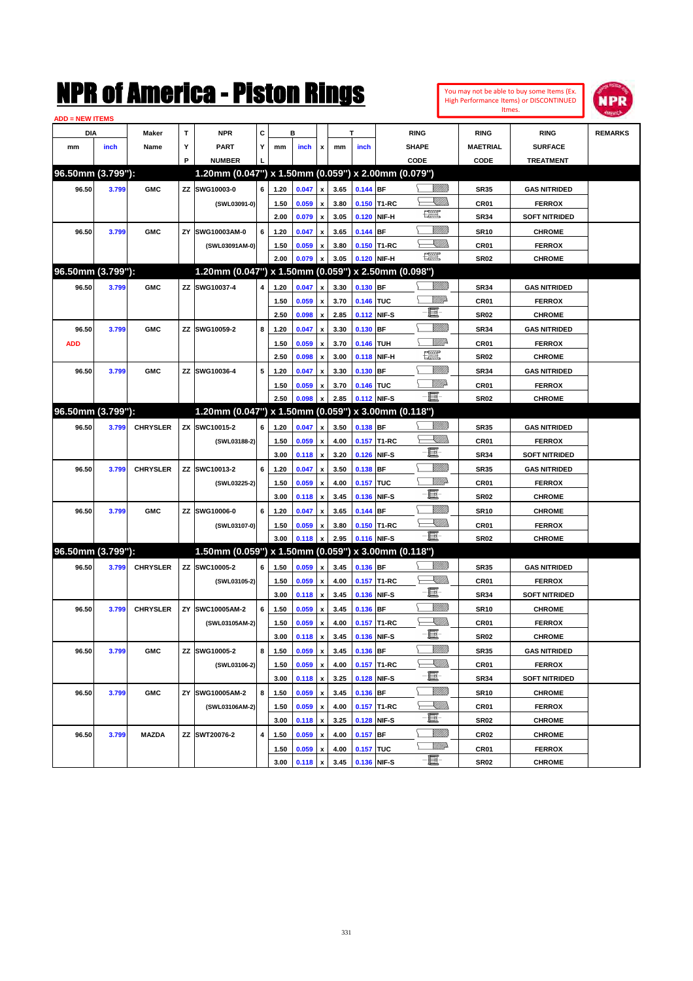| You may not be able to buy some Items (Ex.     |
|------------------------------------------------|
| <b>High Performance Items) or DISCONTINUED</b> |
| Itmes.                                         |



| <b>ADD = NEW ITEMS</b> |       |                 |    |                                                     |   |      |       |                           |      |            |             |                    |                 |                      |                |
|------------------------|-------|-----------------|----|-----------------------------------------------------|---|------|-------|---------------------------|------|------------|-------------|--------------------|-----------------|----------------------|----------------|
| DIA                    |       | <b>Maker</b>    | T  | <b>NPR</b>                                          | С |      | в     |                           |      | т          |             | <b>RING</b>        | <b>RING</b>     | <b>RING</b>          | <b>REMARKS</b> |
| mm                     | inch  | Name            | Υ  | <b>PART</b>                                         | Y | mm   | inch  | x                         | mm   | inch       |             | <b>SHAPE</b>       | <b>MAETRIAL</b> | <b>SURFACE</b>       |                |
|                        |       |                 | P  | <b>NUMBER</b>                                       |   |      |       |                           |      |            |             | CODE               | CODE            | <b>TREATMENT</b>     |                |
| 96.50mm (3.799"):      |       |                 |    | 1.20mm (0.047") x 1.50mm (0.059") x 2.00mm (0.079") |   |      |       |                           |      |            |             |                    |                 |                      |                |
| 96.50                  | 3.799 | <b>GMC</b>      |    | ZZ SWG10003-0                                       | 6 | 1.20 | 0.047 | $\boldsymbol{\mathsf{x}}$ | 3.65 | $0.144$ BF |             | <u>UMB</u>         | <b>SR35</b>     | <b>GAS NITRIDED</b>  |                |
|                        |       |                 |    | (SWL03091-0)                                        |   | 1.50 | 0.059 | x                         | 3.80 |            | 0.150 T1-RC | <u>Sillin</u>      | CR01            | <b>FERROX</b>        |                |
|                        |       |                 |    |                                                     |   | 2.00 | 0.079 | $\boldsymbol{\mathsf{x}}$ | 3.05 | 0.120      | NIF-H       | 鱱                  | <b>SR34</b>     | <b>SOFT NITRIDED</b> |                |
| 96.50                  | 3.799 | <b>GMC</b>      | ZY | SWG10003AM-0                                        | 6 | 1.20 | 0.047 | x                         | 3.65 | 0.144 BF   |             | VIIII)             | <b>SR10</b>     | <b>CHROME</b>        |                |
|                        |       |                 |    | (SWL03091AM-0)                                      |   | 1.50 | 0.059 | x                         | 3.80 |            | 0.150 T1-RC | <u>Sillin</u>      | <b>CR01</b>     | <b>FERROX</b>        |                |
|                        |       |                 |    |                                                     |   | 2.00 | 0.079 | x                         | 3.05 |            | 0.120 NIF-H | <b>The Control</b> | <b>SR02</b>     | <b>CHROME</b>        |                |
| 96.50mm (3.799"):      |       |                 |    | 1.20mm (0.047") x 1.50mm (0.059") x 2.50mm (0.098") |   |      |       |                           |      |            |             |                    |                 |                      |                |
| 96.50                  | 3.799 | <b>GMC</b>      |    | ZZ SWG10037-4                                       | 4 | 1.20 | 0.047 | X                         | 3.30 | 0.130 BF   |             | VIII))             | <b>SR34</b>     | <b>GAS NITRIDED</b>  |                |
|                        |       |                 |    |                                                     |   | 1.50 | 0.059 | $\pmb{\mathsf{x}}$        | 3.70 | 0.146 TUC  |             | <u>MMP</u>         | <b>CR01</b>     | <b>FERROX</b>        |                |
|                        |       |                 |    |                                                     |   | 2.50 | 0.098 | $\boldsymbol{\mathsf{x}}$ | 2.85 |            | 0.112 NIF-S | e.                 | <b>SR02</b>     | <b>CHROME</b>        |                |
| 96.50                  | 3.799 | <b>GMC</b>      |    | ZZ SWG10059-2                                       | 8 | 1.20 | 0.047 | x                         | 3.30 | 0.130 BF   |             | 7777))             | <b>SR34</b>     | <b>GAS NITRIDED</b>  |                |
| <b>ADD</b>             |       |                 |    |                                                     |   | 1.50 | 0.059 | x                         | 3.70 | 0.146 TUH  |             | WMP-               | <b>CR01</b>     | <b>FERROX</b>        |                |
|                        |       |                 |    |                                                     |   | 2.50 | 0.098 | x                         | 3.00 |            | 0.118 NIF-H | $\frac{1}{2}$      | <b>SR02</b>     | <b>CHROME</b>        |                |
| 96.50                  | 3.799 | <b>GMC</b>      |    | ZZ SWG10036-4                                       | 5 | 1.20 | 0.047 | x                         | 3.30 | 0.130 BF   |             | VIII))             | <b>SR34</b>     | <b>GAS NITRIDED</b>  |                |
|                        |       |                 |    |                                                     |   | 1.50 | 0.059 | x                         | 3.70 | 0.146 TUC  |             | <u>MM</u>          | <b>CR01</b>     | <b>FERROX</b>        |                |
|                        |       |                 |    |                                                     |   | 2.50 | 0.098 | X                         | 2.85 |            | 0.112 NIF-S | Ð.                 | <b>SR02</b>     | <b>CHROME</b>        |                |
| 96.50mm (3.799"):      |       |                 |    | 1.20mm (0.047") x 1.50mm (0.059")                   |   |      |       |                           |      |            |             | x 3.00mm (0.118")  |                 |                      |                |
| 96.50                  | 3.799 | <b>CHRYSLER</b> |    | ZX SWC10015-2                                       | 6 | 1.20 | 0.047 | x                         | 3.50 | $0.138$ BF |             | VIII))             | <b>SR35</b>     | <b>GAS NITRIDED</b>  |                |
|                        |       |                 |    | (SWL03188-2)                                        |   | 1.50 | 0.059 | $\pmb{\mathsf{x}}$        | 4.00 |            | 0.157 T1-RC | <u>Sillin</u>      | <b>CR01</b>     | <b>FERROX</b>        |                |
|                        |       |                 |    |                                                     |   | 3.00 | 0.118 | $\boldsymbol{\mathsf{x}}$ | 3.20 |            | 0.126 NIF-S | E                  | <b>SR34</b>     | <b>SOFT NITRIDED</b> |                |
| 96.50                  | 3.799 | <b>CHRYSLER</b> |    | ZZ SWC10013-2                                       | 6 | 1.20 | 0.047 | x                         | 3.50 | 0.138 BF   |             | <u>MMM</u>         | <b>SR35</b>     | <b>GAS NITRIDED</b>  |                |
|                        |       |                 |    | (SWL03225-2)                                        |   | 1.50 | 0.059 | $\pmb{\mathsf{x}}$        | 4.00 | 0.157 TUC  |             | <u>MMP</u>         | <b>CR01</b>     | <b>FERROX</b>        |                |
|                        |       |                 |    |                                                     |   | 3.00 | 0.118 | x                         | 3.45 | 0.136      | NIF-S       | E                  | <b>SR02</b>     | <b>CHROME</b>        |                |
| 96.50                  | 3.799 | <b>GMC</b>      |    | ZZ SWG10006-0                                       | 6 | 1.20 | 0.047 | x                         | 3.65 | 0.144 BF   |             | VIII))             | <b>SR10</b>     | <b>CHROME</b>        |                |
|                        |       |                 |    | (SWL03107-0)                                        |   | 1.50 | 0.059 | x                         | 3.80 |            | 0.150 T1-RC | <u>Sillin</u>      | <b>CR01</b>     | <b>FERROX</b>        |                |
|                        |       |                 |    |                                                     |   | 3.00 | 0.118 | X                         | 2.95 |            | 0.116 NIF-S | -8                 | <b>SR02</b>     | <b>CHROME</b>        |                |
| 96.50mm (3.799"):      |       |                 |    | 1.50mm (0.059") x 1.50mm (0.059") x 3.00mm (0.118") |   |      |       |                           |      |            |             |                    |                 |                      |                |
| 96.50                  | 3.799 | <b>CHRYSLER</b> |    | ZZ SWC10005-2                                       | 6 | 1.50 | 0.059 | $\boldsymbol{\mathsf{x}}$ | 3.45 | 0.136 BF   |             |                    | <b>SR35</b>     | <b>GAS NITRIDED</b>  |                |
|                        |       |                 |    | (SWL03105-2)                                        |   | 1.50 | 0.059 | $\pmb{\mathsf{x}}$        | 4.00 |            | 0.157 T1-RC | <u>XM))</u>        | <b>CR01</b>     | <b>FERROX</b>        |                |
|                        |       |                 |    |                                                     |   | 3.00 | 0.118 | $\boldsymbol{\mathsf{x}}$ | 3.45 |            | 0.136 NIF-S | - 8                | <b>SR34</b>     | <b>SOFT NITRIDED</b> |                |
| 96.50                  | 3.799 | <b>CHRYSLER</b> | ZY | SWC10005AM-2                                        | 6 | 1.50 | 0.059 | x                         | 3.45 | 0.136 BF   |             | VIII))             | <b>SR10</b>     | <b>CHROME</b>        |                |
|                        |       |                 |    | (SWL03105AM-2)                                      |   | 1.50 | 0.059 | $\pmb{\mathsf{x}}$        | 4.00 |            | 0.157 T1-RC | <u>Sillin</u>      | CR01            | <b>FERROX</b>        |                |
|                        |       |                 |    |                                                     |   | 3.00 | 0.118 | $\pmb{\mathsf{x}}$        | 3.45 |            | 0.136 NIF-S | - 8                | SR02            | <b>CHROME</b>        |                |
| 96.50                  | 3.799 | <b>GMC</b>      |    | ZZ SWG10005-2                                       | 8 | 1.50 | 0.059 | $\boldsymbol{\mathsf{x}}$ | 3.45 | $0.136$ BF |             | VIII))             | <b>SR35</b>     | <b>GAS NITRIDED</b>  |                |
|                        |       |                 |    | (SWL03106-2)                                        |   | 1.50 | 0.059 | $\boldsymbol{\mathsf{x}}$ | 4.00 |            | 0.157 T1-RC | <u>IMMs</u>        | CR01            | <b>FERROX</b>        |                |
|                        |       |                 |    |                                                     |   | 3.00 | 0.118 | $\boldsymbol{\mathsf{x}}$ | 3.25 |            | 0.128 NIF-S | e.                 | <b>SR34</b>     | <b>SOFT NITRIDED</b> |                |
| 96.50                  | 3.799 | <b>GMC</b>      |    | ZY SWG10005AM-2                                     | 8 | 1.50 | 0.059 | $\pmb{\mathsf{x}}$        | 3.45 | $0.136$ BF |             | VIII))             | <b>SR10</b>     | <b>CHROME</b>        |                |
|                        |       |                 |    | (SWL03106AM-2)                                      |   | 1.50 | 0.059 | $\pmb{\mathsf{x}}$        | 4.00 |            | 0.157 T1-RC | <u>IMMs</u>        | CR01            | <b>FERROX</b>        |                |
|                        |       |                 |    |                                                     |   | 3.00 | 0.118 | $\pmb{\mathsf{x}}$        | 3.25 |            | 0.128 NIF-S | e                  | SR02            | <b>CHROME</b>        |                |
| 96.50                  | 3.799 | <b>MAZDA</b>    |    | ZZ SWT20076-2                                       | 4 | 1.50 | 0.059 | $\boldsymbol{\mathsf{x}}$ | 4.00 | $0.157$ BF |             | <u>Milli</u>       | CR02            | <b>CHROME</b>        |                |
|                        |       |                 |    |                                                     |   | 1.50 | 0.059 | $\pmb{\mathsf{x}}$        | 4.00 | 0.157 TUC  |             | <u>WW</u> A        | CR01            | <b>FERROX</b>        |                |
|                        |       |                 |    |                                                     |   | 3.00 | 0.118 | x                         | 3.45 |            | 0.136 NIF-S | E                  | SR02            | <b>CHROME</b>        |                |
|                        |       |                 |    |                                                     |   |      |       |                           |      |            |             |                    |                 |                      |                |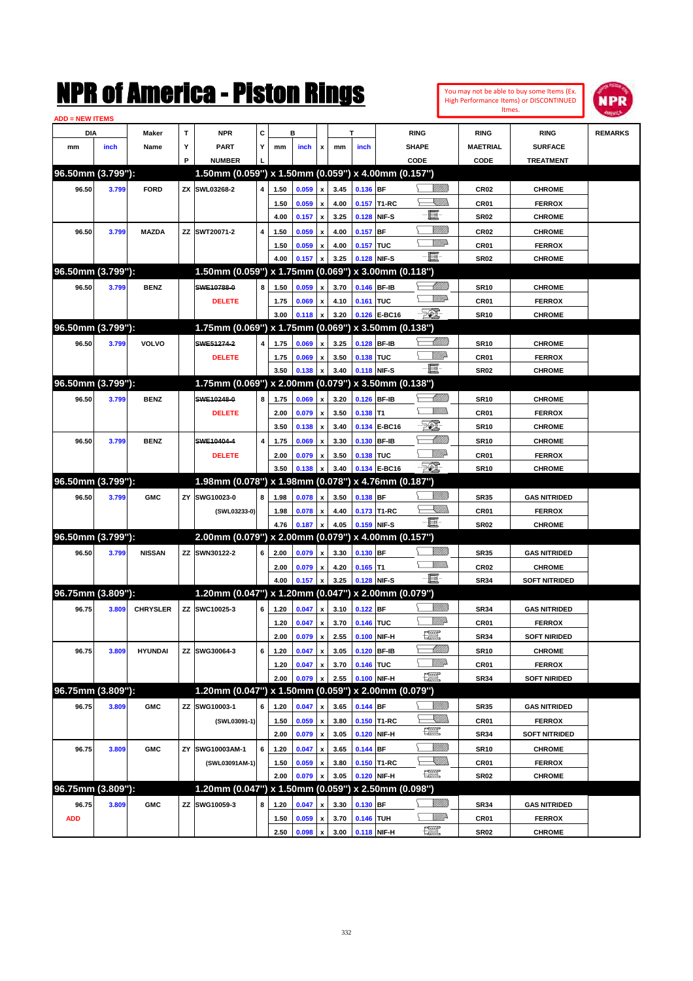| You may not be able to buy some Items (Ex. |
|--------------------------------------------|
| High Performance Items) or DISCONTINUED    |
| Itmes.                                     |



| <b>ADD = NEW ITEMS</b> |       |                 |   |                                                     |                         |      |       |                           |      |             |              |                                                                                                                                                                                                                                                                                                                                                                                                                          |                 |                      |                |
|------------------------|-------|-----------------|---|-----------------------------------------------------|-------------------------|------|-------|---------------------------|------|-------------|--------------|--------------------------------------------------------------------------------------------------------------------------------------------------------------------------------------------------------------------------------------------------------------------------------------------------------------------------------------------------------------------------------------------------------------------------|-----------------|----------------------|----------------|
| DIA                    |       | Maker           | T | <b>NPR</b>                                          | C                       |      | в     |                           |      | T           |              | <b>RING</b>                                                                                                                                                                                                                                                                                                                                                                                                              | <b>RING</b>     | <b>RING</b>          | <b>REMARKS</b> |
| mm                     | inch  | Name            | Υ | <b>PART</b>                                         | Y                       | mm   | inch  | x                         | mm   | inch        |              | <b>SHAPE</b>                                                                                                                                                                                                                                                                                                                                                                                                             | <b>MAETRIAL</b> | <b>SURFACE</b>       |                |
|                        |       |                 | P | <b>NUMBER</b>                                       |                         |      |       |                           |      |             |              | CODE                                                                                                                                                                                                                                                                                                                                                                                                                     | CODE            | <b>TREATMENT</b>     |                |
| 96.50mm (3.799"):      |       |                 |   | 1.50mm (0.059") x 1.50mm (0.059") x 4.00mm (0.157") |                         |      |       |                           |      |             |              |                                                                                                                                                                                                                                                                                                                                                                                                                          |                 |                      |                |
| 96.50                  | 3.799 | <b>FORD</b>     |   | ZX SWL03268-2                                       | $\overline{4}$          | 1.50 | 0.059 | $\pmb{\mathsf{x}}$        | 3.45 | 0.136 BF    |              | WMW 18                                                                                                                                                                                                                                                                                                                                                                                                                   | <b>CR02</b>     | <b>CHROME</b>        |                |
|                        |       |                 |   |                                                     |                         | 1.50 | 0.059 | x                         | 4.00 |             | 0.157 T1-RC  | <u> Millibr</u>                                                                                                                                                                                                                                                                                                                                                                                                          | CR01            | <b>FERROX</b>        |                |
|                        |       |                 |   |                                                     |                         | 4.00 | 0.157 | x                         | 3.25 | 0.128       | NIF-S        | E                                                                                                                                                                                                                                                                                                                                                                                                                        | <b>SR02</b>     | <b>CHROME</b>        |                |
| 96.50                  | 3.799 | <b>MAZDA</b>    |   | ZZ SWT20071-2                                       | $\overline{\mathbf{4}}$ | 1.50 | 0.059 | x                         | 4.00 | 0.157       | <b>BF</b>    | VIIIIda                                                                                                                                                                                                                                                                                                                                                                                                                  | <b>CR02</b>     | <b>CHROME</b>        |                |
|                        |       |                 |   |                                                     |                         | 1.50 | 0.059 | x                         | 4.00 | 0.157       | <b>TUC</b>   | <u>MWA</u>                                                                                                                                                                                                                                                                                                                                                                                                               | CR01            | <b>FERROX</b>        |                |
|                        |       |                 |   |                                                     |                         | 4.00 | 0.157 |                           | 3.25 | 0.128 NIF-S |              | - 1                                                                                                                                                                                                                                                                                                                                                                                                                      | <b>SR02</b>     | <b>CHROME</b>        |                |
| 96.50mm (3.799"):      |       |                 |   | 1.50mm (0.059") x 1.75mm (0.069") x 3.00mm (0.118") |                         |      |       |                           |      |             |              |                                                                                                                                                                                                                                                                                                                                                                                                                          |                 |                      |                |
| 96.50                  | 3.799 | <b>BENZ</b>     |   | SWE10788-0                                          | 8                       | 1.50 | 0.059 | x                         | 3.70 | 0.146 BF-IB |              | <u> UMB</u>                                                                                                                                                                                                                                                                                                                                                                                                              | <b>SR10</b>     | <b>CHROME</b>        |                |
|                        |       |                 |   | <b>DELETE</b>                                       |                         | 1.75 | 0.069 |                           | 4.10 | 0.161 TUC   |              | <u>WW</u>                                                                                                                                                                                                                                                                                                                                                                                                                | CR01            | <b>FERROX</b>        |                |
|                        |       |                 |   |                                                     |                         | 3.00 | 0.118 | x<br>X                    | 3.20 |             | 0.126 E-BC16 | - 501                                                                                                                                                                                                                                                                                                                                                                                                                    | <b>SR10</b>     | <b>CHROME</b>        |                |
| 96.50mm (3.799"):      |       |                 |   | 1.75mm (0.069") x 1.75mm (0.069") x 3.50mm (0.138") |                         |      |       |                           |      |             |              |                                                                                                                                                                                                                                                                                                                                                                                                                          |                 |                      |                |
|                        |       | <b>VOLVO</b>    |   | SWE51274-2                                          | $\overline{4}$          |      |       |                           |      |             |              | <u> UMB</u>                                                                                                                                                                                                                                                                                                                                                                                                              |                 |                      |                |
| 96.50                  | 3.799 |                 |   |                                                     |                         | 1.75 | 0.069 | x                         | 3.25 | 0.128 BF-IB |              | <u>Willia</u>                                                                                                                                                                                                                                                                                                                                                                                                            | <b>SR10</b>     | <b>CHROME</b>        |                |
|                        |       |                 |   | <b>DELETE</b>                                       |                         | 1.75 | 0.069 | x                         | 3.50 | 0.138 TUC   |              | Ð.                                                                                                                                                                                                                                                                                                                                                                                                                       | <b>CR01</b>     | <b>FERROX</b>        |                |
| 96.50mm (3.799"):      |       |                 |   | 1.75mm (0.069") x 2.00mm (0.079") x 3.50mm (0.138") |                         | 3.50 | 0.138 |                           | 3.40 | 0.118 NIF-S |              |                                                                                                                                                                                                                                                                                                                                                                                                                          | <b>SR02</b>     | <b>CHROME</b>        |                |
|                        |       |                 |   |                                                     |                         |      |       |                           |      |             |              |                                                                                                                                                                                                                                                                                                                                                                                                                          |                 |                      |                |
| 96.50                  | 3.799 | <b>BENZ</b>     |   | SWE10248-0                                          | 8                       | 1.75 | 0.069 | $\boldsymbol{\mathsf{x}}$ | 3.20 | 0.126 BF-IB |              | <u> UMB</u><br>7777).                                                                                                                                                                                                                                                                                                                                                                                                    | <b>SR10</b>     | <b>CHROME</b>        |                |
|                        |       |                 |   | <b>DELETE</b>                                       |                         | 2.00 | 0.079 | x                         | 3.50 | $0.138$ T1  |              | EQ)                                                                                                                                                                                                                                                                                                                                                                                                                      | CR01            | <b>FERROX</b>        |                |
|                        |       |                 |   |                                                     |                         | 3.50 | 0.138 | x                         | 3.40 |             | 0.134 E-BC16 |                                                                                                                                                                                                                                                                                                                                                                                                                          | <b>SR10</b>     | <b>CHROME</b>        |                |
| 96.50                  | 3.799 | <b>BENZ</b>     |   | SWE10404-4                                          | $\overline{\mathbf{4}}$ | 1.75 | 0.069 | x                         | 3.30 | 0.130 BF-IB |              | <u>UMM</u>                                                                                                                                                                                                                                                                                                                                                                                                               | <b>SR10</b>     | <b>CHROME</b>        |                |
|                        |       |                 |   | <b>DELETE</b>                                       |                         | 2.00 | 0.079 | x                         | 3.50 | 0.138 TUC   |              | <u>WW</u> A                                                                                                                                                                                                                                                                                                                                                                                                              | <b>CR01</b>     | <b>FERROX</b>        |                |
|                        |       |                 |   |                                                     |                         | 3.50 | 0.138 |                           | 3.40 |             | 0.134 E-BC16 | P                                                                                                                                                                                                                                                                                                                                                                                                                        | <b>SR10</b>     | <b>CHROME</b>        |                |
| 96.50mm (3.799"):      |       |                 |   | 1.98mm (0.078") x 1.98mm (0.078") x 4.76mm (0.187") |                         |      |       |                           |      |             |              |                                                                                                                                                                                                                                                                                                                                                                                                                          |                 |                      |                |
| 96.50                  | 3.799 | <b>GMC</b>      |   | ZY SWG10023-0                                       | 8                       | 1.98 | 0.078 | $\pmb{\mathsf{x}}$        | 3.50 | $0.138$ BF  |              | <u>Willia</u>                                                                                                                                                                                                                                                                                                                                                                                                            | <b>SR35</b>     | <b>GAS NITRIDED</b>  |                |
|                        |       |                 |   | (SWL03233-0)                                        |                         | 1.98 | 0.078 | x                         | 4.40 |             | 0.173 T1-RC  | <u>UMB</u>                                                                                                                                                                                                                                                                                                                                                                                                               | <b>CR01</b>     | <b>FERROX</b>        |                |
|                        |       |                 |   |                                                     |                         | 4.76 | 0.187 | X                         | 4.05 | 0.159 NIF-S |              | Ð.                                                                                                                                                                                                                                                                                                                                                                                                                       | <b>SR02</b>     | <b>CHROME</b>        |                |
| 96.50mm (3.799"):      |       |                 |   | 2.00mm (0.079") x 2.00mm (0.079") x 4.00mm (0.157") |                         |      |       |                           |      |             |              |                                                                                                                                                                                                                                                                                                                                                                                                                          |                 |                      |                |
| 96.50                  | 3.799 | <b>NISSAN</b>   |   | ZZ SWN30122-2                                       | 6                       | 2.00 | 0.079 | $\pmb{\mathsf{x}}$        | 3.30 | 0.130 BF    |              | <u>Willia</u>                                                                                                                                                                                                                                                                                                                                                                                                            | <b>SR35</b>     | <b>GAS NITRIDED</b>  |                |
|                        |       |                 |   |                                                     |                         | 2.00 | 0.079 | x                         | 4.20 | $0.165$ T1  |              | <u>Millis</u>                                                                                                                                                                                                                                                                                                                                                                                                            | <b>CR02</b>     | <b>CHROME</b>        |                |
|                        |       |                 |   |                                                     |                         | 4.00 | 0.157 | X                         | 3.25 |             | 0.128 NIF-S  | -日-                                                                                                                                                                                                                                                                                                                                                                                                                      | <b>SR34</b>     | <b>SOFT NITRIDED</b> |                |
| 96.75mm (3.809"):      |       |                 |   | 1.20mm (0.047") x 1.20mm (0.047") x 2.00mm (0.079") |                         |      |       |                           |      |             |              |                                                                                                                                                                                                                                                                                                                                                                                                                          |                 |                      |                |
| 96.75                  | 3.809 | <b>CHRYSLER</b> |   | ZZ SWC10025-3                                       | 6                       | 1.20 | 0.047 | $\pmb{\mathsf{x}}$        | 3.10 | $0.122$ BF  |              | WMW 18                                                                                                                                                                                                                                                                                                                                                                                                                   | <b>SR34</b>     | <b>GAS NITRIDED</b>  |                |
|                        |       |                 |   |                                                     |                         | 1.20 | 0.047 | x                         | 3.70 | 0.146 TUC   |              | <u>WW</u> A                                                                                                                                                                                                                                                                                                                                                                                                              | CR01            | <b>FERROX</b>        |                |
|                        |       |                 |   |                                                     |                         | 2.00 | 0.079 | $\pmb{\mathsf{x}}$        | 2.55 | 0.100 NIF-H |              | 矘                                                                                                                                                                                                                                                                                                                                                                                                                        | <b>SR34</b>     | <b>SOFT NIRIDED</b>  |                |
| 96.75                  | 3.809 | <b>HYUNDAI</b>  |   | ZZ SWG30064-3                                       | 6                       | 1.20 | 0.047 | $\pmb{\mathsf{x}}$        | 3.05 | 0.120 BF-IB |              | <u> UMM</u>                                                                                                                                                                                                                                                                                                                                                                                                              | <b>SR10</b>     | <b>CHROME</b>        |                |
|                        |       |                 |   |                                                     |                         | 1.20 | 0.047 | x                         | 3.70 | 0.146 TUC   |              | <u>Willia</u>                                                                                                                                                                                                                                                                                                                                                                                                            | CR01            | <b>FERROX</b>        |                |
|                        |       |                 |   |                                                     |                         | 2.00 | 0.079 | x                         | 2.55 |             | 0.100 NIF-H  | $\frac{1}{2}$                                                                                                                                                                                                                                                                                                                                                                                                            | <b>SR34</b>     | <b>SOFT NIRIDED</b>  |                |
| 96.75mm (3.809"):      |       |                 |   | 1.20mm (0.047") x 1.50mm (0.059") x 2.00mm (0.079") |                         |      |       |                           |      |             |              |                                                                                                                                                                                                                                                                                                                                                                                                                          |                 |                      |                |
| 96.75                  | 3.809 | <b>GMC</b>      |   | ZZ SWG10003-1                                       | 6                       | 1.20 | 0.047 | x                         | 3.65 | 0.144 BF    |              | <u>MMS</u>                                                                                                                                                                                                                                                                                                                                                                                                               | <b>SR35</b>     | <b>GAS NITRIDED</b>  |                |
|                        |       |                 |   | (SWL03091-1)                                        |                         | 1.50 | 0.059 | $\pmb{\mathsf{x}}$        | 3.80 |             | 0.150 T1-RC  | <u>UMB</u>                                                                                                                                                                                                                                                                                                                                                                                                               | CR01            | <b>FERROX</b>        |                |
|                        |       |                 |   |                                                     |                         | 2.00 | 0.079 | $\pmb{\mathsf{x}}$        | 3.05 |             | 0.120 NIF-H  | $\frac{1}{2}$                                                                                                                                                                                                                                                                                                                                                                                                            | <b>SR34</b>     | <b>SOFT NITRIDED</b> |                |
| 96.75                  | 3.809 | <b>GMC</b>      |   | ZY SWG10003AM-1                                     | 6                       | 1.20 | 0.047 | $\pmb{\mathsf{x}}$        | 3.65 | 0.144 BF    |              | <u>MMS</u>                                                                                                                                                                                                                                                                                                                                                                                                               | <b>SR10</b>     | <b>CHROME</b>        |                |
|                        |       |                 |   | (SWL03091AM-1)                                      |                         | 1.50 | 0.059 | x                         | 3.80 |             | 0.150 T1-RC  | <u>- Millida</u>                                                                                                                                                                                                                                                                                                                                                                                                         | CR01            | <b>FERROX</b>        |                |
|                        |       |                 |   |                                                     |                         | 2.00 | 0.079 | x                         | 3.05 |             | 0.120 NIF-H  | $\frac{1}{2}$                                                                                                                                                                                                                                                                                                                                                                                                            | <b>SR02</b>     | <b>CHROME</b>        |                |
| 96.75mm (3.809"):      |       |                 |   | 1.20mm (0.047") x 1.50mm (0.059")                   |                         |      |       |                           |      |             |              | x 2.50mm (0.098")                                                                                                                                                                                                                                                                                                                                                                                                        |                 |                      |                |
| 96.75                  | 3.809 | <b>GMC</b>      |   | ZZ SWG10059-3                                       | 8                       | 1.20 | 0.047 | x                         | 3.30 | 0.130 BF    |              | <u>MMS</u>                                                                                                                                                                                                                                                                                                                                                                                                               | <b>SR34</b>     | <b>GAS NITRIDED</b>  |                |
| <b>ADD</b>             |       |                 |   |                                                     |                         | 1.50 | 0.059 | x                         | 3.70 | 0.146 TUH   |              | ₩₩                                                                                                                                                                                                                                                                                                                                                                                                                       | CR01            | <b>FERROX</b>        |                |
|                        |       |                 |   |                                                     |                         | 2.50 | 0.098 | $\pmb{\mathsf{x}}$        | 3.00 | 0.118 NIF-H |              | $\begin{picture}(20,20) \put(0,0){\dashbox{0.5}(20,0){ }} \thicklines \put(0,0){\dashbox{0.5}(20,0){ }} \thicklines \put(0,0){\dashbox{0.5}(20,0){ }} \thicklines \put(0,0){\dashbox{0.5}(20,0){ }} \thicklines \put(0,0){\dashbox{0.5}(20,0){ }} \thicklines \put(0,0){\dashbox{0.5}(20,0){ }} \thicklines \put(0,0){\dashbox{0.5}(20,0){ }} \thicklines \put(0,0){\dashbox{0.5}(20,0){ }} \thicklines \put(0,0){\dash$ | <b>SR02</b>     | <b>CHROME</b>        |                |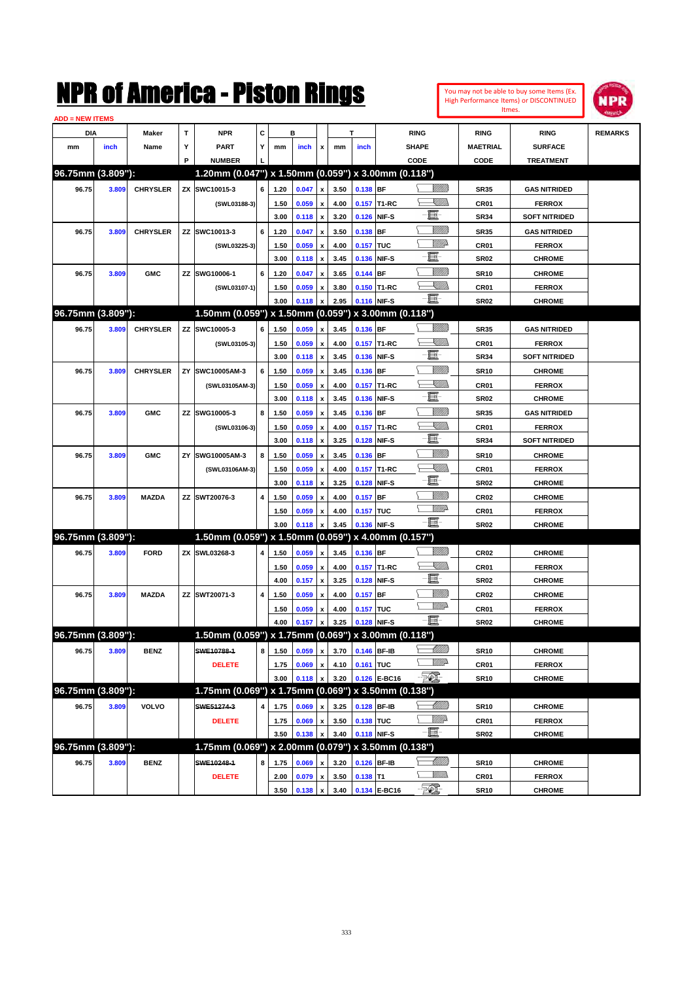| You may not be able to buy some Items (Ex. |
|--------------------------------------------|
| High Performance Items) or DISCONTINUED    |
| Itmes.                                     |



| <b>ADD = NEW ITEMS</b> |       |                 |    |                                                     |   |      |       |                           |      |             |              |                 |                  |                      |                |
|------------------------|-------|-----------------|----|-----------------------------------------------------|---|------|-------|---------------------------|------|-------------|--------------|-----------------|------------------|----------------------|----------------|
| <b>DIA</b>             |       | Maker           | т  | <b>NPR</b>                                          | С |      | в     |                           |      | T           |              | <b>RING</b>     | <b>RING</b>      | <b>RING</b>          | <b>REMARKS</b> |
| mm                     | inch  | Name            | Υ  | <b>PART</b>                                         | Y | mm   | inch  | x                         | mm   | inch        |              | <b>SHAPE</b>    | <b>MAETRIAL</b>  | <b>SURFACE</b>       |                |
|                        |       |                 | P  | <b>NUMBER</b>                                       |   |      |       |                           |      |             |              | CODE            | CODE             | <b>TREATMENT</b>     |                |
| 96.75mm (3.809"):      |       |                 |    | 1.20mm (0.047") x 1.50mm (0.059") x 3.00mm (0.118") |   |      |       |                           |      |             |              |                 |                  |                      |                |
| 96.75                  | 3.809 | <b>CHRYSLER</b> |    | ZX SWC10015-3                                       | 6 | 1.20 | 0.047 | $\pmb{\mathsf{x}}$        | 3.50 | 0.138 BF    |              | <u>Sillilli</u> | <b>SR35</b>      | <b>GAS NITRIDED</b>  |                |
|                        |       |                 |    | (SWL03188-3)                                        |   | 1.50 | 0.059 | x                         | 4.00 |             | 0.157 T1-RC  | <u>VIII)</u>    | <b>CR01</b>      | <b>FERROX</b>        |                |
|                        |       |                 |    |                                                     |   | 3.00 | 0.118 | $\pmb{\mathsf{x}}$        | 3.20 | 0.126       | NIF-S        | E               | <b>SR34</b>      | <b>SOFT NITRIDED</b> |                |
| 96.75                  | 3.809 | <b>CHRYSLER</b> | ZZ | SWC10013-3                                          | 6 | 1.20 | 0.047 | x                         | 3.50 | 0.138       | <b>BF</b>    | <u>Milli</u> k  | <b>SR35</b>      | <b>GAS NITRIDED</b>  |                |
|                        |       |                 |    | (SWL03225-3)                                        |   | 1.50 | 0.059 | x                         | 4.00 | 0.157 TUC   |              | <u>MM</u> D     | CR01             | <b>FERROX</b>        |                |
|                        |       |                 |    |                                                     |   | 3.00 | 0.118 | $\pmb{\mathsf{x}}$        | 3.45 | 0.136       | NIF-S        | e.              | <b>SR02</b>      | <b>CHROME</b>        |                |
| 96.75                  | 3.809 | <b>GMC</b>      | ZZ | SWG10006-1                                          | 6 | 1.20 | 0.047 | x                         | 3.65 | 0.144       | <b>BF</b>    | <u>Milli</u> k  | <b>SR10</b>      | <b>CHROME</b>        |                |
|                        |       |                 |    | (SWL03107-1)                                        |   | 1.50 | 0.059 | x                         | 3.80 |             | 0.150 T1-RC  | <u>XIII)</u>    | CR01             | <b>FERROX</b>        |                |
|                        |       |                 |    |                                                     |   | 3.00 | 0.118 | $\pmb{\mathsf{x}}$        | 2.95 | 0.116 NIF-S |              | -8              | <b>SR02</b>      | <b>CHROME</b>        |                |
| 96.75mm (3.809"):      |       |                 |    | 1.50mm (0.059") x 1.50mm (0.059") x 3.00mm (0.118") |   |      |       |                           |      |             |              |                 |                  |                      |                |
| 96.75                  | 3.809 | <b>CHRYSLER</b> | ΖZ | SWC10005-3                                          | 6 | 1.50 | 0.059 | $\pmb{\mathsf{x}}$        | 3.45 | 0.136 BF    |              | WMM)            | <b>SR35</b>      | <b>GAS NITRIDED</b>  |                |
|                        |       |                 |    | (SWL03105-3)                                        |   | 1.50 | 0.059 | x                         | 4.00 |             | 0.157 T1-RC  | <u> Millida</u> | CR01             | <b>FERROX</b>        |                |
|                        |       |                 |    |                                                     |   | 3.00 | 0.118 | $\pmb{\mathsf{x}}$        | 3.45 | 0.136       | NIF-S        | -E              | <b>SR34</b>      | <b>SOFT NITRIDED</b> |                |
| 96.75                  | 3.809 | <b>CHRYSLER</b> | ΖY | SWC10005AM-3                                        | 6 | 1.50 | 0.059 | x                         | 3.45 | 0.136       | <b>BF</b>    | VIIII)          | <b>SR10</b>      | <b>CHROME</b>        |                |
|                        |       |                 |    | (SWL03105AM-3)                                      |   | 1.50 | 0.059 | x                         | 4.00 |             | 0.157 T1-RC  | <u> Millida</u> | CR01             | <b>FERROX</b>        |                |
|                        |       |                 |    |                                                     |   | 3.00 | 0.118 | $\pmb{\mathsf{x}}$        | 3.45 | 0.136       | NIF-S        | -e              | <b>SR02</b>      | <b>CHROME</b>        |                |
| 96.75                  | 3.809 | <b>GMC</b>      | ΖZ | SWG10005-3                                          | 8 | 1.50 | 0.059 | x                         | 3.45 | 0.136       | <b>BF</b>    | VIIII)          | <b>SR35</b>      | <b>GAS NITRIDED</b>  |                |
|                        |       |                 |    | (SWL03106-3)                                        |   | 1.50 | 0.059 | х                         | 4.00 |             | 0.157 T1-RC  | <u> ZMA</u>     | CR01             | <b>FERROX</b>        |                |
|                        |       |                 |    |                                                     |   | 3.00 | 0.118 | $\pmb{\mathsf{x}}$        | 3.25 | 0.128       | NIF-S        | -8              | <b>SR34</b>      | <b>SOFT NITRIDED</b> |                |
| 96.75                  | 3.809 | <b>GMC</b>      | ΖY | SWG10005AM-3                                        | 8 | 1.50 | 0.059 | x                         | 3.45 | 0.136       | <b>BF</b>    | VIIII)          | <b>SR10</b>      | <b>CHROME</b>        |                |
|                        |       |                 |    | (SWL03106AM-3)                                      |   | 1.50 | 0.059 | х                         | 4.00 |             | 0.157 T1-RC  | <u>VIII)</u>    | CR01             | <b>FERROX</b>        |                |
|                        |       |                 |    |                                                     |   | 3.00 | 0.118 | $\boldsymbol{\mathsf{x}}$ | 3.25 | 0.128       | NIF-S        | -8              | <b>SR02</b>      | <b>CHROME</b>        |                |
| 96.75                  | 3.809 | <b>MAZDA</b>    | ΖZ | SWT20076-3                                          | 4 | 1.50 | 0.059 | x                         | 4.00 | 0.157       | <b>BF</b>    | VIIII)          | <b>CR02</b>      | <b>CHROME</b>        |                |
|                        |       |                 |    |                                                     |   | 1.50 | 0.059 | x                         | 4.00 | 0.157 TUC   |              | <u>WW</u>       | CR01             | <b>FERROX</b>        |                |
|                        |       |                 |    |                                                     |   | 3.00 | 0.118 | $\boldsymbol{\mathsf{x}}$ | 3.45 | 0.136       | NIF-S        | $-\Xi$ -        | SR <sub>02</sub> | <b>CHROME</b>        |                |
| 96.75mm (3.809"):      |       |                 |    | 1.50mm (0.059") x 1.50mm (0.059") x 4.00mm (0.157") |   |      |       |                           |      |             |              |                 |                  |                      |                |
| 96.75                  | 3.809 | <b>FORD</b>     |    | ZX SWL03268-3                                       | 4 | 1.50 | 0.059 | $\pmb{\mathsf{x}}$        | 3.45 | 0.136 BF    |              | <br>Willia      | <b>CR02</b>      | <b>CHROME</b>        |                |
|                        |       |                 |    |                                                     |   | 1.50 | 0.059 | x                         | 4.00 |             | 0.157 T1-RC  | <u>Killin</u>   | CR01             | <b>FERROX</b>        |                |
|                        |       |                 |    |                                                     |   | 4.00 | 0.157 | $\pmb{\mathsf{x}}$        | 3.25 | 0.128       | NIF-S        | E-              | SR <sub>02</sub> | <b>CHROME</b>        |                |
| 96.75                  | 3.809 | <b>MAZDA</b>    |    | ZZ SWT20071-3                                       | 4 | 1.50 | 0.059 | x                         | 4.00 | 0.157       | <b>BF</b>    | <u>Milli</u> k  | <b>CR02</b>      | <b>CHROME</b>        |                |
|                        |       |                 |    |                                                     |   | 1.50 | 0.059 | х                         | 4.00 | 0.157 TUC   |              | <u>WW</u>       | CR01             | <b>FERROX</b>        |                |
|                        |       |                 |    |                                                     |   | 4.00 | 0.157 | $\pmb{\mathsf{x}}$        | 3.25 | 0.128       | NIF-S        | $-\Xi^{-}$      | <b>SR02</b>      | <b>CHROME</b>        |                |
| 96.75mm (3.809"):      |       |                 |    | 1.50mm (0.059") x 1.75mm (0.069") x 3.00mm (0.118") |   |      |       |                           |      |             |              |                 |                  |                      |                |
| 96.75                  | 3.809 | <b>BENZ</b>     |    | SWE10788-1                                          | 8 | 1.50 | 0.059 | $\pmb{\mathsf{x}}$        | 3.70 | 0.146 BF-IB |              | <u> UMM</u>     | <b>SR10</b>      | <b>CHROME</b>        |                |
|                        |       |                 |    | <b>DELETE</b>                                       |   | 1.75 | 0.069 | $\pmb{\mathsf{x}}$        | 4.10 | 0.161 TUC   |              | <u>MM</u> D     | CR01             | <b>FERROX</b>        |                |
|                        |       |                 |    |                                                     |   | 3.00 | 0.118 | $\pmb{\mathsf{x}}$        | 3.20 |             | 0.126 E-BC16 | - TO .          | <b>SR10</b>      | <b>CHROME</b>        |                |
| 96.75mm (3.809"):      |       |                 |    | 1.75mm (0.069") x 1.75mm (0.069") x 3.50mm (0.138") |   |      |       |                           |      |             |              |                 |                  |                      |                |
| 96.75                  | 3.809 | <b>VOLVO</b>    |    | SWE51274-3                                          | 4 | 1.75 | 0.069 | $\pmb{\mathsf{x}}$        | 3.25 | 0.128 BF-IB |              | <u> MMM</u>     | <b>SR10</b>      | <b>CHROME</b>        |                |
|                        |       |                 |    | <b>DELETE</b>                                       |   | 1.75 | 0.069 | $\pmb{\mathsf{x}}$        | 3.50 | 0.138 TUC   |              | <u>Willi</u> da | CR01             | <b>FERROX</b>        |                |
|                        |       |                 |    |                                                     |   | 3.50 | 0.138 | $\boldsymbol{\mathsf{x}}$ | 3.40 | 0.118 NIF-S |              | $-\Xi$          | <b>SR02</b>      | <b>CHROME</b>        |                |
| 96.75mm (3.809"):      |       |                 |    | 1.75mm (0.069") x 2.00mm (0.079") x 3.50mm (0.138") |   |      |       |                           |      |             |              |                 |                  |                      |                |
| 96.75                  | 3.809 | <b>BENZ</b>     |    | SWE10248-1                                          | 8 | 1.75 | 0.069 | $\pmb{\mathsf{x}}$        | 3.20 | 0.126 BF-IB |              | <u> Millib</u>  | <b>SR10</b>      | <b>CHROME</b>        |                |
|                        |       |                 |    | <b>DELETE</b>                                       |   | 2.00 | 0.079 | $\pmb{\mathsf{x}}$        | 3.50 | $0.138$ T1  |              | <u>MMs</u>      | CR01             | <b>FERROX</b>        |                |
|                        |       |                 |    |                                                     |   | 3.50 | 0.138 | $\pmb{\mathsf{x}}$        | 3.40 |             | 0.134 E-BC16 | - 50)           | <b>SR10</b>      | <b>CHROME</b>        |                |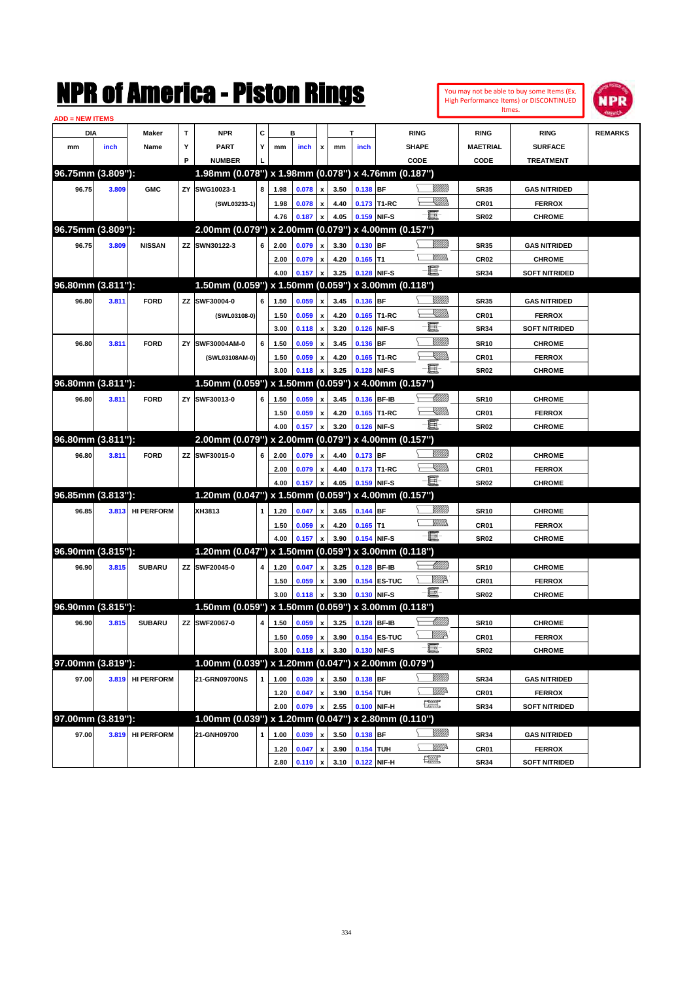| <b>ADD = NEW ITEMS</b> |       |                  |    |                                                     |              |              |                     |                                |      |                  |                                |                                |                                 |                      |                |
|------------------------|-------|------------------|----|-----------------------------------------------------|--------------|--------------|---------------------|--------------------------------|------|------------------|--------------------------------|--------------------------------|---------------------------------|----------------------|----------------|
| <b>DIA</b>             |       | Maker            | Т  | <b>NPR</b>                                          | C            |              | B                   |                                |      | т                |                                | <b>RING</b>                    | <b>RING</b>                     | <b>RING</b>          | <b>REMARKS</b> |
| mm                     | inch  | Name             | Υ  | <b>PART</b>                                         | Y            | mm           | inch                | $\mathbf x$                    | mm   | inch             |                                | <b>SHAPE</b>                   | <b>MAETRIAL</b>                 | <b>SURFACE</b>       |                |
|                        |       |                  | P  | <b>NUMBER</b>                                       |              |              |                     |                                |      |                  |                                | CODE                           | CODE                            | <b>TREATMENT</b>     |                |
| 96.75mm (3.809"):      |       |                  |    | 1.98mm (0.078") x 1.98mm (0.078") x 4.76mm (0.187") |              |              |                     |                                |      |                  |                                |                                |                                 |                      |                |
| 96.75                  | 3.809 | <b>GMC</b>       |    | ZY SWG10023-1                                       | 8            | 1.98         | 0.078               | $\boldsymbol{\mathsf{x}}$      | 3.50 | 0.138 BF         |                                | VMM)                           | <b>SR35</b>                     | <b>GAS NITRIDED</b>  |                |
|                        |       |                  |    | (SWL03233-1)                                        |              | 1.98         | 0.078               | $\boldsymbol{\mathsf{x}}$      | 4.40 |                  | 0.173 T1-RC                    | <u>Sillin</u>                  | CR01                            | <b>FERROX</b>        |                |
|                        |       |                  |    |                                                     |              | 4.76         | 0.187               | x                              | 4.05 |                  | 0.159 NIF-S                    | - 1                            | <b>SR02</b>                     | <b>CHROME</b>        |                |
| 96.75mm (3.809"):      |       |                  |    | 2.00mm (0.079") x 2.00mm (0.079") x 4.00mm (0.157") |              |              |                     |                                |      |                  |                                |                                |                                 |                      |                |
| 96.75                  | 3.809 | <b>NISSAN</b>    |    | ZZ SWN30122-3                                       | 6            | 2.00         | 0.079               | $\pmb{\mathsf{x}}$             | 3.30 | 0.130 BF         |                                | VIIII)                         | <b>SR35</b>                     | <b>GAS NITRIDED</b>  |                |
|                        |       |                  |    |                                                     |              | 2.00         | 0.079               | $\pmb{\mathsf{x}}$             | 4.20 | $0.165$ T1       |                                | <u>Willib</u>                  | <b>CR02</b>                     | <b>CHROME</b>        |                |
|                        |       |                  |    |                                                     |              | 4.00         | 0.157               | x                              | 3.25 |                  | 0.128 NIF-S                    | $-\mathbf{H}$ -                | <b>SR34</b>                     | <b>SOFT NITRIDED</b> |                |
| 96.80mm (3.811"):      |       |                  |    | 1.50mm (0.059") x 1.50mm (0.059") x 3.00mm (0.118") |              |              |                     |                                |      |                  |                                |                                |                                 |                      |                |
| 96.80                  | 3.811 | <b>FORD</b>      |    | ZZ SWF30004-0                                       | 6            | 1.50         | 0.059               | x                              | 3.45 | $0.136$ BF       |                                | VIIII)                         | <b>SR35</b>                     | <b>GAS NITRIDED</b>  |                |
|                        |       |                  |    | (SWL03108-0)                                        |              | 1.50         | 0.059               | $\pmb{\mathsf{x}}$             | 4.20 |                  | 0.165 T1-RC                    | <u>Sillin</u>                  | CR01                            | <b>FERROX</b>        |                |
|                        |       |                  |    |                                                     |              | 3.00         | 0.118               | $\pmb{\mathsf{x}}$             | 3.20 |                  | 0.126 NIF-S                    | e                              | <b>SR34</b>                     | <b>SOFT NITRIDED</b> |                |
| 96.80                  | 3.811 | <b>FORD</b>      | ZY | SWF30004AM-0                                        | 6            | 1.50         | 0.059               | x                              | 3.45 | 0.136 BF         |                                | <u>VIIII</u>                   | <b>SR10</b>                     | <b>CHROME</b>        |                |
|                        |       |                  |    | (SWL03108AM-0)                                      |              | 1.50         | 0.059               | x                              | 4.20 |                  | 0.165 T1-RC                    | XIIIIa                         | <b>CR01</b>                     | <b>FERROX</b>        |                |
|                        |       |                  |    |                                                     |              | 3.00         | 0.118               | $\mathbf{x}$                   | 3.25 |                  | 0.128 NIF-S                    | - 8                            | <b>SR02</b>                     | <b>CHROME</b>        |                |
| 96.80mm (3.811"):      |       |                  |    | 1.50mm (0.059") x 1.50mm (0.059") x 4.00mm (0.157") |              |              |                     |                                |      |                  |                                |                                |                                 |                      |                |
| 96.80                  | 3.811 | <b>FORD</b>      |    | ZY SWF30013-0                                       | 6            | 1.50         | 0.059               | x                              | 3.45 | 0.136 BF-IB      |                                | <u>UMB</u>                     | <b>SR10</b>                     | <b>CHROME</b>        |                |
|                        |       |                  |    |                                                     |              | 1.50         | 0.059               |                                | 4.20 |                  | 0.165 T1-RC                    | <u>Sillin</u>                  | CR01                            | <b>FERROX</b>        |                |
|                        |       |                  |    |                                                     |              | 4.00         | 0.157               | x<br>$\boldsymbol{\mathsf{x}}$ | 3.20 |                  | 0.126 NIF-S                    | e.                             | <b>SR02</b>                     | <b>CHROME</b>        |                |
| 96.80mm (3.811"):      |       |                  |    | 2.00mm (0.079") x 2.00mm (0.079") x 4.00mm (0.157") |              |              |                     |                                |      |                  |                                |                                |                                 |                      |                |
| 96.80                  | 3.811 | <b>FORD</b>      |    | ZZ SWF30015-0                                       | 6            | 2.00         | 0.079               | $\boldsymbol{\mathsf{x}}$      | 4.40 | 0.173 BF         |                                |                                | <b>CR02</b>                     | <b>CHROME</b>        |                |
|                        |       |                  |    |                                                     |              |              |                     |                                | 4.40 |                  |                                | <u>Sillin</u>                  |                                 |                      |                |
|                        |       |                  |    |                                                     |              | 2.00<br>4.00 | 0.079<br>0.157      | x<br>$\boldsymbol{\mathsf{x}}$ | 4.05 |                  | 0.173 T1-RC<br>0.159 NIF-S     | E                              | CR <sub>01</sub><br><b>SR02</b> | <b>FERROX</b>        |                |
| 96.85mm (3.813"):      |       |                  |    | 1.20mm (0.047") x 1.50mm (0.059") x 4.00mm (0.157") |              |              |                     |                                |      |                  |                                |                                |                                 | <b>CHROME</b>        |                |
|                        |       |                  |    | XH3813                                              |              |              |                     |                                |      |                  |                                |                                |                                 |                      |                |
| 96.85                  |       | 3.813 HI PERFORM |    |                                                     |              | 1.20         | 0.047               | $\boldsymbol{\mathsf{x}}$      | 3.65 | 0.144 BF         |                                | <u>MMs</u>                     | <b>SR10</b>                     | <b>CHROME</b>        |                |
|                        |       |                  |    |                                                     |              | 1.50         | 0.059               | x                              | 4.20 | $0.165$ T1       |                                | $-\mathbf{E}$                  | CR <sub>01</sub>                | <b>FERROX</b>        |                |
| 96.90mm (3.815"):      |       |                  |    | 1.20mm (0.047") x 1.50mm (0.059") x 3.00mm (0.118") |              | 4.00         | 0.157               | $\boldsymbol{\mathsf{x}}$      | 3.90 |                  | 0.154 NIF-S                    |                                | <b>SR02</b>                     | <b>CHROME</b>        |                |
|                        |       |                  |    |                                                     |              |              |                     |                                |      |                  |                                | <u>UMB</u>                     |                                 |                      |                |
| 96.90                  | 3.815 | <b>SUBARU</b>    |    | ZZ SWF20045-0                                       | 4            | 1.20         | 0.047               | $\boldsymbol{\mathsf{x}}$      | 3.25 | 0.128 BF-IB      |                                | <u>Willie</u>                  | <b>SR10</b>                     | <b>CHROME</b>        |                |
|                        |       |                  |    |                                                     |              | 1.50         | 0.059               | x                              | 3.90 |                  | 0.154 ES-TUC                   | -0                             | CR <sub>01</sub>                | <b>FERROX</b>        |                |
| 96.90mm (3.815"):      |       |                  |    |                                                     |              | 3.00         | 0.118               | $\mathbf{x}$                   | 3.30 |                  | 0.130 NIF-S                    |                                | <b>SR02</b>                     | <b>CHROME</b>        |                |
|                        |       |                  |    | 1.50mm (0.059") x 1.50mm (0.059") x 3.00mm (0.118") |              |              |                     |                                |      |                  |                                |                                |                                 |                      |                |
| 96.90                  | 3.815 | <b>SUBARU</b>    |    | ZZ SWF20067-0                                       | 4            | 1.50         | 0.059               | $\mathbf{x}$                   | 3.25 | 0.128 BF-IB      |                                | <u> UMB</u>                    | <b>SR10</b>                     | <b>CHROME</b>        |                |
|                        |       |                  |    |                                                     |              |              |                     |                                |      |                  | 1.50 0.059 x 3.90 0.154 ES-TUC | <u>Willik</u><br>$-\Xi$        | CR01                            | <b>FERROX</b>        |                |
|                        |       |                  |    |                                                     |              | 3.00         | $0.118 \times$      |                                |      | 3.30 0.130 NIF-S |                                |                                | <b>SR02</b>                     | <b>CHROME</b>        |                |
| 97.00mm (3.819"):      |       |                  |    | 1.00mm (0.039") x 1.20mm (0.047") x 2.00mm (0.079") |              |              |                     |                                |      |                  |                                |                                |                                 |                      |                |
| 97.00                  |       | 3.819 HI PERFORM |    | 21-GRN09700NS                                       | $\mathbf{1}$ | 1.00         | $0.039 \mid x \mid$ |                                |      | 3.50 0.138 BF    |                                | <br>Villida                    | <b>SR34</b>                     | <b>GAS NITRIDED</b>  |                |
|                        |       |                  |    |                                                     |              | 1.20         | 0.047 x             |                                | 3.90 | 0.154 TUH        |                                | <u>Milli</u> r                 | CR01                            | <b>FERROX</b>        |                |
|                        |       |                  |    |                                                     |              | 2.00         | 0.079               | $\boldsymbol{\mathsf{x}}$      | 2.55 | 0.100 NIF-H      |                                | $f_{\text{max}}^{\text{comp}}$ | <b>SR34</b>                     | <b>SOFT NITRIDED</b> |                |
| 97.00mm (3.819"):      |       |                  |    | 1.00mm (0.039") x 1.20mm (0.047") x 2.80mm (0.110") |              |              |                     |                                |      |                  |                                |                                |                                 |                      |                |
| 97.00                  |       | 3.819 HI PERFORM |    | 21-GNH09700                                         | $\mathbf 1$  | 1.00         | 0.039 x             |                                | 3.50 | 0.138 BF         |                                | <u>Villida</u>                 | <b>SR34</b>                     | <b>GAS NITRIDED</b>  |                |
|                        |       |                  |    |                                                     |              | 1.20         | $0.047 \times$      |                                | 3.90 | 0.154 TUH        |                                | <u>Milli</u> da                | CR01                            | <b>FERROX</b>        |                |
|                        |       |                  |    |                                                     |              | 2.80         | $0.110 \times$      |                                |      | 3.10 0.122 NIF-H |                                | $f_{\text{max}}^{\text{comp}}$ | <b>SR34</b>                     | <b>SOFT NITRIDED</b> |                |

You may not be able to buy some Items (Ex. High Performance Items) or DISCONTINUED Itmes.

**NPR**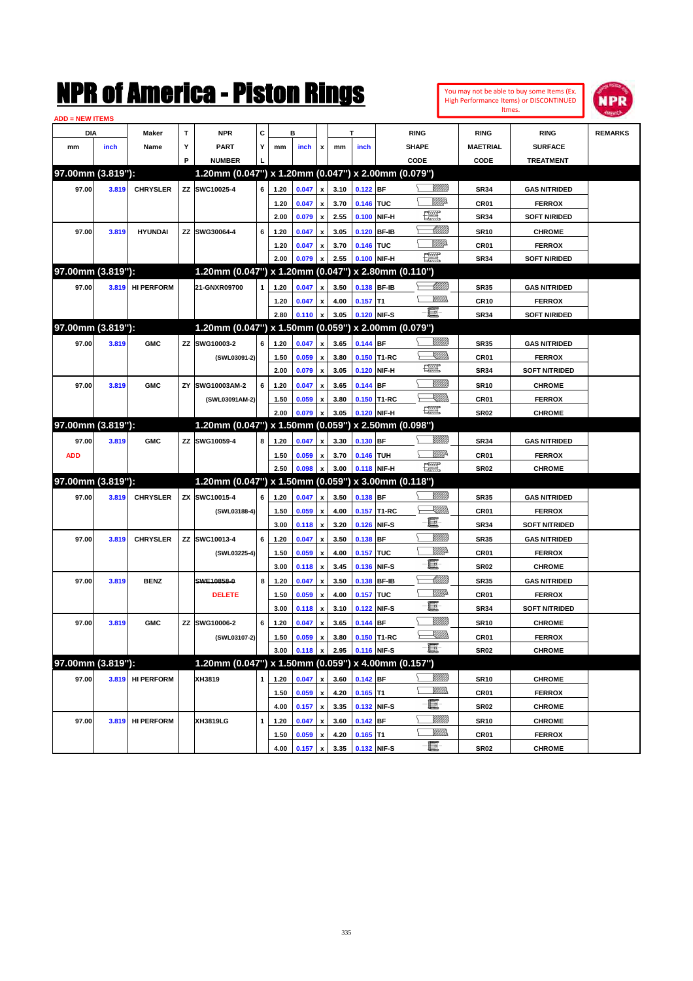|                        |       |                   |    | K OI AINerica - Piston Kings                        |   |              |                |                                |      |                |                     |                   |                 |                  | You may not be able to buy some Items (Ex.<br>High Performance Items) or DISCONTINUED | <b>NPR</b>     |
|------------------------|-------|-------------------|----|-----------------------------------------------------|---|--------------|----------------|--------------------------------|------|----------------|---------------------|-------------------|-----------------|------------------|---------------------------------------------------------------------------------------|----------------|
| <b>ADD = NEW ITEMS</b> |       |                   |    |                                                     |   |              |                |                                |      |                |                     |                   |                 | Itmes.           |                                                                                       |                |
| DIA                    |       | Maker             | T  | <b>NPR</b>                                          | C |              | в              |                                | T    |                |                     | <b>RING</b>       |                 | <b>RING</b>      | <b>RING</b>                                                                           | <b>REMARKS</b> |
| mm                     | inch  | Name              | Υ  | <b>PART</b>                                         | Y | mm           | inch           | x                              | mm   | inch           |                     | <b>SHAPE</b>      |                 | <b>MAETRIAL</b>  | <b>SURFACE</b>                                                                        |                |
|                        |       |                   | P  | <b>NUMBER</b>                                       |   |              |                |                                |      |                |                     | CODE              |                 | CODE             | <b>TREATMENT</b>                                                                      |                |
| 97.00mm (3.819"):      |       |                   |    | 1.20mm (0.047") x 1.20mm (0.047") x 2.00mm (0.079") |   |              |                |                                |      |                |                     |                   |                 |                  |                                                                                       |                |
| 97.00                  | 3.819 | <b>CHRYSLER</b>   |    | ZZ SWC10025-4                                       | 6 | 1.20         | 0.047          | $\pmb{\mathsf{x}}$             | 3.10 | 0.122          | <b>BF</b>           |                   | <u>VIIII)</u>   | <b>SR34</b>      | <b>GAS NITRIDED</b>                                                                   |                |
|                        |       |                   |    |                                                     |   | 1.20         | 0.047          | $\pmb{\mathsf{x}}$             | 3.70 | 0.146          | TUC                 |                   | <u>MM</u> D     | CR <sub>01</sub> | <b>FERROX</b>                                                                         |                |
|                        |       |                   |    |                                                     |   | 2.00         | 0.079          | $\pmb{\mathsf{x}}$             | 2.55 | 0.100          | NIF-H               | <u>i y</u>        |                 | <b>SR34</b>      | <b>SOFT NIRIDED</b>                                                                   |                |
| 97.00                  | 3.819 | <b>HYUNDAI</b>    |    | ZZ SWG30064-4                                       | 6 | 1.20         | 0.047          | $\pmb{\mathsf{x}}$             | 3.05 | 0.120          | <b>BF-IB</b>        |                   | <u> UMM</u>     | <b>SR10</b>      | <b>CHROME</b>                                                                         |                |
|                        |       |                   |    |                                                     |   | 1.20         | 0.047          | $\pmb{\mathsf{x}}$             | 3.70 | 0.146          | ltuc                |                   | <u>MMP</u>      | CR01             | <b>FERROX</b>                                                                         |                |
|                        |       |                   |    |                                                     |   | 2.00         | 0.079          | x                              | 2.55 | 0.100          | NIF-H               | $\frac{1}{2}$     |                 | <b>SR34</b>      | <b>SOFT NIRIDED</b>                                                                   |                |
| 97.00mm (3.819"):      |       |                   |    | 1.20mm (0.047") x 1.20mm (0.047")                   |   |              |                |                                |      |                |                     | x 2.80mm (0.110") |                 |                  |                                                                                       |                |
| 97.00                  | 3.819 | <b>HI PERFORM</b> |    | 21-GNXR09700                                        | 1 | 1.20         | 0.047          | $\boldsymbol{\mathsf{x}}$      | 3.50 | 0.138          | <b>BF-IB</b>        |                   | <u> Millill</u> | <b>SR35</b>      | <b>GAS NITRIDED</b>                                                                   |                |
|                        |       |                   |    |                                                     |   | 1.20         | 0.047          | $\pmb{\mathsf{x}}$             | 4.00 | 0.157          | lT1                 |                   | <br>Mar         | <b>CR10</b>      | <b>FERROX</b>                                                                         |                |
|                        |       |                   |    |                                                     |   | 2.80         | 0.110          | $\pmb{\mathsf{x}}$             | 3.05 | 0.120          | NIF-S               | $-\mathbf{H}$ -   |                 | <b>SR34</b>      | <b>SOFT NIRIDED</b>                                                                   |                |
| 97.00mm (3.819"):      |       |                   |    | 1.20mm (0.047") x 1.50mm (0.059") x 2.00mm (0.079") |   |              |                |                                |      |                |                     |                   |                 |                  |                                                                                       |                |
| 97.00                  | 3.819 | <b>GMC</b>        |    | ZZ SWG10003-2                                       | 6 | 1.20         | 0.047          | $\mathbf{x}$                   | 3.65 | 0.144          | <b>IBF</b>          |                   | <u>Milli</u> k  | <b>SR35</b>      | <b>GAS NITRIDED</b>                                                                   |                |
|                        |       |                   |    | (SWL03091-2)                                        |   | 1.50         | 0.059          | $\pmb{\mathsf{x}}$             | 3.80 | 0.150          | T1-RC               |                   | <u>SMM</u>      | CR01             | <b>FERROX</b>                                                                         |                |
|                        |       |                   |    |                                                     |   | 2.00         | 0.079          | x                              | 3.05 | 0.120          | NIF-H               | <b>THE STATE</b>  |                 | <b>SR34</b>      | <b>SOFT NITRIDED</b>                                                                  |                |
| 97.00                  | 3.819 | <b>GMC</b>        | ZY | SWG10003AM-2                                        | 6 | 1.20         |                |                                | 3.65 | 0.144          | BF                  |                   | <u>Milli</u>    | <b>SR10</b>      | <b>CHROME</b>                                                                         |                |
|                        |       |                   |    |                                                     |   |              | 0.047          | x                              | 3.80 |                | T1-RC               |                   | <u>SMM</u>      | CR01             | <b>FERROX</b>                                                                         |                |
|                        |       |                   |    | (SWL03091AM-2)                                      |   | 1.50<br>2.00 | 0.059<br>0.079 | x<br>$\boldsymbol{\mathsf{x}}$ | 3.05 | 0.150<br>0.120 | NIF-H               | $\frac{1}{2}$     |                 | <b>SR02</b>      | <b>CHROME</b>                                                                         |                |
| 97.00mm (3.819"):      |       |                   |    | 1.20mm (0.047") x 1.50mm (0.059")                   |   |              |                |                                |      |                |                     | x 2.50mm (0.098") |                 |                  |                                                                                       |                |
|                        |       |                   |    | ZZ SWG10059-4                                       | 8 |              |                |                                |      |                | <b>BF</b>           |                   | <u>VIII M</u>   |                  |                                                                                       |                |
| 97.00                  | 3.819 | <b>GMC</b>        |    |                                                     |   | 1.20         | 0.047          | $\mathbf{x}$                   | 3.30 | 0.130          |                     |                   | ₩₩              | <b>SR34</b>      | <b>GAS NITRIDED</b>                                                                   |                |
| <b>ADD</b>             |       |                   |    |                                                     |   | 1.50         | 0.059          | $\pmb{\mathsf{x}}$             | 3.70 | 0.146          | <b>TUH</b><br>NIF-H | $\frac{1}{2}$     |                 | CR01             | <b>FERROX</b>                                                                         |                |
| 97.00mm (3.819"):      |       |                   |    | 1.20mm (0.047") x 1.50mm (0.059")                   |   | 2.50         | 0.098          | x                              | 3.00 | 0.118          |                     | x 3.00mm (0.118") |                 | <b>SR02</b>      | <b>CHROME</b>                                                                         |                |
|                        |       |                   |    |                                                     |   |              |                |                                |      |                |                     |                   | VIII))          |                  |                                                                                       |                |
| 97.00                  | 3.819 | <b>CHRYSLER</b>   |    | ZX SWC10015-4                                       | 6 | 1.20         | 0.047          | $\mathbf{x}$                   | 3.50 | 0.138          | <b>BF</b>           |                   | <u>Sillin</u>   | <b>SR35</b>      | <b>GAS NITRIDED</b>                                                                   |                |
|                        |       |                   |    | (SWL03188-4)                                        |   | 1.50         | 0.059          | x                              | 4.00 | 0.157          | T1-RC               | e.                |                 | CR01             | <b>FERROX</b>                                                                         |                |
|                        |       |                   |    |                                                     |   | 3.00         | 0.118          | $\boldsymbol{\mathsf{x}}$      | 3.20 | 0.126          | NIF-S               |                   | <u>Milli</u>    | <b>SR34</b>      | <b>SOFT NITRIDED</b>                                                                  |                |
| 97.00                  | 3.819 | <b>CHRYSLER</b>   |    | ZZ SWC10013-4                                       | 6 | 1.20         | 0.047          | $\pmb{\mathsf{x}}$             | 3.50 | 0.138          | <b>BF</b>           |                   | <u>MMP</u>      | <b>SR35</b>      | <b>GAS NITRIDED</b>                                                                   |                |
|                        |       |                   |    | (SWL03225-4)                                        |   | 1.50         | 0.059          | $\pmb{\mathsf{x}}$             | 4.00 | 0.157          | <b>TUC</b>          | E                 |                 | CR <sub>01</sub> | <b>FERROX</b>                                                                         |                |
|                        |       |                   |    |                                                     |   | 3.00         | 0.118          | $\boldsymbol{\mathsf{x}}$      | 3.45 | 0.136          | NIF-S               |                   | <u> Millil</u>  | <b>SR02</b>      | <b>CHROME</b>                                                                         |                |
| 97.00                  | 3.819 | <b>BENZ</b>       |    | SWE10858-0                                          | 8 | 1.20         | 0.047          | $\pmb{\mathsf{x}}$             | 3.50 | 0.138          | <b>BF-IB</b>        |                   |                 | <b>SR35</b>      | <b>GAS NITRIDED</b>                                                                   |                |
|                        |       |                   |    | <b>DELETE</b>                                       |   | 1.50         | 0.059          | $\pmb{\mathsf{x}}$             | 4.00 | 0.157          | <b>TUC</b>          | E-                | <u>MMP</u>      | CR01             | <b>FERROX</b>                                                                         |                |
|                        |       |                   |    |                                                     |   | 3.00         | 0.118          | $\pmb{\mathsf{x}}$             | 3.10 | 0.122 NIF-S    |                     |                   |                 | <b>SR34</b>      | <b>SOFT NITRIDED</b>                                                                  |                |
| 97.00                  | 3.819 | <b>GMC</b>        |    | ZZ SWG10006-2                                       | 6 | 1.20         | 0.047          | $\pmb{\mathsf{x}}$             | 3.65 | 0.144 BF       |                     |                   | <u>Milli</u> n  | <b>SR10</b>      | <b>CHROME</b>                                                                         |                |
|                        |       |                   |    | (SWL03107-2)                                        |   | 1.50         | 0.059          | x                              | 3.80 |                | 0.150 T1-RC         | -8                | <u>Sillin</u>   | CR01             | <b>FERROX</b>                                                                         |                |
|                        |       |                   |    |                                                     |   | 3.00         | 0.118          | x                              | 2.95 | 0.116 NIF-S    |                     |                   |                 | <b>SR02</b>      | <b>CHROME</b>                                                                         |                |
| 97.00mm (3.819"):      |       |                   |    | 1.20mm (0.047") x 1.50mm (0.059") x 4.00mm (0.157") |   |              |                |                                |      |                |                     |                   |                 |                  |                                                                                       |                |
| 97.00                  |       | 3.819 HI PERFORM  |    | XH3819                                              | 1 | 1.20         | 0.047          | $\pmb{\mathsf{x}}$             | 3.60 | $0.142$ BF     |                     |                   | <u>VIIII</u> )  | SR10             | <b>CHROME</b>                                                                         |                |
|                        |       |                   |    |                                                     |   | 1.50         | 0.059          | $\pmb{\mathsf{x}}$             | 4.20 | $0.165$ T1     |                     |                   | <u>MMs</u>      | CR01             | <b>FERROX</b>                                                                         |                |
|                        |       |                   |    |                                                     |   | 4.00         | 0.157          | $\pmb{\mathsf{x}}$             | 3.35 | 0.132 NIF-S    |                     | E                 |                 | SR02             | <b>CHROME</b>                                                                         |                |
| 97.00                  |       | 3.819 HI PERFORM  |    | XH3819LG                                            | 1 | 1.20         | 0.047          | $\pmb{\mathsf{x}}$             | 3.60 | $0.142$ BF     |                     |                   | <u>Milli</u> b  | <b>SR10</b>      | <b>CHROME</b>                                                                         |                |

**1.50 0.059 x 4.20 0.165 T1 CR01 FERROX**<br>**4.00 0.157 x 3.35 0.132** NIF-S **CHE** SR02 CHROME **4.00 0.157 x 3.35 0.132 NIF-S SR02 CHROME**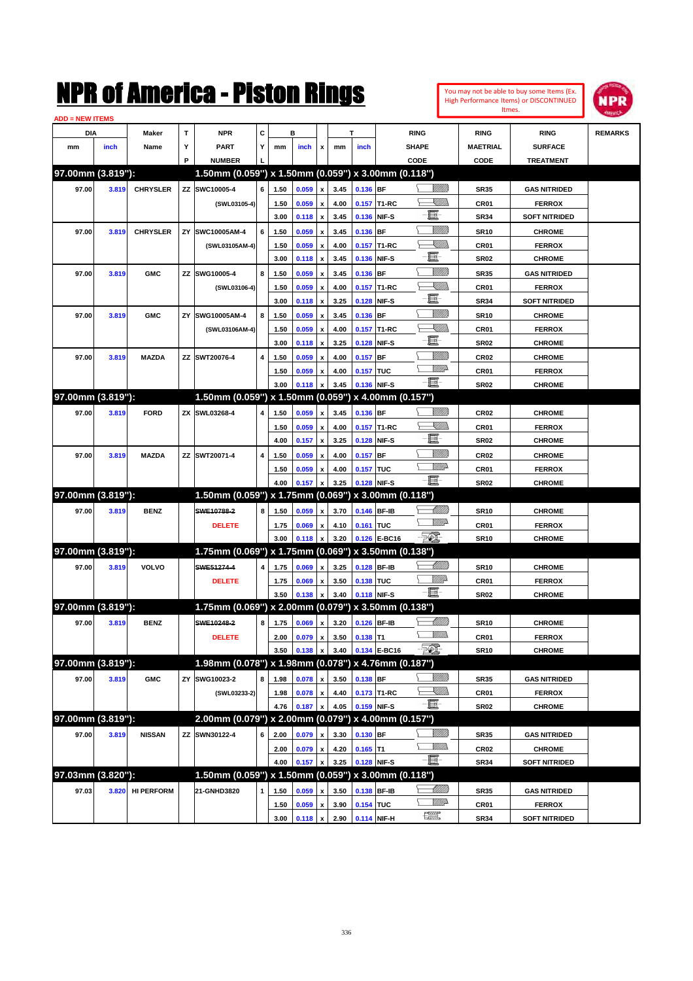

| <b>ADD = NEW ITEMS</b> |       |                   |    |                                                     |   |      |       |                                    |      |             |                   |                                   |                  |                      |                |
|------------------------|-------|-------------------|----|-----------------------------------------------------|---|------|-------|------------------------------------|------|-------------|-------------------|-----------------------------------|------------------|----------------------|----------------|
| DIA                    |       | Maker             | T  | <b>NPR</b>                                          | С |      | в     |                                    |      | т           |                   | <b>RING</b>                       | <b>RING</b>      | <b>RING</b>          | <b>REMARKS</b> |
| mm                     | inch  | Name              | Υ  | <b>PART</b>                                         | Y | mm   | inch  | x                                  | mm   | inch        |                   | <b>SHAPE</b>                      | <b>MAETRIAL</b>  | <b>SURFACE</b>       |                |
|                        |       |                   | P  | <b>NUMBER</b>                                       |   |      |       |                                    |      |             |                   | CODE                              | CODE             | <b>TREATMENT</b>     |                |
| 97.00mm (3.819"):      |       |                   |    | 1.50mm (0.059") x 1.50mm (0.059") x 3.00mm (0.118") |   |      |       |                                    |      |             |                   |                                   |                  |                      |                |
| 97.00                  | 3.819 | <b>CHRYSLER</b>   |    | ZZ SWC10005-4                                       | 6 | 1.50 | 0.059 | $\pmb{\mathsf{x}}$                 | 3.45 | 0.136 BF    |                   |                                   | <b>SR35</b>      | <b>GAS NITRIDED</b>  |                |
|                        |       |                   |    | (SWL03105-4)                                        |   | 1.50 | 0.059 | $\pmb{\mathsf{x}}$                 | 4.00 |             | 0.157 T1-RC       | <u>UMB</u>                        | <b>CR01</b>      | <b>FERROX</b>        |                |
|                        |       |                   |    |                                                     |   | 3.00 | 0.118 | $\pmb{\mathsf{x}}$                 | 3.45 | 0.136       | NIF-S             | E                                 | <b>SR34</b>      | <b>SOFT NITRIDED</b> |                |
| 97.00                  | 3.819 | <b>CHRYSLER</b>   | ZY | SWC10005AM-4                                        | 6 | 1.50 | 0.059 | x                                  | 3.45 | 0.136 BF    |                   | <u>Milli</u> k                    | <b>SR10</b>      | <b>CHROME</b>        |                |
|                        |       |                   |    | (SWL03105AM-4)                                      |   | 1.50 | 0.059 | x                                  | 4.00 | 0.157       | T <sub>1-RC</sub> | <u>Sillin</u>                     | <b>CR01</b>      | <b>FERROX</b>        |                |
|                        |       |                   |    |                                                     |   | 3.00 | 0.118 | $\pmb{\mathsf{x}}$                 | 3.45 | 0.136       | NIF-S             | E                                 | <b>SR02</b>      | <b>CHROME</b>        |                |
| 97.00                  | 3.819 | <b>GMC</b>        | ZZ | SWG10005-4                                          | 8 | 1.50 | 0.059 | x                                  | 3.45 | 0.136       | <b>BF</b>         | <u>Milli</u> k                    | <b>SR35</b>      | <b>GAS NITRIDED</b>  |                |
|                        |       |                   |    | (SWL03106-4)                                        |   | 1.50 | 0.059 | x                                  | 4.00 | 0.157       | T1-RC             | <u>Sillin</u>                     | <b>CR01</b>      | <b>FERROX</b>        |                |
|                        |       |                   |    |                                                     |   | 3.00 | 0.118 | $\pmb{\mathsf{x}}$                 | 3.25 | 0.128       | NIF-S             | e                                 | <b>SR34</b>      | <b>SOFT NITRIDED</b> |                |
| 97.00                  | 3.819 | <b>GMC</b>        | ZY | SWG10005AM-4                                        | 8 | 1.50 | 0.059 | x                                  | 3.45 | 0.136       | <b>BF</b>         | <u>Milli</u> k                    | <b>SR10</b>      | <b>CHROME</b>        |                |
|                        |       |                   |    | (SWL03106AM-4)                                      |   | 1.50 | 0.059 | x                                  | 4.00 | 0.157       | T1-RC             | <u>Sillin</u>                     | <b>CR01</b>      | <b>FERROX</b>        |                |
|                        |       |                   |    |                                                     |   | 3.00 | 0.118 | $\pmb{\mathsf{x}}$                 | 3.25 | 0.128       | NIF-S             | e                                 | <b>SR02</b>      | <b>CHROME</b>        |                |
| 97.00                  | 3.819 | <b>MAZDA</b>      | ΖZ | SWT20076-4                                          | 4 | 1.50 | 0.059 | x                                  | 4.00 | 0.157       | <b>BF</b>         | <u>Milli</u> k                    | <b>CR02</b>      | <b>CHROME</b>        |                |
|                        |       |                   |    |                                                     |   | 1.50 | 0.059 | x                                  | 4.00 | 0.157 TUC   |                   | <u>VM</u> D                       | CR01             | <b>FERROX</b>        |                |
|                        |       |                   |    |                                                     |   | 3.00 | 0.118 | $\boldsymbol{\mathsf{x}}$          | 3.45 | 0.136       | NIF-S             | -8                                | <b>SR02</b>      | <b>CHROME</b>        |                |
| 97.00mm (3.819"):      |       |                   |    | 1.50mm (0.059") x 1.50mm (0.059") x 4.00mm (0.157") |   |      |       |                                    |      |             |                   |                                   |                  |                      |                |
| 97.00                  | 3.819 | <b>FORD</b>       | ZΧ | SWL03268-4                                          | 4 | 1.50 | 0.059 | $\pmb{\mathsf{x}}$                 | 3.45 | 0.136 BF    |                   | WMM)                              | <b>CR02</b>      | <b>CHROME</b>        |                |
|                        |       |                   |    |                                                     |   | 1.50 | 0.059 | x                                  | 4.00 |             | 0.157 T1-RC       | <u> Millibr</u>                   | CR01             | <b>FERROX</b>        |                |
|                        |       |                   |    |                                                     |   | 4.00 | 0.157 | $\pmb{\mathsf{x}}$                 | 3.25 | 0.128       | NIF-S             | e                                 | <b>SR02</b>      | <b>CHROME</b>        |                |
| 97.00                  | 3.819 | <b>MAZDA</b>      | ΖZ | SWT20071-4                                          | 4 | 1.50 | 0.059 | $\boldsymbol{\mathsf{x}}$          | 4.00 | 0.157       | <b>BF</b>         | <u>MMW</u>                        | <b>CR02</b>      | <b>CHROME</b>        |                |
|                        |       |                   |    |                                                     |   | 1.50 | 0.059 | x                                  | 4.00 | 0.157 TUC   |                   | <u>WW</u>                         | CR01             | <b>FERROX</b>        |                |
|                        |       |                   |    |                                                     |   | 4.00 | 0.157 |                                    | 3.25 | 0.128       | NIF-S             | -8                                | <b>SR02</b>      | <b>CHROME</b>        |                |
| 97.00mm (3.819"):      |       |                   |    | 1.50mm (0.059") x 1.75mm (0.069") x 3.00mm (0.118") |   |      |       |                                    |      |             |                   |                                   |                  |                      |                |
| 97.00                  | 3.819 | <b>BENZ</b>       |    | SWE10788-2                                          | 8 | 1.50 | 0.059 | $\pmb{\mathsf{x}}$                 | 3.70 | 0.146 BF-IB |                   | <u>UMB</u>                        | <b>SR10</b>      | <b>CHROME</b>        |                |
|                        |       |                   |    | <b>DELETE</b>                                       |   | 1.75 | 0.069 | x                                  | 4.10 | 0.161 TUC   |                   | <u>WW</u>                         | CR01             | <b>FERROX</b>        |                |
|                        |       |                   |    |                                                     |   | 3.00 | 0.118 | $\pmb{\mathsf{x}}$                 | 3.20 |             | 0.126 E-BC16      | $\mathbb{F}$                      | <b>SR10</b>      | <b>CHROME</b>        |                |
| 97.00mm (3.819"):      |       |                   |    | 1.75mm (0.069") x 1.75mm (0.069") x 3.50mm (0.138") |   |      |       |                                    |      |             |                   |                                   |                  |                      |                |
| 97.00                  | 3.819 | VOLVO             |    | SWE51274-4                                          | 4 | 1.75 | 0.069 | $\pmb{\mathsf{x}}$                 | 3.25 | 0.128       | <b>BF-IB</b>      | Willib                            | <b>SR10</b>      | <b>CHROME</b>        |                |
|                        |       |                   |    | <b>DELETE</b>                                       |   | 1.75 | 0.069 | x                                  | 3.50 | 0.138 TUC   |                   | <u>Willi</u> a                    | CR01             | <b>FERROX</b>        |                |
|                        |       |                   |    |                                                     |   | 3.50 | 0.138 | $\pmb{\mathsf{x}}$                 | 3.40 |             | 0.118 NIF-S       | $-\blacksquare$                   | SR <sub>02</sub> | <b>CHROME</b>        |                |
| 97.00mm (3.819"):      |       |                   |    | 1.75mm (0.069") x 2.00mm (0.079") x 3.50mm (0.138") |   |      |       |                                    |      |             |                   |                                   |                  |                      |                |
| 97.00                  | 3.819 | <b>BENZ</b>       |    | SWE10248-2                                          | 8 | 1.75 | 0.069 |                                    | 3.20 | 0.126 BF-IB |                   | <u> MMM</u>                       | <b>SR10</b>      | <b>CHROME</b>        |                |
|                        |       |                   |    | <b>DELETE</b>                                       |   | 2.00 | 0.079 | $\pmb{\mathsf{x}}$<br>$\mathbf{x}$ | 3.50 | $0.138$ T1  |                   | 7777).                            | CR01             | <b>FERROX</b>        |                |
|                        |       |                   |    |                                                     |   | 3.50 | 0.138 | $\pmb{\mathsf{x}}$                 | 3.40 |             | 0.134 E-BC16      | <b>FOX</b>                        | <b>SR10</b>      | <b>CHROME</b>        |                |
| 97.00mm (3.819"):      |       |                   |    | 1.98mm (0.078") x 1.98mm (0.078") x 4.76mm (0.187") |   |      |       |                                    |      |             |                   |                                   |                  |                      |                |
|                        |       |                   |    |                                                     |   |      |       |                                    |      |             |                   | <u>VIII in</u>                    |                  |                      |                |
| 97.00                  | 3.819 | <b>GMC</b>        | ΖY | SWG10023-2                                          | 8 | 1.98 | 0.078 | $\pmb{\mathsf{x}}$                 | 3.50 | 0.138 BF    |                   | <u>X</u> MM)                      | <b>SR35</b>      | <b>GAS NITRIDED</b>  |                |
|                        |       |                   |    | (SWL03233-2)                                        |   | 1.98 | 0.078 | $\pmb{\mathsf{x}}$                 | 4.40 |             | 0.173 T1-RC       | -8                                | CR01             | <b>FERROX</b>        |                |
| 97.00mm (3.819"):      |       |                   |    |                                                     |   | 4.76 | 0.187 | $\pmb{\mathsf{x}}$                 | 4.05 |             | 0.159 NIF-S       |                                   | SR <sub>02</sub> | <b>CHROME</b>        |                |
|                        |       |                   |    | 2.00mm (0.079") x 2.00mm (0.079") x 4.00mm (0.157") |   |      |       |                                    |      |             |                   |                                   |                  |                      |                |
| 97.00                  | 3.819 | <b>NISSAN</b>     | ΖZ | SWN30122-4                                          | 6 | 2.00 | 0.079 | x                                  | 3.30 | 0.130 BF    |                   | 8/1/11)<br><u>VMM</u>             | <b>SR35</b>      | <b>GAS NITRIDED</b>  |                |
|                        |       |                   |    |                                                     |   | 2.00 | 0.079 | $\pmb{\mathsf{x}}$                 | 4.20 | $0.165$ T1  |                   | $-\blacksquare$                   | <b>CR02</b>      | <b>CHROME</b>        |                |
|                        |       |                   |    |                                                     |   | 4.00 | 0.157 | $\pmb{\mathsf{x}}$                 | 3.25 |             | 0.128 NIF-S       |                                   | <b>SR34</b>      | <b>SOFT NITRIDED</b> |                |
| 97.03mm (3.820"):      |       |                   |    | 1.50mm (0.059") x 1.50mm (0.059") x 3.00mm (0.118") |   |      |       |                                    |      |             |                   |                                   |                  |                      |                |
| 97.03                  | 3.820 | <b>HI PERFORM</b> |    | 21-GNHD3820                                         | 1 | 1.50 | 0.059 | x                                  | 3.50 | 0.138       | <b>BF-IB</b>      | <u> UMB</u>                       | <b>SR35</b>      | <b>GAS NITRIDED</b>  |                |
|                        |       |                   |    |                                                     |   | 1.50 | 0.059 | $\pmb{\mathsf{x}}$                 | 3.90 | 0.154 TUC   |                   | <u>WW</u> A<br><b>The Control</b> | CR01             | <b>FERROX</b>        |                |
|                        |       |                   |    |                                                     |   | 3.00 | 0.118 | $\pmb{\mathsf{x}}$                 | 2.90 |             | 0.114 NIF-H       |                                   | <b>SR34</b>      | <b>SOFT NITRIDED</b> |                |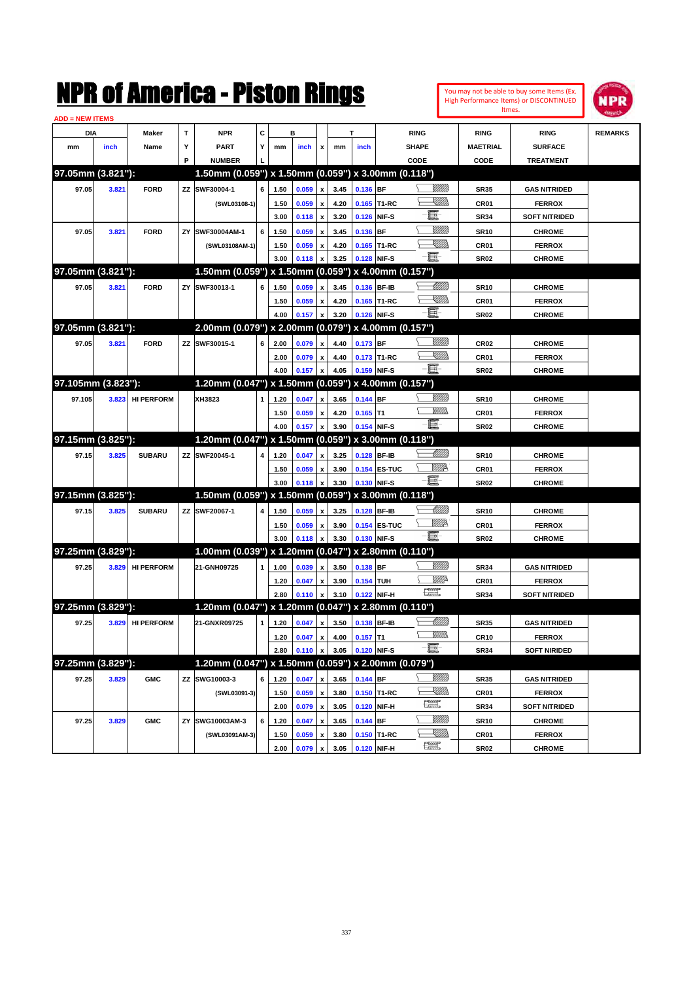

| <b>ADD = NEW ITEMS</b> |       |                   |    |                                                     |              |      |       |                    |      |             |                   |                          |                 |                      |                |
|------------------------|-------|-------------------|----|-----------------------------------------------------|--------------|------|-------|--------------------|------|-------------|-------------------|--------------------------|-----------------|----------------------|----------------|
| DIA                    |       | Maker             | Т  | <b>NPR</b>                                          | c            |      | B     |                    |      | т           |                   | <b>RING</b>              | <b>RING</b>     | <b>RING</b>          | <b>REMARKS</b> |
| mm                     | inch  | Name              | Υ  | <b>PART</b>                                         | Y            | mm   | inch  | x                  | mm   | inch        |                   | <b>SHAPE</b>             | <b>MAETRIAL</b> | <b>SURFACE</b>       |                |
|                        |       |                   | P  | <b>NUMBER</b>                                       |              |      |       |                    |      |             |                   | CODE                     | CODE            | <b>TREATMENT</b>     |                |
| 97.05mm (3.821"):      |       |                   |    | 1.50mm (0.059") x 1.50mm (0.059") x 3.00mm (0.118") |              |      |       |                    |      |             |                   |                          |                 |                      |                |
| 97.05                  | 3.821 | <b>FORD</b>       |    | ZZ SWF30004-1                                       | 6            | 1.50 | 0.059 | x                  | 3.45 | 0.136 BF    |                   | <u>Sillilli</u>          | <b>SR35</b>     | <b>GAS NITRIDED</b>  |                |
|                        |       |                   |    | (SWL03108-1)                                        |              | 1.50 | 0.059 | x                  | 4.20 |             | 0.165 T1-RC       | <u>Sillin</u>            | <b>CR01</b>     | <b>FERROX</b>        |                |
|                        |       |                   |    |                                                     |              | 3.00 | 0.118 | x                  | 3.20 |             | 0.126 NIF-S       | E                        | <b>SR34</b>     | <b>SOFT NITRIDED</b> |                |
| 97.05                  | 3.821 | <b>FORD</b>       | ZY | SWF30004AM-1                                        | 6            | 1.50 | 0.059 | x                  | 3.45 | 0.136 BF    |                   | <u>MMW</u>               | <b>SR10</b>     | <b>CHROME</b>        |                |
|                        |       |                   |    | (SWL03108AM-1)                                      |              | 1.50 | 0.059 | x                  | 4.20 |             | 0.165 T1-RC       | <u>IMM</u>               | CR01            | <b>FERROX</b>        |                |
|                        |       |                   |    |                                                     |              | 3.00 | 0.118 | x                  | 3.25 | 0.128 NIF-S |                   | -8                       | <b>SR02</b>     | <b>CHROME</b>        |                |
| 97.05mm (3.821"):      |       |                   |    | 1.50mm (0.059") x 1.50mm (0.059") x 4.00mm (0.157") |              |      |       |                    |      |             |                   |                          |                 |                      |                |
| 97.05                  | 3.821 | <b>FORD</b>       |    | ZY SWF30013-1                                       | 6            | 1.50 | 0.059 | x                  | 3.45 | 0.136 BF-IB |                   | Millitt                  | <b>SR10</b>     | <b>CHROME</b>        |                |
|                        |       |                   |    |                                                     |              | 1.50 | 0.059 | x                  | 4.20 |             | 0.165 T1-RC       | <u>Sillin</u>            | CR01            | <b>FERROX</b>        |                |
|                        |       |                   |    |                                                     |              | 4.00 | 0.157 | x                  | 3.20 | 0.126 NIF-S |                   | 匱                        | <b>SR02</b>     | <b>CHROME</b>        |                |
| 97.05mm (3.821"):      |       |                   |    | 2.00mm (0.079") x 2.00mm (0.079") x 4.00mm (0.157") |              |      |       |                    |      |             |                   |                          |                 |                      |                |
| 97.05                  | 3.821 | <b>FORD</b>       |    | ZZ SWF30015-1                                       | 6            | 2.00 | 0.079 | x                  | 4.40 | 0.173 BF    |                   | <u>MMM</u>               | <b>CR02</b>     | <b>CHROME</b>        |                |
|                        |       |                   |    |                                                     |              | 2.00 | 0.079 | x                  | 4.40 |             | 0.173 T1-RC       | <u>UMB</u>               | CR01            | <b>FERROX</b>        |                |
|                        |       |                   |    |                                                     |              | 4.00 | 0.157 | x                  | 4.05 | 0.159 NIF-S |                   | 匱                        | <b>SR02</b>     | <b>CHROME</b>        |                |
| 97.105mm (3.823"):     |       |                   |    | 1.20mm (0.047") x 1.50mm (0.059") x 4.00mm (0.157") |              |      |       |                    |      |             |                   |                          |                 |                      |                |
| 97.105                 | 3.823 | <b>HI PERFORM</b> |    | XH3823                                              | 1            | 1.20 | 0.047 | x                  | 3.65 | 0.144 BF    |                   | <u>Sillilli</u>          | <b>SR10</b>     | <b>CHROME</b>        |                |
|                        |       |                   |    |                                                     |              | 1.50 | 0.059 | x                  | 4.20 | $0.165$ T1  |                   | 7777).                   | CR01            | <b>FERROX</b>        |                |
|                        |       |                   |    |                                                     |              | 4.00 | 0.157 | x                  | 3.90 | 0.154 NIF-S |                   | $-\Box$                  | <b>SR02</b>     | <b>CHROME</b>        |                |
| 97.15mm (3.825"):      |       |                   |    | 1.20mm (0.047") x 1.50mm (0.059")                   |              |      |       |                    |      |             | x 3.00mm (0.118") |                          |                 |                      |                |
| 97.15                  | 3.825 | <b>SUBARU</b>     |    | ZZ SWF20045-1                                       | 4            | 1.20 | 0.047 | x                  | 3.25 | 0.128 BF-IB |                   | Millitt                  | <b>SR10</b>     | <b>CHROME</b>        |                |
|                        |       |                   |    |                                                     |              | 1.50 | 0.059 | x                  | 3.90 |             | 0.154 ES-TUC      | ₩₩                       | CR01            | <b>FERROX</b>        |                |
|                        |       |                   |    |                                                     |              | 3.00 | 0.118 |                    | 3.30 | 0.130 NIF-S |                   | Ð.                       | <b>SR02</b>     | <b>CHROME</b>        |                |
| 97.15mm (3.825"):      |       |                   |    | 1.50mm (0.059") x 1.50mm (0.059")                   |              |      |       |                    |      |             | x 3.00mm (0.118") |                          |                 |                      |                |
| 97.15                  | 3.825 | <b>SUBARU</b>     |    | ZZ SWF20067-1                                       | 4            | 1.50 | 0.059 | x                  | 3.25 | 0.128 BF-IB |                   | Willib                   | <b>SR10</b>     | <b>CHROME</b>        |                |
|                        |       |                   |    |                                                     |              | 1.50 | 0.059 | x                  | 3.90 |             | 0.154 ES-TUC      | ₩₩                       | CR01            | <b>FERROX</b>        |                |
|                        |       |                   |    |                                                     |              | 3.00 | 0.118 |                    | 3.30 | 0.130 NIF-S |                   | ·ii                      | <b>SR02</b>     | <b>CHROME</b>        |                |
| 97.25mm (3.829"):      |       |                   |    | 1.00mm (0.039") x 1.20mm (0.047")                   |              |      |       |                    |      |             | x 2.80mm (0.110") |                          |                 |                      |                |
| 97.25                  | 3.829 | <b>HI PERFORM</b> |    | 21-GNH09725                                         | $\mathbf{1}$ | 1.00 | 0.039 | x                  | 3.50 | 0.138 BF    |                   | <u>MMW</u>               | <b>SR34</b>     | <b>GAS NITRIDED</b>  |                |
|                        |       |                   |    |                                                     |              | 1.20 | 0.047 | x                  | 3.90 | 0.154 TUH   |                   | <u>Willi</u> r           | <b>CR01</b>     | <b>FERROX</b>        |                |
|                        |       |                   |    |                                                     |              | 2.80 | 0.110 |                    | 3.10 |             | 0.122 NIF-H       | <b>The Second Second</b> | <b>SR34</b>     | <b>SOFT NITRIDED</b> |                |
| 97.25mm (3.829"):      |       |                   |    | 1.20mm (0.047") x 1.20mm (0.047") x 2.80mm (0.110") |              |      |       |                    |      |             |                   |                          |                 |                      |                |
| 97.25                  | 3.829 | <b>HI PERFORM</b> |    | 21-GNXR09725                                        | $\mathbf{1}$ | 1.20 | 0.047 | x                  | 3.50 | 0.138 BF-IB |                   | Willib                   | <b>SR35</b>     | <b>GAS NITRIDED</b>  |                |
|                        |       |                   |    |                                                     |              | 1.20 | 0.047 | x                  | 4.00 | $0.157$ T1  |                   | <br>MW                   | <b>CR10</b>     | <b>FERROX</b>        |                |
|                        |       |                   |    |                                                     |              | 2.80 | 0.110 | $\pmb{\mathsf{x}}$ | 3.05 | 0.120 NIF-S |                   | -8                       | <b>SR34</b>     | <b>SOFT NIRIDED</b>  |                |
| 97.25mm (3.829"):      |       |                   |    | 1.20mm (0.047") x 1.50mm (0.059") x 2.00mm (0.079") |              |      |       |                    |      |             |                   |                          |                 |                      |                |
| 97.25                  | 3.829 | <b>GMC</b>        |    | ZZ SWG10003-3                                       | 6            | 1.20 | 0.047 | x                  | 3.65 | 0.144 BF    |                   | 8/1/11)                  | <b>SR35</b>     | <b>GAS NITRIDED</b>  |                |
|                        |       |                   |    | (SWL03091-3)                                        |              | 1.50 | 0.059 | $\pmb{\mathsf{x}}$ | 3.80 |             | 0.150 T1-RC       | <u>XIII)</u>             | CR01            | <b>FERROX</b>        |                |
|                        |       |                   |    |                                                     |              | 2.00 | 0.079 | $\pmb{\mathsf{x}}$ | 3.05 |             | 0.120 NIF-H       | H                        | <b>SR34</b>     | <b>SOFT NITRIDED</b> |                |
| 97.25                  | 3.829 | <b>GMC</b>        |    | ZY SWG10003AM-3                                     | 6            | 1.20 | 0.047 | x                  | 3.65 | 0.144 BF    |                   | <u>MMM</u>               | <b>SR10</b>     | <b>CHROME</b>        |                |
|                        |       |                   |    | (SWL03091AM-3)                                      |              | 1.50 | 0.059 | x                  | 3.80 |             | 0.150 T1-RC       | <u>UMB</u>               | CR01            | <b>FERROX</b>        |                |
|                        |       |                   |    |                                                     |              | 2.00 | 0.079 | $\pmb{\mathsf{x}}$ | 3.05 | 0.120 NIF-H |                   | H                        | <b>SR02</b>     | <b>CHROME</b>        |                |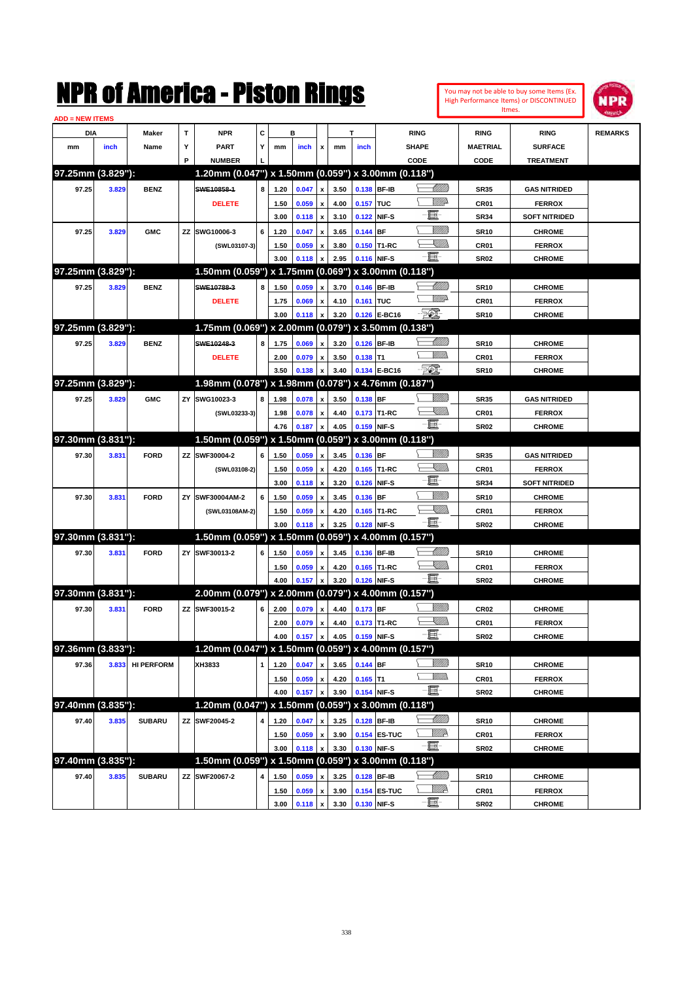

| <b>ADD = NEW ITEMS</b> |       |                   |    |                                                     |              |      |       |                    |      |             |                   |                  |                  |                      |                |
|------------------------|-------|-------------------|----|-----------------------------------------------------|--------------|------|-------|--------------------|------|-------------|-------------------|------------------|------------------|----------------------|----------------|
| DIA                    |       | Maker             | Т  | <b>NPR</b>                                          | c            |      | в     |                    |      | T           |                   | <b>RING</b>      | <b>RING</b>      | <b>RING</b>          | <b>REMARKS</b> |
| mm                     | inch  | Name              | Y  | <b>PART</b>                                         | Y            | mm   | inch  | x                  | mm   | inch        |                   | <b>SHAPE</b>     | <b>MAETRIAL</b>  | <b>SURFACE</b>       |                |
|                        |       |                   | P  | <b>NUMBER</b>                                       |              |      |       |                    |      |             |                   | CODE             | CODE             | <b>TREATMENT</b>     |                |
| 97.25mm (3.829"):      |       |                   |    | 1.20mm (0.047") x 1.50mm (0.059") x 3.00mm (0.118") |              |      |       |                    |      |             |                   |                  |                  |                      |                |
| 97.25                  | 3.829 | <b>BENZ</b>       |    | SWE10858-1                                          | 8            | 1.20 | 0.047 | x                  | 3.50 | 0.138 BF-IB |                   | <u> UMM</u>      | <b>SR35</b>      | <b>GAS NITRIDED</b>  |                |
|                        |       |                   |    | <b>DELETE</b>                                       |              | 1.50 | 0.059 | x                  | 4.00 | 0.157 TUC   |                   | MMD              | CR01             | <b>FERROX</b>        |                |
|                        |       |                   |    |                                                     |              | 3.00 | 0.118 | x                  | 3.10 | 0.122 NIF-S |                   | E                | <b>SR34</b>      | <b>SOFT NITRIDED</b> |                |
| 97.25                  | 3.829 | <b>GMC</b>        |    | ZZ SWG10006-3                                       | 6            | 1.20 | 0.047 | x                  | 3.65 | $0.144$ BF  |                   | <u>MMW</u>       | <b>SR10</b>      | <b>CHROME</b>        |                |
|                        |       |                   |    | (SWL03107-3)                                        |              | 1.50 | 0.059 | x                  | 3.80 |             | 0.150 T1-RC       | <u>XIII)</u>     | CR01             | <b>FERROX</b>        |                |
|                        |       |                   |    |                                                     |              | 3.00 | 0.118 | x                  | 2.95 | 0.116 NIF-S |                   | -8               | <b>SR02</b>      | <b>CHROME</b>        |                |
| 97.25mm (3.829"):      |       |                   |    | 1.50mm (0.059") x 1.75mm (0.069") x 3.00mm (0.118") |              |      |       |                    |      |             |                   |                  |                  |                      |                |
| 97.25                  | 3.829 | <b>BENZ</b>       |    | SWE10788-3                                          | 8            | 1.50 | 0.059 | x                  | 3.70 | 0.146 BF-IB |                   | <u> MMW</u>      | <b>SR10</b>      | <b>CHROME</b>        |                |
|                        |       |                   |    | <b>DELETE</b>                                       |              | 1.75 | 0.069 | x                  | 4.10 | 0.161 TUC   |                   | <u>WW</u>        | CR01             | <b>FERROX</b>        |                |
|                        |       |                   |    |                                                     |              | 3.00 | 0.118 | x                  | 3.20 |             | 0.126 E-BC16      | $\mathbb{E}$     | <b>SR10</b>      | <b>CHROME</b>        |                |
| 97.25mm (3.829"):      |       |                   |    | 1.75mm (0.069") x 2.00mm (0.079") x 3.50mm (0.138") |              |      |       |                    |      |             |                   |                  |                  |                      |                |
| 97.25                  | 3.829 | <b>BENZ</b>       |    | SWE10248-3                                          | 8            | 1.75 | 0.069 | x                  | 3.20 | 0.126 BF-IB |                   | Willib           | <b>SR10</b>      | <b>CHROME</b>        |                |
|                        |       |                   |    | <b>DELETE</b>                                       |              | 2.00 | 0.079 | x                  | 3.50 | $0.138$ T1  |                   | 7777).           | CR01             | <b>FERROX</b>        |                |
|                        |       |                   |    |                                                     |              | 3.50 | 0.138 | x                  | 3.40 |             | 0.134 E-BC16      | $\mathcal{P}$    | <b>SR10</b>      | <b>CHROME</b>        |                |
| 97.25mm (3.829"):      |       |                   |    | 1.98mm (0.078") x 1.98mm (0.078") x 4.76mm (0.187") |              |      |       |                    |      |             |                   |                  |                  |                      |                |
| 97.25                  | 3.829 | <b>GMC</b>        |    | ZY SWG10023-3                                       | 8            | 1.98 | 0.078 | x                  | 3.50 | 0.138 BF    |                   | WMM)             | <b>SR35</b>      | <b>GAS NITRIDED</b>  |                |
|                        |       |                   |    | (SWL03233-3)                                        |              | 1.98 | 0.078 | x                  | 4.40 |             | 0.173 T1-RC       | <u>Sillin</u>    | CR01             | <b>FERROX</b>        |                |
|                        |       |                   |    |                                                     |              | 4.76 | 0.187 | x                  | 4.05 | 0.159 NIF-S |                   | -8               | SR <sub>02</sub> | <b>CHROME</b>        |                |
| 97.30mm (3.831"):      |       |                   |    | 1.50mm (0.059") x 1.50mm (0.059")                   |              |      |       |                    |      |             | x 3.00mm (0.118") |                  |                  |                      |                |
|                        |       |                   |    | ZZ SWF30004-2                                       | 6            |      |       |                    |      |             |                   | WMW 18           |                  |                      |                |
| 97.30                  | 3.831 | <b>FORD</b>       |    |                                                     |              | 1.50 | 0.059 | x                  | 3.45 | 0.136 BF    |                   | <u>UMB</u>       | <b>SR35</b>      | <b>GAS NITRIDED</b>  |                |
|                        |       |                   |    | (SWL03108-2)                                        |              | 1.50 | 0.059 | x                  | 4.20 |             | 0.165 T1-RC       | E                | <b>CR01</b>      | <b>FERROX</b>        |                |
|                        |       |                   |    |                                                     |              | 3.00 | 0.118 | x                  | 3.20 | 0.126 NIF-S |                   | <u>MMW</u>       | <b>SR34</b>      | <b>SOFT NITRIDED</b> |                |
| 97.30                  | 3.831 | <b>FORD</b>       | ZY | SWF30004AM-2                                        | 6            | 1.50 | 0.059 | x                  | 3.45 | 0.136 BF    |                   | <u>Milli</u>     | <b>SR10</b>      | <b>CHROME</b>        |                |
|                        |       |                   |    | (SWL03108AM-2)                                      |              | 1.50 | 0.059 | x                  | 4.20 |             | 0.165 T1-RC       | -8               | CR01             | <b>FERROX</b>        |                |
| 97.30mm (3.831"):      |       |                   |    | 1.50mm (0.059") x 1.50mm (0.059")                   |              | 3.00 | 0.118 |                    | 3.25 | 0.128 NIF-S |                   |                  | SR <sub>02</sub> | <b>CHROME</b>        |                |
|                        |       |                   |    |                                                     |              |      |       |                    |      |             | x 4.00mm (0.157") |                  |                  |                      |                |
| 97.30                  | 3.831 | <b>FORD</b>       |    | ZY SWF30013-2                                       | 6            | 1.50 | 0.059 | x                  | 3.45 | 0.136 BF-IB |                   | <u>UMB</u>       | <b>SR10</b>      | <b>CHROME</b>        |                |
|                        |       |                   |    |                                                     |              | 1.50 | 0.059 | x                  | 4.20 |             | 0.165 T1-RC       | <u>XIII)</u>     | CR01             | <b>FERROX</b>        |                |
|                        |       |                   |    |                                                     |              | 4.00 | 0.157 | x                  | 3.20 | 0.126 NIF-S |                   | -81              | SR <sub>02</sub> | <b>CHROME</b>        |                |
| 97.30mm (3.831"):      |       |                   |    | 2.00mm (0.079") x 2.00mm (0.079") x 4.00mm (0.157") |              |      |       |                    |      |             |                   |                  |                  |                      |                |
| 97.30                  | 3.831 | <b>FORD</b>       |    | ZZ SWF30015-2                                       | 6            | 2.00 | 0.079 | x                  | 4.40 | 0.173 BF    |                   | <u>Millitt</u>   | <b>CR02</b>      | <b>CHROME</b>        |                |
|                        |       |                   |    |                                                     |              | 2.00 | 0.079 | $\pmb{\mathsf{x}}$ | 4.40 |             | 0.173 T1-RC       | <u>UMB</u>       | CR01             | <b>FERROX</b>        |                |
|                        |       |                   |    |                                                     |              | 4.00 | 0.157 | $\pmb{\mathsf{x}}$ | 4.05 | 0.159 NIF-S |                   | - III -          | SR <sub>02</sub> | <b>CHROME</b>        |                |
| 97.36mm (3.833"):      |       |                   |    | 1.20mm (0.047") x 1.50mm (0.059") x 4.00mm (0.157") |              |      |       |                    |      |             |                   |                  |                  |                      |                |
| 97.36                  | 3.833 | <b>HI PERFORM</b> |    | XH3833                                              | $\mathbf{1}$ | 1.20 | 0.047 | x                  | 3.65 | 0.144 BF    |                   | <u>Sillilli</u>  | <b>SR10</b>      | <b>CHROME</b>        |                |
|                        |       |                   |    |                                                     |              | 1.50 | 0.059 | $\pmb{\mathsf{x}}$ | 4.20 | $0.165$ T1  |                   | <u>VMM</u>       | CR01             | <b>FERROX</b>        |                |
|                        |       |                   |    |                                                     |              | 4.00 | 0.157 | x                  | 3.90 | 0.154 NIF-S |                   | $-\Xi$           | <b>SR02</b>      | <b>CHROME</b>        |                |
| 97.40mm (3.835"):      |       |                   |    | 1.20mm (0.047") x 1.50mm (0.059") x 3.00mm (0.118") |              |      |       |                    |      |             |                   |                  |                  |                      |                |
| 97.40                  | 3.835 | <b>SUBARU</b>     |    | ZZ SWF20045-2                                       | 4            | 1.20 | 0.047 | x                  | 3.25 | 0.128 BF-IB |                   | <u> Millid</u> d | <b>SR10</b>      | <b>CHROME</b>        |                |
|                        |       |                   |    |                                                     |              | 1.50 | 0.059 | x                  | 3.90 |             | 0.154 ES-TUC      | WMA              | CR01             | <b>FERROX</b>        |                |
|                        |       |                   |    |                                                     |              | 3.00 | 0.118 |                    | 3.30 | 0.130 NIF-S |                   | - <b>h</b>       | <b>SR02</b>      | <b>CHROME</b>        |                |
| 97.40mm (3.835"):      |       |                   |    | 1.50mm (0.059") x 1.50mm (0.059") x 3.00mm (0.118") |              |      |       |                    |      |             |                   |                  |                  |                      |                |
| 97.40                  | 3.835 | <b>SUBARU</b>     |    | ZZ SWF20067-2                                       | 4            | 1.50 | 0.059 |                    | 3.25 | 0.128 BF-IB |                   | <u>IMM</u> )     | <b>SR10</b>      | <b>CHROME</b>        |                |
|                        |       |                   |    |                                                     |              | 1.50 | 0.059 | x                  | 3.90 |             | 0.154 ES-TUC      | WMA              | CR01             | <b>FERROX</b>        |                |
|                        |       |                   |    |                                                     |              | 3.00 | 0.118 | x                  | 3.30 |             | 0.130 NIF-S       | $-\Xi$           | <b>SR02</b>      | <b>CHROME</b>        |                |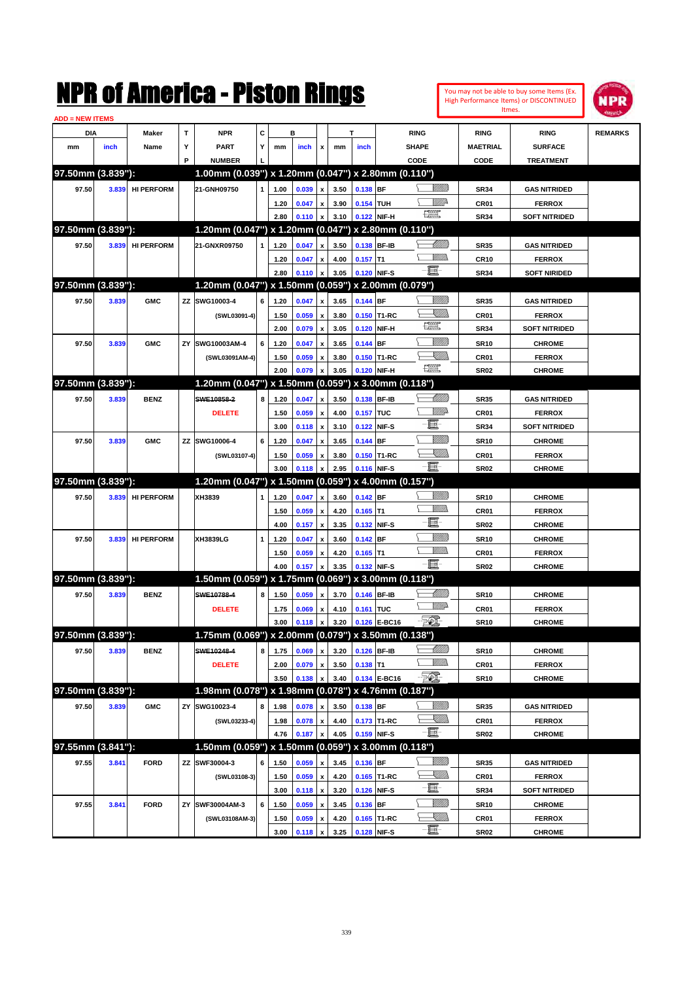|                        |       |                   |    | NMK OI AINCrica - Miston Kings                      |   |              |                |                           |      |             |                   |                                                                                                                                                                                                                                                                                                                                                     |                              |                     | You may not be able to buy some Items (Ex.<br>High Performance Items) or DISCONTINUED<br>Itmes. | NPR            |
|------------------------|-------|-------------------|----|-----------------------------------------------------|---|--------------|----------------|---------------------------|------|-------------|-------------------|-----------------------------------------------------------------------------------------------------------------------------------------------------------------------------------------------------------------------------------------------------------------------------------------------------------------------------------------------------|------------------------------|---------------------|-------------------------------------------------------------------------------------------------|----------------|
| <b>ADD = NEW ITEMS</b> |       |                   |    |                                                     |   |              |                |                           |      |             |                   |                                                                                                                                                                                                                                                                                                                                                     |                              |                     |                                                                                                 |                |
| DIA                    |       | Maker             | T  | <b>NPR</b>                                          | C |              | в              |                           |      | T           |                   | <b>RING</b>                                                                                                                                                                                                                                                                                                                                         |                              | <b>RING</b>         | <b>RING</b>                                                                                     | <b>REMARKS</b> |
| mm                     | inch  | Name              | Υ  | <b>PART</b>                                         | Y | mm           | inch           | x                         | mm   | inch        |                   | <b>SHAPE</b>                                                                                                                                                                                                                                                                                                                                        |                              | <b>MAETRIAL</b>     | <b>SURFACE</b>                                                                                  |                |
|                        |       |                   | P  | <b>NUMBER</b>                                       |   |              |                |                           |      |             |                   | CODE                                                                                                                                                                                                                                                                                                                                                |                              | CODE                | <b>TREATMENT</b>                                                                                |                |
| 97.50mm (3.839"):      |       |                   |    | 1.00mm (0.039") x 1.20mm (0.047") x 2.80mm (0.110") |   |              |                |                           |      |             |                   |                                                                                                                                                                                                                                                                                                                                                     |                              |                     |                                                                                                 |                |
| 97.50                  | 3.839 | <b>HI PERFORM</b> |    | 21-GNH09750                                         | 1 | 1.00         | 0.039          | $\mathbf{x}$              | 3.50 | 0.138 BF    |                   |                                                                                                                                                                                                                                                                                                                                                     | <u>Millitt</u>               | <b>SR34</b>         | <b>GAS NITRIDED</b>                                                                             |                |
|                        |       |                   |    |                                                     |   | 1.20         | 0.047          | $\mathbf{x}$              | 3.90 | 0.154 TUH   |                   |                                                                                                                                                                                                                                                                                                                                                     | ₩₩                           | CR01                | <b>FERROX</b>                                                                                   |                |
|                        |       |                   |    |                                                     |   | 2.80         | 0.110          | x                         | 3.10 |             | 0.122 NIF-H       | $\frac{1}{2}$                                                                                                                                                                                                                                                                                                                                       |                              | <b>SR34</b>         | <b>SOFT NITRIDED</b>                                                                            |                |
| 97.50mm (3.839"):      |       |                   |    | 1.20mm (0.047") x 1.20mm (0.047") x 2.80mm (0.110") |   |              |                |                           |      |             |                   |                                                                                                                                                                                                                                                                                                                                                     |                              |                     |                                                                                                 |                |
| 97.50                  | 3.839 | <b>HI PERFORM</b> |    | 21-GNXR09750                                        | 1 | 1.20         | 0.047          | x                         | 3.50 |             | 0.138 BF-IB       |                                                                                                                                                                                                                                                                                                                                                     | <u> UMM</u>                  | <b>SR35</b>         | <b>GAS NITRIDED</b>                                                                             |                |
|                        |       |                   |    |                                                     |   | 1.20         | 0.047          | x                         | 4.00 | $0.157$ T1  |                   |                                                                                                                                                                                                                                                                                                                                                     | .<br>WWW                     | <b>CR10</b>         | <b>FERROX</b>                                                                                   |                |
|                        |       |                   |    |                                                     |   | 2.80         | 0.110          | x                         | 3.05 |             | 0.120 NIF-S       | -6                                                                                                                                                                                                                                                                                                                                                  |                              | <b>SR34</b>         | <b>SOFT NIRIDED</b>                                                                             |                |
| 97.50mm (3.839"):      |       |                   |    | 1.20mm (0.047") x 1.50mm (0.059") x 2.00mm (0.079") |   |              |                |                           |      |             |                   |                                                                                                                                                                                                                                                                                                                                                     |                              |                     |                                                                                                 |                |
| 97.50                  | 3.839 | <b>GMC</b>        |    | ZZ SWG10003-4                                       | 6 | 1.20         | 0.047          | x                         | 3.65 | 0.144 BF    |                   |                                                                                                                                                                                                                                                                                                                                                     |                              | <b>SR35</b>         | <b>GAS NITRIDED</b>                                                                             |                |
|                        |       |                   |    | (SWL03091-4)                                        |   | 1.50         | 0.059          | x                         | 3.80 |             | 0.150 T1-RC       |                                                                                                                                                                                                                                                                                                                                                     | <u>Sillill</u>               | CR <sub>01</sub>    | <b>FERROX</b>                                                                                   |                |
|                        |       |                   |    |                                                     |   | 2.00         | 0.079          | $\boldsymbol{\mathsf{x}}$ | 3.05 |             | 0.120 NIF-H       | $\begin{picture}(20,20) \put(0,0){\line(1,0){10}} \put(15,0){\line(1,0){10}} \put(15,0){\line(1,0){10}} \put(15,0){\line(1,0){10}} \put(15,0){\line(1,0){10}} \put(15,0){\line(1,0){10}} \put(15,0){\line(1,0){10}} \put(15,0){\line(1,0){10}} \put(15,0){\line(1,0){10}} \put(15,0){\line(1,0){10}} \put(15,0){\line(1,0){10}} \put(15,0){\line(1$ |                              | <b>SR34</b>         | <b>SOFT NITRIDED</b>                                                                            |                |
| 97.50                  | 3.839 | <b>GMC</b>        | ΖY | SWG10003AM-4                                        | 6 | 1.20         | 0.047          | x                         | 3.65 | 0.144 BF    |                   |                                                                                                                                                                                                                                                                                                                                                     | <u>MMM</u>                   | <b>SR10</b>         | <b>CHROME</b>                                                                                   |                |
|                        |       |                   |    | (SWL03091AM-4)                                      |   | 1.50         | 0.059          | x                         | 3.80 |             | 0.150 T1-RC       |                                                                                                                                                                                                                                                                                                                                                     | <u>SMM</u>                   | CR01                | <b>FERROX</b>                                                                                   |                |
|                        |       |                   |    |                                                     |   | 2.00         | 0.079          | $\boldsymbol{\mathsf{x}}$ | 3.05 |             | 0.120 NIF-H       | $\begin{picture}(20,20) \put(0,0){\line(1,0){10}} \put(15,0){\line(1,0){10}} \put(15,0){\line(1,0){10}} \put(15,0){\line(1,0){10}} \put(15,0){\line(1,0){10}} \put(15,0){\line(1,0){10}} \put(15,0){\line(1,0){10}} \put(15,0){\line(1,0){10}} \put(15,0){\line(1,0){10}} \put(15,0){\line(1,0){10}} \put(15,0){\line(1,0){10}} \put(15,0){\line(1$ |                              | <b>SR02</b>         | <b>CHROME</b>                                                                                   |                |
| 97.50mm (3.839"):      |       |                   |    | 1.20mm (0.047") x 1.50mm (0.059")                   |   |              |                |                           |      |             | x 3.00mm (0.118") |                                                                                                                                                                                                                                                                                                                                                     |                              |                     |                                                                                                 |                |
| 97.50                  | 3.839 | <b>BENZ</b>       |    | SWE10858-2                                          | 8 | 1.20         | 0.047          | x                         | 3.50 |             | 0.138 BF-IB       |                                                                                                                                                                                                                                                                                                                                                     | <u> UMM</u>                  | <b>SR35</b>         | <b>GAS NITRIDED</b>                                                                             |                |
|                        |       |                   |    | <b>DELETE</b>                                       |   | 1.50         | 0.059          | $\boldsymbol{\mathsf{x}}$ | 4.00 | 0.157 TUC   |                   |                                                                                                                                                                                                                                                                                                                                                     | <u>VMD</u>                   | CR01                | <b>FERROX</b>                                                                                   |                |
|                        |       |                   |    |                                                     |   | 3.00         | 0.118          | x                         | 3.10 |             | 0.122 NIF-S       | E                                                                                                                                                                                                                                                                                                                                                   |                              | <b>SR34</b>         | <b>SOFT NITRIDED</b>                                                                            |                |
| 97.50                  | 3.839 | <b>GMC</b>        |    | ZZ SWG10006-4                                       | 6 | 1.20         | 0.047          | X                         | 3.65 | $0.144$ BF  |                   |                                                                                                                                                                                                                                                                                                                                                     | <u>MMM</u>                   | <b>SR10</b>         | <b>CHROME</b>                                                                                   |                |
|                        |       |                   |    | (SWL03107-4)                                        |   | 1.50         | 0.059          | x                         | 3.80 |             | 0.150 T1-RC       |                                                                                                                                                                                                                                                                                                                                                     | <u>Sillin</u>                | CR01                | <b>FERROX</b>                                                                                   |                |
|                        |       |                   |    |                                                     |   | 3.00         | 0.118          | $\boldsymbol{\mathsf{x}}$ | 2.95 |             | 0.116 NIF-S       | -8                                                                                                                                                                                                                                                                                                                                                  |                              | <b>SR02</b>         | <b>CHROME</b>                                                                                   |                |
| 97.50mm (3.839"):      |       |                   |    | 1.20mm (0.047") x 1.50mm (0.059") x 4.00mm (0.157") |   |              |                |                           |      |             |                   |                                                                                                                                                                                                                                                                                                                                                     |                              |                     |                                                                                                 |                |
| 97.50                  | 3.839 | <b>HI PERFORM</b> |    | XH3839                                              | 1 | 1.20         | 0.047          | $\boldsymbol{x}$          | 3.60 | $0.142$ BF  |                   |                                                                                                                                                                                                                                                                                                                                                     | <u>Millitti</u>              | <b>SR10</b>         | <b>CHROME</b>                                                                                   |                |
|                        |       |                   |    |                                                     |   | 1.50         | 0.059          | $\boldsymbol{\mathsf{x}}$ | 4.20 | $0.165$ T1  |                   |                                                                                                                                                                                                                                                                                                                                                     | <br>Mar                      | CR <sub>01</sub>    | <b>FERROX</b>                                                                                   |                |
|                        |       |                   |    |                                                     |   | 4.00         | 0.157          | $\boldsymbol{\mathsf{x}}$ | 3.35 |             | 0.132 NIF-S       | 買                                                                                                                                                                                                                                                                                                                                                   |                              | <b>SR02</b>         | <b>CHROME</b>                                                                                   |                |
| 97.50                  | 3.839 | <b>HI PERFORM</b> |    | XH3839LG                                            | 1 | 1.20         | 0.047          | X                         | 3.60 | $0.142$ BF  |                   |                                                                                                                                                                                                                                                                                                                                                     | <u>Milli</u>                 | <b>SR10</b>         | <b>CHROME</b>                                                                                   |                |
|                        |       |                   |    |                                                     |   | 1.50         | 0.059          | x                         | 4.20 | $0.165$ T1  |                   |                                                                                                                                                                                                                                                                                                                                                     | <br>Villida                  | CR01                | <b>FERROX</b>                                                                                   |                |
|                        |       |                   |    |                                                     |   | 4.00         | 0.157          | $\boldsymbol{\mathsf{x}}$ | 3.35 |             | 0.132 NIF-S       | $-\mathbf{E}$                                                                                                                                                                                                                                                                                                                                       |                              | <b>SR02</b>         | <b>CHROME</b>                                                                                   |                |
| 97.50mm (3.839"):      |       |                   |    | 1.50mm (0.059") x 1.75mm (0.069") x 3.00mm (0.118") |   |              |                |                           |      |             |                   |                                                                                                                                                                                                                                                                                                                                                     |                              |                     |                                                                                                 |                |
| 97.50                  | 3.839 | <b>BENZ</b>       |    | SWE10788-4                                          | 8 | 1.50         | 0.059          | x                         | 3.70 |             | 0.146 BF-IB       |                                                                                                                                                                                                                                                                                                                                                     | <u>UMM)</u>                  | <b>SR10</b>         | <b>CHROME</b>                                                                                   |                |
|                        |       |                   |    | <b>DELETE</b>                                       |   | 1.75         | 0.069          | $\boldsymbol{\mathsf{x}}$ | 4.10 | 0.161 TUC   |                   |                                                                                                                                                                                                                                                                                                                                                     | <u>MMP</u>                   | CR01                | <b>FERROX</b>                                                                                   |                |
|                        |       |                   |    |                                                     |   | 3.00         | 0.118          | $\boldsymbol{x}$          | 3.20 |             | 0.126 E-BC16      | EQ,                                                                                                                                                                                                                                                                                                                                                 |                              | <b>SR10</b>         | <b>CHROME</b>                                                                                   |                |
| 97.50mm (3.839"):      |       |                   |    | 1.75mm (0.069") x 2.00mm (0.079") x 3.50mm (0.138") |   |              |                |                           |      |             |                   |                                                                                                                                                                                                                                                                                                                                                     |                              |                     |                                                                                                 |                |
| 97.50                  | 3.839 | <b>BENZ</b>       |    | SWE10248-4                                          | 8 | 1.75         | 0.069          | x                         | 3.20 |             | 0.126 BF-IB       |                                                                                                                                                                                                                                                                                                                                                     | <u> UMM</u>                  | <b>SR10</b>         | <b>CHROME</b>                                                                                   |                |
|                        |       |                   |    |                                                     |   |              |                | $\pmb{\mathsf{x}}$        | 3.50 |             |                   |                                                                                                                                                                                                                                                                                                                                                     | <u>MM)</u>                   |                     |                                                                                                 |                |
|                        |       |                   |    | <b>DELETE</b>                                       |   | 2.00<br>3.50 | 0.079<br>0.138 | x                         | 3.40 | $0.138$ T1  | 0.134 E-BC16      | EQ,                                                                                                                                                                                                                                                                                                                                                 |                              | CR01<br><b>SR10</b> | <b>FERROX</b><br><b>CHROME</b>                                                                  |                |
| 97.50mm (3.839"):      |       |                   |    | 1.98mm (0.078") x 1.98mm (0.078") x 4.76mm (0.187") |   |              |                |                           |      |             |                   |                                                                                                                                                                                                                                                                                                                                                     |                              |                     |                                                                                                 |                |
|                        |       |                   |    | SWG10023-4                                          |   |              |                |                           |      |             |                   |                                                                                                                                                                                                                                                                                                                                                     | <u>MMS</u>                   |                     |                                                                                                 |                |
| 97.50                  | 3.839 | <b>GMC</b>        | ZY |                                                     | 8 | 1.98         | 0.078          | $\boldsymbol{\mathsf{x}}$ | 3.50 | $0.138$ BF  |                   |                                                                                                                                                                                                                                                                                                                                                     | <u>XIII)</u>                 | <b>SR35</b>         | <b>GAS NITRIDED</b>                                                                             |                |
|                        |       |                   |    | (SWL03233-4)                                        |   | 1.98         | 0.078          | $\pmb{\mathsf{x}}$        | 4.40 |             | 0.173 T1-RC       | e.                                                                                                                                                                                                                                                                                                                                                  |                              | CR01                | <b>FERROX</b>                                                                                   |                |
| 97.55mm (3.841"):      |       |                   |    | 1.50mm (0.059") x 1.50mm (0.059") x 3.00mm (0.118") |   | 4.76         | 0.187          | X                         | 4.05 |             | 0.159 NIF-S       |                                                                                                                                                                                                                                                                                                                                                     |                              | <b>SR02</b>         | <b>CHROME</b>                                                                                   |                |
|                        |       |                   |    |                                                     |   |              |                |                           |      |             |                   |                                                                                                                                                                                                                                                                                                                                                     |                              |                     |                                                                                                 |                |
| 97.55                  | 3.841 | <b>FORD</b>       | ΖZ | SWF30004-3                                          | 6 | 1.50         | 0.059          | x                         | 3.45 | 0.136 BF    |                   |                                                                                                                                                                                                                                                                                                                                                     | <u>Milli</u> n<br><u>UMB</u> | <b>SR35</b>         | <b>GAS NITRIDED</b>                                                                             |                |
|                        |       |                   |    | (SWL03108-3)                                        |   | 1.50         | 0.059          | $\pmb{\mathsf{x}}$        | 4.20 |             | 0.165 T1-RC       | e.                                                                                                                                                                                                                                                                                                                                                  |                              | CR01                | <b>FERROX</b>                                                                                   |                |
|                        |       |                   |    |                                                     |   | 3.00         | 0.118          | $\pmb{\mathsf{x}}$        | 3.20 |             | 0.126 NIF-S       |                                                                                                                                                                                                                                                                                                                                                     |                              | <b>SR34</b>         | <b>SOFT NITRIDED</b>                                                                            |                |
| 97.55                  | 3.841 | <b>FORD</b>       | ΖY | SWF30004AM-3                                        | 6 | 1.50         | 0.059          | $\pmb{\mathsf{x}}$        | 3.45 | 0.136 BF    |                   |                                                                                                                                                                                                                                                                                                                                                     | <u>MMS</u>                   | <b>SR10</b>         | <b>CHROME</b>                                                                                   |                |
|                        |       |                   |    | (SWL03108AM-3)                                      |   | 1.50         | 0.059          | x                         | 4.20 |             | 0.165 T1-RC       | e.                                                                                                                                                                                                                                                                                                                                                  | <u>XIII)</u>                 | CR01                | <b>FERROX</b>                                                                                   |                |
|                        |       |                   |    |                                                     |   | 3.00         | 0.118          | $\mathbf{x}$              | 3.25 | 0.128 NIF-S |                   |                                                                                                                                                                                                                                                                                                                                                     |                              | <b>SR02</b>         | <b>CHROME</b>                                                                                   |                |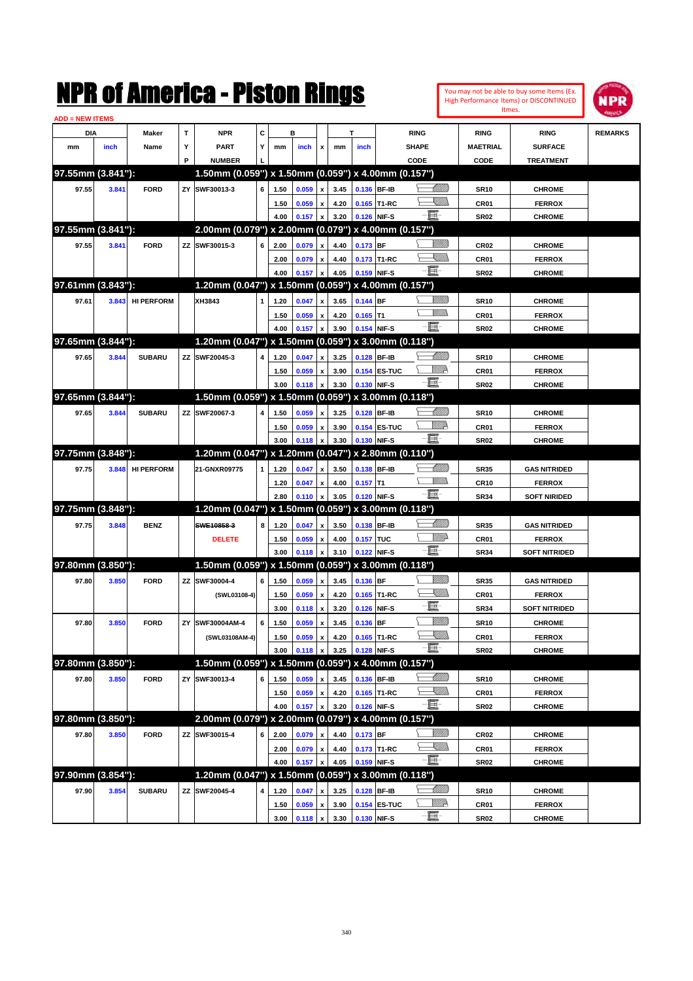

| <b>ADD = NEW ITEMS</b> |       |                   |    |                                                     |   |      |       |                           |              |                           |                   |                  |                  |                      |                |
|------------------------|-------|-------------------|----|-----------------------------------------------------|---|------|-------|---------------------------|--------------|---------------------------|-------------------|------------------|------------------|----------------------|----------------|
| DIA                    |       | <b>Maker</b>      | T  | <b>NPR</b>                                          | С |      | в     |                           | т            |                           |                   | <b>RING</b>      | <b>RING</b>      | <b>RING</b>          | <b>REMARKS</b> |
| mm                     | inch  | Name              | Y  | <b>PART</b>                                         | Y | mm   | inch  | x                         | mm           | inch                      |                   | <b>SHAPE</b>     | <b>MAETRIAL</b>  | <b>SURFACE</b>       |                |
|                        |       |                   | P  | <b>NUMBER</b>                                       |   |      |       |                           |              |                           |                   | CODE             | CODE             | <b>TREATMENT</b>     |                |
| 97.55mm (3.841"):      |       |                   |    | 1.50mm (0.059") x 1.50mm (0.059") x 4.00mm (0.157") |   |      |       |                           |              |                           |                   |                  |                  |                      |                |
| 97.55                  | 3.841 | <b>FORD</b>       | ZY | SWF30013-3                                          | 6 | 1.50 | 0.059 | $\pmb{\mathsf{x}}$        | 3.45         | 0.136 BF-IB               |                   | MMM              | <b>SR10</b>      | <b>CHROME</b>        |                |
|                        |       |                   |    |                                                     |   | 1.50 | 0.059 | x                         | 4.20         |                           | 0.165 T1-RC       | <u>Sillin</u>    | CR01             | <b>FERROX</b>        |                |
|                        |       |                   |    |                                                     |   | 4.00 | 0.157 | $\boldsymbol{x}$          | 3.20         | 0.126 NIF-S               |                   | 匱                | <b>SR02</b>      | <b>CHROME</b>        |                |
| 97.55mm (3.841"):      |       |                   |    | 2.00mm (0.079") x 2.00mm (0.079") x 4.00mm (0.157") |   |      |       |                           |              |                           |                   |                  |                  |                      |                |
| 97.55                  | 3.841 | <b>FORD</b>       |    | ZZ SWF30015-3                                       | 6 | 2.00 | 0.079 | $\pmb{\mathsf{x}}$        | 4.40         | $0.173$ BF                |                   | VIIII)           | CR <sub>02</sub> | <b>CHROME</b>        |                |
|                        |       |                   |    |                                                     |   | 2.00 | 0.079 | x                         | 4.40         |                           | 0.173 T1-RC       | <u>UMB</u>       | CR01             | <b>FERROX</b>        |                |
|                        |       |                   |    |                                                     |   | 4.00 | 0.157 | $\boldsymbol{x}$          | 4.05         | 0.159 NIF-S               |                   | 匱                | <b>SR02</b>      | <b>CHROME</b>        |                |
| 97.61mm (3.843"):      |       |                   |    | 1.20mm (0.047") x 1.50mm (0.059") x 4.00mm (0.157") |   |      |       |                           |              |                           |                   |                  |                  |                      |                |
| 97.61                  | 3.843 | <b>HI PERFORM</b> |    | XH3843                                              | 1 | 1.20 | 0.047 |                           | 3.65         | $0.144$ BF                |                   | <u>Sillilli</u>  |                  | <b>CHROME</b>        |                |
|                        |       |                   |    |                                                     |   |      |       | X                         |              |                           |                   | 7777))           | <b>SR10</b>      | <b>FERROX</b>        |                |
|                        |       |                   |    |                                                     |   | 1.50 | 0.059 | x                         | 4.20<br>3.90 | $0.165$ T1<br>0.154 NIF-S |                   | E                | CR01             |                      |                |
| 97.65mm (3.844"):      |       |                   |    | 1.20mm (0.047") x 1.50mm (0.059") x 3.00mm (0.118") |   | 4.00 | 0.157 | $\boldsymbol{x}$          |              |                           |                   |                  | <b>SR02</b>      | <b>CHROME</b>        |                |
|                        |       |                   |    |                                                     |   |      |       |                           |              |                           |                   | <u>UMM</u>       |                  |                      |                |
| 97.65                  | 3.844 | <b>SUBARU</b>     |    | ZZ SWF20045-3                                       | 4 | 1.20 | 0.047 | x                         | 3.25         |                           | 0.128 BF-IB       | ₩₩               | <b>SR10</b>      | <b>CHROME</b>        |                |
|                        |       |                   |    |                                                     |   | 1.50 | 0.059 | x                         | 3.90         |                           | 0.154 ES-TUC      | - Ei             | CR01             | <b>FERROX</b>        |                |
|                        |       |                   |    |                                                     |   | 3.00 | 0.118 | $\boldsymbol{\mathsf{x}}$ | 3.30         | 0.130 NIF-S               |                   |                  | <b>SR02</b>      | <b>CHROME</b>        |                |
| 97.65mm (3.844"):      |       |                   |    | 1.50mm (0.059") x 1.50mm (0.059") x 3.00mm (0.118") |   |      |       |                           |              |                           |                   |                  |                  |                      |                |
| 97.65                  | 3.844 | <b>SUBARU</b>     |    | ZZ SWF20067-3                                       | 4 | 1.50 | 0.059 | x                         | 3.25         |                           | 0.128 BF-IB       | <u>UMM</u>       | <b>SR10</b>      | <b>CHROME</b>        |                |
|                        |       |                   |    |                                                     |   | 1.50 | 0.059 | x                         | 3.90         |                           | 0.154 ES-TUC      | <u>Willik</u>    | CR01             | <b>FERROX</b>        |                |
|                        |       |                   |    |                                                     |   | 3.00 | 0.118 | $\boldsymbol{\mathsf{x}}$ | 3.30         | 0.130 NIF-S               |                   | e.               | <b>SR02</b>      | <b>CHROME</b>        |                |
| 97.75mm (3.848"):      |       |                   |    | 1.20mm (0.047") x 1.20mm (0.047")                   |   |      |       |                           |              |                           | x 2.80mm (0.110") |                  |                  |                      |                |
| 97.75                  | 3.848 | <b>HI PERFORM</b> |    | 21-GNXR09775                                        | 1 | 1.20 | 0.047 | x                         | 3.50         |                           | 0.138 BF-IB       | <u>UMM</u>       | <b>SR35</b>      | <b>GAS NITRIDED</b>  |                |
|                        |       |                   |    |                                                     |   | 1.20 | 0.047 | x                         | 4.00         | $0.157$ T1                |                   | 7777).           | <b>CR10</b>      | <b>FERROX</b>        |                |
|                        |       |                   |    |                                                     |   | 2.80 | 0.110 | $\boldsymbol{x}$          | 3.05         | 0.120 NIF-S               |                   | - 1              | <b>SR34</b>      | <b>SOFT NIRIDED</b>  |                |
| 97.75mm (3.848"):      |       |                   |    | 1.20mm (0.047") x 1.50mm (0.059")                   |   |      |       |                           |              |                           | x 3.00mm (0.118") |                  |                  |                      |                |
| 97.75                  | 3.848 | <b>BENZ</b>       |    | SWE10858-3                                          | 8 | 1.20 | 0.047 | x                         | 3.50         |                           | 0.138 BF-IB       | Millitt          | <b>SR35</b>      | <b>GAS NITRIDED</b>  |                |
|                        |       |                   |    | <b>DELETE</b>                                       |   | 1.50 | 0.059 | x                         | 4.00         | 0.157 TUC                 |                   | <u>MMP</u>       | CR01             | <b>FERROX</b>        |                |
|                        |       |                   |    |                                                     |   | 3.00 | 0.118 | $\boldsymbol{\mathsf{x}}$ | 3.10         | 0.122 NIF-S               |                   | E                | <b>SR34</b>      | <b>SOFT NITRIDED</b> |                |
| 97.80mm (3.850"):      |       |                   |    | 1.50mm (0.059") x 1.50mm (0.059") x 3.00mm (0.118") |   |      |       |                           |              |                           |                   |                  |                  |                      |                |
| 97.80                  | 3.850 | <b>FORD</b>       | ΖZ | SWF30004-4                                          | 6 | 1.50 | 0.059 | $\pmb{\mathsf{x}}$        | 3.45         | 0.136 BF                  |                   | <u>Milli</u>     | <b>SR35</b>      | <b>GAS NITRIDED</b>  |                |
|                        |       |                   |    | (SWL03108-4)                                        |   | 1.50 | 0.059 | x                         | 4.20         |                           | 0.165 T1-RC       | <u>Sillin</u>    | CR01             | <b>FERROX</b>        |                |
|                        |       |                   |    |                                                     |   | 3.00 | 0.118 | $\boldsymbol{\mathsf{x}}$ | 3.20         | 0.126 NIF-S               |                   | E                | <b>SR34</b>      | <b>SOFT NITRIDED</b> |                |
| 97.80                  | 3.850 | <b>FORD</b>       | ΖY | SWF30004AM-4                                        | 6 | 1.50 | 0.059 | x                         | 3.45         | 0.136 BF                  |                   | <u>Milli</u>     | <b>SR10</b>      | <b>CHROME</b>        |                |
|                        |       |                   |    | (SWL03108AM-4)                                      |   | 1.50 | 0.059 | x                         | 4.20         |                           | 0.165 T1-RC       | <u>Sillin</u>    | CR01             | <b>FERROX</b>        |                |
|                        |       |                   |    |                                                     |   | 3.00 | 0.118 | $\pmb{\mathsf{x}}$        | 3.25         | 0.128 NIF-S               |                   | -8               | <b>SR02</b>      | <b>CHROME</b>        |                |
| 97.80mm (3.850"):      |       |                   |    | 1.50mm (0.059") x 1.50mm (0.059") x 4.00mm (0.157") |   |      |       |                           |              |                           |                   |                  |                  |                      |                |
| 97.80                  | 3.850 | <b>FORD</b>       |    | ZY SWF30013-4                                       | 6 | 1.50 | 0.059 | $\pmb{\mathsf{x}}$        | 3.45         |                           | 0.136 BF-IB       | <u> UMM</u>      | <b>SR10</b>      | <b>CHROME</b>        |                |
|                        |       |                   |    |                                                     |   | 1.50 | 0.059 | $\pmb{\mathsf{x}}$        | 4.20         |                           | 0.165 T1-RC       | <u>UMB</u>       | CR01             | <b>FERROX</b>        |                |
|                        |       |                   |    |                                                     |   | 4.00 | 0.157 | $\pmb{\mathsf{x}}$        | 3.20         | 0.126 NIF-S               |                   | e.               | SR02             | <b>CHROME</b>        |                |
| 97.80mm (3.850"):      |       |                   |    | 2.00mm (0.079") x 2.00mm (0.079") x 4.00mm (0.157") |   |      |       |                           |              |                           |                   |                  |                  |                      |                |
| 97.80                  | 3.850 | <b>FORD</b>       |    | ZZ SWF30015-4                                       | 6 | 2.00 | 0.079 | x                         | 4.40         | $0.173$ BF                |                   | <u>Milli</u>     | CR <sub>02</sub> | <b>CHROME</b>        |                |
|                        |       |                   |    |                                                     |   | 2.00 | 0.079 | x                         | 4.40         |                           | 0.173 T1-RC       | <u>UMB</u>       | CR01             | <b>FERROX</b>        |                |
|                        |       |                   |    |                                                     |   | 4.00 | 0.157 | $\pmb{\mathsf{x}}$        | 4.05         | 0.159 NIF-S               |                   | -8               | SR02             | <b>CHROME</b>        |                |
| 97.90mm (3.854"):      |       |                   |    | 1.20mm (0.047") x 1.50mm (0.059") x 3.00mm (0.118") |   |      |       |                           |              |                           |                   |                  |                  |                      |                |
| 97.90                  | 3.854 | <b>SUBARU</b>     |    | ZZ SWF20045-4                                       | 4 | 1.20 | 0.047 |                           | 3.25         |                           | 0.128 BF-IB       | <u> Millitti</u> | <b>SR10</b>      | <b>CHROME</b>        |                |
|                        |       |                   |    |                                                     |   | 1.50 | 0.059 | x                         | 3.90         |                           | 0.154 ES-TUC      | <u>W//k</u>      | CR01             | <b>FERROX</b>        |                |
|                        |       |                   |    |                                                     |   | 3.00 | 0.118 | $\pmb{\mathsf{x}}$        | 3.30         | 0.130 NIF-S               |                   | <b>- 夏</b> -     | <b>SR02</b>      | <b>CHROME</b>        |                |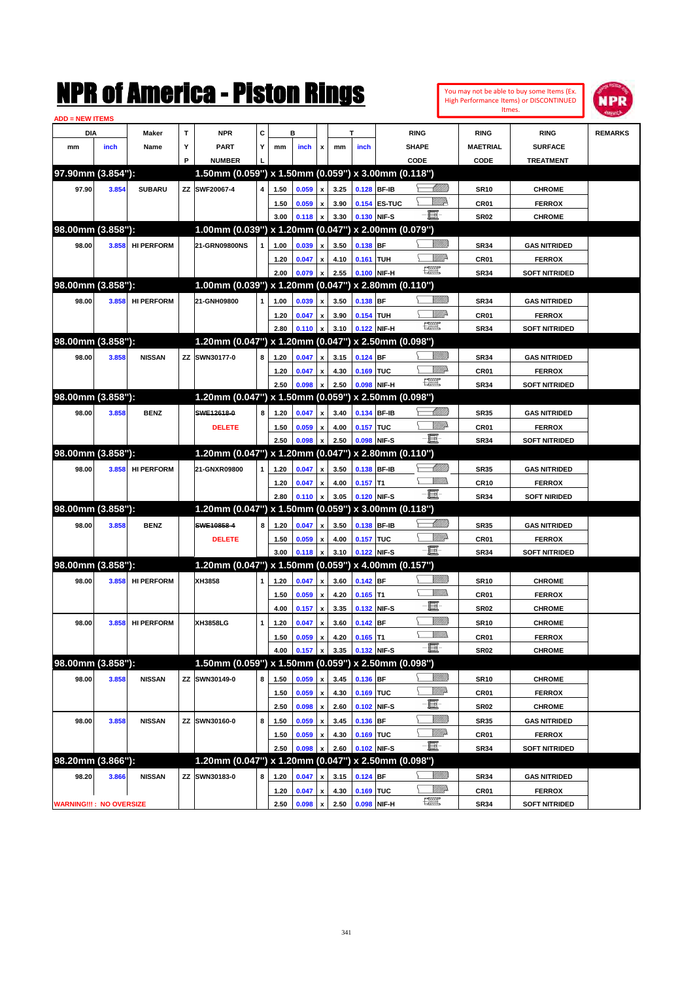|                                |       |                   |             | NMK OI AINCrica - Miston Kings                      |   |              |                |                           |              |                  |                   |                         |                 | Itmes.          | You may not be able to buy some Items (Ex.<br>High Performance Items) or DISCONTINUED | IPR            |
|--------------------------------|-------|-------------------|-------------|-----------------------------------------------------|---|--------------|----------------|---------------------------|--------------|------------------|-------------------|-------------------------|-----------------|-----------------|---------------------------------------------------------------------------------------|----------------|
| <b>ADD = NEW ITEMS</b>         |       |                   |             |                                                     |   |              |                |                           |              |                  |                   |                         |                 |                 |                                                                                       |                |
| DIA                            |       | Maker             | $\mathbf T$ | <b>NPR</b>                                          | C |              | в              |                           |              | T                |                   | <b>RING</b>             |                 | <b>RING</b>     | <b>RING</b>                                                                           | <b>REMARKS</b> |
| mm                             | inch  | Name              | Υ           | <b>PART</b>                                         | Υ | mm           | inch           | x                         | mm           | inch             |                   | <b>SHAPE</b>            |                 | <b>MAETRIAL</b> | <b>SURFACE</b>                                                                        |                |
|                                |       |                   | P           | <b>NUMBER</b>                                       |   |              |                |                           |              |                  |                   | CODE                    |                 | <b>CODE</b>     | <b>TREATMENT</b>                                                                      |                |
| 97.90mm (3.854"):              |       |                   |             | 1.50mm (0.059") x 1.50mm (0.059") x 3.00mm (0.118") |   |              |                |                           |              |                  |                   |                         |                 |                 |                                                                                       |                |
| 97.90                          | 3.854 | <b>SUBARU</b>     |             | ZZ SWF20067-4                                       | 4 | 1.50         | 0.059          | $\pmb{\mathsf{x}}$        | 3.25         | 0.128 BF-IB      |                   |                         | <u> UMM</u>     | <b>SR10</b>     | <b>CHROME</b>                                                                         |                |
|                                |       |                   |             |                                                     |   | 1.50         | 0.059          | $\pmb{\mathsf{x}}$        | 3.90         |                  | 0.154 ES-TUC      |                         | <u>VIIId</u> e  | CR01            | <b>FERROX</b>                                                                         |                |
|                                |       |                   |             |                                                     |   | 3.00         | 0.118          | x                         | 3.30         | 0.130 NIF-S      |                   | Ë                       |                 | <b>SR02</b>     | <b>CHROME</b>                                                                         |                |
| 98.00mm (3.858"):              |       |                   |             | 1.00mm (0.039") x 1.20mm (0.047") x 2.00mm (0.079") |   |              |                |                           |              |                  |                   |                         |                 |                 |                                                                                       |                |
| 98.00                          | 3.858 | <b>HI PERFORM</b> |             | 21-GRN09800NS                                       |   | 1.00         | 0.039          | $\pmb{\mathsf{x}}$        | 3.50         | $0.138$ BF       |                   |                         | <u>Millitti</u> | <b>SR34</b>     | <b>GAS NITRIDED</b>                                                                   |                |
|                                |       |                   |             |                                                     |   | 1.20         | 0.047          | $\pmb{\mathsf{x}}$        | 4.10         | 0.161 TUH        |                   |                         | <u>Mille</u>    | CR01            | <b>FERROX</b>                                                                         |                |
|                                |       |                   |             |                                                     |   | 2.00         | 0.079          | x                         | 2.55         | 0.100 NIF-H      |                   | 鱱                       |                 | <b>SR34</b>     | <b>SOFT NITRIDED</b>                                                                  |                |
| 98.00mm (3.858"):              |       |                   |             | 1.00mm (0.039") x 1.20mm (0.047") x 2.80mm (0.110") |   |              |                |                           |              |                  |                   |                         |                 |                 |                                                                                       |                |
| 98.00                          | 3.858 | <b>HI PERFORM</b> |             | 21-GNH09800                                         | 1 | 1.00         | 0.039          | $\pmb{\mathsf{x}}$        | 3.50         | $0.138$ BF       |                   |                         | <u>Millitti</u> | <b>SR34</b>     | <b>GAS NITRIDED</b>                                                                   |                |
|                                |       |                   |             |                                                     |   | 1.20         | 0.047          | $\pmb{\mathsf{x}}$        | 3.90         | 0.154 TUH        |                   |                         | ₩₩              | CR01            | <b>FERROX</b>                                                                         |                |
|                                |       |                   |             |                                                     |   | 2.80         | 0.110          | $\boldsymbol{\mathsf{x}}$ | 3.10         | 0.122 NIF-H      |                   | <b>The Control</b>      |                 | <b>SR34</b>     | <b>SOFT NITRIDED</b>                                                                  |                |
| 98.00mm (3.858"):              |       |                   |             | 1.20mm (0.047") x 1.20mm (0.047") x 2.50mm (0.098") |   |              |                |                           |              |                  |                   |                         |                 |                 |                                                                                       |                |
| 98.00                          | 3.858 | <b>NISSAN</b>     |             | ZZ SWN30177-0                                       | 8 | 1.20         | 0.047          | $\pmb{\mathsf{x}}$        | 3.15         | $0.124$ BF       |                   |                         | <u>Millitti</u> | <b>SR34</b>     | <b>GAS NITRIDED</b>                                                                   |                |
|                                |       |                   |             |                                                     |   | 1.20         | 0.047          | $\pmb{\mathsf{x}}$        | 4.30         | 0.169 TUC        |                   |                         | <u>MMP</u>      | CR01            | <b>FERROX</b>                                                                         |                |
|                                |       |                   |             |                                                     |   | 2.50         | 0.098          | $\boldsymbol{\mathsf{x}}$ | 2.50         | 0.098 NIF-H      |                   | $f_{\rm max}^{\rm exp}$ |                 | <b>SR34</b>     | <b>SOFT NITRIDED</b>                                                                  |                |
| 98.00mm (3.858"):              |       |                   |             | 1.20mm (0.047") x 1.50mm (0.059")                   |   |              |                |                           |              |                  | x 2.50mm (0.098") |                         |                 |                 |                                                                                       |                |
| 98.00                          | 3.858 | <b>BENZ</b>       |             | SWE12618-0                                          | 8 | 1.20         | 0.047          | $\pmb{\mathsf{x}}$        | 3.40         | 0.134 BF-IB      |                   |                         | <u> UMM</u>     | <b>SR35</b>     | <b>GAS NITRIDED</b>                                                                   |                |
|                                |       |                   |             | <b>DELETE</b>                                       |   | 1.50         | 0.059          | $\pmb{\mathsf{x}}$        | 4.00         | <b>0.157 TUC</b> |                   |                         | <u>MMP</u>      | CR01            | <b>FERROX</b>                                                                         |                |
|                                |       |                   |             |                                                     |   | 2.50         | 0.098          | $\boldsymbol{x}$          | 2.50         | 0.098 NIF-S      |                   | e.                      |                 | <b>SR34</b>     | <b>SOFT NITRIDED</b>                                                                  |                |
| 98.00mm (3.858"):              |       |                   |             | 1.20mm (0.047") x 1.20mm (0.047")                   |   |              |                |                           |              |                  | x 2.80mm (0.110") |                         |                 |                 |                                                                                       |                |
| 98.00                          | 3.858 | <b>HI PERFORM</b> |             | 21-GNXR09800                                        | 1 | 1.20         | 0.047          | $\pmb{\mathsf{x}}$        | 3.50         | 0.138 BF-IB      |                   |                         | Millitti        | <b>SR35</b>     | <b>GAS NITRIDED</b>                                                                   |                |
|                                |       |                   |             |                                                     |   | 1.20         | 0.047          | $\pmb{\mathsf{x}}$        | 4.00         | $0.157$ T1       |                   |                         | 977))           | <b>CR10</b>     | <b>FERROX</b>                                                                         |                |
|                                |       |                   |             |                                                     |   | 2.80         | 0.110          | $\boldsymbol{\mathsf{x}}$ | 3.05         | 0.120 NIF-S      |                   | -60                     |                 | <b>SR34</b>     | SOFT NIRIDED                                                                          |                |
| 98.00mm (3.858"):              |       |                   |             | 1.20mm (0.047") x 1.50mm (0.059")                   |   |              |                |                           |              |                  | x 3.00mm (0.118") |                         |                 |                 |                                                                                       |                |
| 98.00                          | 3.858 | <b>BENZ</b>       |             | SWE10858-4                                          | 8 | 1.20         | 0.047          | $\pmb{\mathsf{x}}$        | 3.50         | 0.138 BF-IB      |                   |                         | <u>UMB</u>      | <b>SR35</b>     | <b>GAS NITRIDED</b>                                                                   |                |
|                                |       |                   |             |                                                     |   |              |                |                           |              | 0.157 TUC        |                   |                         | <u>MMP</u>      | CR01            |                                                                                       |                |
|                                |       |                   |             | <b>DELETE</b>                                       |   | 1.50<br>3.00 | 0.059<br>0.118 | $\pmb{\mathsf{x}}$<br>x   | 4.00<br>3.10 | 0.122 NIF-S      |                   | E.                      |                 | <b>SR34</b>     | <b>FERROX</b><br><b>SOFT NITRIDED</b>                                                 |                |
| 98.00mm (3.858"):              |       |                   |             | 1.20mm (0.047") x 1.50mm (0.059") x 4.00mm (0.157") |   |              |                |                           |              |                  |                   |                         |                 |                 |                                                                                       |                |
|                                |       |                   |             |                                                     |   |              |                |                           |              |                  |                   |                         | <u>Millitti</u> |                 |                                                                                       |                |
| 98.00                          | 3.858 | <b>HI PERFORM</b> |             | XH3858                                              | 1 | 1.20         | 0.047          | $\pmb{\mathsf{x}}$        | 3.60         | $0.142$ BF       |                   |                         | 7777).          | <b>SR10</b>     | <b>CHROME</b>                                                                         |                |
|                                |       |                   |             |                                                     |   | 1.50         | 0.059          | $\pmb{\mathsf{x}}$        | 4.20         | $0.165$ T1       |                   | E.                      |                 | CR01            | <b>FERROX</b>                                                                         |                |
|                                |       |                   |             |                                                     |   | 4.00         | 0.157 x        |                           | 3.35         | 0.132 NIF-S      |                   |                         |                 | <b>SR02</b>     | <b>CHROME</b>                                                                         |                |
| 98.00                          | 3.858 | <b>HI PERFORM</b> |             | XH3858LG                                            | 1 | 1.20         | 0.047          | $\pmb{\mathsf{x}}$        | 3.60         | $0.142$ BF       |                   |                         | <u>MMM</u>      | <b>SR10</b>     | <b>CHROME</b>                                                                         |                |
|                                |       |                   |             |                                                     |   | 1.50         | 0.059          | $\pmb{\mathsf{x}}$        | 4.20         | $0.165$ T1       |                   |                         | <u>MM)</u>      | CR01            | <b>FERROX</b>                                                                         |                |
|                                |       |                   |             |                                                     |   | 4.00         | 0.157          | $\pmb{\mathsf{x}}$        | 3.35         | 0.132 NIF-S      |                   | e                       |                 | <b>SR02</b>     | <b>CHROME</b>                                                                         |                |
| 98.00mm (3.858"):              |       |                   |             | 1.50mm (0.059") x 1.50mm (0.059") x 2.50mm (0.098") |   |              |                |                           |              |                  |                   |                         |                 |                 |                                                                                       |                |
| 98.00                          | 3.858 | <b>NISSAN</b>     |             | ZZ SWN30149-0                                       | 8 | 1.50         | 0.059          | $\pmb{\mathsf{x}}$        | 3.45         | $0.136$ BF       |                   |                         | <u>VIII))</u>   | <b>SR10</b>     | <b>CHROME</b>                                                                         |                |
|                                |       |                   |             |                                                     |   | 1.50         | 0.059          | $\pmb{\mathsf{x}}$        | 4.30         | 0.169 TUC        |                   |                         | WWA             | CR01            | <b>FERROX</b>                                                                         |                |
|                                |       |                   |             |                                                     |   | 2.50         | 0.098          | $\pmb{\mathsf{x}}$        | 2.60         | 0.102 NIF-S      |                   | E.                      |                 | SR02            | <b>CHROME</b>                                                                         |                |
| 98.00                          | 3.858 | <b>NISSAN</b>     |             | ZZ SWN30160-0                                       | 8 | 1.50         | 0.059          | $\pmb{\mathsf{x}}$        | 3.45         | 0.136 BF         |                   |                         | <u>VIIII)</u>   | <b>SR35</b>     | <b>GAS NITRIDED</b>                                                                   |                |
|                                |       |                   |             |                                                     |   | 1.50         | 0.059          | $\pmb{\mathsf{x}}$        | 4.30         | 0.169 TUC        |                   |                         | <u>Willi</u> b  | CR01            | <b>FERROX</b>                                                                         |                |
|                                |       |                   |             |                                                     |   | 2.50         | 0.098          | $\boldsymbol{\mathsf{x}}$ | 2.60         | 0.102 NIF-S      |                   | E                       |                 | <b>SR34</b>     | <b>SOFT NITRIDED</b>                                                                  |                |
| 98.20mm (3.866"):              |       |                   |             | 1.20mm (0.047") x 1.20mm (0.047") x 2.50mm (0.098") |   |              |                |                           |              |                  |                   |                         |                 |                 |                                                                                       |                |
| 98.20                          | 3.866 | <b>NISSAN</b>     | ZZ          | SWN30183-0                                          | 8 | 1.20         | 0.047          | $\pmb{\mathsf{x}}$        | 3.15         | $0.124$ BF       |                   |                         | <u>Milli</u> b  | <b>SR34</b>     | <b>GAS NITRIDED</b>                                                                   |                |
|                                |       |                   |             |                                                     |   | 1.20         | 0.047          | $\pmb{\mathsf{x}}$        | 4.30         | 0.169 TUC        |                   |                         | <u>Willi</u> b  | CR01            | <b>FERROX</b>                                                                         |                |
| <b>WARNING!!!: NO OVERSIZE</b> |       |                   |             |                                                     |   | 2.50         | 0.098          | $\boldsymbol{x}$          | 2.50         | 0.098 NIF-H      |                   | æ                       |                 | <b>SR34</b>     | <b>SOFT NITRIDED</b>                                                                  |                |

341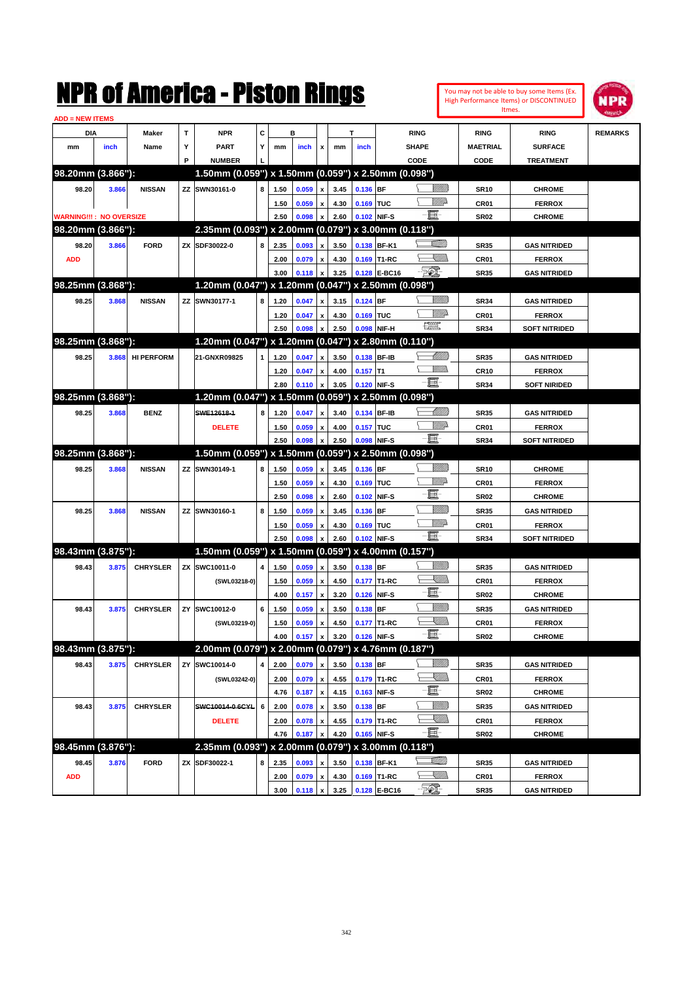|                                |       |                   |             | NMK OI AINCrica - Miston Kings                      |   |      |                |                           |      |             |                   |                         |                 |                  | You may not be able to buy some Items (Ex.<br>High Performance Items) or DISCONTINUED<br>Itmes. | NPR            |
|--------------------------------|-------|-------------------|-------------|-----------------------------------------------------|---|------|----------------|---------------------------|------|-------------|-------------------|-------------------------|-----------------|------------------|-------------------------------------------------------------------------------------------------|----------------|
| <b>ADD = NEW ITEMS</b>         |       |                   |             |                                                     |   |      |                |                           |      |             |                   |                         |                 |                  |                                                                                                 |                |
| DIA                            |       | Maker             | $\mathbf T$ | <b>NPR</b>                                          | C |      | в              |                           |      | T           |                   | <b>RING</b>             |                 | <b>RING</b>      | <b>RING</b>                                                                                     | <b>REMARKS</b> |
| mm                             | inch  | Name              | Υ           | <b>PART</b>                                         | Υ | mm   | inch           | x                         | mm   | inch        |                   | <b>SHAPE</b>            |                 | <b>MAETRIAL</b>  | <b>SURFACE</b>                                                                                  |                |
|                                |       |                   | P           | <b>NUMBER</b>                                       |   |      |                |                           |      |             |                   | CODE                    |                 | CODE             | <b>TREATMENT</b>                                                                                |                |
| 98.20mm (3.866"):              |       |                   |             | 1.50mm (0.059") x 1.50mm (0.059") x 2.50mm (0.098") |   |      |                |                           |      |             |                   |                         |                 |                  |                                                                                                 |                |
| 98.20                          | 3.866 | <b>NISSAN</b>     |             | ZZ SWN30161-0                                       | 8 | 1.50 | 0.059          | $\pmb{\mathsf{x}}$        | 3.45 | 0.136 BF    |                   |                         | <u>Millitt</u>  | <b>SR10</b>      | <b>CHROME</b>                                                                                   |                |
|                                |       |                   |             |                                                     |   | 1.50 | 0.059          | $\pmb{\mathsf{x}}$        | 4.30 | 0.169 TUC   |                   |                         | <u>VIIItä</u>   | CR01             | <b>FERROX</b>                                                                                   |                |
| <b>WARNING!!!: NO OVERSIZE</b> |       |                   |             |                                                     |   | 2.50 | 0.098          | x                         | 2.60 |             | 0.102 NIF-S       | E.                      |                 | <b>SR02</b>      | <b>CHROME</b>                                                                                   |                |
| 98.20mm (3.866"):              |       |                   |             | 2.35mm (0.093") x 2.00mm (0.079") x 3.00mm (0.118") |   |      |                |                           |      |             |                   |                         |                 |                  |                                                                                                 |                |
| 98.20                          | 3.866 | <b>FORD</b>       |             | ZX SDF30022-0                                       | 8 | 2.35 | 0.093          | $\pmb{\mathsf{x}}$        | 3.50 |             | 0.138 BF-K1       |                         | <u>Villin</u>   | <b>SR35</b>      | <b>GAS NITRIDED</b>                                                                             |                |
| <b>ADD</b>                     |       |                   |             |                                                     |   | 2.00 | 0.079          | $\pmb{\mathsf{x}}$        | 4.30 |             | 0.169 T1-RC       |                         | <u> Millib</u>  | CR01             | <b>FERROX</b>                                                                                   |                |
|                                |       |                   |             |                                                     |   | 3.00 | 0.118          | x                         | 3.25 |             | 0.128 E-BC16      | <b>521</b>              |                 | <b>SR35</b>      | <b>GAS NITRIDED</b>                                                                             |                |
| 98.25mm (3.868"):              |       |                   |             | 1.20mm (0.047") x 1.20mm (0.047") x 2.50mm (0.098") |   |      |                |                           |      |             |                   |                         |                 |                  |                                                                                                 |                |
| 98.25                          | 3.868 | <b>NISSAN</b>     |             | ZZ SWN30177-1                                       | 8 | 1.20 | 0.047          | $\pmb{\mathsf{x}}$        | 3.15 | $0.124$ BF  |                   |                         | <u>Millitti</u> | <b>SR34</b>      | <b>GAS NITRIDED</b>                                                                             |                |
|                                |       |                   |             |                                                     |   | 1.20 | 0.047          | $\pmb{\mathsf{x}}$        | 4.30 | 0.169 TUC   |                   |                         | <u>MMP</u>      | CR01             | <b>FERROX</b>                                                                                   |                |
|                                |       |                   |             |                                                     |   | 2.50 | 0.098          | $\boldsymbol{\mathsf{x}}$ | 2.50 |             | 0.098 NIF-H       | $f_{\rm max}^{\rm exp}$ |                 | <b>SR34</b>      | <b>SOFT NITRIDED</b>                                                                            |                |
| 98.25mm (3.868"):              |       |                   |             | 1.20mm (0.047") x 1.20mm (0.047")                   |   |      |                |                           |      |             | x 2.80mm (0.110") |                         |                 |                  |                                                                                                 |                |
| 98.25                          | 3.868 | <b>HI PERFORM</b> |             | 21-GNXR09825                                        | 1 | 1.20 | 0.047          | $\pmb{\mathsf{x}}$        | 3.50 |             | 0.138 BF-IB       |                         | <u> UMM</u>     | <b>SR35</b>      | <b>GAS NITRIDED</b>                                                                             |                |
|                                |       |                   |             |                                                     |   | 1.20 | 0.047          | $\pmb{\mathsf{x}}$        | 4.00 | $0.157$ T1  |                   |                         | <br>Mad         | <b>CR10</b>      | <b>FERROX</b>                                                                                   |                |
|                                |       |                   |             |                                                     |   | 2.80 | 0.110          | $\boldsymbol{\mathsf{x}}$ | 3.05 | 0.120 NIF-S |                   | E.                      |                 | <b>SR34</b>      | SOFT NIRIDED                                                                                    |                |
| 98.25mm (3.868"):              |       |                   |             | 1.20mm (0.047") x 1.50mm (0.059")                   |   |      |                |                           |      |             | x 2.50mm (0.098") |                         |                 |                  |                                                                                                 |                |
| 98.25                          | 3.868 | <b>BENZ</b>       |             | SWE12618-1                                          | 8 | 1.20 | 0.047          | $\pmb{\mathsf{x}}$        | 3.40 |             | 0.134 BF-IB       |                         | <u> UMM</u>     | <b>SR35</b>      | <b>GAS NITRIDED</b>                                                                             |                |
|                                |       |                   |             | <b>DELETE</b>                                       |   | 1.50 | 0.059          | $\pmb{\mathsf{x}}$        | 4.00 | 0.157 TUC   |                   |                         | <u>VMB</u>      | CR01             | <b>FERROX</b>                                                                                   |                |
|                                |       |                   |             |                                                     |   | 2.50 | 0.098          | $\boldsymbol{\mathsf{x}}$ | 2.50 | 0.098 NIF-S |                   | e.                      |                 | <b>SR34</b>      | <b>SOFT NITRIDED</b>                                                                            |                |
| 98.25mm (3.868"):              |       |                   |             | 1.50mm (0.059") x 1.50mm (0.059")                   |   |      |                |                           |      |             | x 2.50mm (0.098") |                         |                 |                  |                                                                                                 |                |
| 98.25                          | 3.868 | <b>NISSAN</b>     |             | ZZ SWN30149-1                                       | 8 | 1.50 | 0.059          | $\pmb{\mathsf{x}}$        | 3.45 | 0.136 BF    |                   |                         | VIII))          | <b>SR10</b>      | <b>CHROME</b>                                                                                   |                |
|                                |       |                   |             |                                                     |   | 1.50 | 0.059          | $\pmb{\mathsf{x}}$        | 4.30 | 0.169 TUC   |                   |                         | <u>VIII p</u>   | CR <sub>01</sub> | <b>FERROX</b>                                                                                   |                |
|                                |       |                   |             |                                                     |   | 2.50 | 0.098          | $\boldsymbol{\mathsf{x}}$ | 2.60 |             | 0.102 NIF-S       | E                       |                 | <b>SR02</b>      | <b>CHROME</b>                                                                                   |                |
| 98.25                          | 3.868 | <b>NISSAN</b>     |             | ZZ SWN30160-1                                       | 8 | 1.50 | 0.059          | $\pmb{\mathsf{x}}$        | 3.45 | 0.136 BF    |                   |                         | <u>MMW</u>      | <b>SR35</b>      | <b>GAS NITRIDED</b>                                                                             |                |
|                                |       |                   |             |                                                     |   | 1.50 | 0.059          | $\pmb{\mathsf{x}}$        | 4.30 | 0.169 TUC   |                   |                         | <u>VIIItä</u>   | CR01             | <b>FERROX</b>                                                                                   |                |
|                                |       |                   |             |                                                     |   | 2.50 | 0.098          | x                         | 2.60 |             | 0.102 NIF-S       | E.                      |                 | <b>SR34</b>      | <b>SOFT NITRIDED</b>                                                                            |                |
| 98.43mm (3.875"):              |       |                   |             | 1.50mm (0.059") x 1.50mm (0.059") x 4.00mm (0.157") |   |      |                |                           |      |             |                   |                         |                 |                  |                                                                                                 |                |
| 98.43                          | 3.875 | <b>CHRYSLER</b>   |             | ZX SWC10011-0                                       | 4 | 1.50 | 0.059          | $\pmb{\mathsf{x}}$        | 3.50 | $0.138$ BF  |                   |                         | <u>VMM)</u>     | <b>SR35</b>      | <b>GAS NITRIDED</b>                                                                             |                |
|                                |       |                   |             |                                                     |   |      |                |                           |      |             | 0.177 T1-RC       |                         | <u>Sillill</u>  | CR01             |                                                                                                 |                |
|                                |       |                   |             | (SWL03218-0)                                        |   | 1.50 | 0.059          | $\pmb{\mathsf{x}}$        | 4.50 |             |                   | E                       |                 |                  | <b>FERROX</b>                                                                                   |                |
|                                |       |                   |             |                                                     |   | 4.00 | 0.157          | $\pmb{\mathsf{x}}$        | 3.20 |             | 0.126 NIF-S       |                         | WMM)            | <b>SR02</b>      | <b>CHROME</b>                                                                                   |                |
| 98.43                          | 3.875 | <b>CHRYSLER</b>   |             | ZY SWC10012-0                                       | 6 | 1.50 | 0.059          | $\pmb{\mathsf{x}}$        | 3.50 | $0.138$ BF  |                   |                         | <u>UMB</u>      | <b>SR35</b>      | <b>GAS NITRIDED</b>                                                                             |                |
|                                |       |                   |             | (SWL03219-0)                                        |   | 1.50 | 0.059          | $\pmb{\mathsf{x}}$        | 4.50 |             | 0.177 T1-RC       | e.                      |                 | CR01             | <b>FERROX</b>                                                                                   |                |
| 98.43mm (3.875"):              |       |                   |             |                                                     |   | 4.00 | 0.157          | x                         | 3.20 | 0.126 NIF-S |                   |                         |                 | <b>SR02</b>      | <b>CHROME</b>                                                                                   |                |
|                                |       |                   |             | 2.00mm (0.079") x 2.00mm (0.079") x 4.76mm (0.187") |   |      |                |                           |      |             |                   |                         |                 |                  |                                                                                                 |                |
| 98.43                          | 3.875 | <b>CHRYSLER</b>   | ΖY          | SWC10014-0                                          | 4 | 2.00 | 0.079          | $\pmb{\mathsf{x}}$        | 3.50 | $0.138$ BF  |                   |                         | 8/1/11)         | <b>SR35</b>      | <b>GAS NITRIDED</b>                                                                             |                |
|                                |       |                   |             | (SWL03242-0)                                        |   | 2.00 | 0.079          | $\pmb{\mathsf{x}}$        | 4.55 |             | 0.179 T1-RC       |                         | <u>X</u> MM)    | CR01             | <b>FERROX</b>                                                                                   |                |
|                                |       |                   |             |                                                     |   | 4.76 | 0.187          | $\pmb{\mathsf{x}}$        | 4.15 |             | 0.163 NIF-S       | e.                      |                 | SR02             | <b>CHROME</b>                                                                                   |                |
| 98.43                          | 3.875 | <b>CHRYSLER</b>   |             | SWC10014-0-6CYL                                     | 6 | 2.00 | 0.078          | $\pmb{\mathsf{x}}$        | 3.50 | 0.138 BF    |                   |                         | <u>VIIII</u> )  | <b>SR35</b>      | <b>GAS NITRIDED</b>                                                                             |                |
|                                |       |                   |             | <b>DELETE</b>                                       |   | 2.00 | 0.078          | $\pmb{\mathsf{x}}$        | 4.55 |             | 0.179 T1-RC       |                         | <u>X</u> MM)    | CR01             | <b>FERROX</b>                                                                                   |                |
|                                |       |                   |             |                                                     |   | 4.76 | 0.187          | $\boldsymbol{\mathsf{x}}$ | 4.20 | 0.165 NIF-S |                   | E.                      |                 | SR02             | <b>CHROME</b>                                                                                   |                |
| 98.45mm (3.876"):              |       |                   |             | 2.35mm (0.093") x 2.00mm (0.079") x 3.00mm (0.118") |   |      |                |                           |      |             |                   |                         |                 |                  |                                                                                                 |                |
| 98.45                          | 3.876 | <b>FORD</b>       |             | ZX SDF30022-1                                       | 8 | 2.35 | 0.093          | $\pmb{\mathsf{x}}$        | 3.50 |             | 0.138 BF-K1       |                         | <u>stillin</u>  | <b>SR35</b>      | <b>GAS NITRIDED</b>                                                                             |                |
| <b>ADD</b>                     |       |                   |             |                                                     |   | 2.00 | 0.079          | $\pmb{\mathsf{x}}$        | 4.30 |             | 0.169 T1-RC       |                         | <u>Sillin</u>   | CR01             | <b>FERROX</b>                                                                                   |                |
|                                |       |                   |             |                                                     |   | 3.00 | $0.118 \times$ |                           | 3.25 |             | 0.128 E-BC16      | $\mathbb{Z}$            |                 | <b>SR35</b>      | <b>GAS NITRIDED</b>                                                                             |                |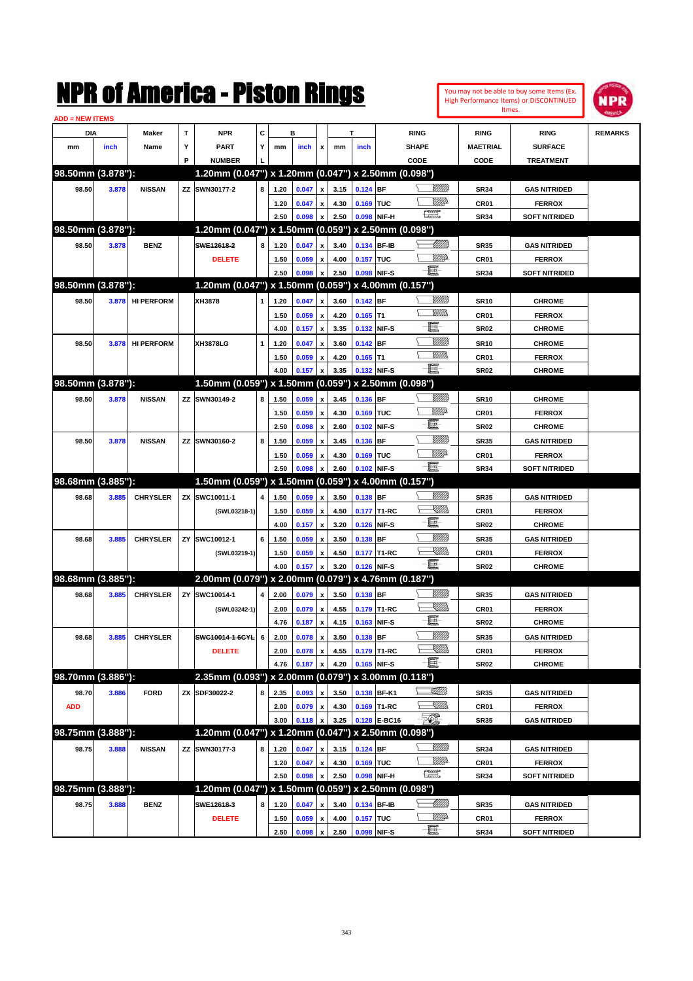|                        |       |                   |    | NMK OI AINCrica - Miston Kings                      |   |      |       |                           |      |                  |              |                                                           |                  |                  | You may not be able to buy some Items (Ex.<br>High Performance Items) or DISCONTINUED<br>Itmes. | NPR            |
|------------------------|-------|-------------------|----|-----------------------------------------------------|---|------|-------|---------------------------|------|------------------|--------------|-----------------------------------------------------------|------------------|------------------|-------------------------------------------------------------------------------------------------|----------------|
| <b>ADD = NEW ITEMS</b> |       |                   |    |                                                     |   |      |       |                           |      |                  |              |                                                           |                  |                  |                                                                                                 |                |
| DIA                    |       | Maker             | T  | <b>NPR</b>                                          | C |      | в     |                           |      | т                |              | <b>RING</b>                                               |                  | <b>RING</b>      | <b>RING</b>                                                                                     | <b>REMARKS</b> |
| mm                     | inch  | Name              | Υ  | <b>PART</b>                                         | Y | mm   | inch  | x                         | mm   | inch             |              | <b>SHAPE</b>                                              |                  | <b>MAETRIAL</b>  | <b>SURFACE</b>                                                                                  |                |
|                        |       |                   | P  | <b>NUMBER</b>                                       |   |      |       |                           |      |                  |              | CODE                                                      |                  | CODE             | <b>TREATMENT</b>                                                                                |                |
| 98.50mm (3.878"):      |       |                   |    | 1.20mm (0.047") x 1.20mm (0.047") x 2.50mm (0.098") |   |      |       |                           |      |                  |              |                                                           |                  |                  |                                                                                                 |                |
| 98.50                  | 3.878 | <b>NISSAN</b>     |    | ZZ SWN30177-2                                       | 8 | 1.20 | 0.047 | x                         | 3.15 | $0.124$ BF       |              |                                                           | <u>Millitt</u>   | <b>SR34</b>      | <b>GAS NITRIDED</b>                                                                             |                |
|                        |       |                   |    |                                                     |   | 1.20 | 0.047 | x                         | 4.30 | 0.169 TUC        |              |                                                           | <u>MMP</u>       | CR01             | <b>FERROX</b>                                                                                   |                |
|                        |       |                   |    |                                                     |   | 2.50 | 0.098 | x                         | 2.50 |                  | 0.098 NIF-H  | $\frac{1}{2}$                                             |                  | <b>SR34</b>      | <b>SOFT NITRIDED</b>                                                                            |                |
| 98.50mm (3.878"):      |       |                   |    | 1.20mm (0.047") x 1.50mm (0.059") x 2.50mm (0.098") |   |      |       |                           |      |                  |              |                                                           |                  |                  |                                                                                                 |                |
| 98.50                  | 3.878 | <b>BENZ</b>       |    | SWE12618-2                                          | 8 | 1.20 | 0.047 | x                         | 3.40 |                  | 0.134 BF-IB  |                                                           | <u> UMM</u>      | <b>SR35</b>      | <b>GAS NITRIDED</b>                                                                             |                |
|                        |       |                   |    | <b>DELETE</b>                                       |   | 1.50 | 0.059 | x                         | 4.00 | <b>0.157 TUC</b> |              |                                                           | <u>MMP</u>       | CR01             | <b>FERROX</b>                                                                                   |                |
|                        |       |                   |    |                                                     |   | 2.50 | 0.098 | $\boldsymbol{\mathsf{x}}$ | 2.50 |                  | 0.098 NIF-S  | E                                                         |                  | <b>SR34</b>      | <b>SOFT NITRIDED</b>                                                                            |                |
| 98.50mm (3.878"):      |       |                   |    | 1.20mm (0.047") x 1.50mm (0.059") x 4.00mm (0.157") |   |      |       |                           |      |                  |              |                                                           |                  |                  |                                                                                                 |                |
| 98.50                  | 3.878 | <b>HI PERFORM</b> |    | XH3878                                              | 1 | 1.20 | 0.047 | X                         | 3.60 | $0.142$ BF       |              |                                                           | <u>Millitti</u>  | <b>SR10</b>      | <b>CHROME</b>                                                                                   |                |
|                        |       |                   |    |                                                     |   | 1.50 | 0.059 | X                         | 4.20 | $0.165$ T1       |              |                                                           | <br>Mad          | CR <sub>01</sub> | <b>FERROX</b>                                                                                   |                |
|                        |       |                   |    |                                                     |   | 4.00 | 0.157 | $\boldsymbol{\mathsf{x}}$ | 3.35 |                  | 0.132 NIF-S  | E                                                         |                  | <b>SR02</b>      | <b>CHROME</b>                                                                                   |                |
| 98.50                  | 3.878 | <b>HI PERFORM</b> |    | XH3878LG                                            | 1 | 1.20 | 0.047 | x                         | 3.60 | $0.142$ BF       |              |                                                           | <u>Millil</u>    | <b>SR10</b>      | <b>CHROME</b>                                                                                   |                |
|                        |       |                   |    |                                                     |   | 1.50 | 0.059 | x                         | 4.20 | $0.165$ T1       |              |                                                           | .<br>WWW         | CR01             | <b>FERROX</b>                                                                                   |                |
|                        |       |                   |    |                                                     |   | 4.00 | 0.157 | $\boldsymbol{\mathsf{x}}$ | 3.35 |                  | 0.132 NIF-S  | -8                                                        |                  | <b>SR02</b>      | <b>CHROME</b>                                                                                   |                |
| 98.50mm (3.878"):      |       |                   |    | 1.50mm (0.059") x 1.50mm (0.059") x 2.50mm (0.098") |   |      |       |                           |      |                  |              |                                                           |                  |                  |                                                                                                 |                |
| 98.50                  | 3.878 | <b>NISSAN</b>     |    | ZZ SWN30149-2                                       | 8 | 1.50 | 0.059 | X                         | 3.45 | 0.136 BF         |              |                                                           | VIII))           | <b>SR10</b>      | <b>CHROME</b>                                                                                   |                |
|                        |       |                   |    |                                                     |   | 1.50 | 0.059 | x                         | 4.30 | 0.169 TUC        |              |                                                           | <u>VIIItti</u> d | CR <sub>01</sub> | <b>FERROX</b>                                                                                   |                |
|                        |       |                   |    |                                                     |   | 2.50 | 0.098 | $\boldsymbol{\mathsf{x}}$ | 2.60 |                  | 0.102 NIF-S  | E                                                         |                  | <b>SR02</b>      | <b>CHROME</b>                                                                                   |                |
| 98.50                  | 3.878 | <b>NISSAN</b>     |    | ZZ SWN30160-2                                       | 8 | 1.50 | 0.059 | x                         | 3.45 | 0.136            | <b>IBF</b>   |                                                           | <u>MMM</u>       | <b>SR35</b>      | <b>GAS NITRIDED</b>                                                                             |                |
|                        |       |                   |    |                                                     |   | 1.50 | 0.059 | x                         | 4.30 | 0.169 TUC        |              |                                                           | <u>MMP</u>       | CR01             | <b>FERROX</b>                                                                                   |                |
|                        |       |                   |    |                                                     |   | 2.50 | 0.098 | X                         | 2.60 |                  | 0.102 NIF-S  | -8                                                        |                  | <b>SR34</b>      | <b>SOFT NITRIDED</b>                                                                            |                |
| 98.68mm (3.885"):      |       |                   |    | 1.50mm (0.059") x 1.50mm (0.059") x 4.00mm (0.157") |   |      |       |                           |      |                  |              |                                                           |                  |                  |                                                                                                 |                |
| 98.68                  | 3.885 | <b>CHRYSLER</b>   |    | ZX SWC10011-1                                       | 4 | 1.50 | 0.059 | X                         | 3.50 | 0.138 BF         |              |                                                           |                  | <b>SR35</b>      | <b>GAS NITRIDED</b>                                                                             |                |
|                        |       |                   |    | (SWL03218-1)                                        |   | 1.50 | 0.059 | x                         | 4.50 |                  | 0.177 T1-RC  |                                                           | <u>Sillill</u>   | CR <sub>01</sub> | <b>FERROX</b>                                                                                   |                |
|                        |       |                   |    |                                                     |   | 4.00 | 0.157 | $\boldsymbol{\mathsf{x}}$ | 3.20 |                  | 0.126 NIF-S  | E                                                         |                  | <b>SR02</b>      | <b>CHROME</b>                                                                                   |                |
| 98.68                  | 3.885 | <b>CHRYSLER</b>   | ZY | SWC10012-1                                          | 6 | 1.50 | 0.059 | x                         | 3.50 | $0.138$ BF       |              |                                                           | <u>MMW</u>       | <b>SR35</b>      | <b>GAS NITRIDED</b>                                                                             |                |
|                        |       |                   |    | (SWL03219-1)                                        |   | 1.50 | 0.059 | x                         | 4.50 |                  | 0.177 T1-RC  |                                                           | <u>Sillin</u>    | CR01             | <b>FERROX</b>                                                                                   |                |
|                        |       |                   |    |                                                     |   | 4.00 | 0.157 | X                         | 3.20 |                  | 0.126 NIF-S  | -E-                                                       |                  | <b>SR02</b>      | <b>CHROME</b>                                                                                   |                |
| 98.68mm (3.885"):      |       |                   |    | 2.00mm (0.079") x 2.00mm (0.079") x 4.76mm (0.187") |   |      |       |                           |      |                  |              |                                                           |                  |                  |                                                                                                 |                |
| 98.68                  | 3.885 | <b>CHRYSLER</b>   | ZY | SWC10014-1                                          | 4 | 2.00 | 0.079 | x                         | 3.50 | $0.138$ BF       |              |                                                           | <u>UMM</u>       | <b>SR35</b>      | <b>GAS NITRIDED</b>                                                                             |                |
|                        |       |                   |    | (SWL03242-1)                                        |   | 2.00 | 0.079 | $\pmb{\mathsf{x}}$        | 4.55 |                  | 0.179 T1-RC  |                                                           | W////h           | CR01             | <b>FERROX</b>                                                                                   |                |
|                        |       |                   |    |                                                     |   | 4.76 | 0.187 | $\boldsymbol{\mathsf{x}}$ | 4.15 |                  | 0.163 NIF-S  | E-                                                        |                  | SR <sub>02</sub> | <b>CHROME</b>                                                                                   |                |
| 98.68                  | 3.885 | <b>CHRYSLER</b>   |    | SWC10014-1-6CYL                                     | 6 | 2.00 | 0.078 | $\pmb{\mathsf{x}}$        | 3.50 | 0.138 BF         |              |                                                           | <u>Milli</u> h   | <b>SR35</b>      | <b>GAS NITRIDED</b>                                                                             |                |
|                        |       |                   |    | <b>DELETE</b>                                       |   | 2.00 | 0.078 | $\pmb{\mathsf{x}}$        | 4.55 |                  | 0.179 T1-RC  |                                                           | <u>XIII)</u>     | CR01             | <b>FERROX</b>                                                                                   |                |
|                        |       |                   |    |                                                     |   | 4.76 | 0.187 | x                         | 4.20 |                  | 0.165 NIF-S  | e.                                                        |                  | <b>SR02</b>      | <b>CHROME</b>                                                                                   |                |
| 98.70mm (3.886"):      |       |                   |    | 2.35mm (0.093") x 2.00mm (0.079") x 3.00mm (0.118") |   |      |       |                           |      |                  |              |                                                           |                  |                  |                                                                                                 |                |
| 98.70                  | 3.886 | <b>FORD</b>       |    | ZX SDF30022-2                                       | 8 | 2.35 | 0.093 | X                         | 3.50 |                  | 0.138 BF-K1  | <u>Villin</u>                                             |                  | <b>SR35</b>      | <b>GAS NITRIDED</b>                                                                             |                |
| <b>ADD</b>             |       |                   |    |                                                     |   | 2.00 | 0.079 | $\pmb{\mathsf{x}}$        | 4.30 |                  | 0.169 T1-RC  | $\begin{matrix} \begin{matrix} \end{matrix} \end{matrix}$ |                  | CR01             | <b>FERROX</b>                                                                                   |                |
|                        |       |                   |    |                                                     |   | 3.00 | 0.118 | x                         | 3.25 |                  | 0.128 E-BC16 | FOX.                                                      |                  | <b>SR35</b>      | <b>GAS NITRIDED</b>                                                                             |                |
| 98.75mm (3.888"):      |       |                   |    | 1.20mm (0.047") x 1.20mm (0.047") x 2.50mm (0.098") |   |      |       |                           |      |                  |              |                                                           |                  |                  |                                                                                                 |                |
| 98.75                  | 3.888 | <b>NISSAN</b>     |    | ZZ SWN30177-3                                       | 8 | 1.20 | 0.047 | X                         | 3.15 | $0.124$ BF       |              |                                                           | <u>UMB</u>       | <b>SR34</b>      | <b>GAS NITRIDED</b>                                                                             |                |
|                        |       |                   |    |                                                     |   | 1.20 | 0.047 | $\pmb{\mathsf{x}}$        | 4.30 | 0.169 TUC        |              |                                                           | <u>WW</u> D      | CR01             | <b>FERROX</b>                                                                                   |                |
|                        |       |                   |    |                                                     |   | 2.50 | 0.098 | x                         | 2.50 |                  | 0.098 NIF-H  | $\frac{1}{2}$                                             |                  | <b>SR34</b>      | <b>SOFT NITRIDED</b>                                                                            |                |
| 98.75mm (3.888"):      |       |                   |    | 1.20mm (0.047") x 1.50mm (0.059") x 2.50mm (0.098") |   |      |       |                           |      |                  |              |                                                           |                  |                  |                                                                                                 |                |
| 98.75                  | 3.888 | <b>BENZ</b>       |    | SWE12618-3                                          | 8 | 1.20 | 0.047 | X                         | 3.40 |                  | 0.134 BF-IB  |                                                           | <u> UMB</u>      | <b>SR35</b>      | <b>GAS NITRIDED</b>                                                                             |                |
|                        |       |                   |    | <b>DELETE</b>                                       |   | 1.50 | 0.059 | $\pmb{\mathsf{x}}$        | 4.00 | 0.157 TUC        |              |                                                           | <u>MM</u> D      | CR01             | <b>FERROX</b>                                                                                   |                |
|                        |       |                   |    |                                                     |   | 2.50 | 0.098 | $\boldsymbol{x}$          | 2.50 | 0.098 NIF-S      |              | e.                                                        |                  | <b>SR34</b>      | <b>SOFT NITRIDED</b>                                                                            |                |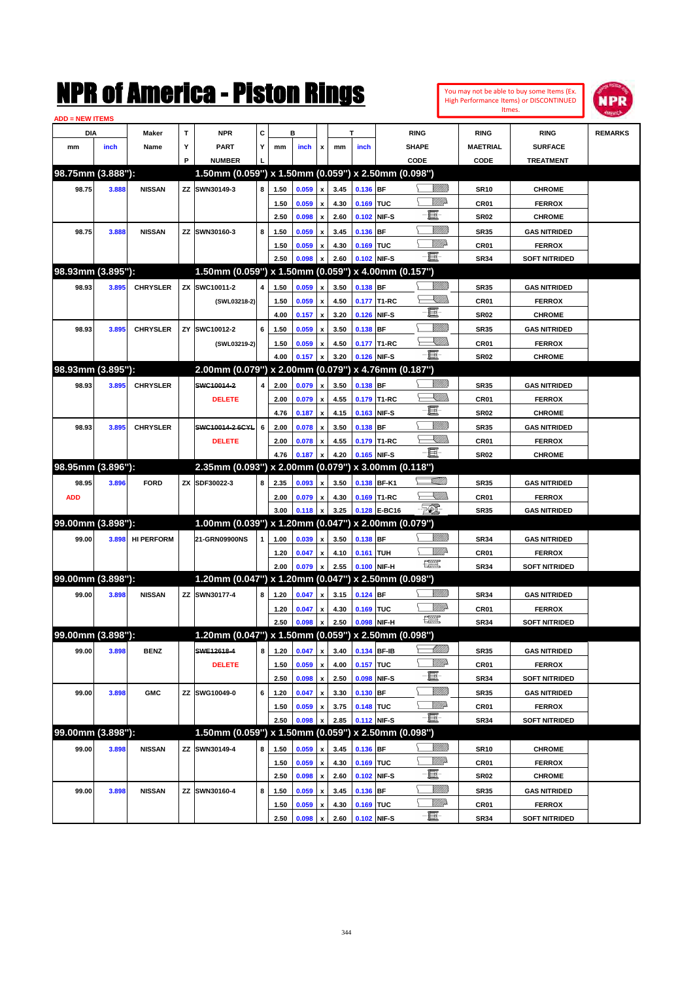| <b>ADD = NEW ITEMS</b> |       |                   |           | NMK OI AINCrica - Miston Kings                      |   |      |       |                           |      |             |                   |                            |                  | You may not be able to buy some Items (Ex.<br>High Performance Items) or DISCONTINUED<br>Itmes. | IPR            |
|------------------------|-------|-------------------|-----------|-----------------------------------------------------|---|------|-------|---------------------------|------|-------------|-------------------|----------------------------|------------------|-------------------------------------------------------------------------------------------------|----------------|
| DIA                    |       | Maker             | T         | <b>NPR</b>                                          | C |      | в     |                           |      | т           | <b>RING</b>       |                            | <b>RING</b>      | <b>RING</b>                                                                                     | <b>REMARKS</b> |
| mm                     | inch  | Name              | Υ         | <b>PART</b>                                         | Y | mm   | inch  | x                         | mm   | inch        | <b>SHAPE</b>      |                            | <b>MAETRIAL</b>  | <b>SURFACE</b>                                                                                  |                |
|                        |       |                   | P         | <b>NUMBER</b>                                       |   |      |       |                           |      |             | CODE              |                            | CODE             | <b>TREATMENT</b>                                                                                |                |
| 98.75mm (3.888"):      |       |                   |           | 1.50mm (0.059") x 1.50mm (0.059") x 2.50mm (0.098") |   |      |       |                           |      |             |                   |                            |                  |                                                                                                 |                |
| 98.75                  | 3.888 | <b>NISSAN</b>     | ΖZ        | SWN30149-3                                          | 8 | 1.50 | 0.059 | x                         | 3.45 | 0.136 BF    |                   | <u>Sillilli</u>            | <b>SR10</b>      | <b>CHROME</b>                                                                                   |                |
|                        |       |                   |           |                                                     |   | 1.50 | 0.059 | x                         | 4.30 | 0.169       | <b>TUC</b>        | <u>Willia</u>              | CR <sub>01</sub> | <b>FERROX</b>                                                                                   |                |
|                        |       |                   |           |                                                     |   | 2.50 | 0.098 | X                         | 2.60 | 0.102       | NIF-S             | E                          | <b>SR02</b>      | <b>CHROME</b>                                                                                   |                |
| 98.75                  | 3.888 | <b>NISSAN</b>     | ΖZ        | SWN30160-3                                          | 8 | 1.50 | 0.059 | X                         | 3.45 | 0.136       | <b>BF</b>         | <u>Millil</u>              | <b>SR35</b>      | <b>GAS NITRIDED</b>                                                                             |                |
|                        |       |                   |           |                                                     |   | 1.50 | 0.059 | x                         | 4.30 | 0.169       | <b>TUC</b>        | <u>VIIItti</u> d           | CR <sub>01</sub> | <b>FERROX</b>                                                                                   |                |
|                        |       |                   |           |                                                     |   | 2.50 | 0.098 | $\boldsymbol{\mathsf{x}}$ | 2.60 | 0.102 NIF-S |                   | E                          | <b>SR34</b>      | <b>SOFT NITRIDED</b>                                                                            |                |
| 98.93mm (3.895"):      |       |                   |           | 1.50mm (0.059") x 1.50mm (0.059")                   |   |      |       |                           |      |             | x 4.00mm (0.157") |                            |                  |                                                                                                 |                |
| 98.93                  | 3.895 | <b>CHRYSLER</b>   | <b>ZX</b> | SWC10011-2                                          | 4 | 1.50 | 0.059 | X                         | 3.50 | 0.138 BF    |                   | <u>VIIII)</u>              | <b>SR35</b>      | <b>GAS NITRIDED</b>                                                                             |                |
|                        |       |                   |           | (SWL03218-2)                                        |   | 1.50 | 0.059 | X                         | 4.50 | 0.177       | T1-RC             | <u>Sillin</u>              | CR <sub>01</sub> | <b>FERROX</b>                                                                                   |                |
|                        |       |                   |           |                                                     |   | 4.00 | 0.157 | x                         | 3.20 | 0.126       | NIF-S             | E                          | <b>SR02</b>      | <b>CHROME</b>                                                                                   |                |
| 98.93                  | 3.895 | <b>CHRYSLER</b>   | ZY        | SWC10012-2                                          | 6 | 1.50 | 0.059 | X                         | 3.50 | 0.138       | <b>BF</b>         | <u>Milli</u>               | <b>SR35</b>      | <b>GAS NITRIDED</b>                                                                             |                |
|                        |       |                   |           | (SWL03219-2)                                        |   | 1.50 | 0.059 | x                         | 4.50 |             | 0.177 T1-RC       | <u>Sillin</u>              | CR <sub>01</sub> | <b>FERROX</b>                                                                                   |                |
|                        |       |                   |           |                                                     |   | 4.00 | 0.157 | $\boldsymbol{x}$          | 3.20 | 0.126 NIF-S |                   | E                          | <b>SR02</b>      | <b>CHROME</b>                                                                                   |                |
| 98.93mm (3.895"):      |       |                   |           | 2.00mm (0.079") x 2.00mm (0.079") x 4.76mm (0.187") |   |      |       |                           |      |             |                   |                            |                  |                                                                                                 |                |
| 98.93                  |       |                   |           | SWC10014-2                                          | 4 |      |       |                           | 3.50 | 0.138 BF    |                   | <u>VIIII)</u>              |                  | <b>GAS NITRIDED</b>                                                                             |                |
|                        | 3.895 | <b>CHRYSLER</b>   |           |                                                     |   | 2.00 | 0.079 | x                         |      |             |                   | <u>Sillin</u>              | <b>SR35</b>      |                                                                                                 |                |
|                        |       |                   |           | <b>DELETE</b>                                       |   | 2.00 | 0.079 | $\boldsymbol{x}$          | 4.55 | 0.179       | T1-RC             | E                          | CR <sub>01</sub> | <b>FERROX</b>                                                                                   |                |
|                        |       |                   |           |                                                     |   | 4.76 | 0.187 | x                         | 4.15 | 0.163       | NIF-S             | <u>MMM</u>                 | <b>SR02</b>      | <b>CHROME</b>                                                                                   |                |
| 98.93                  | 3.895 | <b>CHRYSLER</b>   |           | SWC10014-2 6CYL                                     | 6 | 2.00 | 0.078 | $\boldsymbol{x}$          | 3.50 | 0.138       | <b>BF</b>         | <u>Sillin</u>              | <b>SR35</b>      | <b>GAS NITRIDED</b>                                                                             |                |
|                        |       |                   |           | <b>DELETE</b>                                       |   | 2.00 | 0.078 | $\boldsymbol{x}$          | 4.55 | 0.179       | T1-RC             | E                          | CR01             | <b>FERROX</b>                                                                                   |                |
| 98.95mm (3.896"):      |       |                   |           | 2.35mm (0.093") x 2.00mm (0.079") x 3.00mm (0.118") |   | 4.76 | 0.187 | X                         | 4.20 | 0.165       | NIF-S             |                            | <b>SR02</b>      | <b>CHROME</b>                                                                                   |                |
|                        |       |                   |           |                                                     |   |      |       |                           |      |             |                   | <u>stillill</u>            |                  |                                                                                                 |                |
| 98.95                  | 3.896 | <b>FORD</b>       | ZΧ        | SDF30022-3                                          | 8 | 2.35 | 0.093 | X                         | 3.50 | 0.138       | BF-K1             |                            | <b>SR35</b>      | <b>GAS NITRIDED</b>                                                                             |                |
| <b>ADD</b>             |       |                   |           |                                                     |   | 2.00 | 0.079 | $\boldsymbol{x}$          | 4.30 | 0.169       | T1-RC             | <u>UM)</u><br>$\mathbb{Z}$ | CR <sub>01</sub> | <b>FERROX</b>                                                                                   |                |
|                        |       |                   |           |                                                     |   | 3.00 | 0.118 | X                         | 3.25 | 0.128       | <b>E-BC16</b>     |                            | <b>SR35</b>      | <b>GAS NITRIDED</b>                                                                             |                |
| 99.00mm (3.898"):      |       |                   |           | 1.00mm (0.039") x 1.20mm (0.047")                   |   |      |       |                           |      |             | x 2.00mm (0.079") |                            |                  |                                                                                                 |                |
| 99.00                  | 3.898 | <b>HI PERFORM</b> |           | 21-GRN09900NS                                       | 1 | 1.00 | 0.039 | X                         | 3.50 | 0.138       | <b>BF</b>         | <u> UMB</u>                | <b>SR34</b>      | <b>GAS NITRIDED</b>                                                                             |                |
|                        |       |                   |           |                                                     |   | 1.20 | 0.047 | $\boldsymbol{x}$          | 4.10 | 0.161       | <b>TUH</b>        | <u>Mille</u><br>H          | CR <sub>01</sub> | <b>FERROX</b>                                                                                   |                |
|                        |       |                   |           |                                                     |   | 2.00 | 0.079 | $\boldsymbol{x}$          | 2.55 | 0.100       | NIF-H             |                            | <b>SR34</b>      | <b>SOFT NITRIDED</b>                                                                            |                |
| 99.00mm (3.898"):      |       |                   |           | 1.20mm (0.047") x 1.20mm (0.047") x 2.50mm (0.098") |   |      |       |                           |      |             |                   |                            |                  |                                                                                                 |                |
| 99.00                  | 3.898 | <b>NISSAN</b>     | ZZ        | SWN30177-4                                          | 8 | 1.20 | 0.047 | $\boldsymbol{x}$          | 3.15 | $0.124$ BF  |                   | <u>Sillilli</u>            | <b>SR34</b>      | <b>GAS NITRIDED</b>                                                                             |                |
|                        |       |                   |           |                                                     |   | 1.20 | 0.047 | $\pmb{\mathsf{x}}$        | 4.30 | 0.169 TUC   |                   | <u>MM</u> D                | CR01             | <b>FERROX</b>                                                                                   |                |
|                        |       |                   |           |                                                     |   | 2.50 | 0.098 | $\pmb{\mathsf{x}}$        | 2.50 | 0.098 NIF-H |                   | $\frac{1}{2}$              | SR34             | <b>SOFT NITRIDED</b>                                                                            |                |
| 99.00mm (3.898"):      |       |                   |           | 1.20mm (0.047") x 1.50mm (0.059") x 2.50mm (0.098") |   |      |       |                           |      |             |                   |                            |                  |                                                                                                 |                |
| 99.00                  | 3.898 | <b>BENZ</b>       |           | SWE12618-4                                          | 8 | 1.20 | 0.047 | $\pmb{\mathsf{x}}$        | 3.40 | 0.134 BF-IB |                   | <u>-1777)</u>              | <b>SR35</b>      | <b>GAS NITRIDED</b>                                                                             |                |
|                        |       |                   |           | <b>DELETE</b>                                       |   | 1.50 | 0.059 | $\pmb{\mathsf{x}}$        | 4.00 | 0.157 TUC   |                   | <u>Willi</u> b             | CR01             | <b>FERROX</b>                                                                                   |                |
|                        |       |                   |           |                                                     |   | 2.50 | 0.098 | x                         | 2.50 | 0.098       | NIF-S             | E                          | SR34             | <b>SOFT NITRIDED</b>                                                                            |                |
| 99.00                  | 3.898 | <b>GMC</b>        | ΖZ        | SWG10049-0                                          | 6 | 1.20 | 0.047 | x                         | 3.30 | 0.130 BF    |                   | <u>VMM</u>                 | <b>SR35</b>      | <b>GAS NITRIDED</b>                                                                             |                |
|                        |       |                   |           |                                                     |   | 1.50 | 0.059 | x                         | 3.75 | 0.148 TUC   |                   | <u>Willia</u>              | CR01             | <b>FERROX</b>                                                                                   |                |
|                        |       |                   |           |                                                     |   | 2.50 | 0.098 |                           | 2.85 | 0.112 NIF-S |                   | E                          | SR34             | <b>SOFT NITRIDED</b>                                                                            |                |
| 99.00mm (3.898"):      |       |                   |           | 1.50mm (0.059") x 1.50mm (0.059") x 2.50mm (0.098") |   |      |       |                           |      |             |                   |                            |                  |                                                                                                 |                |
| 99.00                  | 3.898 | <b>NISSAN</b>     |           | ZZ SWN30149-4                                       | 8 | 1.50 | 0.059 | x                         | 3.45 | $0.136$ BF  |                   | <u>VIIII</u> )             | <b>SR10</b>      | <b>CHROME</b>                                                                                   |                |
|                        |       |                   |           |                                                     |   | 1.50 | 0.059 | $\pmb{\mathsf{x}}$        | 4.30 | 0.169 TUC   |                   | WWA                        | CR01             | <b>FERROX</b>                                                                                   |                |
|                        |       |                   |           |                                                     |   | 2.50 | 0.098 | x                         | 2.60 | 0.102 NIF-S |                   | E                          | <b>SR02</b>      | <b>CHROME</b>                                                                                   |                |
| 99.00                  | 3.898 | <b>NISSAN</b>     |           | ZZ SWN30160-4                                       | 8 | 1.50 | 0.059 | $\pmb{\mathsf{x}}$        | 3.45 | 0.136 BF    |                   | <u>VMM</u>                 | <b>SR35</b>      | <b>GAS NITRIDED</b>                                                                             |                |
|                        |       |                   |           |                                                     |   | 1.50 | 0.059 | x                         | 4.30 | 0.169 TUC   |                   | <u>WW</u> D                | CR01             | <b>FERROX</b>                                                                                   |                |
|                        |       |                   |           |                                                     |   |      |       |                           |      |             |                   | -8                         |                  |                                                                                                 |                |

**2.50 0.098 x 2.60 0.102 NIF-S SR34 SOFT NITRIDED**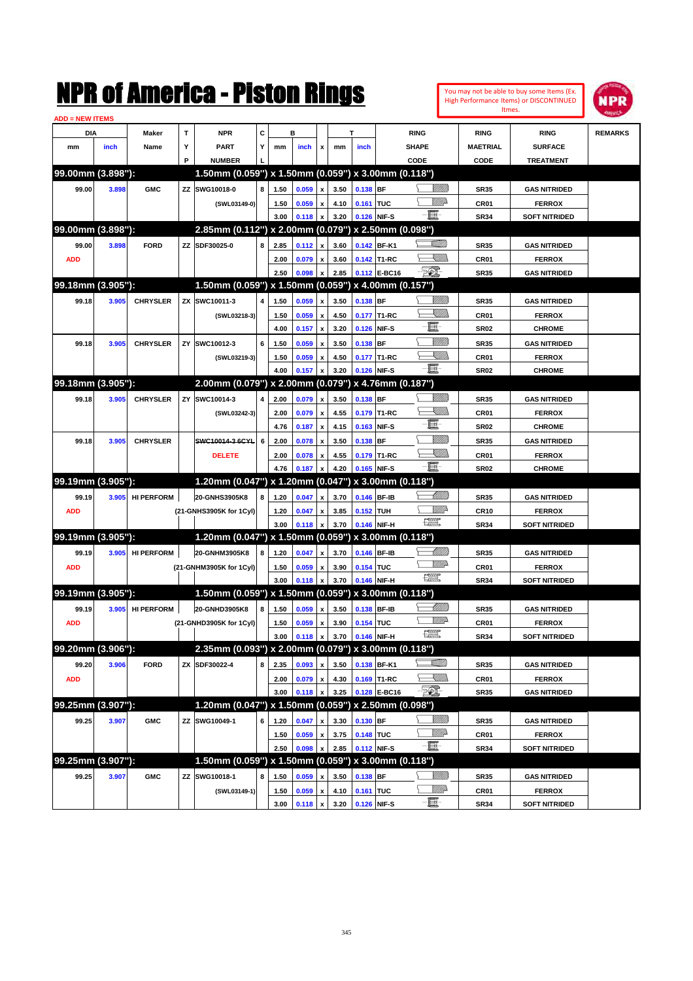| <b>ADD = NEW ITEMS</b> |       |                   |    | NMK OI AINCrica - Miston Kings                      |   |      |       |                           |      |             |              |                         |                   |                  | You may not be able to buy some Items (Ex.<br>High Performance Items) or DISCONTINUED<br>Itmes. | NPR            |
|------------------------|-------|-------------------|----|-----------------------------------------------------|---|------|-------|---------------------------|------|-------------|--------------|-------------------------|-------------------|------------------|-------------------------------------------------------------------------------------------------|----------------|
| DIA                    |       | Maker             | T  | <b>NPR</b>                                          | C |      | в     |                           |      | т           |              | <b>RING</b>             |                   | <b>RING</b>      | <b>RING</b>                                                                                     | <b>REMARKS</b> |
| mm                     | inch  | Name              | Υ  | PART                                                | Y | mm   | inch  | x                         | mm   | inch        |              | <b>SHAPE</b>            |                   | <b>MAETRIAL</b>  | <b>SURFACE</b>                                                                                  |                |
|                        |       |                   | P  | <b>NUMBER</b>                                       |   |      |       |                           |      |             |              | CODE                    |                   | CODE             | <b>TREATMENT</b>                                                                                |                |
| 99.00mm (3.898"):      |       |                   |    | 1.50mm (0.059") x 1.50mm (0.059") x 3.00mm (0.118") |   |      |       |                           |      |             |              |                         |                   |                  |                                                                                                 |                |
| 99.00                  | 3.898 | <b>GMC</b>        | ZZ | SWG10018-0                                          | 8 | 1.50 | 0.059 | x                         | 3.50 | 0.138 BF    |              |                         | <u>Millill</u>    | <b>SR35</b>      | <b>GAS NITRIDED</b>                                                                             |                |
|                        |       |                   |    | (SWL03149-0)                                        |   | 1.50 | 0.059 | x                         | 4.10 | 0.161 TUC   |              |                         | <u>Willia</u>     | CR01             | <b>FERROX</b>                                                                                   |                |
|                        |       |                   |    |                                                     |   | 3.00 | 0.118 | x                         | 3.20 |             | 0.126 NIF-S  | E.                      |                   | <b>SR34</b>      | <b>SOFT NITRIDED</b>                                                                            |                |
| 99.00mm (3.898"):      |       |                   |    | 2.85mm (0.112") x 2.00mm (0.079") x 2.50mm (0.098") |   |      |       |                           |      |             |              |                         |                   |                  |                                                                                                 |                |
| 99.00                  | 3.898 | <b>FORD</b>       | ZZ | SDF30025-0                                          | 8 | 2.85 | 0.112 | X                         | 3.60 |             | 0.142 BF-K1  |                         | <u>SAMM</u>       | <b>SR35</b>      | <b>GAS NITRIDED</b>                                                                             |                |
| <b>ADD</b>             |       |                   |    |                                                     |   | 2.00 | 0.079 | x                         | 3.60 |             | 0.142 T1-RC  |                         | <u>UMB</u>        | CR01             | <b>FERROX</b>                                                                                   |                |
|                        |       |                   |    |                                                     |   | 2.50 | 0.098 | X                         | 2.85 |             | 0.112 E-BC16 | EO)                     |                   | <b>SR35</b>      | <b>GAS NITRIDED</b>                                                                             |                |
| 99.18mm (3.905"):      |       |                   |    | 1.50mm (0.059") x 1.50mm (0.059") x 4.00mm (0.157") |   |      |       |                           |      |             |              |                         |                   |                  |                                                                                                 |                |
| 99.18                  | 3.905 | <b>CHRYSLER</b>   | ZΧ | SWC10011-3                                          | 4 | 1.50 | 0.059 | X                         | 3.50 | 0.138 BF    |              |                         | <u>Milli</u>      | <b>SR35</b>      | <b>GAS NITRIDED</b>                                                                             |                |
|                        |       |                   |    | (SWL03218-3)                                        |   | 1.50 | 0.059 | x                         | 4.50 |             | 0.177 T1-RC  |                         | XIII)             | CR <sub>01</sub> | <b>FERROX</b>                                                                                   |                |
|                        |       |                   |    |                                                     |   | 4.00 | 0.157 | x                         | 3.20 |             | 0.126 NIF-S  | E                       |                   | <b>SR02</b>      | <b>CHROME</b>                                                                                   |                |
| 99.18                  | 3.905 | <b>CHRYSLER</b>   | ZY | SWC10012-3                                          | 6 | 1.50 | 0.059 | X                         | 3.50 | $0.138$ BF  |              |                         | <u>Millil</u>     | <b>SR35</b>      | <b>GAS NITRIDED</b>                                                                             |                |
|                        |       |                   |    | (SWL03219-3)                                        |   | 1.50 | 0.059 | x                         | 4.50 |             | 0.177 T1-RC  |                         | УШИ               | CR <sub>01</sub> | <b>FERROX</b>                                                                                   |                |
|                        |       |                   |    |                                                     |   | 4.00 | 0.157 | X                         | 3.20 |             | 0.126 NIF-S  | -8                      |                   | <b>SR02</b>      | <b>CHROME</b>                                                                                   |                |
| 99.18mm (3.905"):      |       |                   |    | 2.00mm (0.079") x 2.00mm (0.079") x 4.76mm (0.187") |   |      |       |                           |      |             |              |                         |                   |                  |                                                                                                 |                |
| 99.18                  | 3.905 | <b>CHRYSLER</b>   | ZY | SWC10014-3                                          | 4 | 2.00 | 0.079 | X                         | 3.50 | $0.138$ BF  |              |                         | <u>Milli</u>      | <b>SR35</b>      | <b>GAS NITRIDED</b>                                                                             |                |
|                        |       |                   |    | (SWL03242-3)                                        |   | 2.00 | 0.079 | $\boldsymbol{\mathsf{x}}$ | 4.55 |             | 0.179 T1-RC  |                         | <u>Sillill</u>    | CR <sub>01</sub> | <b>FERROX</b>                                                                                   |                |
|                        |       |                   |    |                                                     |   | 4.76 | 0.187 | $\boldsymbol{\mathsf{x}}$ | 4.15 | 0.163       | NIF-S        | E                       |                   | <b>SR02</b>      | <b>CHROME</b>                                                                                   |                |
| 99.18                  | 3.905 | <b>CHRYSLER</b>   |    | SWC10014-3 6CYL                                     | 6 | 2.00 | 0.078 | x                         | 3.50 | $0.138$ BF  |              |                         | <u>MMM</u>        | <b>SR35</b>      | <b>GAS NITRIDED</b>                                                                             |                |
|                        |       |                   |    | <b>DELETE</b>                                       |   | 2.00 | 0.078 | x                         | 4.55 |             | 0.179 T1-RC  |                         | <u>SMM</u>        | CR01             | <b>FERROX</b>                                                                                   |                |
|                        |       |                   |    |                                                     |   | 4.76 | 0.187 | X                         | 4.20 |             | 0.165 NIF-S  | 匱                       |                   | <b>SR02</b>      | <b>CHROME</b>                                                                                   |                |
| 99.19mm (3.905"):      |       |                   |    | 1.20mm (0.047") x 1.20mm (0.047") x 3.00mm (0.118") |   |      |       |                           |      |             |              |                         |                   |                  |                                                                                                 |                |
| 99.19                  | 3.905 | <b>HI PERFORM</b> |    | 20-GNHS3905K8                                       | 8 | 1.20 | 0.047 | x                         | 3.70 |             | 0.146 BF-IB  |                         | <u> Milli</u> lli | <b>SR35</b>      | <b>GAS NITRIDED</b>                                                                             |                |
| <b>ADD</b>             |       |                   |    | (21-GNHS3905K for 1Cyl)                             |   | 1.20 | 0.047 | x                         | 3.85 | 0.152 TUH   |              |                         | ₩₩                | <b>CR10</b>      | <b>FERROX</b>                                                                                   |                |
|                        |       |                   |    |                                                     |   | 3.00 | 0.118 | X                         | 3.70 |             | 0.146 NIF-H  | $\frac{1}{2}$           |                   | <b>SR34</b>      | <b>SOFT NITRIDED</b>                                                                            |                |
| 99.19mm (3.905"):      |       |                   |    | 1.20mm (0.047") x 1.50mm (0.059") x 3.00mm (0.118") |   |      |       |                           |      |             |              |                         |                   |                  |                                                                                                 |                |
| 99.19                  | 3.905 | <b>HI PERFORM</b> |    | 20-GNHM3905K8                                       | 8 | 1.20 | 0.047 | x                         | 3.70 |             | 0.146 BF-IB  |                         | <u> Millill</u>   | <b>SR35</b>      | <b>GAS NITRIDED</b>                                                                             |                |
| <b>ADD</b>             |       |                   |    | (21-GNHM3905K for 1Cyl)                             |   | 1.50 | 0.059 | x                         | 3.90 | 0.154 TUC   |              |                         | <u>WWA</u>        | CR01             | <b>FERROX</b>                                                                                   |                |
|                        |       |                   |    |                                                     |   | 3.00 | 0.118 | X                         | 3.70 |             | 0.146 NIF-H  | $\frac{1}{2}$           |                   | <b>SR34</b>      | <b>SOFT NITRIDED</b>                                                                            |                |
| 99.19mm (3.905"):      |       |                   |    | 1.50mm (0.059") x 1.50mm (0.059") x 3.00mm (0.118") |   |      |       |                           |      |             |              |                         |                   |                  |                                                                                                 |                |
| 99.19                  |       | 3.905 HI PERFORM  |    | 20-GNHD3905K8                                       | 8 | 1.50 | 0.059 | $\mathbf{x}$              | 3.50 | 0.138 BF-IB |              |                         | <u>UMB</u>        | <b>SR35</b>      | <b>GAS NITRIDED</b>                                                                             |                |
| <b>ADD</b>             |       |                   |    | (21-GNHD3905K for 1Cyl)                             |   | 1.50 | 0.059 | $\pmb{\mathsf{x}}$        | 3.90 | 0.154 TUC   |              |                         | <u>MM</u>         | CR01             | <b>FERROX</b>                                                                                   |                |
|                        |       |                   |    |                                                     |   | 3.00 | 0.118 | X                         | 3.70 |             | 0.146 NIF-H  | $f_{\rm max}^{\rm exp}$ |                   | <b>SR34</b>      | <b>SOFT NITRIDED</b>                                                                            |                |
| 99.20mm (3.906"):      |       |                   |    | 2.35mm (0.093") x 2.00mm (0.079") x 3.00mm (0.118") |   |      |       |                           |      |             |              |                         |                   |                  |                                                                                                 |                |
| 99.20                  | 3.906 | <b>FORD</b>       |    | ZX SDF30022-4                                       | 8 | 2.35 | 0.093 | X                         | 3.50 |             | 0.138 BF-K1  |                         | <u>stillin</u>    | <b>SR35</b>      | <b>GAS NITRIDED</b>                                                                             |                |
| <b>ADD</b>             |       |                   |    |                                                     |   | 2.00 | 0.079 | $\pmb{\mathsf{x}}$        | 4.30 |             | 0.169 T1-RC  |                         | <u>Sillin</u>     | CR01             | <b>FERROX</b>                                                                                   |                |
|                        |       |                   |    |                                                     |   | 3.00 | 0.118 | x                         | 3.25 |             | 0.128 E-BC16 | EO)                     |                   | <b>SR35</b>      | <b>GAS NITRIDED</b>                                                                             |                |
| 99.25mm (3.907"):      |       |                   |    | 1.20mm (0.047") x 1.50mm (0.059") x 2.50mm (0.098") |   |      |       |                           |      |             |              |                         |                   |                  |                                                                                                 |                |
| 99.25                  | 3.907 | <b>GMC</b>        |    | ZZ SWG10049-1                                       | 6 | 1.20 | 0.047 | $\pmb{\mathsf{x}}$        | 3.30 | $0.130$ BF  |              |                         | <u>VIIII</u> )    | <b>SR35</b>      | <b>GAS NITRIDED</b>                                                                             |                |
|                        |       |                   |    |                                                     |   | 1.50 | 0.059 | $\pmb{\mathsf{x}}$        | 3.75 | 0.148 TUC   |              | -8                      | <u>Willi</u> b    | CR01             | <b>FERROX</b>                                                                                   |                |
|                        |       |                   |    |                                                     |   | 2.50 | 0.098 | $\boldsymbol{\mathsf{x}}$ | 2.85 | 0.112 NIF-S |              |                         |                   | <b>SR34</b>      | <b>SOFT NITRIDED</b>                                                                            |                |
| 99.25mm (3.907"):      |       |                   |    | 1.50mm (0.059") x 1.50mm (0.059") x 3.00mm (0.118") |   |      |       |                           |      |             |              |                         |                   |                  |                                                                                                 |                |
| 99.25                  | 3.907 | <b>GMC</b>        |    | ZZ SWG10018-1                                       | 8 | 1.50 | 0.059 | $\pmb{\mathsf{x}}$        | 3.50 | 0.138 BF    |              |                         | <u>VIIII)</u>     | <b>SR35</b>      | <b>GAS NITRIDED</b>                                                                             |                |
|                        |       |                   |    | (SWL03149-1)                                        |   | 1.50 | 0.059 | $\pmb{\mathsf{x}}$        | 4.10 | 0.161 TUC   |              | -8                      | WWA               | CR01             | <b>FERROX</b>                                                                                   |                |
|                        |       |                   |    |                                                     |   | 3.00 | 0.118 | $\pmb{\mathsf{x}}$        | 3.20 |             | 0.126 NIF-S  |                         |                   | <b>SR34</b>      | <b>SOFT NITRIDED</b>                                                                            |                |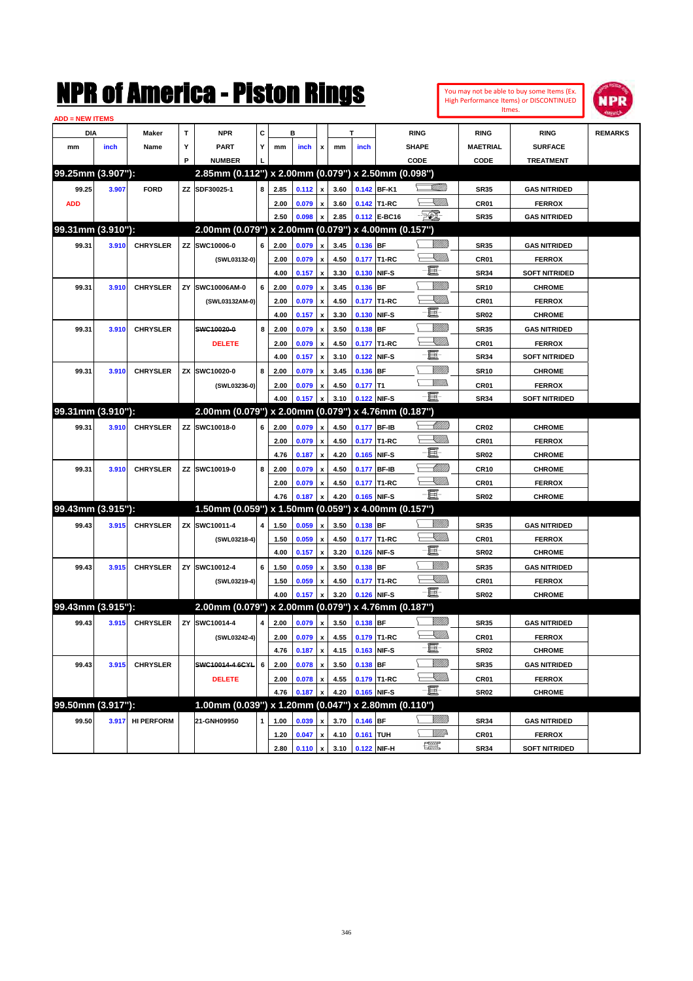| <b>ADD = NEW ITEMS</b> |       |                  |   |                                                     |              |      |                  |                    |                                                |            |                  |                                                                                                             |                  |                      |                |
|------------------------|-------|------------------|---|-----------------------------------------------------|--------------|------|------------------|--------------------|------------------------------------------------|------------|------------------|-------------------------------------------------------------------------------------------------------------|------------------|----------------------|----------------|
| DIA                    |       | Maker            | т | <b>NPR</b>                                          | С            |      | в                |                    |                                                | т          |                  | <b>RING</b>                                                                                                 | <b>RING</b>      | <b>RING</b>          | <b>REMARKS</b> |
| mm                     | inch  | Name             | Y | <b>PART</b>                                         | Y            | mm   | inch             | x                  | mm                                             | inch       |                  | <b>SHAPE</b>                                                                                                | <b>MAETRIAL</b>  | <b>SURFACE</b>       |                |
|                        |       |                  | P | <b>NUMBER</b>                                       |              |      |                  |                    |                                                |            |                  | CODE                                                                                                        | CODE             | <b>TREATMENT</b>     |                |
| 99.25mm (3.907"):      |       |                  |   | 2.85mm (0.112") x 2.00mm (0.079") x 2.50mm (0.098") |              |      |                  |                    |                                                |            |                  |                                                                                                             |                  |                      |                |
| 99.25                  | 3.907 | <b>FORD</b>      |   | ZZ SDF30025-1                                       | 8            | 2.85 | $0.112 \, x$     |                    | 3.60                                           |            | 0.142 BF-K1      | .<br>Villin                                                                                                 | <b>SR35</b>      | <b>GAS NITRIDED</b>  |                |
| <b>ADD</b>             |       |                  |   |                                                     |              | 2.00 | 0.079            | $\pmb{\mathsf{x}}$ | 3.60                                           |            | 0.142 T1-RC      | <u>Sillin</u>                                                                                               | CR <sub>01</sub> | <b>FERROX</b>        |                |
|                        |       |                  |   |                                                     |              | 2.50 | 0.098            |                    | 2.85                                           |            | 0.112 E-BC16     | -50)                                                                                                        | <b>SR35</b>      | <b>GAS NITRIDED</b>  |                |
| 99.31mm (3.910"):      |       |                  |   | 2.00mm (0.079") x 2.00mm (0.079") x 4.00mm (0.157") |              |      |                  |                    |                                                |            |                  |                                                                                                             |                  |                      |                |
| 99.31                  | 3.910 | <b>CHRYSLER</b>  |   | ZZ SWC10006-0                                       | 6            | 2.00 | 0.079            | $\pmb{\mathsf{x}}$ | 3.45                                           | 0.136 BF   |                  |                                                                                                             | <b>SR35</b>      | <b>GAS NITRIDED</b>  |                |
|                        |       |                  |   | (SWL03132-0)                                        |              | 2.00 | 0.079            | $\pmb{\mathsf{x}}$ | 4.50                                           |            | 0.177 T1-RC      | <u>UMB</u>                                                                                                  | CR <sub>01</sub> | <b>FERROX</b>        |                |
|                        |       |                  |   |                                                     |              | 4.00 | 0.157            | $\pmb{\mathsf{x}}$ | 3.30                                           |            | 0.130 NIF-S      | e.                                                                                                          | <b>SR34</b>      | <b>SOFT NITRIDED</b> |                |
| 99.31                  | 3.910 | <b>CHRYSLER</b>  |   | ZY SWC10006AM-0                                     | 6            | 2.00 | 0.079            | $\pmb{\mathsf{x}}$ | 3.45                                           | 0.136 BF   |                  | VIII))                                                                                                      | <b>SR10</b>      | <b>CHROME</b>        |                |
|                        |       |                  |   | (SWL03132AM-0)                                      |              | 2.00 | 0.079            | $\pmb{\mathsf{x}}$ | 4.50                                           |            | 0.177 T1-RC      | <u>Sillin</u>                                                                                               | CR <sub>01</sub> | <b>FERROX</b>        |                |
|                        |       |                  |   |                                                     |              | 4.00 | 0.157            | x                  | 3.30                                           |            | 0.130 NIF-S      | e.                                                                                                          | <b>SR02</b>      | <b>CHROME</b>        |                |
| 99.31                  | 3.910 | <b>CHRYSLER</b>  |   | SWC10020-0                                          | 8            | 2.00 | 0.079            | $\pmb{\mathsf{x}}$ | 3.50                                           | 0.138 BF   |                  | VIII))                                                                                                      | <b>SR35</b>      | <b>GAS NITRIDED</b>  |                |
|                        |       |                  |   | <b>DELETE</b>                                       |              | 2.00 | 0.079            | x                  | 4.50                                           |            | 0.177 T1-RC      | <u>Sillin</u>                                                                                               | CR <sub>01</sub> | <b>FERROX</b>        |                |
|                        |       |                  |   |                                                     |              | 4.00 | 0.157            | x                  | 3.10                                           |            | 0.122 NIF-S      | e.                                                                                                          | <b>SR34</b>      | <b>SOFT NITRIDED</b> |                |
| 99.31                  | 3.910 | <b>CHRYSLER</b>  |   | ZX SWC10020-0                                       | 8            | 2.00 | 0.079            | $\pmb{\mathsf{x}}$ | 3.45                                           | 0.136 BF   |                  | VIII))                                                                                                      | <b>SR10</b>      | <b>CHROME</b>        |                |
|                        |       |                  |   | (SWL03236-0)                                        |              | 2.00 | 0.079            | $\pmb{\mathsf{x}}$ | 4.50                                           | $0.177$ T1 |                  | <u>MMs</u>                                                                                                  | CR <sub>01</sub> | <b>FERROX</b>        |                |
|                        |       |                  |   |                                                     |              | 4.00 | 0.157            | x                  | 3.10                                           |            | 0.122 NIF-S      | ·E-                                                                                                         | <b>SR34</b>      | <b>SOFT NITRIDED</b> |                |
| 99.31mm (3.910"):      |       |                  |   | 2.00mm (0.079") x 2.00mm (0.079") x 4.76mm (0.187") |              |      |                  |                    |                                                |            |                  |                                                                                                             |                  |                      |                |
| 99.31                  | 3.910 | <b>CHRYSLER</b>  |   | ZZ SWC10018-0                                       | 6            | 2.00 | 0.079            | $\pmb{\mathsf{x}}$ | 4.50                                           |            | 0.177 BF-IB      | <u> Millito</u>                                                                                             | <b>CR02</b>      | <b>CHROME</b>        |                |
|                        |       |                  |   |                                                     |              | 2.00 | 0.079            | $\pmb{\mathsf{x}}$ | 4.50                                           |            | 0.177 T1-RC      | <u> Ullib</u>                                                                                               | CR <sub>01</sub> | <b>FERROX</b>        |                |
|                        |       |                  |   |                                                     |              | 4.76 | 0.187            | x                  | 4.20                                           |            | 0.165 NIF-S      | e.                                                                                                          | <b>SR02</b>      | <b>CHROME</b>        |                |
| 99.31                  | 3.910 | <b>CHRYSLER</b>  |   | ZZ SWC10019-0                                       | 8            | 2.00 | 0.079            | $\pmb{\mathsf{x}}$ | 4.50                                           |            | 0.177 BF-IB      | Millitt                                                                                                     | <b>CR10</b>      | <b>CHROME</b>        |                |
|                        |       |                  |   |                                                     |              | 2.00 | 0.079            | x                  | 4.50                                           |            | 0.177 T1-RC      | <u>Sillin</u>                                                                                               | CR <sub>01</sub> | <b>FERROX</b>        |                |
|                        |       |                  |   |                                                     |              | 4.76 | 0.187            | x                  | 4.20                                           |            | 0.165 NIF-S      | 貫                                                                                                           | <b>SR02</b>      | <b>CHROME</b>        |                |
| 99.43mm (3.915"):      |       |                  |   | 1.50mm (0.059") x 1.50mm (0.059") x 4.00mm (0.157") |              |      |                  |                    |                                                |            |                  |                                                                                                             |                  |                      |                |
| 99.43                  | 3.915 | <b>CHRYSLER</b>  |   | ZX SWC10011-4                                       | 4            | 1.50 | 0.059            | $\pmb{\mathsf{x}}$ | 3.50                                           | 0.138 BF   |                  |                                                                                                             | <b>SR35</b>      | <b>GAS NITRIDED</b>  |                |
|                        |       |                  |   | (SWL03218-4)                                        |              | 1.50 | 0.059            | $\pmb{\mathsf{x}}$ | 4.50                                           |            | 0.177 T1-RC      | <u>UMB</u>                                                                                                  | CR <sub>01</sub> | <b>FERROX</b>        |                |
|                        |       |                  |   |                                                     |              | 4.00 | 0.157            | $\pmb{\mathsf{x}}$ | 3.20                                           |            | 0.126 NIF-S      | e.                                                                                                          | <b>SR02</b>      | <b>CHROME</b>        |                |
|                        |       |                  |   |                                                     | 6            |      |                  |                    |                                                | 0.138 BF   |                  | VIII))                                                                                                      |                  |                      |                |
| 99.43                  | 3.915 | <b>CHRYSLER</b>  |   | ZY SWC10012-4                                       |              | 1.50 | 0.059            | $\pmb{\mathsf{x}}$ | 3.50                                           |            |                  | <u>Sillin</u>                                                                                               | <b>SR35</b>      | <b>GAS NITRIDED</b>  |                |
|                        |       |                  |   | (SWL03219-4)                                        |              | 1.50 | 0.059            | $\pmb{\mathsf{x}}$ | 4.50                                           |            | 0.177 T1-RC      | - 1                                                                                                         | CR <sub>01</sub> | <b>FERROX</b>        |                |
| 99.43mm (3.915"):      |       |                  |   | 2.00mm (0.079") x 2.00mm (0.079") x 4.76mm (0.187") |              | 4.00 | 0.157            |                    | 3.20                                           |            | 0.126 NIF-S      |                                                                                                             | <b>SR02</b>      | <b>CHROME</b>        |                |
|                        |       |                  |   |                                                     |              |      |                  |                    |                                                |            |                  |                                                                                                             |                  |                      |                |
| 99.43                  | 3.915 | <b>CHRYSLER</b>  |   | ZY SWC10014-4                                       | 4            | 2.00 | 0.079 x          |                    | 3.50                                           | 0.138 BF   |                  | 999 M.M<br><u>SMM</u>                                                                                       | <b>SR35</b>      | <b>GAS NITRIDED</b>  |                |
|                        |       |                  |   | (SWL03242-4)                                        |              |      | $2.00$ $0.079$ x |                    |                                                |            | 4.55 0.179 T1-RC | $\blacksquare$                                                                                              | CR01             | <b>FERROX</b>        |                |
|                        |       |                  |   |                                                     |              | 4.76 | 0.187            | $\mathbf{x}$       | 4.15                                           |            | 0.163 NIF-S      |                                                                                                             | <b>SR02</b>      | <b>CHROME</b>        |                |
| 99.43                  | 3.915 | <b>CHRYSLER</b>  |   | SWC10014-4 6CYL                                     | 6            | 2.00 | 0.078            | $\pmb{\mathsf{x}}$ | 3.50                                           | 0.138 BF   |                  | <u>MMM</u>                                                                                                  | <b>SR35</b>      | <b>GAS NITRIDED</b>  |                |
|                        |       |                  |   | <b>DELETE</b>                                       |              | 2.00 | 0.078            | $\pmb{\mathsf{x}}$ | 4.55                                           |            | 0.179 T1-RC      | $\begin{matrix} \begin{matrix} \mathbb{R} & \mathbb{R} \ \mathbb{R} & \mathbb{R} \end{matrix} \end{matrix}$ | CR01             | <b>FERROX</b>        |                |
|                        |       |                  |   |                                                     |              | 4.76 | 0.187            | x                  | 4.20                                           |            | 0.165 NIF-S      | $\blacksquare$                                                                                              | SR <sub>02</sub> | <b>CHROME</b>        |                |
| 99.50mm (3.917"):      |       |                  |   | 1.00mm (0.039") x 1.20mm (0.047") x 2.80mm (0.110") |              |      |                  |                    |                                                |            |                  |                                                                                                             |                  |                      |                |
| 99.50                  |       | 3.917 HI PERFORM |   | 21-GNH09950                                         | $\mathbf{1}$ | 1.00 | 0.039            | $\pmb{\mathsf{x}}$ | 3.70                                           | $0.146$ BF |                  | <u>Milli</u> b                                                                                              | <b>SR34</b>      | <b>GAS NITRIDED</b>  |                |
|                        |       |                  |   |                                                     |              | 1.20 | $0.047 \times$   |                    | 4.10                                           | 0.161 TUH  |                  | ╰╴▓▓                                                                                                        | CR01             | <b>FERROX</b>        |                |
|                        |       |                  |   |                                                     |              | 2.80 |                  |                    | $0.110 \times 3.10 \times 0.122 \text{ NIF-H}$ |            |                  | $\frac{1}{2}$                                                                                               | <b>SR34</b>      | <b>SOFT NITRIDED</b> |                |

You may not be able to buy some Items (Ex. High Performance Items) or DISCONTINUED Itmes.

**NPR**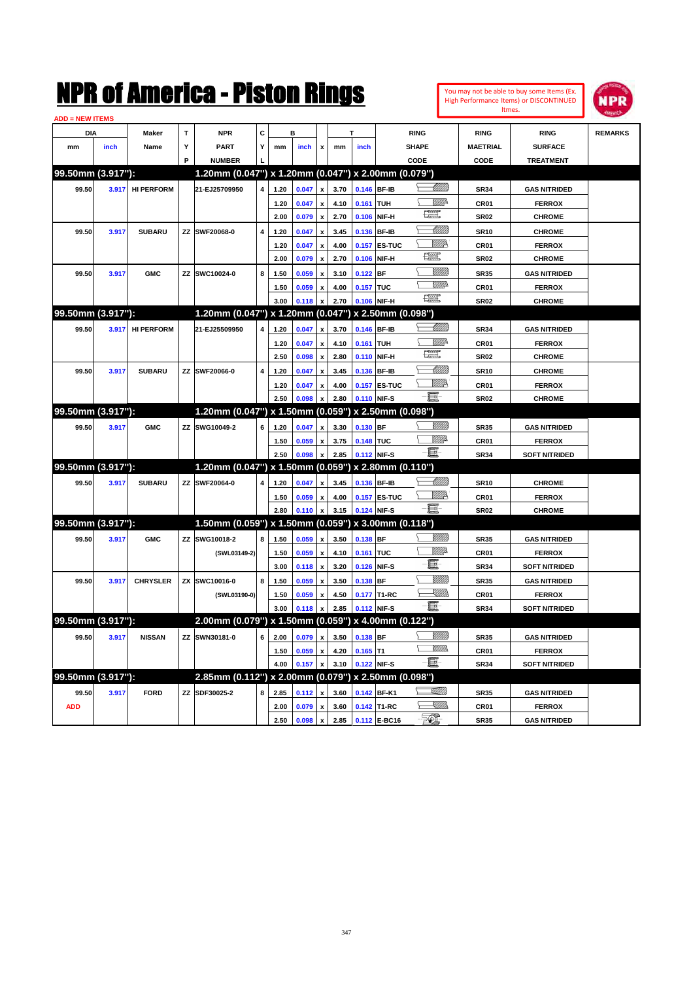| You may not be able to buy some Items (Ex. |
|--------------------------------------------|
| High Performance Items) or DISCONTINUED    |
| Itmes.                                     |



| C<br>т<br><b>NPR</b><br><b>RING</b><br><b>RING</b><br><b>REMARKS</b><br>DIA<br>Maker<br>в<br><b>RING</b><br>Y<br><b>PART</b><br>Y<br>inch<br>inch<br><b>SHAPE</b><br><b>MAETRIAL</b><br><b>SURFACE</b><br>mm<br>Name<br>mm<br>$\pmb{\mathsf{x}}$<br>mm<br>inch<br>P<br><b>NUMBER</b><br>CODE<br>CODE<br><b>TREATMENT</b><br>99.50mm (3.917"):<br>1.20mm (0.047") x 1.20mm (0.047") x 2.00mm (0.079")<br><u>-Millitt</u><br>0.146 BF-IB<br><b>HI PERFORM</b><br>21-EJ25709950<br>0.047<br>3.70<br>99.50<br>1.20<br><b>SR34</b><br><b>GAS NITRIDED</b><br>3.917<br>4<br>$\boldsymbol{\mathsf{x}}$<br><u>Mille</u> r<br>0.161 TUH<br>1.20<br>0.047<br>$\boldsymbol{\mathsf{x}}$<br>4.10<br>CR01<br><b>FERROX</b><br>t et<br>0.106 NIF-H<br>2.00<br>0.079<br>2.70<br><b>SR02</b><br><b>CHROME</b><br>$\boldsymbol{\mathsf{x}}$<br><u> UMB</u><br>99.50<br>3.917<br><b>SUBARU</b><br>ZZ SWF20068-0<br>0.047<br>3.45<br>0.136 BF-IB<br><b>SR10</b><br>4<br>1.20<br>$\pmb{\chi}$<br><b>CHROME</b><br><u>Willik</u><br><b>0.157 ES-TUC</b><br>1.20<br>0.047<br>4.00<br>CR01<br><b>FERROX</b><br>$\boldsymbol{\mathsf{x}}$<br>矘<br>0.106 NIF-H<br>2.00<br>0.079<br>2.70<br><b>SR02</b><br><b>CHROME</b><br>$\pmb{\mathsf{x}}$<br>V <i>IIII</i> I)<br>ZZ SWC10024-0<br>$0.122$ BF<br><b>GMC</b><br>8<br>1.50<br>0.059<br>3.10<br><b>SR35</b><br>99.50<br>3.917<br>$\boldsymbol{\mathsf{x}}$<br><b>GAS NITRIDED</b><br>VIII de<br>0.059<br>0.157 TUC<br>4.00<br>CR <sub>01</sub><br><b>FERROX</b><br>1.50<br>$\pmb{\mathsf{x}}$<br>€ €<br>3.00<br>0.106 NIF-H<br>0.118<br>2.70<br><b>SR02</b><br><b>CHROME</b><br>$\mathbf{x}$<br>99.50mm (3.917"):<br>1.20mm (0.047") x 1.20mm (0.047") x 2.50mm (0.098")<br><u> UMB</u><br>99.50<br><b>HI PERFORM</b><br>21-EJ25509950<br>0.047<br>3.70<br>0.146 BF-IB<br><b>GAS NITRIDED</b><br>3.917<br>4<br>1.20<br>$\pmb{\mathsf{x}}$<br><b>SR34</b><br>.<br>Willia<br>0.047<br>4.10<br>0.161 TUH<br>1.20<br>CR01<br><b>FERROX</b><br>$\boldsymbol{\mathsf{x}}$<br>œ<br>2.50<br>0.098<br>2.80<br>0.110 NIF-H<br>$\pmb{\mathsf{x}}$<br><b>SR02</b><br><b>CHROME</b><br><u> Milli</u> lli<br>ZZ SWF20066-0<br>3.45<br>0.136 BF-IB<br>99.50<br>3.917<br><b>SUBARU</b><br>4<br>1.20<br>0.047<br><b>SR10</b><br><b>CHROME</b><br>$\pmb{\mathsf{x}}$<br><u>W//A</u><br>0.157 ES-TUC<br>1.20<br>0.047<br>4.00<br>CR <sub>01</sub><br><b>FERROX</b><br>$\boldsymbol{x}$<br>$-\blacksquare$<br>2.50<br>0.098<br>2.80<br>0.110 NIF-S<br><b>SR02</b><br><b>CHROME</b><br>99.50mm (3.917"):<br>1.20mm (0.047") x 1.50mm (0.059") x 2.50mm (0.098")<br>WMB<br>ZZ SWG10049-2<br>0.130 BF<br>99.50<br>3.917<br><b>GMC</b><br>6<br>1.20<br>0.047<br>3.30<br>$\pmb{\mathsf{x}}$<br><b>SR35</b><br><b>GAS NITRIDED</b><br><u>WW</u> A<br>0.148 TUC<br>0.059<br>3.75<br>CR01<br>1.50<br><b>FERROX</b><br>$\pmb{\mathsf{x}}$<br>- 8<br>0.112 NIF-S<br>2.50<br>0.098<br>2.85<br><b>SR34</b><br><b>SOFT NITRIDED</b><br>99.50mm (3.917"):<br>1.20mm (0.047") x 1.50mm (0.059") x 2.80mm (0.110")<br><u> UMB</u><br>ZZ SWF20064-0<br>0.136 BF-IB<br>99.50<br>3.917<br><b>SUBARU</b><br>1.20<br>0.047<br>3.45<br><b>SR10</b><br><b>CHROME</b><br>4<br>$\mathbf{x}$<br>WMA<br>0.157 ES-TUC<br>0.059<br>4.00<br>1.50<br>CR <sub>01</sub><br><b>FERROX</b><br>$\mathbf{x}$<br>-8<br>2.80<br>0.110<br>3.15<br>0.124 NIF-S<br><b>SR02</b><br><b>CHROME</b><br>$\pmb{\mathsf{x}}$<br>99.50mm (3.917"):<br>1.50mm (0.059") x 1.50mm (0.059") x 3.00mm (0.118")<br><u>VMM</u><br>0.138 BF<br><b>GMC</b><br>ZZ SWG10018-2<br>0.059<br>3.50<br>99.50<br>3.917<br>1.50<br><b>SR35</b><br><b>GAS NITRIDED</b><br>8<br>$\pmb{\chi}$<br><u>Mille</u> da<br>0.161 TUC<br>(SWL03149-2)<br>1.50<br>0.059<br>4.10<br>CR01<br><b>FERROX</b><br>$\pmb{\mathsf{x}}$<br>圓<br>0.126 NIF-S<br>3.00<br>0.118<br>3.20<br><b>SR34</b><br><b>SOFT NITRIDED</b><br>$\boldsymbol{\mathsf{x}}$<br>99.50<br><b>CHRYSLER</b><br>ZX SWC10016-0<br>0.059<br>3.50<br>$0.138$ BF<br><b>SR35</b><br><b>GAS NITRIDED</b><br>3.917<br>8<br>1.50<br>$\boldsymbol{\mathsf{x}}$<br><u>SUM)</u><br>(SWL03190-0)<br>1.50<br>0.059<br>4.50<br>0.177 T1-RC<br>CR01<br><b>FERROX</b><br>- 8<br>3.00<br>0.112 NIF-S<br>0.118<br>2.85<br><b>SR34</b><br><b>SOFT NITRIDED</b><br>99.50mm (3.917"):<br>2.00mm (0.079") x 1.50mm (0.059")<br>x 4.00mm (0.122")<br><u>VMM)</u><br>ZZ SWN30181-0<br><b>NISSAN</b><br>0.138 BF<br>99.50<br>3.917<br>2.00<br>0.079<br>3.50<br><b>GAS NITRIDED</b><br>6<br>$\pmb{\mathsf{x}}$<br><b>SR35</b><br><u>Willibs</u><br>⊆<br>0.059<br>$0.165$ T1<br>1.50<br>4.20<br><b>CR01</b><br><b>FERROX</b><br>$\pmb{\mathsf{x}}$<br>$-\Xi$ .<br>4.00<br>0.157<br>3.10<br>0.122 NIF-S<br><b>SR34</b><br><b>SOFT NITRIDED</b><br>$\mathbf{x}$<br>99.50mm (3.917"):<br>2.85mm (0.112") x 2.00mm (0.079") x 2.50mm (0.098")<br><u>VMW)</u><br>0.142 BF-K1<br>3.917<br><b>FORD</b><br>ZZ SDF30025-2<br>3.60<br>99.50<br>2.85<br>0.112<br><b>SR35</b><br><b>GAS NITRIDED</b><br>8<br>$\boldsymbol{\mathsf{x}}$<br>-XIII))<br>≻<br><b>ADD</b><br>2.00<br>0.079<br>$\pmb{\mathsf{x}}$<br>3.60<br>0.142 T1-RC<br>CR01<br><b>FERROX</b><br>EQ,<br>0.112 E-BC16<br>2.50<br>0.098 x<br>2.85<br><b>SR35</b><br><b>GAS NITRIDED</b> | <b>ADD = NEW ITEMS</b> |  |  |  |  |  |  |  |  |
|------------------------------------------------------------------------------------------------------------------------------------------------------------------------------------------------------------------------------------------------------------------------------------------------------------------------------------------------------------------------------------------------------------------------------------------------------------------------------------------------------------------------------------------------------------------------------------------------------------------------------------------------------------------------------------------------------------------------------------------------------------------------------------------------------------------------------------------------------------------------------------------------------------------------------------------------------------------------------------------------------------------------------------------------------------------------------------------------------------------------------------------------------------------------------------------------------------------------------------------------------------------------------------------------------------------------------------------------------------------------------------------------------------------------------------------------------------------------------------------------------------------------------------------------------------------------------------------------------------------------------------------------------------------------------------------------------------------------------------------------------------------------------------------------------------------------------------------------------------------------------------------------------------------------------------------------------------------------------------------------------------------------------------------------------------------------------------------------------------------------------------------------------------------------------------------------------------------------------------------------------------------------------------------------------------------------------------------------------------------------------------------------------------------------------------------------------------------------------------------------------------------------------------------------------------------------------------------------------------------------------------------------------------------------------------------------------------------------------------------------------------------------------------------------------------------------------------------------------------------------------------------------------------------------------------------------------------------------------------------------------------------------------------------------------------------------------------------------------------------------------------------------------------------------------------------------------------------------------------------------------------------------------------------------------------------------------------------------------------------------------------------------------------------------------------------------------------------------------------------------------------------------------------------------------------------------------------------------------------------------------------------------------------------------------------------------------------------------------------------------------------------------------------------------------------------------------------------------------------------------------------------------------------------------------------------------------------------------------------------------------------------------------------------------------------------------------------------------------------------------------------------------------------------------------------------------------------------------------------------------------------------------------------------------------------------------------------------------------------------------------------------------------------------------------------------------------------------------------------------------------------------------------------------------------------------------------------------------------------------------------------------------------------------------------------------------------------------------------------------------------------------------------------------------------------------------------------------------------------------------------------------------------------------------------------------------------------------------------------------------------------------------------------------------------------------------------------------------------------------------------------------------------------------------------------------------|------------------------|--|--|--|--|--|--|--|--|
|                                                                                                                                                                                                                                                                                                                                                                                                                                                                                                                                                                                                                                                                                                                                                                                                                                                                                                                                                                                                                                                                                                                                                                                                                                                                                                                                                                                                                                                                                                                                                                                                                                                                                                                                                                                                                                                                                                                                                                                                                                                                                                                                                                                                                                                                                                                                                                                                                                                                                                                                                                                                                                                                                                                                                                                                                                                                                                                                                                                                                                                                                                                                                                                                                                                                                                                                                                                                                                                                                                                                                                                                                                                                                                                                                                                                                                                                                                                                                                                                                                                                                                                                                                                                                                                                                                                                                                                                                                                                                                                                                                                                                                                                                                                                                                                                                                                                                                                                                                                                                                                                                                                                                                                                |                        |  |  |  |  |  |  |  |  |
|                                                                                                                                                                                                                                                                                                                                                                                                                                                                                                                                                                                                                                                                                                                                                                                                                                                                                                                                                                                                                                                                                                                                                                                                                                                                                                                                                                                                                                                                                                                                                                                                                                                                                                                                                                                                                                                                                                                                                                                                                                                                                                                                                                                                                                                                                                                                                                                                                                                                                                                                                                                                                                                                                                                                                                                                                                                                                                                                                                                                                                                                                                                                                                                                                                                                                                                                                                                                                                                                                                                                                                                                                                                                                                                                                                                                                                                                                                                                                                                                                                                                                                                                                                                                                                                                                                                                                                                                                                                                                                                                                                                                                                                                                                                                                                                                                                                                                                                                                                                                                                                                                                                                                                                                |                        |  |  |  |  |  |  |  |  |
|                                                                                                                                                                                                                                                                                                                                                                                                                                                                                                                                                                                                                                                                                                                                                                                                                                                                                                                                                                                                                                                                                                                                                                                                                                                                                                                                                                                                                                                                                                                                                                                                                                                                                                                                                                                                                                                                                                                                                                                                                                                                                                                                                                                                                                                                                                                                                                                                                                                                                                                                                                                                                                                                                                                                                                                                                                                                                                                                                                                                                                                                                                                                                                                                                                                                                                                                                                                                                                                                                                                                                                                                                                                                                                                                                                                                                                                                                                                                                                                                                                                                                                                                                                                                                                                                                                                                                                                                                                                                                                                                                                                                                                                                                                                                                                                                                                                                                                                                                                                                                                                                                                                                                                                                |                        |  |  |  |  |  |  |  |  |
|                                                                                                                                                                                                                                                                                                                                                                                                                                                                                                                                                                                                                                                                                                                                                                                                                                                                                                                                                                                                                                                                                                                                                                                                                                                                                                                                                                                                                                                                                                                                                                                                                                                                                                                                                                                                                                                                                                                                                                                                                                                                                                                                                                                                                                                                                                                                                                                                                                                                                                                                                                                                                                                                                                                                                                                                                                                                                                                                                                                                                                                                                                                                                                                                                                                                                                                                                                                                                                                                                                                                                                                                                                                                                                                                                                                                                                                                                                                                                                                                                                                                                                                                                                                                                                                                                                                                                                                                                                                                                                                                                                                                                                                                                                                                                                                                                                                                                                                                                                                                                                                                                                                                                                                                |                        |  |  |  |  |  |  |  |  |
|                                                                                                                                                                                                                                                                                                                                                                                                                                                                                                                                                                                                                                                                                                                                                                                                                                                                                                                                                                                                                                                                                                                                                                                                                                                                                                                                                                                                                                                                                                                                                                                                                                                                                                                                                                                                                                                                                                                                                                                                                                                                                                                                                                                                                                                                                                                                                                                                                                                                                                                                                                                                                                                                                                                                                                                                                                                                                                                                                                                                                                                                                                                                                                                                                                                                                                                                                                                                                                                                                                                                                                                                                                                                                                                                                                                                                                                                                                                                                                                                                                                                                                                                                                                                                                                                                                                                                                                                                                                                                                                                                                                                                                                                                                                                                                                                                                                                                                                                                                                                                                                                                                                                                                                                |                        |  |  |  |  |  |  |  |  |
|                                                                                                                                                                                                                                                                                                                                                                                                                                                                                                                                                                                                                                                                                                                                                                                                                                                                                                                                                                                                                                                                                                                                                                                                                                                                                                                                                                                                                                                                                                                                                                                                                                                                                                                                                                                                                                                                                                                                                                                                                                                                                                                                                                                                                                                                                                                                                                                                                                                                                                                                                                                                                                                                                                                                                                                                                                                                                                                                                                                                                                                                                                                                                                                                                                                                                                                                                                                                                                                                                                                                                                                                                                                                                                                                                                                                                                                                                                                                                                                                                                                                                                                                                                                                                                                                                                                                                                                                                                                                                                                                                                                                                                                                                                                                                                                                                                                                                                                                                                                                                                                                                                                                                                                                |                        |  |  |  |  |  |  |  |  |
|                                                                                                                                                                                                                                                                                                                                                                                                                                                                                                                                                                                                                                                                                                                                                                                                                                                                                                                                                                                                                                                                                                                                                                                                                                                                                                                                                                                                                                                                                                                                                                                                                                                                                                                                                                                                                                                                                                                                                                                                                                                                                                                                                                                                                                                                                                                                                                                                                                                                                                                                                                                                                                                                                                                                                                                                                                                                                                                                                                                                                                                                                                                                                                                                                                                                                                                                                                                                                                                                                                                                                                                                                                                                                                                                                                                                                                                                                                                                                                                                                                                                                                                                                                                                                                                                                                                                                                                                                                                                                                                                                                                                                                                                                                                                                                                                                                                                                                                                                                                                                                                                                                                                                                                                |                        |  |  |  |  |  |  |  |  |
|                                                                                                                                                                                                                                                                                                                                                                                                                                                                                                                                                                                                                                                                                                                                                                                                                                                                                                                                                                                                                                                                                                                                                                                                                                                                                                                                                                                                                                                                                                                                                                                                                                                                                                                                                                                                                                                                                                                                                                                                                                                                                                                                                                                                                                                                                                                                                                                                                                                                                                                                                                                                                                                                                                                                                                                                                                                                                                                                                                                                                                                                                                                                                                                                                                                                                                                                                                                                                                                                                                                                                                                                                                                                                                                                                                                                                                                                                                                                                                                                                                                                                                                                                                                                                                                                                                                                                                                                                                                                                                                                                                                                                                                                                                                                                                                                                                                                                                                                                                                                                                                                                                                                                                                                |                        |  |  |  |  |  |  |  |  |
|                                                                                                                                                                                                                                                                                                                                                                                                                                                                                                                                                                                                                                                                                                                                                                                                                                                                                                                                                                                                                                                                                                                                                                                                                                                                                                                                                                                                                                                                                                                                                                                                                                                                                                                                                                                                                                                                                                                                                                                                                                                                                                                                                                                                                                                                                                                                                                                                                                                                                                                                                                                                                                                                                                                                                                                                                                                                                                                                                                                                                                                                                                                                                                                                                                                                                                                                                                                                                                                                                                                                                                                                                                                                                                                                                                                                                                                                                                                                                                                                                                                                                                                                                                                                                                                                                                                                                                                                                                                                                                                                                                                                                                                                                                                                                                                                                                                                                                                                                                                                                                                                                                                                                                                                |                        |  |  |  |  |  |  |  |  |
|                                                                                                                                                                                                                                                                                                                                                                                                                                                                                                                                                                                                                                                                                                                                                                                                                                                                                                                                                                                                                                                                                                                                                                                                                                                                                                                                                                                                                                                                                                                                                                                                                                                                                                                                                                                                                                                                                                                                                                                                                                                                                                                                                                                                                                                                                                                                                                                                                                                                                                                                                                                                                                                                                                                                                                                                                                                                                                                                                                                                                                                                                                                                                                                                                                                                                                                                                                                                                                                                                                                                                                                                                                                                                                                                                                                                                                                                                                                                                                                                                                                                                                                                                                                                                                                                                                                                                                                                                                                                                                                                                                                                                                                                                                                                                                                                                                                                                                                                                                                                                                                                                                                                                                                                |                        |  |  |  |  |  |  |  |  |
|                                                                                                                                                                                                                                                                                                                                                                                                                                                                                                                                                                                                                                                                                                                                                                                                                                                                                                                                                                                                                                                                                                                                                                                                                                                                                                                                                                                                                                                                                                                                                                                                                                                                                                                                                                                                                                                                                                                                                                                                                                                                                                                                                                                                                                                                                                                                                                                                                                                                                                                                                                                                                                                                                                                                                                                                                                                                                                                                                                                                                                                                                                                                                                                                                                                                                                                                                                                                                                                                                                                                                                                                                                                                                                                                                                                                                                                                                                                                                                                                                                                                                                                                                                                                                                                                                                                                                                                                                                                                                                                                                                                                                                                                                                                                                                                                                                                                                                                                                                                                                                                                                                                                                                                                |                        |  |  |  |  |  |  |  |  |
|                                                                                                                                                                                                                                                                                                                                                                                                                                                                                                                                                                                                                                                                                                                                                                                                                                                                                                                                                                                                                                                                                                                                                                                                                                                                                                                                                                                                                                                                                                                                                                                                                                                                                                                                                                                                                                                                                                                                                                                                                                                                                                                                                                                                                                                                                                                                                                                                                                                                                                                                                                                                                                                                                                                                                                                                                                                                                                                                                                                                                                                                                                                                                                                                                                                                                                                                                                                                                                                                                                                                                                                                                                                                                                                                                                                                                                                                                                                                                                                                                                                                                                                                                                                                                                                                                                                                                                                                                                                                                                                                                                                                                                                                                                                                                                                                                                                                                                                                                                                                                                                                                                                                                                                                |                        |  |  |  |  |  |  |  |  |
|                                                                                                                                                                                                                                                                                                                                                                                                                                                                                                                                                                                                                                                                                                                                                                                                                                                                                                                                                                                                                                                                                                                                                                                                                                                                                                                                                                                                                                                                                                                                                                                                                                                                                                                                                                                                                                                                                                                                                                                                                                                                                                                                                                                                                                                                                                                                                                                                                                                                                                                                                                                                                                                                                                                                                                                                                                                                                                                                                                                                                                                                                                                                                                                                                                                                                                                                                                                                                                                                                                                                                                                                                                                                                                                                                                                                                                                                                                                                                                                                                                                                                                                                                                                                                                                                                                                                                                                                                                                                                                                                                                                                                                                                                                                                                                                                                                                                                                                                                                                                                                                                                                                                                                                                |                        |  |  |  |  |  |  |  |  |
|                                                                                                                                                                                                                                                                                                                                                                                                                                                                                                                                                                                                                                                                                                                                                                                                                                                                                                                                                                                                                                                                                                                                                                                                                                                                                                                                                                                                                                                                                                                                                                                                                                                                                                                                                                                                                                                                                                                                                                                                                                                                                                                                                                                                                                                                                                                                                                                                                                                                                                                                                                                                                                                                                                                                                                                                                                                                                                                                                                                                                                                                                                                                                                                                                                                                                                                                                                                                                                                                                                                                                                                                                                                                                                                                                                                                                                                                                                                                                                                                                                                                                                                                                                                                                                                                                                                                                                                                                                                                                                                                                                                                                                                                                                                                                                                                                                                                                                                                                                                                                                                                                                                                                                                                |                        |  |  |  |  |  |  |  |  |
|                                                                                                                                                                                                                                                                                                                                                                                                                                                                                                                                                                                                                                                                                                                                                                                                                                                                                                                                                                                                                                                                                                                                                                                                                                                                                                                                                                                                                                                                                                                                                                                                                                                                                                                                                                                                                                                                                                                                                                                                                                                                                                                                                                                                                                                                                                                                                                                                                                                                                                                                                                                                                                                                                                                                                                                                                                                                                                                                                                                                                                                                                                                                                                                                                                                                                                                                                                                                                                                                                                                                                                                                                                                                                                                                                                                                                                                                                                                                                                                                                                                                                                                                                                                                                                                                                                                                                                                                                                                                                                                                                                                                                                                                                                                                                                                                                                                                                                                                                                                                                                                                                                                                                                                                |                        |  |  |  |  |  |  |  |  |
|                                                                                                                                                                                                                                                                                                                                                                                                                                                                                                                                                                                                                                                                                                                                                                                                                                                                                                                                                                                                                                                                                                                                                                                                                                                                                                                                                                                                                                                                                                                                                                                                                                                                                                                                                                                                                                                                                                                                                                                                                                                                                                                                                                                                                                                                                                                                                                                                                                                                                                                                                                                                                                                                                                                                                                                                                                                                                                                                                                                                                                                                                                                                                                                                                                                                                                                                                                                                                                                                                                                                                                                                                                                                                                                                                                                                                                                                                                                                                                                                                                                                                                                                                                                                                                                                                                                                                                                                                                                                                                                                                                                                                                                                                                                                                                                                                                                                                                                                                                                                                                                                                                                                                                                                |                        |  |  |  |  |  |  |  |  |
|                                                                                                                                                                                                                                                                                                                                                                                                                                                                                                                                                                                                                                                                                                                                                                                                                                                                                                                                                                                                                                                                                                                                                                                                                                                                                                                                                                                                                                                                                                                                                                                                                                                                                                                                                                                                                                                                                                                                                                                                                                                                                                                                                                                                                                                                                                                                                                                                                                                                                                                                                                                                                                                                                                                                                                                                                                                                                                                                                                                                                                                                                                                                                                                                                                                                                                                                                                                                                                                                                                                                                                                                                                                                                                                                                                                                                                                                                                                                                                                                                                                                                                                                                                                                                                                                                                                                                                                                                                                                                                                                                                                                                                                                                                                                                                                                                                                                                                                                                                                                                                                                                                                                                                                                |                        |  |  |  |  |  |  |  |  |
|                                                                                                                                                                                                                                                                                                                                                                                                                                                                                                                                                                                                                                                                                                                                                                                                                                                                                                                                                                                                                                                                                                                                                                                                                                                                                                                                                                                                                                                                                                                                                                                                                                                                                                                                                                                                                                                                                                                                                                                                                                                                                                                                                                                                                                                                                                                                                                                                                                                                                                                                                                                                                                                                                                                                                                                                                                                                                                                                                                                                                                                                                                                                                                                                                                                                                                                                                                                                                                                                                                                                                                                                                                                                                                                                                                                                                                                                                                                                                                                                                                                                                                                                                                                                                                                                                                                                                                                                                                                                                                                                                                                                                                                                                                                                                                                                                                                                                                                                                                                                                                                                                                                                                                                                |                        |  |  |  |  |  |  |  |  |
|                                                                                                                                                                                                                                                                                                                                                                                                                                                                                                                                                                                                                                                                                                                                                                                                                                                                                                                                                                                                                                                                                                                                                                                                                                                                                                                                                                                                                                                                                                                                                                                                                                                                                                                                                                                                                                                                                                                                                                                                                                                                                                                                                                                                                                                                                                                                                                                                                                                                                                                                                                                                                                                                                                                                                                                                                                                                                                                                                                                                                                                                                                                                                                                                                                                                                                                                                                                                                                                                                                                                                                                                                                                                                                                                                                                                                                                                                                                                                                                                                                                                                                                                                                                                                                                                                                                                                                                                                                                                                                                                                                                                                                                                                                                                                                                                                                                                                                                                                                                                                                                                                                                                                                                                |                        |  |  |  |  |  |  |  |  |
|                                                                                                                                                                                                                                                                                                                                                                                                                                                                                                                                                                                                                                                                                                                                                                                                                                                                                                                                                                                                                                                                                                                                                                                                                                                                                                                                                                                                                                                                                                                                                                                                                                                                                                                                                                                                                                                                                                                                                                                                                                                                                                                                                                                                                                                                                                                                                                                                                                                                                                                                                                                                                                                                                                                                                                                                                                                                                                                                                                                                                                                                                                                                                                                                                                                                                                                                                                                                                                                                                                                                                                                                                                                                                                                                                                                                                                                                                                                                                                                                                                                                                                                                                                                                                                                                                                                                                                                                                                                                                                                                                                                                                                                                                                                                                                                                                                                                                                                                                                                                                                                                                                                                                                                                |                        |  |  |  |  |  |  |  |  |
|                                                                                                                                                                                                                                                                                                                                                                                                                                                                                                                                                                                                                                                                                                                                                                                                                                                                                                                                                                                                                                                                                                                                                                                                                                                                                                                                                                                                                                                                                                                                                                                                                                                                                                                                                                                                                                                                                                                                                                                                                                                                                                                                                                                                                                                                                                                                                                                                                                                                                                                                                                                                                                                                                                                                                                                                                                                                                                                                                                                                                                                                                                                                                                                                                                                                                                                                                                                                                                                                                                                                                                                                                                                                                                                                                                                                                                                                                                                                                                                                                                                                                                                                                                                                                                                                                                                                                                                                                                                                                                                                                                                                                                                                                                                                                                                                                                                                                                                                                                                                                                                                                                                                                                                                |                        |  |  |  |  |  |  |  |  |
|                                                                                                                                                                                                                                                                                                                                                                                                                                                                                                                                                                                                                                                                                                                                                                                                                                                                                                                                                                                                                                                                                                                                                                                                                                                                                                                                                                                                                                                                                                                                                                                                                                                                                                                                                                                                                                                                                                                                                                                                                                                                                                                                                                                                                                                                                                                                                                                                                                                                                                                                                                                                                                                                                                                                                                                                                                                                                                                                                                                                                                                                                                                                                                                                                                                                                                                                                                                                                                                                                                                                                                                                                                                                                                                                                                                                                                                                                                                                                                                                                                                                                                                                                                                                                                                                                                                                                                                                                                                                                                                                                                                                                                                                                                                                                                                                                                                                                                                                                                                                                                                                                                                                                                                                |                        |  |  |  |  |  |  |  |  |
|                                                                                                                                                                                                                                                                                                                                                                                                                                                                                                                                                                                                                                                                                                                                                                                                                                                                                                                                                                                                                                                                                                                                                                                                                                                                                                                                                                                                                                                                                                                                                                                                                                                                                                                                                                                                                                                                                                                                                                                                                                                                                                                                                                                                                                                                                                                                                                                                                                                                                                                                                                                                                                                                                                                                                                                                                                                                                                                                                                                                                                                                                                                                                                                                                                                                                                                                                                                                                                                                                                                                                                                                                                                                                                                                                                                                                                                                                                                                                                                                                                                                                                                                                                                                                                                                                                                                                                                                                                                                                                                                                                                                                                                                                                                                                                                                                                                                                                                                                                                                                                                                                                                                                                                                |                        |  |  |  |  |  |  |  |  |
|                                                                                                                                                                                                                                                                                                                                                                                                                                                                                                                                                                                                                                                                                                                                                                                                                                                                                                                                                                                                                                                                                                                                                                                                                                                                                                                                                                                                                                                                                                                                                                                                                                                                                                                                                                                                                                                                                                                                                                                                                                                                                                                                                                                                                                                                                                                                                                                                                                                                                                                                                                                                                                                                                                                                                                                                                                                                                                                                                                                                                                                                                                                                                                                                                                                                                                                                                                                                                                                                                                                                                                                                                                                                                                                                                                                                                                                                                                                                                                                                                                                                                                                                                                                                                                                                                                                                                                                                                                                                                                                                                                                                                                                                                                                                                                                                                                                                                                                                                                                                                                                                                                                                                                                                |                        |  |  |  |  |  |  |  |  |
|                                                                                                                                                                                                                                                                                                                                                                                                                                                                                                                                                                                                                                                                                                                                                                                                                                                                                                                                                                                                                                                                                                                                                                                                                                                                                                                                                                                                                                                                                                                                                                                                                                                                                                                                                                                                                                                                                                                                                                                                                                                                                                                                                                                                                                                                                                                                                                                                                                                                                                                                                                                                                                                                                                                                                                                                                                                                                                                                                                                                                                                                                                                                                                                                                                                                                                                                                                                                                                                                                                                                                                                                                                                                                                                                                                                                                                                                                                                                                                                                                                                                                                                                                                                                                                                                                                                                                                                                                                                                                                                                                                                                                                                                                                                                                                                                                                                                                                                                                                                                                                                                                                                                                                                                |                        |  |  |  |  |  |  |  |  |
|                                                                                                                                                                                                                                                                                                                                                                                                                                                                                                                                                                                                                                                                                                                                                                                                                                                                                                                                                                                                                                                                                                                                                                                                                                                                                                                                                                                                                                                                                                                                                                                                                                                                                                                                                                                                                                                                                                                                                                                                                                                                                                                                                                                                                                                                                                                                                                                                                                                                                                                                                                                                                                                                                                                                                                                                                                                                                                                                                                                                                                                                                                                                                                                                                                                                                                                                                                                                                                                                                                                                                                                                                                                                                                                                                                                                                                                                                                                                                                                                                                                                                                                                                                                                                                                                                                                                                                                                                                                                                                                                                                                                                                                                                                                                                                                                                                                                                                                                                                                                                                                                                                                                                                                                |                        |  |  |  |  |  |  |  |  |
|                                                                                                                                                                                                                                                                                                                                                                                                                                                                                                                                                                                                                                                                                                                                                                                                                                                                                                                                                                                                                                                                                                                                                                                                                                                                                                                                                                                                                                                                                                                                                                                                                                                                                                                                                                                                                                                                                                                                                                                                                                                                                                                                                                                                                                                                                                                                                                                                                                                                                                                                                                                                                                                                                                                                                                                                                                                                                                                                                                                                                                                                                                                                                                                                                                                                                                                                                                                                                                                                                                                                                                                                                                                                                                                                                                                                                                                                                                                                                                                                                                                                                                                                                                                                                                                                                                                                                                                                                                                                                                                                                                                                                                                                                                                                                                                                                                                                                                                                                                                                                                                                                                                                                                                                |                        |  |  |  |  |  |  |  |  |
|                                                                                                                                                                                                                                                                                                                                                                                                                                                                                                                                                                                                                                                                                                                                                                                                                                                                                                                                                                                                                                                                                                                                                                                                                                                                                                                                                                                                                                                                                                                                                                                                                                                                                                                                                                                                                                                                                                                                                                                                                                                                                                                                                                                                                                                                                                                                                                                                                                                                                                                                                                                                                                                                                                                                                                                                                                                                                                                                                                                                                                                                                                                                                                                                                                                                                                                                                                                                                                                                                                                                                                                                                                                                                                                                                                                                                                                                                                                                                                                                                                                                                                                                                                                                                                                                                                                                                                                                                                                                                                                                                                                                                                                                                                                                                                                                                                                                                                                                                                                                                                                                                                                                                                                                |                        |  |  |  |  |  |  |  |  |
|                                                                                                                                                                                                                                                                                                                                                                                                                                                                                                                                                                                                                                                                                                                                                                                                                                                                                                                                                                                                                                                                                                                                                                                                                                                                                                                                                                                                                                                                                                                                                                                                                                                                                                                                                                                                                                                                                                                                                                                                                                                                                                                                                                                                                                                                                                                                                                                                                                                                                                                                                                                                                                                                                                                                                                                                                                                                                                                                                                                                                                                                                                                                                                                                                                                                                                                                                                                                                                                                                                                                                                                                                                                                                                                                                                                                                                                                                                                                                                                                                                                                                                                                                                                                                                                                                                                                                                                                                                                                                                                                                                                                                                                                                                                                                                                                                                                                                                                                                                                                                                                                                                                                                                                                |                        |  |  |  |  |  |  |  |  |
|                                                                                                                                                                                                                                                                                                                                                                                                                                                                                                                                                                                                                                                                                                                                                                                                                                                                                                                                                                                                                                                                                                                                                                                                                                                                                                                                                                                                                                                                                                                                                                                                                                                                                                                                                                                                                                                                                                                                                                                                                                                                                                                                                                                                                                                                                                                                                                                                                                                                                                                                                                                                                                                                                                                                                                                                                                                                                                                                                                                                                                                                                                                                                                                                                                                                                                                                                                                                                                                                                                                                                                                                                                                                                                                                                                                                                                                                                                                                                                                                                                                                                                                                                                                                                                                                                                                                                                                                                                                                                                                                                                                                                                                                                                                                                                                                                                                                                                                                                                                                                                                                                                                                                                                                |                        |  |  |  |  |  |  |  |  |
|                                                                                                                                                                                                                                                                                                                                                                                                                                                                                                                                                                                                                                                                                                                                                                                                                                                                                                                                                                                                                                                                                                                                                                                                                                                                                                                                                                                                                                                                                                                                                                                                                                                                                                                                                                                                                                                                                                                                                                                                                                                                                                                                                                                                                                                                                                                                                                                                                                                                                                                                                                                                                                                                                                                                                                                                                                                                                                                                                                                                                                                                                                                                                                                                                                                                                                                                                                                                                                                                                                                                                                                                                                                                                                                                                                                                                                                                                                                                                                                                                                                                                                                                                                                                                                                                                                                                                                                                                                                                                                                                                                                                                                                                                                                                                                                                                                                                                                                                                                                                                                                                                                                                                                                                |                        |  |  |  |  |  |  |  |  |
|                                                                                                                                                                                                                                                                                                                                                                                                                                                                                                                                                                                                                                                                                                                                                                                                                                                                                                                                                                                                                                                                                                                                                                                                                                                                                                                                                                                                                                                                                                                                                                                                                                                                                                                                                                                                                                                                                                                                                                                                                                                                                                                                                                                                                                                                                                                                                                                                                                                                                                                                                                                                                                                                                                                                                                                                                                                                                                                                                                                                                                                                                                                                                                                                                                                                                                                                                                                                                                                                                                                                                                                                                                                                                                                                                                                                                                                                                                                                                                                                                                                                                                                                                                                                                                                                                                                                                                                                                                                                                                                                                                                                                                                                                                                                                                                                                                                                                                                                                                                                                                                                                                                                                                                                |                        |  |  |  |  |  |  |  |  |
|                                                                                                                                                                                                                                                                                                                                                                                                                                                                                                                                                                                                                                                                                                                                                                                                                                                                                                                                                                                                                                                                                                                                                                                                                                                                                                                                                                                                                                                                                                                                                                                                                                                                                                                                                                                                                                                                                                                                                                                                                                                                                                                                                                                                                                                                                                                                                                                                                                                                                                                                                                                                                                                                                                                                                                                                                                                                                                                                                                                                                                                                                                                                                                                                                                                                                                                                                                                                                                                                                                                                                                                                                                                                                                                                                                                                                                                                                                                                                                                                                                                                                                                                                                                                                                                                                                                                                                                                                                                                                                                                                                                                                                                                                                                                                                                                                                                                                                                                                                                                                                                                                                                                                                                                |                        |  |  |  |  |  |  |  |  |
|                                                                                                                                                                                                                                                                                                                                                                                                                                                                                                                                                                                                                                                                                                                                                                                                                                                                                                                                                                                                                                                                                                                                                                                                                                                                                                                                                                                                                                                                                                                                                                                                                                                                                                                                                                                                                                                                                                                                                                                                                                                                                                                                                                                                                                                                                                                                                                                                                                                                                                                                                                                                                                                                                                                                                                                                                                                                                                                                                                                                                                                                                                                                                                                                                                                                                                                                                                                                                                                                                                                                                                                                                                                                                                                                                                                                                                                                                                                                                                                                                                                                                                                                                                                                                                                                                                                                                                                                                                                                                                                                                                                                                                                                                                                                                                                                                                                                                                                                                                                                                                                                                                                                                                                                |                        |  |  |  |  |  |  |  |  |
|                                                                                                                                                                                                                                                                                                                                                                                                                                                                                                                                                                                                                                                                                                                                                                                                                                                                                                                                                                                                                                                                                                                                                                                                                                                                                                                                                                                                                                                                                                                                                                                                                                                                                                                                                                                                                                                                                                                                                                                                                                                                                                                                                                                                                                                                                                                                                                                                                                                                                                                                                                                                                                                                                                                                                                                                                                                                                                                                                                                                                                                                                                                                                                                                                                                                                                                                                                                                                                                                                                                                                                                                                                                                                                                                                                                                                                                                                                                                                                                                                                                                                                                                                                                                                                                                                                                                                                                                                                                                                                                                                                                                                                                                                                                                                                                                                                                                                                                                                                                                                                                                                                                                                                                                |                        |  |  |  |  |  |  |  |  |
|                                                                                                                                                                                                                                                                                                                                                                                                                                                                                                                                                                                                                                                                                                                                                                                                                                                                                                                                                                                                                                                                                                                                                                                                                                                                                                                                                                                                                                                                                                                                                                                                                                                                                                                                                                                                                                                                                                                                                                                                                                                                                                                                                                                                                                                                                                                                                                                                                                                                                                                                                                                                                                                                                                                                                                                                                                                                                                                                                                                                                                                                                                                                                                                                                                                                                                                                                                                                                                                                                                                                                                                                                                                                                                                                                                                                                                                                                                                                                                                                                                                                                                                                                                                                                                                                                                                                                                                                                                                                                                                                                                                                                                                                                                                                                                                                                                                                                                                                                                                                                                                                                                                                                                                                |                        |  |  |  |  |  |  |  |  |
|                                                                                                                                                                                                                                                                                                                                                                                                                                                                                                                                                                                                                                                                                                                                                                                                                                                                                                                                                                                                                                                                                                                                                                                                                                                                                                                                                                                                                                                                                                                                                                                                                                                                                                                                                                                                                                                                                                                                                                                                                                                                                                                                                                                                                                                                                                                                                                                                                                                                                                                                                                                                                                                                                                                                                                                                                                                                                                                                                                                                                                                                                                                                                                                                                                                                                                                                                                                                                                                                                                                                                                                                                                                                                                                                                                                                                                                                                                                                                                                                                                                                                                                                                                                                                                                                                                                                                                                                                                                                                                                                                                                                                                                                                                                                                                                                                                                                                                                                                                                                                                                                                                                                                                                                |                        |  |  |  |  |  |  |  |  |
|                                                                                                                                                                                                                                                                                                                                                                                                                                                                                                                                                                                                                                                                                                                                                                                                                                                                                                                                                                                                                                                                                                                                                                                                                                                                                                                                                                                                                                                                                                                                                                                                                                                                                                                                                                                                                                                                                                                                                                                                                                                                                                                                                                                                                                                                                                                                                                                                                                                                                                                                                                                                                                                                                                                                                                                                                                                                                                                                                                                                                                                                                                                                                                                                                                                                                                                                                                                                                                                                                                                                                                                                                                                                                                                                                                                                                                                                                                                                                                                                                                                                                                                                                                                                                                                                                                                                                                                                                                                                                                                                                                                                                                                                                                                                                                                                                                                                                                                                                                                                                                                                                                                                                                                                |                        |  |  |  |  |  |  |  |  |
|                                                                                                                                                                                                                                                                                                                                                                                                                                                                                                                                                                                                                                                                                                                                                                                                                                                                                                                                                                                                                                                                                                                                                                                                                                                                                                                                                                                                                                                                                                                                                                                                                                                                                                                                                                                                                                                                                                                                                                                                                                                                                                                                                                                                                                                                                                                                                                                                                                                                                                                                                                                                                                                                                                                                                                                                                                                                                                                                                                                                                                                                                                                                                                                                                                                                                                                                                                                                                                                                                                                                                                                                                                                                                                                                                                                                                                                                                                                                                                                                                                                                                                                                                                                                                                                                                                                                                                                                                                                                                                                                                                                                                                                                                                                                                                                                                                                                                                                                                                                                                                                                                                                                                                                                |                        |  |  |  |  |  |  |  |  |
|                                                                                                                                                                                                                                                                                                                                                                                                                                                                                                                                                                                                                                                                                                                                                                                                                                                                                                                                                                                                                                                                                                                                                                                                                                                                                                                                                                                                                                                                                                                                                                                                                                                                                                                                                                                                                                                                                                                                                                                                                                                                                                                                                                                                                                                                                                                                                                                                                                                                                                                                                                                                                                                                                                                                                                                                                                                                                                                                                                                                                                                                                                                                                                                                                                                                                                                                                                                                                                                                                                                                                                                                                                                                                                                                                                                                                                                                                                                                                                                                                                                                                                                                                                                                                                                                                                                                                                                                                                                                                                                                                                                                                                                                                                                                                                                                                                                                                                                                                                                                                                                                                                                                                                                                |                        |  |  |  |  |  |  |  |  |
|                                                                                                                                                                                                                                                                                                                                                                                                                                                                                                                                                                                                                                                                                                                                                                                                                                                                                                                                                                                                                                                                                                                                                                                                                                                                                                                                                                                                                                                                                                                                                                                                                                                                                                                                                                                                                                                                                                                                                                                                                                                                                                                                                                                                                                                                                                                                                                                                                                                                                                                                                                                                                                                                                                                                                                                                                                                                                                                                                                                                                                                                                                                                                                                                                                                                                                                                                                                                                                                                                                                                                                                                                                                                                                                                                                                                                                                                                                                                                                                                                                                                                                                                                                                                                                                                                                                                                                                                                                                                                                                                                                                                                                                                                                                                                                                                                                                                                                                                                                                                                                                                                                                                                                                                |                        |  |  |  |  |  |  |  |  |
|                                                                                                                                                                                                                                                                                                                                                                                                                                                                                                                                                                                                                                                                                                                                                                                                                                                                                                                                                                                                                                                                                                                                                                                                                                                                                                                                                                                                                                                                                                                                                                                                                                                                                                                                                                                                                                                                                                                                                                                                                                                                                                                                                                                                                                                                                                                                                                                                                                                                                                                                                                                                                                                                                                                                                                                                                                                                                                                                                                                                                                                                                                                                                                                                                                                                                                                                                                                                                                                                                                                                                                                                                                                                                                                                                                                                                                                                                                                                                                                                                                                                                                                                                                                                                                                                                                                                                                                                                                                                                                                                                                                                                                                                                                                                                                                                                                                                                                                                                                                                                                                                                                                                                                                                |                        |  |  |  |  |  |  |  |  |
|                                                                                                                                                                                                                                                                                                                                                                                                                                                                                                                                                                                                                                                                                                                                                                                                                                                                                                                                                                                                                                                                                                                                                                                                                                                                                                                                                                                                                                                                                                                                                                                                                                                                                                                                                                                                                                                                                                                                                                                                                                                                                                                                                                                                                                                                                                                                                                                                                                                                                                                                                                                                                                                                                                                                                                                                                                                                                                                                                                                                                                                                                                                                                                                                                                                                                                                                                                                                                                                                                                                                                                                                                                                                                                                                                                                                                                                                                                                                                                                                                                                                                                                                                                                                                                                                                                                                                                                                                                                                                                                                                                                                                                                                                                                                                                                                                                                                                                                                                                                                                                                                                                                                                                                                |                        |  |  |  |  |  |  |  |  |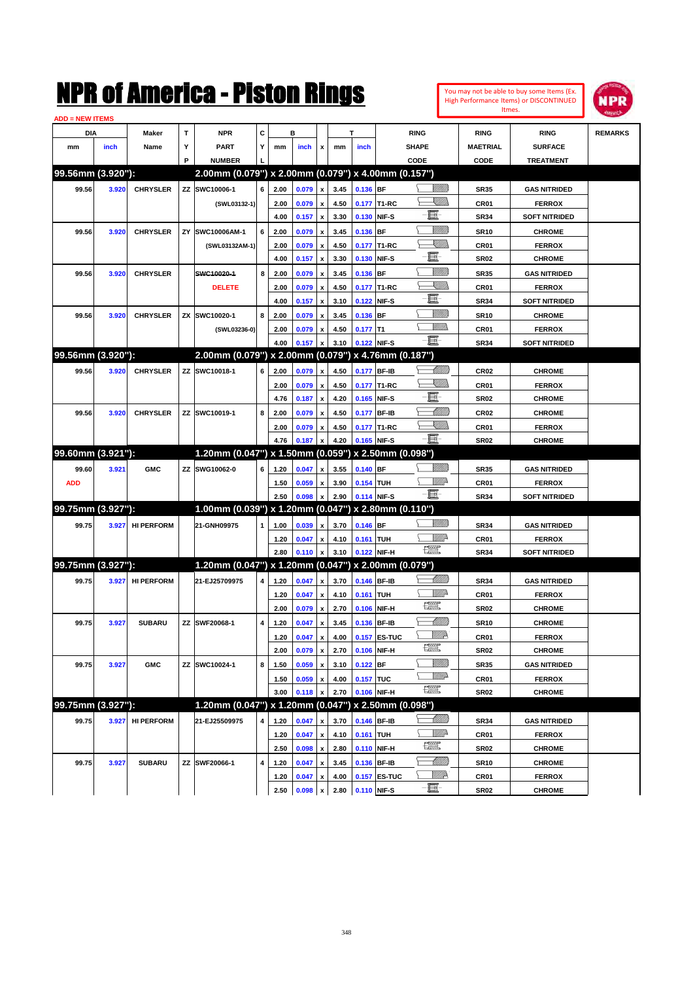| NMK OI AINCrica - Miston Kings<br><b>ADD = NEW ITEMS</b> |                   |                   |    |                                                        |   |              |                |                    |              |                  | Itmes.                      | High Performance Items) or DISCONTINUED                                                                                                                                                                                                                                                                                                             | <b>NPR</b>          |                                |                |
|----------------------------------------------------------|-------------------|-------------------|----|--------------------------------------------------------|---|--------------|----------------|--------------------|--------------|------------------|-----------------------------|-----------------------------------------------------------------------------------------------------------------------------------------------------------------------------------------------------------------------------------------------------------------------------------------------------------------------------------------------------|---------------------|--------------------------------|----------------|
| DIA                                                      |                   | Maker             | T  | <b>NPR</b>                                             | C |              | в              |                    |              | т                |                             | <b>RING</b>                                                                                                                                                                                                                                                                                                                                         | <b>RING</b>         | <b>RING</b>                    | <b>REMARKS</b> |
| mm                                                       | inch              | Name              | Υ  | <b>PART</b>                                            | Υ | mm           | inch           | x                  | mm           | inch             |                             | <b>SHAPE</b>                                                                                                                                                                                                                                                                                                                                        | <b>MAETRIAL</b>     | <b>SURFACE</b>                 |                |
|                                                          |                   |                   | P  | <b>NUMBER</b>                                          |   |              |                |                    |              |                  |                             | CODE                                                                                                                                                                                                                                                                                                                                                | CODE                | <b>TREATMENT</b>               |                |
|                                                          | 99.56mm (3.920"): |                   |    | 2.00mm (0.079") x 2.00mm (0.079") x 4.00mm (0.157")    |   |              |                |                    |              |                  |                             |                                                                                                                                                                                                                                                                                                                                                     |                     |                                |                |
| 99.56                                                    | 3.920             | <b>CHRYSLER</b>   |    | ZZ SWC10006-1                                          | 6 | 2.00         | 0.079          | x                  | 3.45         | 0.136 BF         |                             | <u>Villitti</u>                                                                                                                                                                                                                                                                                                                                     | <b>SR35</b>         | <b>GAS NITRIDED</b>            |                |
|                                                          |                   |                   |    | (SWL03132-1)                                           |   | 2.00         | 0.079          | x                  | 4.50         |                  | 0.177 T1-RC                 | <u>Sillill</u>                                                                                                                                                                                                                                                                                                                                      | CR01                | <b>FERROX</b>                  |                |
|                                                          |                   |                   |    |                                                        |   | 4.00         | 0.157          | x                  | 3.30         | 0.130 NIF-S      |                             | E                                                                                                                                                                                                                                                                                                                                                   | <b>SR34</b>         | <b>SOFT NITRIDED</b>           |                |
| 99.56                                                    | 3.920             | <b>CHRYSLER</b>   | ZY | SWC10006AM-1                                           | 6 | 2.00         | 0.079          | x                  | 3.45         | 0.136 BF         |                             | <u>VIIII</u>                                                                                                                                                                                                                                                                                                                                        | <b>SR10</b>         | <b>CHROME</b>                  |                |
|                                                          |                   |                   |    | (SWL03132AM-1)                                         |   | 2.00         | 0.079          | x                  | 4.50         |                  | 0.177 T1-RC                 | <u>SMM</u>                                                                                                                                                                                                                                                                                                                                          | CR01                | <b>FERROX</b>                  |                |
|                                                          |                   |                   |    |                                                        |   | 4.00         | 0.157          | x                  | 3.30         | 0.130            | NIF-S                       | e                                                                                                                                                                                                                                                                                                                                                   | <b>SR02</b>         | <b>CHROME</b>                  |                |
| 99.56                                                    | 3.920             | <b>CHRYSLER</b>   |    | SWC10020-1                                             | 8 | 2.00         | 0.079          | x                  | 3.45         | 0.136            | <b>BF</b>                   | <u>VIIII</u>                                                                                                                                                                                                                                                                                                                                        | <b>SR35</b>         | <b>GAS NITRIDED</b>            |                |
|                                                          |                   |                   |    | <b>DELETE</b>                                          |   | 2.00         | 0.079          | x                  | 4.50         |                  | 0.177 T1-RC                 | <u>Sillill</u>                                                                                                                                                                                                                                                                                                                                      | CR01                | <b>FERROX</b>                  |                |
|                                                          |                   |                   |    |                                                        |   | 4.00         | 0.157          | x                  | 3.10         | 0.122 NIF-S      |                             | E                                                                                                                                                                                                                                                                                                                                                   | <b>SR34</b>         | <b>SOFT NITRIDED</b>           |                |
| 99.56                                                    | 3.920             | <b>CHRYSLER</b>   |    | ZX SWC10020-1                                          | 8 | 2.00         | 0.079          | x                  | 3.45         | 0.136 BF         |                             | <u>VIIII</u>                                                                                                                                                                                                                                                                                                                                        | <b>SR10</b>         | <b>CHROME</b>                  |                |
|                                                          |                   |                   |    | (SWL03236-0)                                           |   | 2.00         | 0.079          | x                  | 4.50         | $0.177$ T1       |                             | <br>Mar                                                                                                                                                                                                                                                                                                                                             | CR01                | <b>FERROX</b>                  |                |
|                                                          |                   |                   |    |                                                        |   | 4.00         | 0.157          | x                  | 3.10         | 0.122 NIF-S      |                             | Ð.                                                                                                                                                                                                                                                                                                                                                  | <b>SR34</b>         | <b>SOFT NITRIDED</b>           |                |
|                                                          | 99.56mm (3.920"): |                   |    | $2.00$ mm (0.079") x 2.00mm (0.079") x 4.76mm (0.187") |   |              |                |                    |              |                  |                             |                                                                                                                                                                                                                                                                                                                                                     |                     |                                |                |
| 99.56                                                    | 3.920             | <b>CHRYSLER</b>   |    | ZZ SWC10018-1                                          | 6 | 2.00         | 0.079          | x                  | 4.50         | 0.177 BF-IB      |                             | <u>UMB</u>                                                                                                                                                                                                                                                                                                                                          | CR <sub>02</sub>    | <b>CHROME</b>                  |                |
|                                                          |                   |                   |    |                                                        |   | 2.00         | 0.079          | x                  | 4.50         |                  | 0.177 T1-RC                 | <u>SMM</u>                                                                                                                                                                                                                                                                                                                                          | CR01                | <b>FERROX</b>                  |                |
|                                                          |                   |                   |    |                                                        |   | 4.76         | 0.187          | x                  | 4.20         | 0.165            | NIF-S                       | E                                                                                                                                                                                                                                                                                                                                                   | <b>SR02</b>         | <b>CHROME</b>                  |                |
| 99.56                                                    | 3.920             | <b>CHRYSLER</b>   |    | ZZ SWC10019-1                                          | 8 | 2.00         | 0.079          | x                  | 4.50         | 0.177            | <b>BF-IB</b>                | <u> UMM</u>                                                                                                                                                                                                                                                                                                                                         | CR <sub>02</sub>    | <b>CHROME</b>                  |                |
|                                                          |                   |                   |    |                                                        |   | 2.00         | 0.079          | x                  | 4.50         |                  | 0.177 T1-RC                 | <u>Sillill</u>                                                                                                                                                                                                                                                                                                                                      | CR01                | <b>FERROX</b>                  |                |
|                                                          |                   |                   |    |                                                        |   | 4.76         | 0.187          | $\mathbf{x}$       | 4.20         | 0.165 NIF-S      |                             | E.                                                                                                                                                                                                                                                                                                                                                  | <b>SR02</b>         | <b>CHROME</b>                  |                |
|                                                          | 99.60mm (3.921"): |                   |    | 1.20mm (0.047") x 1.50mm (0.059")                      |   |              |                |                    |              |                  | x 2.50mm (0.098")           |                                                                                                                                                                                                                                                                                                                                                     |                     |                                |                |
| 99.60                                                    | 3.921             | <b>GMC</b>        |    | ZZ SWG10062-0                                          | 6 | 1.20         | 0.047          | $\mathbf{x}$       | 3.55         | $0.140$ BF       |                             | <u>VIII M</u>                                                                                                                                                                                                                                                                                                                                       | <b>SR35</b>         | <b>GAS NITRIDED</b>            |                |
| <b>ADD</b>                                               |                   |                   |    |                                                        |   | 1.50         | 0.059          | x                  | 3.90         | 0.154 TUH        |                             | ₩₩                                                                                                                                                                                                                                                                                                                                                  | CR01                | <b>FERROX</b>                  |                |
|                                                          |                   |                   |    |                                                        |   | 2.50         | 0.098          | x                  | 2.90         | 0.114 NIF-S      |                             | -8                                                                                                                                                                                                                                                                                                                                                  | <b>SR34</b>         | <b>SOFT NITRIDED</b>           |                |
|                                                          | 99.75mm (3.927"): |                   |    | 1.00mm (0.039") x 1.20mm (0.047")                      |   |              |                |                    |              |                  | x 2.80mm (0.110")           |                                                                                                                                                                                                                                                                                                                                                     |                     |                                |                |
| 99.75                                                    | 3.927             | <b>HI PERFORM</b> |    | 21-GNH09975                                            | 1 | 1.00         | 0.039          | x                  | 3.70         | $0.146$ BF       |                             | <u>VIIII)</u>                                                                                                                                                                                                                                                                                                                                       | <b>SR34</b>         | <b>GAS NITRIDED</b>            |                |
|                                                          |                   |                   |    |                                                        |   | 1.20         | 0.047          | x                  | 4.10         | <b>0.161 TUH</b> |                             | <u>Mille</u>                                                                                                                                                                                                                                                                                                                                        | CR01                | <b>FERROX</b>                  |                |
|                                                          |                   |                   |    |                                                        |   | 2.80         | 0.110          | x                  | 3.10         |                  | 0.122 NIF-H                 | $\begin{picture}(20,20) \put(0,0){\line(1,0){10}} \put(15,0){\line(1,0){10}} \put(15,0){\line(1,0){10}} \put(15,0){\line(1,0){10}} \put(15,0){\line(1,0){10}} \put(15,0){\line(1,0){10}} \put(15,0){\line(1,0){10}} \put(15,0){\line(1,0){10}} \put(15,0){\line(1,0){10}} \put(15,0){\line(1,0){10}} \put(15,0){\line(1,0){10}} \put(15,0){\line(1$ | <b>SR34</b>         | <b>SOFT NITRIDED</b>           |                |
|                                                          | 99.75mm (3.927"): |                   |    | 1.20mm (0.047") x 1.20mm (0.047") x 2.00mm (0.079")    |   |              |                |                    |              |                  |                             |                                                                                                                                                                                                                                                                                                                                                     |                     |                                |                |
| 99.75                                                    | 3.927             | <b>HI PERFORM</b> |    | 21-EJ25709975                                          | 4 | 1.20         | 0.047          | $\mathbf{x}$       | 3.70         | 0.146 BF-IB      |                             | <u> UMM</u>                                                                                                                                                                                                                                                                                                                                         | <b>SR34</b>         | <b>GAS NITRIDED</b>            |                |
|                                                          |                   |                   |    |                                                        |   | 1.20         | 0.047          | x                  | 4.10         | 0.161 TUH        |                             | <u>Willi</u> r                                                                                                                                                                                                                                                                                                                                      | CR01                | <b>FERROX</b>                  |                |
|                                                          |                   |                   |    |                                                        |   | 2.00         | 0.079          | $\pmb{\mathsf{x}}$ | 2.70         |                  | 0.106 NIF-H                 | <b>The Second</b>                                                                                                                                                                                                                                                                                                                                   | <b>SR02</b>         | <b>CHROME</b>                  |                |
| 99.75                                                    | 3.927             | <b>SUBARU</b>     |    | ZZ SWF20068-1                                          | 4 | 1.20         | 0.047          | $\pmb{\mathsf{x}}$ | 3.45         | 0.136 BF-IB      |                             | <u> UMM</u>                                                                                                                                                                                                                                                                                                                                         | <b>SR10</b>         | <b>CHROME</b>                  |                |
|                                                          |                   |                   |    |                                                        |   | 1.20         | 0.047          | X                  | 4.00         |                  | 0.157 ES-TUC                | ₩₩                                                                                                                                                                                                                                                                                                                                                  | CR01                | <b>FERROX</b>                  |                |
|                                                          |                   |                   |    |                                                        |   | 2.00         | 0.079          | x                  | 2.70         | 0.106 NIF-H      |                             | <b>The Second</b>                                                                                                                                                                                                                                                                                                                                   | <b>SR02</b>         | <b>CHROME</b>                  |                |
| 99.75                                                    | 3.927             | <b>GMC</b>        |    | ZZ SWC10024-1                                          | 8 | 1.50         | 0.059          | x                  | 3.10         | $0.122$ BF       |                             | <u>VMM</u>                                                                                                                                                                                                                                                                                                                                          | <b>SR35</b>         | <b>GAS NITRIDED</b>            |                |
|                                                          |                   |                   |    |                                                        |   | 1.50         | 0.059          | x                  | 4.00         | <b>0.157 TUC</b> |                             | <u>VM</u> D                                                                                                                                                                                                                                                                                                                                         | CR01                | <b>FERROX</b>                  |                |
|                                                          |                   |                   |    |                                                        |   | 3.00         | 0.118          | x                  | 2.70         |                  | 0.106 NIF-H                 | R                                                                                                                                                                                                                                                                                                                                                   | <b>SR02</b>         | <b>CHROME</b>                  |                |
|                                                          | 99.75mm (3.927"): |                   |    | 1.20mm (0.047") x 1.20mm (0.047") x 2.50mm (0.098")    |   |              |                |                    |              |                  |                             |                                                                                                                                                                                                                                                                                                                                                     |                     |                                |                |
| 99.75                                                    | 3.927             | <b>HI PERFORM</b> |    | 21-EJ25509975                                          | 4 | 1.20         | 0.047          | x                  | 3.70         | 0.146 BF-IB      |                             | <u> MMM</u>                                                                                                                                                                                                                                                                                                                                         | <b>SR34</b>         | <b>GAS NITRIDED</b>            |                |
|                                                          |                   |                   |    |                                                        |   | 1.20         | 0.047          | $\pmb{\mathsf{x}}$ | 4.10         | 0.161 TUH        |                             | ₩₩                                                                                                                                                                                                                                                                                                                                                  | CR01                | <b>FERROX</b>                  |                |
|                                                          |                   |                   |    |                                                        |   | 2.50         | 0.098          | x                  | 2.80         |                  | 0.110 NIF-H                 | R                                                                                                                                                                                                                                                                                                                                                   | <b>SR02</b>         | <b>CHROME</b>                  |                |
|                                                          |                   |                   |    |                                                        |   |              |                |                    |              |                  |                             |                                                                                                                                                                                                                                                                                                                                                     |                     |                                |                |
|                                                          |                   |                   |    |                                                        |   |              |                |                    |              |                  |                             |                                                                                                                                                                                                                                                                                                                                                     |                     |                                |                |
| 99.75                                                    | 3.927             | <b>SUBARU</b>     |    | ZZ SWF20066-1                                          | 4 | 1.20<br>1.20 | 0.047<br>0.047 | x<br>x             | 3.45<br>4.00 |                  | 0.136 BF-IB<br>0.157 ES-TUC | <u> Millil</u><br>WMP                                                                                                                                                                                                                                                                                                                               | <b>SR10</b><br>CR01 | <b>CHROME</b><br><b>FERROX</b> |                |